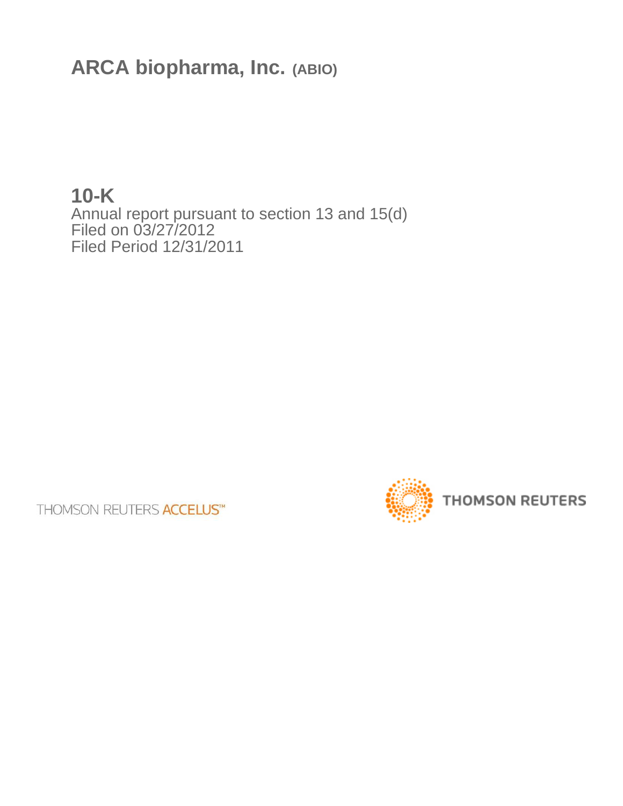**ARCA biopharma, Inc. (ABIO)**

**10-K** Annual report pursuant to section 13 and 15(d) Filed on 03/27/2012 Filed Period 12/31/2011

**THOMSON REUTERS ACCELUS™** 

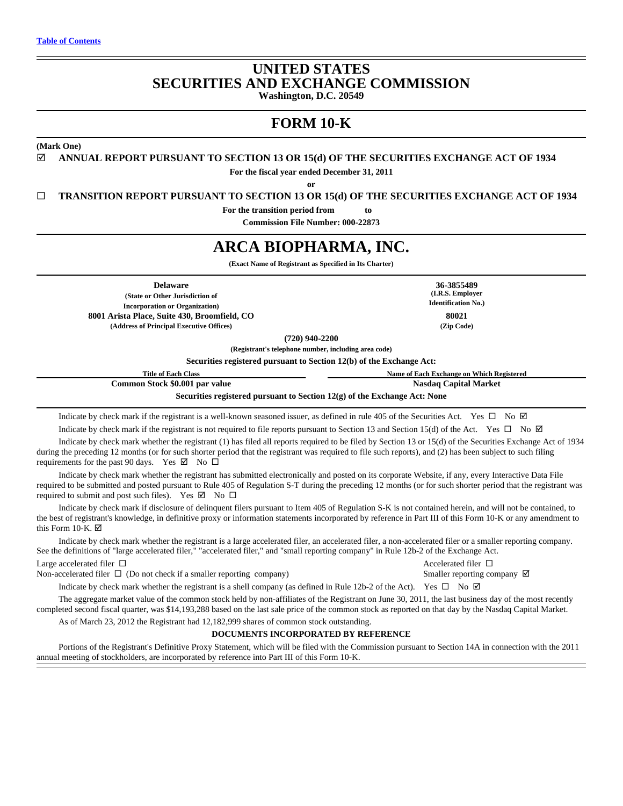# **UNITED STATES SECURITIES AND EXCHANGE COMMISSION Washington, D.C. 20549**

# **FORM 10-K**

**(Mark One)**

þ **ANNUAL REPORT PURSUANT TO SECTION 13 OR 15(d) OF THE SECURITIES EXCHANGE ACT OF 1934**

**For the fiscal year ended December 31, 2011**

**or**

□ **TRANSITION REPORT PURSUANT TO SECTION 13 OR 15(d) OF THE SECURITIES EXCHANGE ACT OF 1934** 

**For the transition period from**  $\qquad$  **to** 

**Commission File Number: 000-22873**

# **ARCA BIOPHARMA, INC.**

**(Exact Name of Registrant as Specified in Its Charter)**

**Delaware 36-3855489 (State or Other Jurisdiction of Incorporation or Organization) 8001 Arista Place, Suite 430, Broomfield, CO 80021 (Address of Principal Executive Offices) (Zip Code)**

**(720) 940-2200**

**(Registrant's telephone number, including area code)**

**Securities registered pursuant to Section 12(b) of the Exchange Act:**

**Title of Each Class Name of Each Exchange on Which Registered Common Stock \$0.001 par value Nasdaq Capital Market Nasdaq Capital Market Securities registered pursuant to Section 12(g) of the Exchange Act: None**

Indicate by check mark if the registrant is a well-known seasoned issuer, as defined in rule 405 of the Securities Act. Yes  $\Box$  No  $\Box$ Indicate by check mark if the registrant is not required to file reports pursuant to Section 13 and Section 15(d) of the Act. Yes  $\Box$  No  $\Box$ 

Indicate by check mark whether the registrant (1) has filed all reports required to be filed by Section 13 or 15(d) of the Securities Exchange Act of 1934 during the preceding 12 months (or for such shorter period that the registrant was required to file such reports), and (2) has been subject to such filing requirements for the past 90 days. Yes  $\boxtimes$  No  $\square$ 

Indicate by check mark whether the registrant has submitted electronically and posted on its corporate Website, if any, every Interactive Data File required to be submitted and posted pursuant to Rule 405 of Regulation S-T during the preceding 12 months (or for such shorter period that the registrant was required to submit and post such files). Yes  $\boxtimes$  No  $\square$ 

Indicate by check mark if disclosure of delinquent filers pursuant to Item 405 of Regulation S-K is not contained herein, and will not be contained, to the best of registrant's knowledge, in definitive proxy or information statements incorporated by reference in Part III of this Form 10-K or any amendment to this Form 10-K.  $\boxtimes$ 

Indicate by check mark whether the registrant is a large accelerated filer, an accelerated filer, a non-accelerated filer or a smaller reporting company. See the definitions of "large accelerated filer," "accelerated filer," and "small reporting company" in Rule 12b-2 of the Exchange Act. Large accelerated filer  $\Box$  Accelerated filer  $\Box$ 

Non-accelerated filer  $\Box$  (Do not check if a smaller reporting company) Smaller reporting company  $\Box$ 

Indicate by check mark whether the registrant is a shell company (as defined in Rule 12b-2 of the Act). Yes  $\Box$  No  $\Box$ 

The aggregate market value of the common stock held by non-affiliates of the Registrant on June 30, 2011, the last business day of the most recently completed second fiscal quarter, was \$14,193,288 based on the last sale price of the common stock as reported on that day by the Nasdaq Capital Market.

As of March 23, 2012 the Registrant had 12,182,999 shares of common stock outstanding.

**DOCUMENTS INCORPORATED BY REFERENCE**

Portions of the Registrant's Definitive Proxy Statement, which will be filed with the Commission pursuant to Section 14A in connection with the 2011

annual meeting of stockholders, are incorporated by reference into Part III of this Form 10-K.

**(I.R.S. Employer Identification No.)**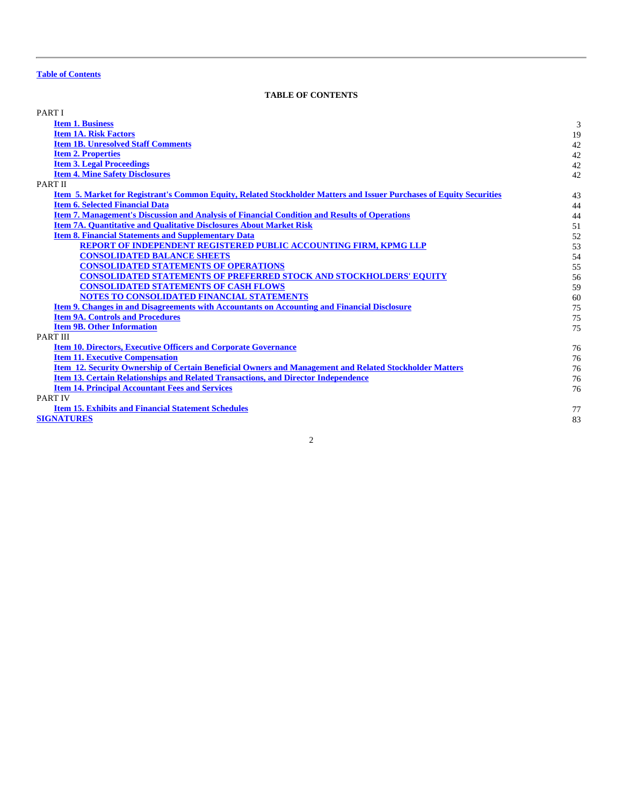# **TABLE OF CONTENTS**

<span id="page-2-0"></span>

| PART I                                                                                                               |    |
|----------------------------------------------------------------------------------------------------------------------|----|
| <b>Item 1. Business</b>                                                                                              | 3  |
| <b>Item 1A. Risk Factors</b>                                                                                         | 19 |
| <b>Item 1B. Unresolved Staff Comments</b>                                                                            | 42 |
| <b>Item 2. Properties</b>                                                                                            | 42 |
| <b>Item 3. Legal Proceedings</b>                                                                                     | 42 |
| <b>Item 4. Mine Safety Disclosures</b>                                                                               | 42 |
| PART II                                                                                                              |    |
| Item 5. Market for Registrant's Common Equity, Related Stockholder Matters and Issuer Purchases of Equity Securities | 43 |
| <b>Item 6. Selected Financial Data</b>                                                                               | 44 |
| <b>Item 7. Management's Discussion and Analysis of Financial Condition and Results of Operations</b>                 | 44 |
| <b>Item 7A. Quantitative and Qualitative Disclosures About Market Risk</b>                                           | 51 |
| <b>Item 8. Financial Statements and Supplementary Data</b>                                                           | 52 |
| <b>REPORT OF INDEPENDENT REGISTERED PUBLIC ACCOUNTING FIRM, KPMG LLP</b>                                             | 53 |
| <b>CONSOLIDATED BALANCE SHEETS</b>                                                                                   | 54 |
| <b>CONSOLIDATED STATEMENTS OF OPERATIONS</b>                                                                         | 55 |
| <b>CONSOLIDATED STATEMENTS OF PREFERRED STOCK AND STOCKHOLDERS' EQUITY</b>                                           | 56 |
| <b>CONSOLIDATED STATEMENTS OF CASH FLOWS</b>                                                                         | 59 |
| NOTES TO CONSOLIDATED FINANCIAL STATEMENTS                                                                           | 60 |
| Item 9. Changes in and Disagreements with Accountants on Accounting and Financial Disclosure                         | 75 |
| <b>Item 9A. Controls and Procedures</b>                                                                              | 75 |
| <b>Item 9B. Other Information</b>                                                                                    | 75 |
| <b>PART III</b>                                                                                                      |    |
| <b>Item 10. Directors, Executive Officers and Corporate Governance</b>                                               | 76 |
| <b>Item 11. Executive Compensation</b>                                                                               | 76 |
| Item 12. Security Ownership of Certain Beneficial Owners and Management and Related Stockholder Matters              | 76 |
| <b>Item 13. Certain Relationships and Related Transactions, and Director Independence</b>                            | 76 |
| <b>Item 14. Principal Accountant Fees and Services</b>                                                               | 76 |
| <b>PART IV</b>                                                                                                       |    |
| <b>Item 15. Exhibits and Financial Statement Schedules</b>                                                           | 77 |
| <b>SIGNATURES</b>                                                                                                    | 83 |
|                                                                                                                      |    |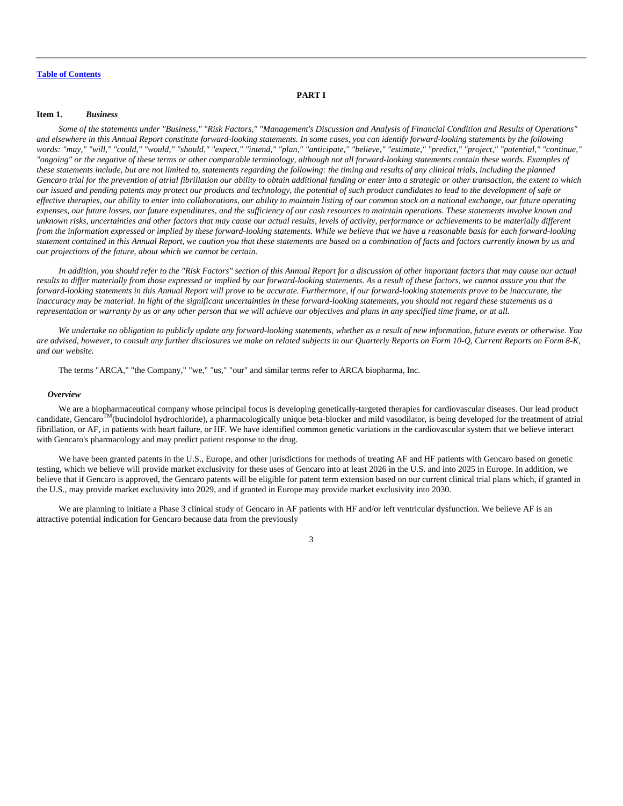# **PART I**

#### <span id="page-3-0"></span>**Item 1.** *Business*

*Some of the statements under "Business," "Risk Factors," "Management's Discussion and Analysis of Financial Condition and Results of Operations" and elsewhere in this Annual Report constitute forward-looking statements. In some cases, you can identify forward-looking statements by the following words: "may," "will," "could," "would," "should," "expect," "intend," "plan," "anticipate," "believe," "estimate," "predict," "project," "potential," "continue," "ongoing" or the negative of these terms or other comparable terminology, although not all forward-looking statements contain these words. Examples of these statements include, but are not limited to, statements regarding the following: the timing and results of any clinical trials, including the planned Gencaro trial for the prevention of atrial fibrillation our ability to obtain additional funding or enter into a strategic or other transaction, the extent to which our issued and pending patents may protect our products and technology, the potential of such product candidates to lead to the development of safe or effective therapies, our ability to enter into collaborations, our ability to maintain listing of our common stock on a national exchange, our future operating expenses, our future losses, our future expenditures, and the sufficiency of our cash resources to maintain operations. These statements involve known and unknown risks, uncertainties and other factors that may cause our actual results, levels of activity, performance or achievements to be materially different from the information expressed or implied by these forward-looking statements. While we believe that we have a reasonable basis for each forward-looking statement contained in this Annual Report, we caution you that these statements are based on a combination of facts and factors currently known by us and our projections of the future, about which we cannot be certain.*

*In addition, you should refer to the "Risk Factors" section of this Annual Report for a discussion of other important factors that may cause our actual results to differ materially from those expressed or implied by our forward-looking statements. As a result of these factors, we cannot assure you that the forward-looking statements in this Annual Report will prove to be accurate. Furthermore, if our forward-looking statements prove to be inaccurate, the inaccuracy may be material. In light of the significant uncertainties in these forward-looking statements, you should not regard these statements as a representation or warranty by us or any other person that we will achieve our objectives and plans in any specified time frame, or at all.*

*We undertake no obligation to publicly update any forward-looking statements, whether as a result of new information, future events or otherwise. You are advised, however, to consult any further disclosures we make on related subjects in our Quarterly Reports on Form 10-Q, Current Reports on Form 8-K, and our website.*

The terms "ARCA," "the Company," "we," "us," "our" and similar terms refer to ARCA biopharma, Inc.

#### *Overview*

We are a biopharmaceutical company whose principal focus is developing genetically-targeted therapies for cardiovascular diseases. Our lead product candidate, Gencaro<sup>TM</sup>(bucindolol hydrochloride), a pharmacologically unique beta-blocker and mild vasodilator, is being developed for the treatment of atrial fibrillation, or AF, in patients with heart failure, or HF. We have identified common genetic variations in the cardiovascular system that we believe interact with Gencaro's pharmacology and may predict patient response to the drug.

We have been granted patents in the U.S., Europe, and other jurisdictions for methods of treating AF and HF patients with Gencaro based on genetic testing, which we believe will provide market exclusivity for these uses of Gencaro into at least 2026 in the U.S. and into 2025 in Europe. In addition, we believe that if Gencaro is approved, the Gencaro patents will be eligible for patent term extension based on our current clinical trial plans which, if granted in the U.S., may provide market exclusivity into 2029, and if granted in Europe may provide market exclusivity into 2030.

We are planning to initiate a Phase 3 clinical study of Gencaro in AF patients with HF and/or left ventricular dysfunction. We believe AF is an attractive potential indication for Gencaro because data from the previously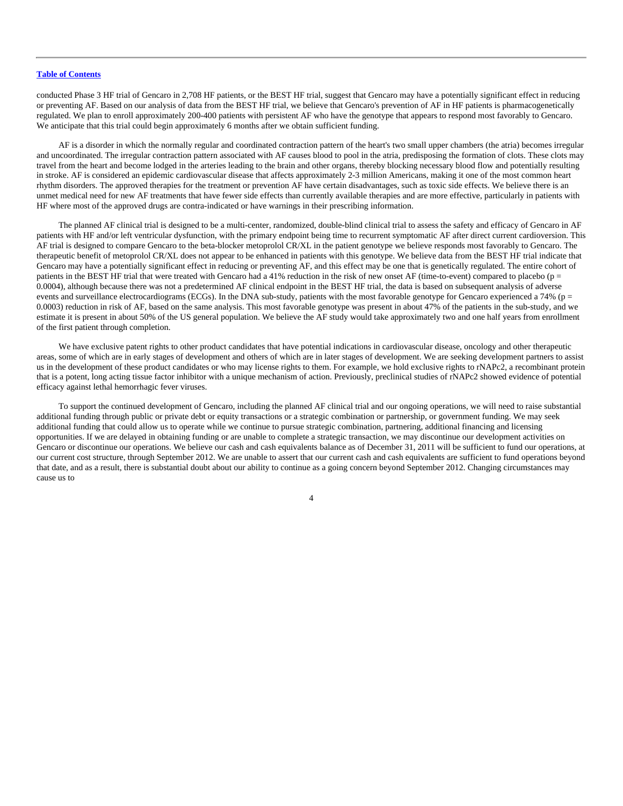conducted Phase 3 HF trial of Gencaro in 2,708 HF patients, or the BEST HF trial, suggest that Gencaro may have a potentially significant effect in reducing or preventing AF. Based on our analysis of data from the BEST HF trial, we believe that Gencaro's prevention of AF in HF patients is pharmacogenetically regulated. We plan to enroll approximately 200-400 patients with persistent AF who have the genotype that appears to respond most favorably to Gencaro. We anticipate that this trial could begin approximately 6 months after we obtain sufficient funding.

AF is a disorder in which the normally regular and coordinated contraction pattern of the heart's two small upper chambers (the atria) becomes irregular and uncoordinated. The irregular contraction pattern associated with AF causes blood to pool in the atria, predisposing the formation of clots. These clots may travel from the heart and become lodged in the arteries leading to the brain and other organs, thereby blocking necessary blood flow and potentially resulting in stroke. AF is considered an epidemic cardiovascular disease that affects approximately 2-3 million Americans, making it one of the most common heart rhythm disorders. The approved therapies for the treatment or prevention AF have certain disadvantages, such as toxic side effects. We believe there is an unmet medical need for new AF treatments that have fewer side effects than currently available therapies and are more effective, particularly in patients with HF where most of the approved drugs are contra-indicated or have warnings in their prescribing information.

The planned AF clinical trial is designed to be a multi-center, randomized, double-blind clinical trial to assess the safety and efficacy of Gencaro in AF patients with HF and/or left ventricular dysfunction, with the primary endpoint being time to recurrent symptomatic AF after direct current cardioversion. This AF trial is designed to compare Gencaro to the beta-blocker metoprolol CR/XL in the patient genotype we believe responds most favorably to Gencaro. The therapeutic benefit of metoprolol CR/XL does not appear to be enhanced in patients with this genotype. We believe data from the BEST HF trial indicate that Gencaro may have a potentially significant effect in reducing or preventing AF, and this effect may be one that is genetically regulated. The entire cohort of patients in the BEST HF trial that were treated with Gencaro had a 41% reduction in the risk of new onset AF (time-to-event) compared to placebo (p = 0.0004), although because there was not a predetermined AF clinical endpoint in the BEST HF trial, the data is based on subsequent analysis of adverse events and surveillance electrocardiograms (ECGs). In the DNA sub-study, patients with the most favorable genotype for Gencaro experienced a 74% (p = 0.0003) reduction in risk of AF, based on the same analysis. This most favorable genotype was present in about 47% of the patients in the sub-study, and we estimate it is present in about 50% of the US general population. We believe the AF study would take approximately two and one half years from enrollment of the first patient through completion.

We have exclusive patent rights to other product candidates that have potential indications in cardiovascular disease, oncology and other therapeutic areas, some of which are in early stages of development and others of which are in later stages of development. We are seeking development partners to assist us in the development of these product candidates or who may license rights to them. For example, we hold exclusive rights to rNAPc2, a recombinant protein that is a potent, long acting tissue factor inhibitor with a unique mechanism of action. Previously, preclinical studies of rNAPc2 showed evidence of potential efficacy against lethal hemorrhagic fever viruses.

To support the continued development of Gencaro, including the planned AF clinical trial and our ongoing operations, we will need to raise substantial additional funding through public or private debt or equity transactions or a strategic combination or partnership, or government funding. We may seek additional funding that could allow us to operate while we continue to pursue strategic combination, partnering, additional financing and licensing opportunities. If we are delayed in obtaining funding or are unable to complete a strategic transaction, we may discontinue our development activities on Gencaro or discontinue our operations. We believe our cash and cash equivalents balance as of December 31, 2011 will be sufficient to fund our operations, at our current cost structure, through September 2012. We are unable to assert that our current cash and cash equivalents are sufficient to fund operations beyond that date, and as a result, there is substantial doubt about our ability to continue as a going concern beyond September 2012. Changing circumstances may cause us to

 $\overline{A}$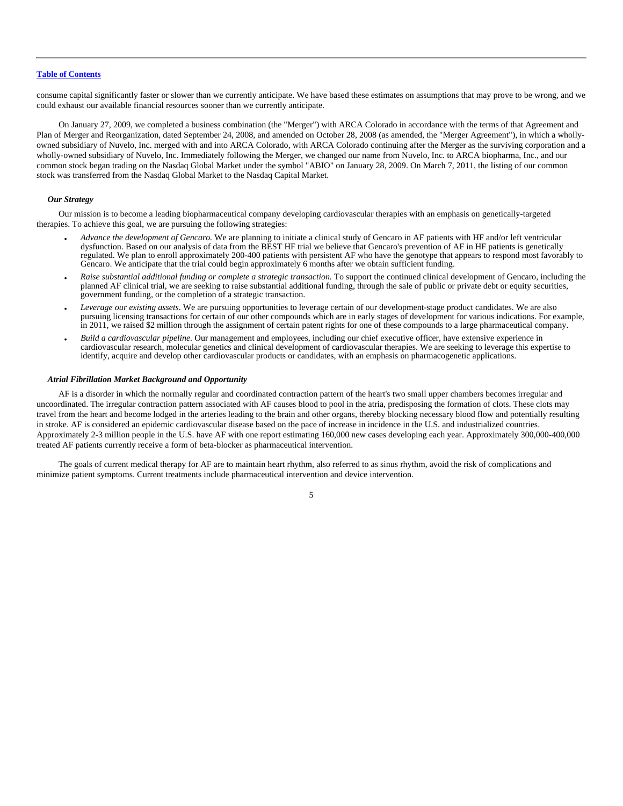consume capital significantly faster or slower than we currently anticipate. We have based these estimates on assumptions that may prove to be wrong, and we could exhaust our available financial resources sooner than we currently anticipate.

On January 27, 2009, we completed a business combination (the "Merger") with ARCA Colorado in accordance with the terms of that Agreement and Plan of Merger and Reorganization, dated September 24, 2008, and amended on October 28, 2008 (as amended, the "Merger Agreement"), in which a whollyowned subsidiary of Nuvelo, Inc. merged with and into ARCA Colorado, with ARCA Colorado continuing after the Merger as the surviving corporation and a wholly-owned subsidiary of Nuvelo, Inc. Immediately following the Merger, we changed our name from Nuvelo, Inc. to ARCA biopharma, Inc., and our common stock began trading on the Nasdaq Global Market under the symbol "ABIO" on January 28, 2009. On March 7, 2011, the listing of our common stock was transferred from the Nasdaq Global Market to the Nasdaq Capital Market.

#### *Our Strategy*

Our mission is to become a leading biopharmaceutical company developing cardiovascular therapies with an emphasis on genetically-targeted therapies. To achieve this goal, we are pursuing the following strategies:

- *Advance the development of Gencaro.* We are planning to initiate a clinical study of Gencaro in AF patients with HF and/or left ventricular dysfunction. Based on our analysis of data from the BEST HF trial we believe that Gencaro's prevention of AF in HF patients is genetically regulated. We plan to enroll approximately 200-400 patients with persistent AF who have the genotype that appears to respond most favorably to Gencaro. We anticipate that the trial could begin approximately 6 months after we obtain sufficient funding.
- *Raise substantial additional funding or complete a strategic transaction.* To support the continued clinical development of Gencaro, including the planned AF clinical trial, we are seeking to raise substantial additional funding, through the sale of public or private debt or equity securities, government funding, or the completion of a strategic transaction.
- *Leverage our existing assets*. We are pursuing opportunities to leverage certain of our development-stage product candidates. We are also pursuing licensing transactions for certain of our other compounds which are in early stages of development for various indications. For example, in 2011, we raised \$2 million through the assignment of certain patent rights for one of these compounds to a large pharmaceutical company.
- *Build a cardiovascular pipeline.* Our management and employees, including our chief executive officer, have extensive experience in cardiovascular research, molecular genetics and clinical development of cardiovascular therapies. We are seeking to leverage this expertise to identify, acquire and develop other cardiovascular products or candidates, with an emphasis on pharmacogenetic applications.

#### *Atrial Fibrillation Market Background and Opportunity*

AF is a disorder in which the normally regular and coordinated contraction pattern of the heart's two small upper chambers becomes irregular and uncoordinated. The irregular contraction pattern associated with AF causes blood to pool in the atria, predisposing the formation of clots. These clots may travel from the heart and become lodged in the arteries leading to the brain and other organs, thereby blocking necessary blood flow and potentially resulting in stroke. AF is considered an epidemic cardiovascular disease based on the pace of increase in incidence in the U.S. and industrialized countries. Approximately 2-3 million people in the U.S. have AF with one report estimating 160,000 new cases developing each year. Approximately 300,000-400,000 treated AF patients currently receive a form of beta-blocker as pharmaceutical intervention.

The goals of current medical therapy for AF are to maintain heart rhythm, also referred to as sinus rhythm, avoid the risk of complications and minimize patient symptoms. Current treatments include pharmaceutical intervention and device intervention.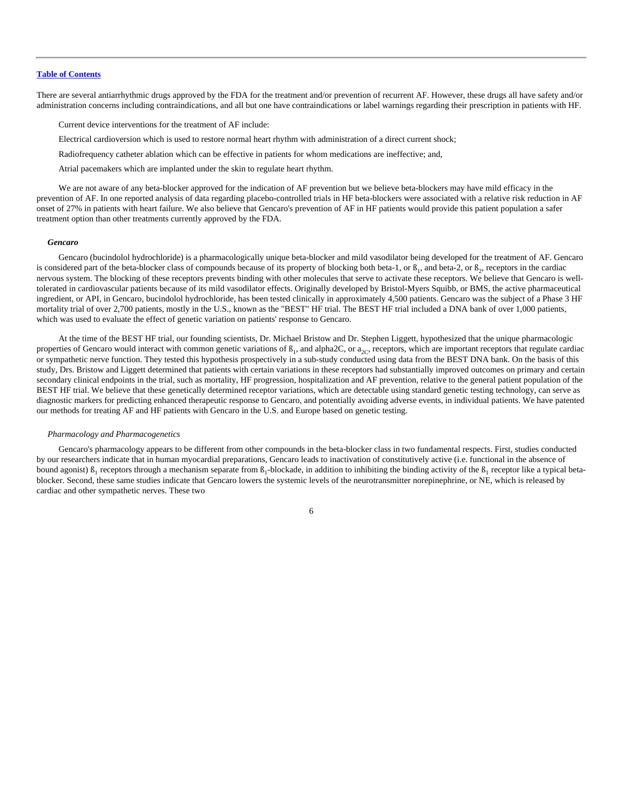There are several antiarrhythmic drugs approved by the FDA for the treatment and/or prevention of recurrent AF. However, these drugs all have safety and/or administration concerns including contraindications, and all but one have contraindications or label warnings regarding their prescription in patients with HF.

Current device interventions for the treatment of AF include:

Electrical cardioversion which is used to restore normal heart rhythm with administration of a direct current shock;

Radiofrequency catheter ablation which can be effective in patients for whom medications are ineffective; and,

Atrial pacemakers which are implanted under the skin to regulate heart rhythm.

We are not aware of any beta-blocker approved for the indication of AF prevention but we believe beta-blockers may have mild efficacy in the prevention of AF. In one reported analysis of data regarding placebo-controlled trials in HF beta-blockers were associated with a relative risk reduction in AF onset of 27% in patients with heart failure. We also believe that Gencaro's prevention of AF in HF patients would provide this patient population a safer treatment option than other treatments currently approved by the FDA.

#### *Gencaro*

Gencaro (bucindolol hydrochloride) is a pharmacologically unique beta-blocker and mild vasodilator being developed for the treatment of AF. Gencaro is considered part of the beta-blocker class of compounds because of its property of blocking both beta-1, or  $\beta_1$ , and beta-2, or  $\beta_2$ , receptors in the cardiac nervous system. The blocking of these receptors prevents binding with other molecules that serve to activate these receptors. We believe that Gencaro is welltolerated in cardiovascular patients because of its mild vasodilator effects. Originally developed by Bristol-Myers Squibb, or BMS, the active pharmaceutical ingredient, or API, in Gencaro, bucindolol hydrochloride, has been tested clinically in approximately 4,500 patients. Gencaro was the subject of a Phase 3 HF mortality trial of over 2,700 patients, mostly in the U.S., known as the "BEST" HF trial. The BEST HF trial included a DNA bank of over 1,000 patients, which was used to evaluate the effect of genetic variation on patients' response to Gencaro.

At the time of the BEST HF trial, our founding scientists, Dr. Michael Bristow and Dr. Stephen Liggett, hypothesized that the unique pharmacologic properties of Gencaro would interact with common genetic variations of  $B_1$ , and alpha2C, or  $a_{2C}$ , receptors, which are important receptors that regulate cardiac or sympathetic nerve function. They tested this hypothesis prospectively in a sub-study conducted using data from the BEST DNA bank. On the basis of this study, Drs. Bristow and Liggett determined that patients with certain variations in these receptors had substantially improved outcomes on primary and certain secondary clinical endpoints in the trial, such as mortality, HF progression, hospitalization and AF prevention, relative to the general patient population of the BEST HF trial. We believe that these genetically determined receptor variations, which are detectable using standard genetic testing technology, can serve as diagnostic markers for predicting enhanced therapeutic response to Gencaro, and potentially avoiding adverse events, in individual patients. We have patented our methods for treating AF and HF patients with Gencaro in the U.S. and Europe based on genetic testing.

#### *Pharmacology and Pharmacogenetics*

Gencaro's pharmacology appears to be different from other compounds in the beta-blocker class in two fundamental respects. First, studies conducted by our researchers indicate that in human myocardial preparations, Gencaro leads to inactivation of constitutively active (i.e. functional in the absence of bound agonist)  $\beta_1$  receptors through a mechanism separate from  $\beta_1$ -blockade, in addition to inhibiting the binding activity of the  $\beta_1$  receptor like a typical betablocker. Second, these same studies indicate that Gencaro lowers the systemic levels of the neurotransmitter norepinephrine, or NE, which is released by cardiac and other sympathetic nerves. These two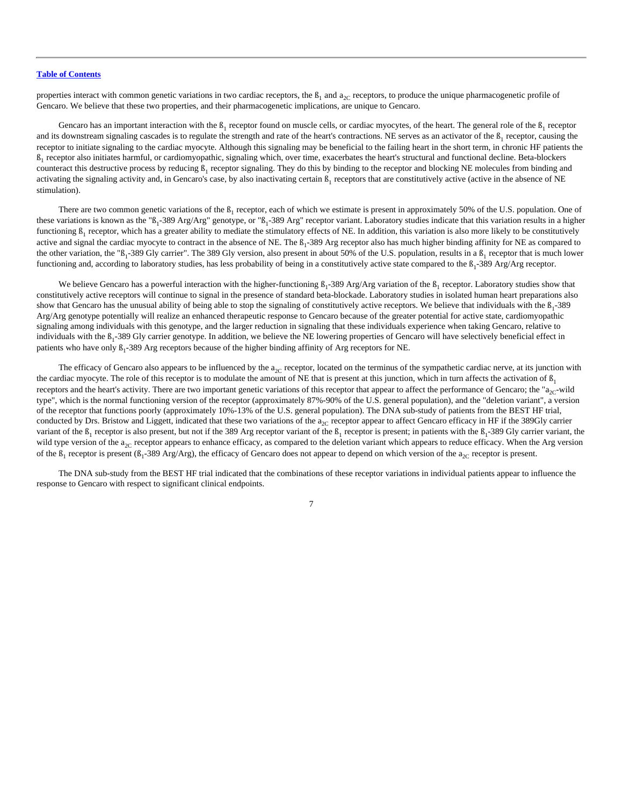properties interact with common genetic variations in two cardiac receptors, the  $B_1$  and  $a_{2C}$  receptors, to produce the unique pharmacogenetic profile of Gencaro. We believe that these two properties, and their pharmacogenetic implications, are unique to Gencaro.

Gencaro has an important interaction with the  $\beta_1$  receptor found on muscle cells, or cardiac myocytes, of the heart. The general role of the  $\beta_1$  receptor and its downstream signaling cascades is to regulate the strength and rate of the heart's contractions. NE serves as an activator of the  $B_1$  receptor, causing the receptor to initiate signaling to the cardiac myocyte. Although this signaling may be beneficial to the failing heart in the short term, in chronic HF patients the  $B_1$  receptor also initiates harmful, or cardiomyopathic, signaling which, over time, exacerbates the heart's structural and functional decline. Beta-blockers counteract this destructive process by reducing  $\beta_1$  receptor signaling. They do this by binding to the receptor and blocking NE molecules from binding and activating the signaling activity and, in Gencaro's case, by also inactivating certain  $\beta_1$  receptors that are constitutively active (active in the absence of NE stimulation).

There are two common genetic variations of the  $\beta_1$  receptor, each of which we estimate is present in approximately 50% of the U.S. population. One of these variations is known as the " $B_1$ -389 Arg/Arg" genotype, or " $B_1$ -389 Arg" receptor variant. Laboratory studies indicate that this variation results in a higher functioning  $B_1$  receptor, which has a greater ability to mediate the stimulatory effects of NE. In addition, this variation is also more likely to be constitutively active and signal the cardiac myocyte to contract in the absence of NE. The  $\beta_1$ -389 Arg receptor also has much higher binding affinity for NE as compared to the other variation, the " $B_1$ -389 Gly carrier". The 389 Gly version, also present in about 50% of the U.S. population, results in a  $B_1$  receptor that is much lower functioning and, according to laboratory studies, has less probability of being in a constitutively active state compared to the  $\beta_1$ -389 Arg/Arg receptor.

We believe Gencaro has a powerful interaction with the higher-functioning  $B_1$ -389 Arg/Arg variation of the  $B_1$  receptor. Laboratory studies show that constitutively active receptors will continue to signal in the presence of standard beta-blockade. Laboratory studies in isolated human heart preparations also show that Gencaro has the unusual ability of being able to stop the signaling of constitutively active receptors. We believe that individuals with the  $\beta_1$ -389 Arg/Arg genotype potentially will realize an enhanced therapeutic response to Gencaro because of the greater potential for active state, cardiomyopathic signaling among individuals with this genotype, and the larger reduction in signaling that these individuals experience when taking Gencaro, relative to individuals with the B<sub>1</sub>-389 Gly carrier genotype. In addition, we believe the NE lowering properties of Gencaro will have selectively beneficial effect in patients who have only  $B_1$ -389 Arg receptors because of the higher binding affinity of Arg receptors for NE.

The efficacy of Gencaro also appears to be influenced by the  $a_{2C}$  receptor, located on the terminus of the sympathetic cardiac nerve, at its junction with the cardiac myocyte. The role of this receptor is to modulate the amount of NE that is present at this junction, which in turn affects the activation of  $\beta_1$ receptors and the heart's activity. There are two important genetic variations of this receptor that appear to affect the performance of Gencaro; the " $a<sub>2</sub>$ -wild" type", which is the normal functioning version of the receptor (approximately 87%-90% of the U.S. general population), and the "deletion variant", a version of the receptor that functions poorly (approximately 10%-13% of the U.S. general population). The DNA sub-study of patients from the BEST HF trial, conducted by Drs. Bristow and Liggett, indicated that these two variations of the  $a_{2C}$  receptor appear to affect Gencaro efficacy in HF if the 389Gly carrier variant of the  $\beta_1$  receptor is also present, but not if the 389 Arg receptor variant of the  $\beta_1$  receptor is present; in patients with the  $\beta_1$ -389 Gly carrier variant, the wild type version of the  $a_{2C}$  receptor appears to enhance efficacy, as compared to the deletion variant which appears to reduce efficacy. When the Arg version of the  $\beta_1$  receptor is present ( $\beta_1$ -389 Arg/Arg), the efficacy of Gencaro does not appear to depend on which version of the  $a_{2C}$  receptor is present.

The DNA sub-study from the BEST HF trial indicated that the combinations of these receptor variations in individual patients appear to influence the response to Gencaro with respect to significant clinical endpoints.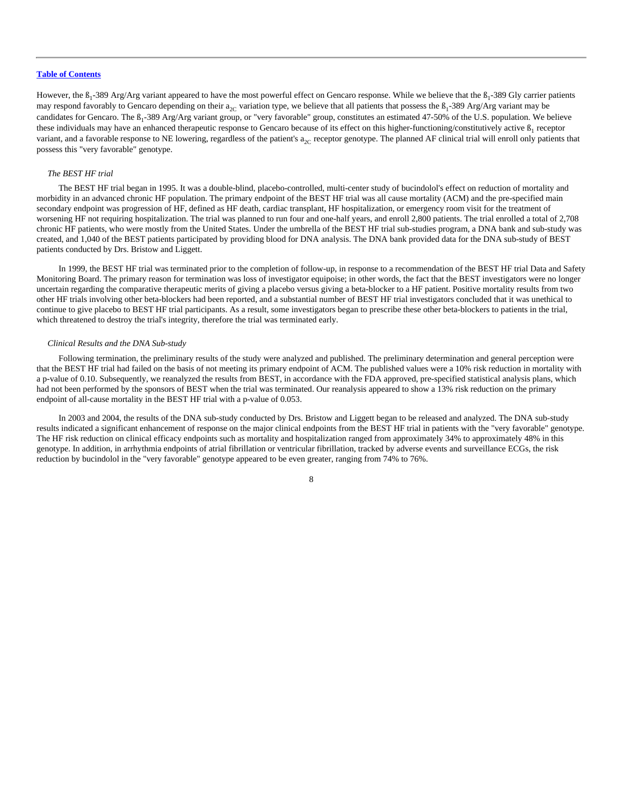However, the  $B_1$ -389 Arg/Arg variant appeared to have the most powerful effect on Gencaro response. While we believe that the  $B_1$ -389 Gly carrier patients may respond favorably to Gencaro depending on their  $a_{2C}$  variation type, we believe that all patients that possess the  $\beta_1$ -389 Arg/Arg variant may be candidates for Gencaro. The  $\beta_1$ -389 Arg/Arg variant group, or "very favorable" group, constitutes an estimated 47-50% of the U.S. population. We believe these individuals may have an enhanced therapeutic response to Gencaro because of its effect on this higher-functioning/constitutively active  $B_1$  receptor variant, and a favorable response to NE lowering, regardless of the patient's  $a_{2C}$  receptor genotype. The planned AF clinical trial will enroll only patients that possess this "very favorable" genotype.

# *The BEST HF trial*

The BEST HF trial began in 1995. It was a double-blind, placebo-controlled, multi-center study of bucindolol's effect on reduction of mortality and morbidity in an advanced chronic HF population. The primary endpoint of the BEST HF trial was all cause mortality (ACM) and the pre-specified main secondary endpoint was progression of HF, defined as HF death, cardiac transplant, HF hospitalization, or emergency room visit for the treatment of worsening HF not requiring hospitalization. The trial was planned to run four and one-half years, and enroll 2,800 patients. The trial enrolled a total of 2,708 chronic HF patients, who were mostly from the United States. Under the umbrella of the BEST HF trial sub-studies program, a DNA bank and sub-study was created, and 1,040 of the BEST patients participated by providing blood for DNA analysis. The DNA bank provided data for the DNA sub-study of BEST patients conducted by Drs. Bristow and Liggett.

In 1999, the BEST HF trial was terminated prior to the completion of follow-up, in response to a recommendation of the BEST HF trial Data and Safety Monitoring Board. The primary reason for termination was loss of investigator equipoise; in other words, the fact that the BEST investigators were no longer uncertain regarding the comparative therapeutic merits of giving a placebo versus giving a beta-blocker to a HF patient. Positive mortality results from two other HF trials involving other beta-blockers had been reported, and a substantial number of BEST HF trial investigators concluded that it was unethical to continue to give placebo to BEST HF trial participants. As a result, some investigators began to prescribe these other beta-blockers to patients in the trial, which threatened to destroy the trial's integrity, therefore the trial was terminated early.

#### *Clinical Results and the DNA Sub-study*

Following termination, the preliminary results of the study were analyzed and published. The preliminary determination and general perception were that the BEST HF trial had failed on the basis of not meeting its primary endpoint of ACM. The published values were a 10% risk reduction in mortality with a p-value of 0.10. Subsequently, we reanalyzed the results from BEST, in accordance with the FDA approved, pre-specified statistical analysis plans, which had not been performed by the sponsors of BEST when the trial was terminated. Our reanalysis appeared to show a 13% risk reduction on the primary endpoint of all-cause mortality in the BEST HF trial with a p-value of 0.053.

In 2003 and 2004, the results of the DNA sub-study conducted by Drs. Bristow and Liggett began to be released and analyzed. The DNA sub-study results indicated a significant enhancement of response on the major clinical endpoints from the BEST HF trial in patients with the "very favorable" genotype. The HF risk reduction on clinical efficacy endpoints such as mortality and hospitalization ranged from approximately 34% to approximately 48% in this genotype. In addition, in arrhythmia endpoints of atrial fibrillation or ventricular fibrillation, tracked by adverse events and surveillance ECGs, the risk reduction by bucindolol in the "very favorable" genotype appeared to be even greater, ranging from 74% to 76%.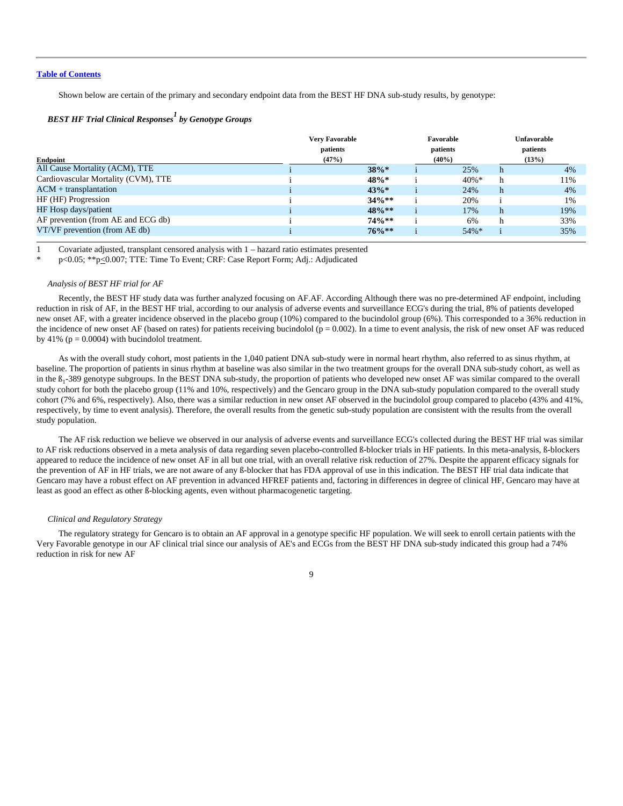Shown below are certain of the primary and secondary endpoint data from the BEST HF DNA sub-study results, by genotype:

# *BEST HF Trial Clinical Responses<sup>1</sup> by Genotype Groups*

| Endpoint                            | <b>Very Favorable</b><br>patients<br>(47%) |          | Favorable<br>patients<br>$(40\%)$ |          | Unfavorable<br>patients<br>(13%) |     |
|-------------------------------------|--------------------------------------------|----------|-----------------------------------|----------|----------------------------------|-----|
| All Cause Mortality (ACM), TTE      |                                            | $38\%*$  |                                   | 25%      | h                                | 4%  |
| Cardiovascular Mortality (CVM), TTE |                                            | 48%*     |                                   | $40\% *$ | h                                | 11% |
| $ACM + transplantation$             |                                            | 43%      |                                   | 24%      | h                                | 4%  |
| HF (HF) Progression                 |                                            | $34\%**$ |                                   | 20%      |                                  | 1%  |
| HF Hosp days/patient                |                                            | $48\%**$ |                                   | 17%      | h                                | 19% |
| AF prevention (from AE and ECG db)  |                                            | $74\%**$ |                                   | 6%       | h                                | 33% |
| VT/VF prevention (from AE db)       |                                            | $76\%**$ |                                   | $54\%*$  |                                  | 35% |

1 Covariate adjusted, transplant censored analysis with 1 – hazard ratio estimates presented

\* p<0.05; \*\*p<0.007; TTE: Time To Event; CRF: Case Report Form; Adj.: Adjudicated

#### *Analysis of BEST HF trial for AF*

Recently, the BEST HF study data was further analyzed focusing on AF.AF. According Although there was no pre-determined AF endpoint, including reduction in risk of AF, in the BEST HF trial, according to our analysis of adverse events and surveillance ECG's during the trial, 8% of patients developed new onset AF, with a greater incidence observed in the placebo group (10%) compared to the bucindolol group (6%). This corresponded to a 36% reduction in the incidence of new onset AF (based on rates) for patients receiving bucindolol ( $p = 0.002$ ). In a time to event analysis, the risk of new onset AF was reduced by 41% ( $p = 0.0004$ ) with bucindolol treatment.

As with the overall study cohort, most patients in the 1,040 patient DNA sub-study were in normal heart rhythm, also referred to as sinus rhythm, at baseline. The proportion of patients in sinus rhythm at baseline was also similar in the two treatment groups for the overall DNA sub-study cohort, as well as in the  $B_1$ -389 genotype subgroups. In the BEST DNA sub-study, the proportion of patients who developed new onset AF was similar compared to the overall study cohort for both the placebo group (11% and 10%, respectively) and the Gencaro group in the DNA sub-study population compared to the overall study cohort (7% and 6%, respectively). Also, there was a similar reduction in new onset AF observed in the bucindolol group compared to placebo (43% and 41%, respectively, by time to event analysis). Therefore, the overall results from the genetic sub-study population are consistent with the results from the overall study population.

The AF risk reduction we believe we observed in our analysis of adverse events and surveillance ECG's collected during the BEST HF trial was similar to AF risk reductions observed in a meta analysis of data regarding seven placebo-controlled ß-blocker trials in HF patients. In this meta-analysis, ß-blockers appeared to reduce the incidence of new onset AF in all but one trial, with an overall relative risk reduction of 27%. Despite the apparent efficacy signals for the prevention of AF in HF trials, we are not aware of any ß-blocker that has FDA approval of use in this indication. The BEST HF trial data indicate that Gencaro may have a robust effect on AF prevention in advanced HFREF patients and, factoring in differences in degree of clinical HF, Gencaro may have at least as good an effect as other ß-blocking agents, even without pharmacogenetic targeting.

#### *Clinical and Regulatory Strategy*

The regulatory strategy for Gencaro is to obtain an AF approval in a genotype specific HF population. We will seek to enroll certain patients with the Very Favorable genotype in our AF clinical trial since our analysis of AE's and ECGs from the BEST HF DNA sub-study indicated this group had a 74% reduction in risk for new AF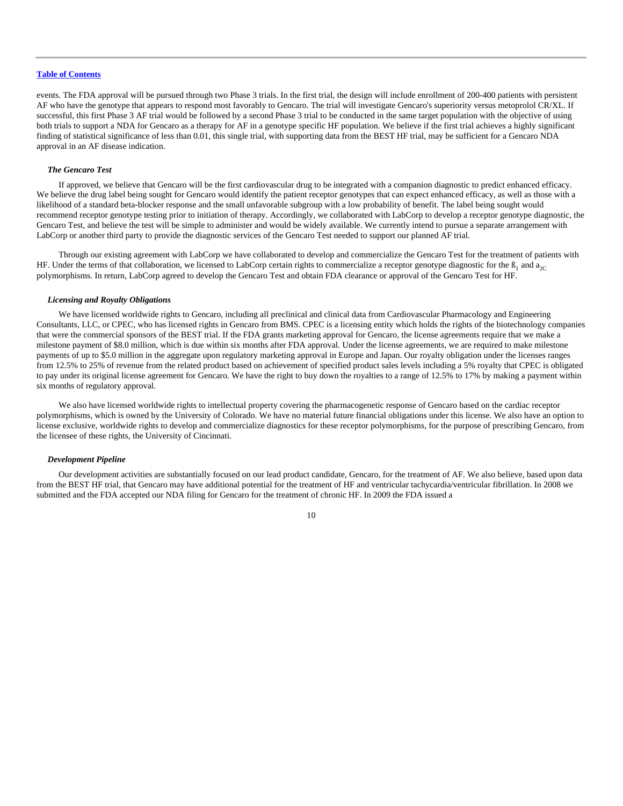events. The FDA approval will be pursued through two Phase 3 trials. In the first trial, the design will include enrollment of 200-400 patients with persistent AF who have the genotype that appears to respond most favorably to Gencaro. The trial will investigate Gencaro's superiority versus metoprolol CR/XL. If successful, this first Phase 3 AF trial would be followed by a second Phase 3 trial to be conducted in the same target population with the objective of using both trials to support a NDA for Gencaro as a therapy for AF in a genotype specific HF population. We believe if the first trial achieves a highly significant finding of statistical significance of less than 0.01, this single trial, with supporting data from the BEST HF trial, may be sufficient for a Gencaro NDA approval in an AF disease indication.

# *The Gencaro Test*

If approved, we believe that Gencaro will be the first cardiovascular drug to be integrated with a companion diagnostic to predict enhanced efficacy. We believe the drug label being sought for Gencaro would identify the patient receptor genotypes that can expect enhanced efficacy, as well as those with a likelihood of a standard beta-blocker response and the small unfavorable subgroup with a low probability of benefit. The label being sought would recommend receptor genotype testing prior to initiation of therapy. Accordingly, we collaborated with LabCorp to develop a receptor genotype diagnostic, the Gencaro Test, and believe the test will be simple to administer and would be widely available. We currently intend to pursue a separate arrangement with LabCorp or another third party to provide the diagnostic services of the Gencaro Test needed to support our planned AF trial.

Through our existing agreement with LabCorp we have collaborated to develop and commercialize the Gencaro Test for the treatment of patients with HF. Under the terms of that collaboration, we licensed to LabCorp certain rights to commercialize a receptor genotype diagnostic for the  $\beta_1$  and  $a_{2C}$ polymorphisms. In return, LabCorp agreed to develop the Gencaro Test and obtain FDA clearance or approval of the Gencaro Test for HF.

#### *Licensing and Royalty Obligations*

We have licensed worldwide rights to Gencaro, including all preclinical and clinical data from Cardiovascular Pharmacology and Engineering Consultants, LLC, or CPEC, who has licensed rights in Gencaro from BMS. CPEC is a licensing entity which holds the rights of the biotechnology companies that were the commercial sponsors of the BEST trial. If the FDA grants marketing approval for Gencaro, the license agreements require that we make a milestone payment of \$8.0 million, which is due within six months after FDA approval. Under the license agreements, we are required to make milestone payments of up to \$5.0 million in the aggregate upon regulatory marketing approval in Europe and Japan. Our royalty obligation under the licenses ranges from 12.5% to 25% of revenue from the related product based on achievement of specified product sales levels including a 5% royalty that CPEC is obligated to pay under its original license agreement for Gencaro. We have the right to buy down the royalties to a range of 12.5% to 17% by making a payment within six months of regulatory approval.

We also have licensed worldwide rights to intellectual property covering the pharmacogenetic response of Gencaro based on the cardiac receptor polymorphisms, which is owned by the University of Colorado. We have no material future financial obligations under this license. We also have an option to license exclusive, worldwide rights to develop and commercialize diagnostics for these receptor polymorphisms, for the purpose of prescribing Gencaro, from the licensee of these rights, the University of Cincinnati.

# *Development Pipeline*

Our development activities are substantially focused on our lead product candidate, Gencaro, for the treatment of AF. We also believe, based upon data from the BEST HF trial, that Gencaro may have additional potential for the treatment of HF and ventricular tachycardia/ventricular fibrillation. In 2008 we submitted and the FDA accepted our NDA filing for Gencaro for the treatment of chronic HF. In 2009 the FDA issued a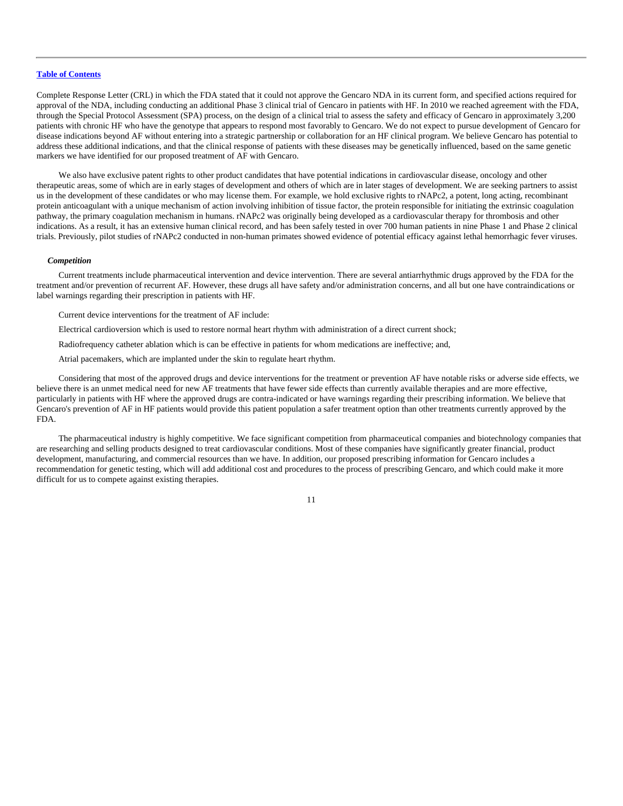Complete Response Letter (CRL) in which the FDA stated that it could not approve the Gencaro NDA in its current form, and specified actions required for approval of the NDA, including conducting an additional Phase 3 clinical trial of Gencaro in patients with HF. In 2010 we reached agreement with the FDA, through the Special Protocol Assessment (SPA) process, on the design of a clinical trial to assess the safety and efficacy of Gencaro in approximately 3,200 patients with chronic HF who have the genotype that appears to respond most favorably to Gencaro. We do not expect to pursue development of Gencaro for disease indications beyond AF without entering into a strategic partnership or collaboration for an HF clinical program. We believe Gencaro has potential to address these additional indications, and that the clinical response of patients with these diseases may be genetically influenced, based on the same genetic markers we have identified for our proposed treatment of AF with Gencaro.

We also have exclusive patent rights to other product candidates that have potential indications in cardiovascular disease, oncology and other therapeutic areas, some of which are in early stages of development and others of which are in later stages of development. We are seeking partners to assist us in the development of these candidates or who may license them. For example, we hold exclusive rights to rNAPc2, a potent, long acting, recombinant protein anticoagulant with a unique mechanism of action involving inhibition of tissue factor, the protein responsible for initiating the extrinsic coagulation pathway, the primary coagulation mechanism in humans. rNAPc2 was originally being developed as a cardiovascular therapy for thrombosis and other indications. As a result, it has an extensive human clinical record, and has been safely tested in over 700 human patients in nine Phase 1 and Phase 2 clinical trials. Previously, pilot studies of rNAPc2 conducted in non-human primates showed evidence of potential efficacy against lethal hemorrhagic fever viruses.

#### *Competition*

Current treatments include pharmaceutical intervention and device intervention. There are several antiarrhythmic drugs approved by the FDA for the treatment and/or prevention of recurrent AF. However, these drugs all have safety and/or administration concerns, and all but one have contraindications or label warnings regarding their prescription in patients with HF.

Current device interventions for the treatment of AF include:

Electrical cardioversion which is used to restore normal heart rhythm with administration of a direct current shock;

Radiofrequency catheter ablation which is can be effective in patients for whom medications are ineffective; and,

Atrial pacemakers, which are implanted under the skin to regulate heart rhythm.

Considering that most of the approved drugs and device interventions for the treatment or prevention AF have notable risks or adverse side effects, we believe there is an unmet medical need for new AF treatments that have fewer side effects than currently available therapies and are more effective, particularly in patients with HF where the approved drugs are contra-indicated or have warnings regarding their prescribing information. We believe that Gencaro's prevention of AF in HF patients would provide this patient population a safer treatment option than other treatments currently approved by the FDA.

The pharmaceutical industry is highly competitive. We face significant competition from pharmaceutical companies and biotechnology companies that are researching and selling products designed to treat cardiovascular conditions. Most of these companies have significantly greater financial, product development, manufacturing, and commercial resources than we have. In addition, our proposed prescribing information for Gencaro includes a recommendation for genetic testing, which will add additional cost and procedures to the process of prescribing Gencaro, and which could make it more difficult for us to compete against existing therapies.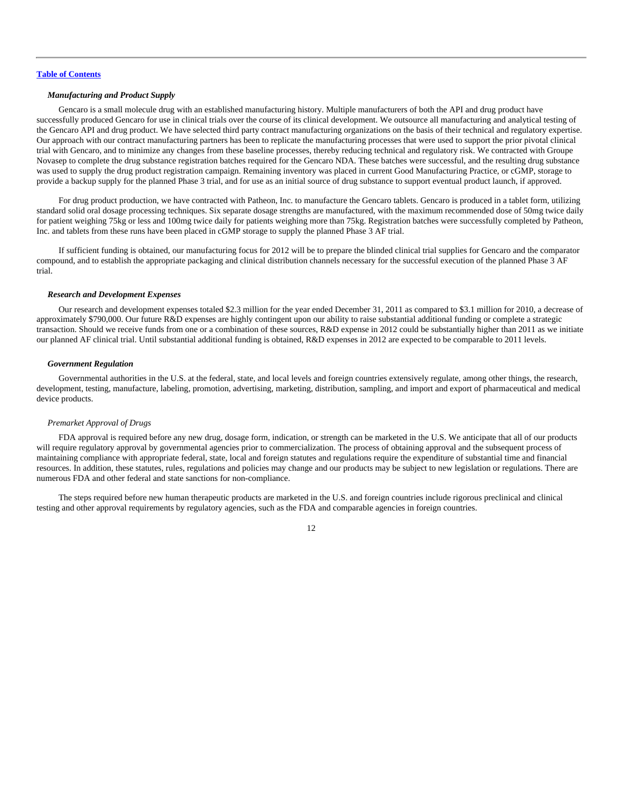# *Manufacturing and Product Supply*

Gencaro is a small molecule drug with an established manufacturing history. Multiple manufacturers of both the API and drug product have successfully produced Gencaro for use in clinical trials over the course of its clinical development. We outsource all manufacturing and analytical testing of the Gencaro API and drug product. We have selected third party contract manufacturing organizations on the basis of their technical and regulatory expertise. Our approach with our contract manufacturing partners has been to replicate the manufacturing processes that were used to support the prior pivotal clinical trial with Gencaro, and to minimize any changes from these baseline processes, thereby reducing technical and regulatory risk. We contracted with Groupe Novasep to complete the drug substance registration batches required for the Gencaro NDA. These batches were successful, and the resulting drug substance was used to supply the drug product registration campaign. Remaining inventory was placed in current Good Manufacturing Practice, or cGMP, storage to provide a backup supply for the planned Phase 3 trial, and for use as an initial source of drug substance to support eventual product launch, if approved.

For drug product production, we have contracted with Patheon, Inc. to manufacture the Gencaro tablets. Gencaro is produced in a tablet form, utilizing standard solid oral dosage processing techniques. Six separate dosage strengths are manufactured, with the maximum recommended dose of 50mg twice daily for patient weighing 75kg or less and 100mg twice daily for patients weighing more than 75kg. Registration batches were successfully completed by Patheon, Inc. and tablets from these runs have been placed in cGMP storage to supply the planned Phase 3 AF trial.

If sufficient funding is obtained, our manufacturing focus for 2012 will be to prepare the blinded clinical trial supplies for Gencaro and the comparator compound, and to establish the appropriate packaging and clinical distribution channels necessary for the successful execution of the planned Phase 3 AF trial.

#### *Research and Development Expenses*

Our research and development expenses totaled \$2.3 million for the year ended December 31, 2011 as compared to \$3.1 million for 2010, a decrease of approximately \$790,000. Our future R&D expenses are highly contingent upon our ability to raise substantial additional funding or complete a strategic transaction. Should we receive funds from one or a combination of these sources, R&D expense in 2012 could be substantially higher than 2011 as we initiate our planned AF clinical trial. Until substantial additional funding is obtained, R&D expenses in 2012 are expected to be comparable to 2011 levels.

#### *Government Regulation*

Governmental authorities in the U.S. at the federal, state, and local levels and foreign countries extensively regulate, among other things, the research, development, testing, manufacture, labeling, promotion, advertising, marketing, distribution, sampling, and import and export of pharmaceutical and medical device products.

#### *Premarket Approval of Drugs*

FDA approval is required before any new drug, dosage form, indication, or strength can be marketed in the U.S. We anticipate that all of our products will require regulatory approval by governmental agencies prior to commercialization. The process of obtaining approval and the subsequent process of maintaining compliance with appropriate federal, state, local and foreign statutes and regulations require the expenditure of substantial time and financial resources. In addition, these statutes, rules, regulations and policies may change and our products may be subject to new legislation or regulations. There are numerous FDA and other federal and state sanctions for non-compliance.

The steps required before new human therapeutic products are marketed in the U.S. and foreign countries include rigorous preclinical and clinical testing and other approval requirements by regulatory agencies, such as the FDA and comparable agencies in foreign countries.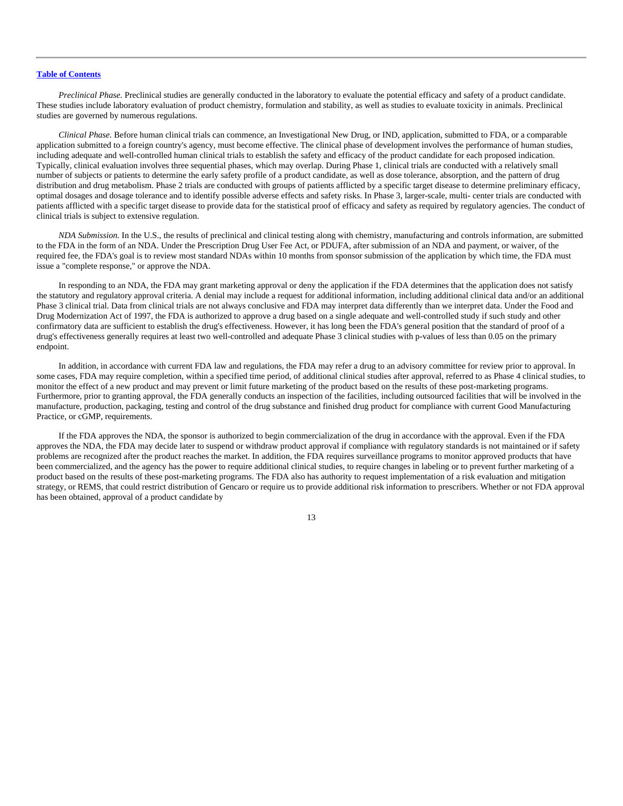*Preclinical Phase.* Preclinical studies are generally conducted in the laboratory to evaluate the potential efficacy and safety of a product candidate. These studies include laboratory evaluation of product chemistry, formulation and stability, as well as studies to evaluate toxicity in animals. Preclinical studies are governed by numerous regulations.

*Clinical Phase.* Before human clinical trials can commence, an Investigational New Drug, or IND, application, submitted to FDA, or a comparable application submitted to a foreign country's agency, must become effective. The clinical phase of development involves the performance of human studies, including adequate and well-controlled human clinical trials to establish the safety and efficacy of the product candidate for each proposed indication. Typically, clinical evaluation involves three sequential phases, which may overlap. During Phase 1, clinical trials are conducted with a relatively small number of subjects or patients to determine the early safety profile of a product candidate, as well as dose tolerance, absorption, and the pattern of drug distribution and drug metabolism. Phase 2 trials are conducted with groups of patients afflicted by a specific target disease to determine preliminary efficacy, optimal dosages and dosage tolerance and to identify possible adverse effects and safety risks. In Phase 3, larger-scale, multi- center trials are conducted with patients afflicted with a specific target disease to provide data for the statistical proof of efficacy and safety as required by regulatory agencies. The conduct of clinical trials is subject to extensive regulation.

*NDA Submission.* In the U.S., the results of preclinical and clinical testing along with chemistry, manufacturing and controls information, are submitted to the FDA in the form of an NDA. Under the Prescription Drug User Fee Act, or PDUFA, after submission of an NDA and payment, or waiver, of the required fee, the FDA's goal is to review most standard NDAs within 10 months from sponsor submission of the application by which time, the FDA must issue a "complete response," or approve the NDA.

In responding to an NDA, the FDA may grant marketing approval or deny the application if the FDA determines that the application does not satisfy the statutory and regulatory approval criteria. A denial may include a request for additional information, including additional clinical data and/or an additional Phase 3 clinical trial. Data from clinical trials are not always conclusive and FDA may interpret data differently than we interpret data. Under the Food and Drug Modernization Act of 1997, the FDA is authorized to approve a drug based on a single adequate and well-controlled study if such study and other confirmatory data are sufficient to establish the drug's effectiveness. However, it has long been the FDA's general position that the standard of proof of a drug's effectiveness generally requires at least two well-controlled and adequate Phase 3 clinical studies with p-values of less than 0.05 on the primary endpoint.

In addition, in accordance with current FDA law and regulations, the FDA may refer a drug to an advisory committee for review prior to approval. In some cases, FDA may require completion, within a specified time period, of additional clinical studies after approval, referred to as Phase 4 clinical studies, to monitor the effect of a new product and may prevent or limit future marketing of the product based on the results of these post-marketing programs. Furthermore, prior to granting approval, the FDA generally conducts an inspection of the facilities, including outsourced facilities that will be involved in the manufacture, production, packaging, testing and control of the drug substance and finished drug product for compliance with current Good Manufacturing Practice, or cGMP, requirements.

If the FDA approves the NDA, the sponsor is authorized to begin commercialization of the drug in accordance with the approval. Even if the FDA approves the NDA, the FDA may decide later to suspend or withdraw product approval if compliance with regulatory standards is not maintained or if safety problems are recognized after the product reaches the market. In addition, the FDA requires surveillance programs to monitor approved products that have been commercialized, and the agency has the power to require additional clinical studies, to require changes in labeling or to prevent further marketing of a product based on the results of these post-marketing programs. The FDA also has authority to request implementation of a risk evaluation and mitigation strategy, or REMS, that could restrict distribution of Gencaro or require us to provide additional risk information to prescribers. Whether or not FDA approval has been obtained, approval of a product candidate by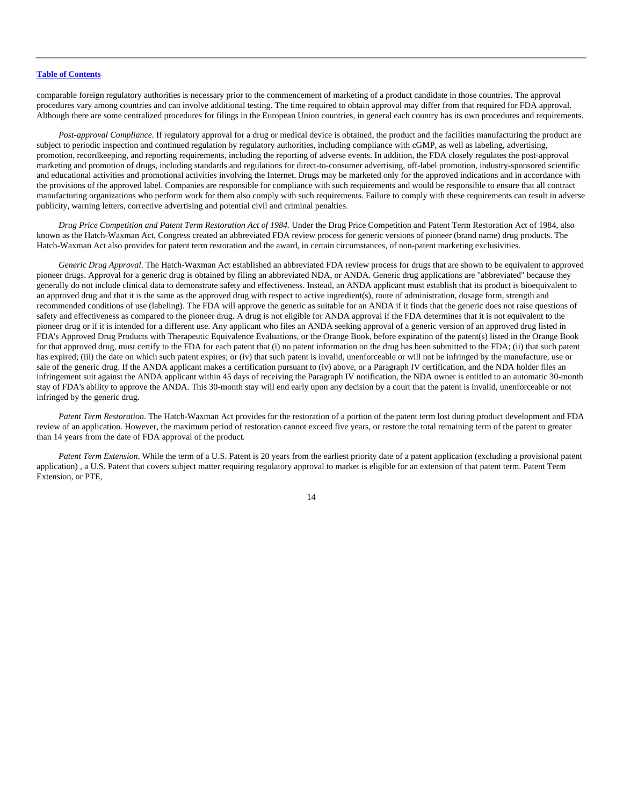comparable foreign regulatory authorities is necessary prior to the commencement of marketing of a product candidate in those countries. The approval procedures vary among countries and can involve additional testing. The time required to obtain approval may differ from that required for FDA approval. Although there are some centralized procedures for filings in the European Union countries, in general each country has its own procedures and requirements.

*Post-approval Compliance.* If regulatory approval for a drug or medical device is obtained, the product and the facilities manufacturing the product are subject to periodic inspection and continued regulation by regulatory authorities, including compliance with cGMP, as well as labeling, advertising, promotion, recordkeeping, and reporting requirements, including the reporting of adverse events. In addition, the FDA closely regulates the post-approval marketing and promotion of drugs, including standards and regulations for direct-to-consumer advertising, off-label promotion, industry-sponsored scientific and educational activities and promotional activities involving the Internet. Drugs may be marketed only for the approved indications and in accordance with the provisions of the approved label. Companies are responsible for compliance with such requirements and would be responsible to ensure that all contract manufacturing organizations who perform work for them also comply with such requirements. Failure to comply with these requirements can result in adverse publicity, warning letters, corrective advertising and potential civil and criminal penalties.

*Drug Price Competition and Patent Term Restoration Act of 1984.* Under the Drug Price Competition and Patent Term Restoration Act of 1984, also known as the Hatch-Waxman Act, Congress created an abbreviated FDA review process for generic versions of pioneer (brand name) drug products. The Hatch-Waxman Act also provides for patent term restoration and the award, in certain circumstances, of non-patent marketing exclusivities.

*Generic Drug Approval*. The Hatch-Waxman Act established an abbreviated FDA review process for drugs that are shown to be equivalent to approved pioneer drugs. Approval for a generic drug is obtained by filing an abbreviated NDA, or ANDA. Generic drug applications are "abbreviated" because they generally do not include clinical data to demonstrate safety and effectiveness. Instead, an ANDA applicant must establish that its product is bioequivalent to an approved drug and that it is the same as the approved drug with respect to active ingredient(s), route of administration, dosage form, strength and recommended conditions of use (labeling). The FDA will approve the generic as suitable for an ANDA if it finds that the generic does not raise questions of safety and effectiveness as compared to the pioneer drug. A drug is not eligible for ANDA approval if the FDA determines that it is not equivalent to the pioneer drug or if it is intended for a different use. Any applicant who files an ANDA seeking approval of a generic version of an approved drug listed in FDA's Approved Drug Products with Therapeutic Equivalence Evaluations, or the Orange Book, before expiration of the patent(s) listed in the Orange Book for that approved drug, must certify to the FDA for each patent that (i) no patent information on the drug has been submitted to the FDA; (ii) that such patent has expired; (iii) the date on which such patent expires; or (iv) that such patent is invalid, unenforceable or will not be infringed by the manufacture, use or sale of the generic drug. If the ANDA applicant makes a certification pursuant to (iv) above, or a Paragraph IV certification, and the NDA holder files an infringement suit against the ANDA applicant within 45 days of receiving the Paragraph IV notification, the NDA owner is entitled to an automatic 30-month stay of FDA's ability to approve the ANDA. This 30-month stay will end early upon any decision by a court that the patent is invalid, unenforceable or not infringed by the generic drug.

*Patent Term Restoration.* The Hatch-Waxman Act provides for the restoration of a portion of the patent term lost during product development and FDA review of an application. However, the maximum period of restoration cannot exceed five years, or restore the total remaining term of the patent to greater than 14 years from the date of FDA approval of the product.

*Patent Term Extension*. While the term of a U.S. Patent is 20 years from the earliest priority date of a patent application (excluding a provisional patent application) , a U.S. Patent that covers subject matter requiring regulatory approval to market is eligible for an extension of that patent term. Patent Term Extension, or PTE,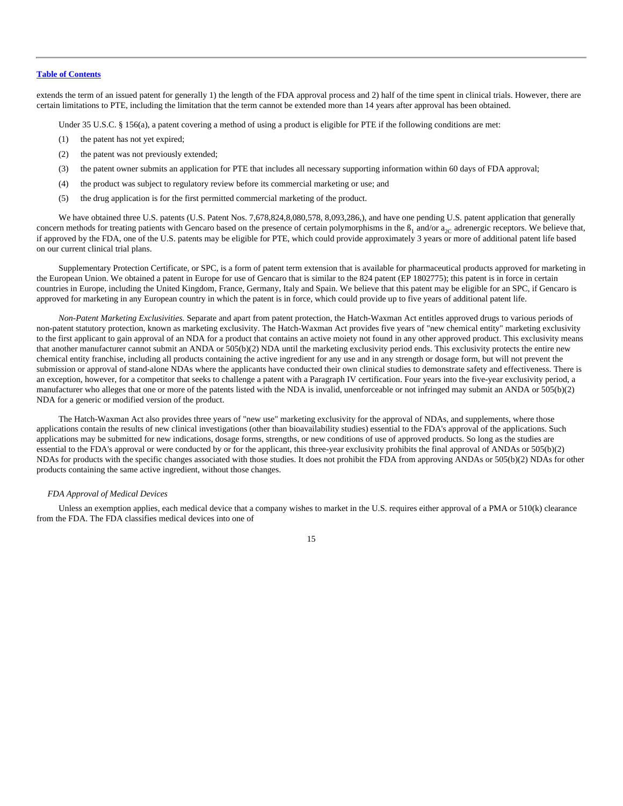extends the term of an issued patent for generally 1) the length of the FDA approval process and 2) half of the time spent in clinical trials. However, there are certain limitations to PTE, including the limitation that the term cannot be extended more than 14 years after approval has been obtained.

Under 35 U.S.C. § 156(a), a patent covering a method of using a product is eligible for PTE if the following conditions are met:

- (1) the patent has not yet expired;
- (2) the patent was not previously extended;
- (3) the patent owner submits an application for PTE that includes all necessary supporting information within 60 days of FDA approval;
- (4) the product was subject to regulatory review before its commercial marketing or use; and
- (5) the drug application is for the first permitted commercial marketing of the product.

We have obtained three U.S. patents (U.S. Patent Nos. 7,678,824,8,080,578, 8,093,286,), and have one pending U.S. patent application that generally concern methods for treating patients with Gencaro based on the presence of certain polymorphisms in the  $\beta_1$  and/or  $a_{2C}$  adrenergic receptors. We believe that, if approved by the FDA, one of the U.S. patents may be eligible for PTE, which could provide approximately 3 years or more of additional patent life based on our current clinical trial plans.

Supplementary Protection Certificate, or SPC, is a form of patent term extension that is available for pharmaceutical products approved for marketing in the European Union. We obtained a patent in Europe for use of Gencaro that is similar to the 824 patent (EP 1802775); this patent is in force in certain countries in Europe, including the United Kingdom, France, Germany, Italy and Spain. We believe that this patent may be eligible for an SPC, if Gencaro is approved for marketing in any European country in which the patent is in force, which could provide up to five years of additional patent life.

*Non-Patent Marketing Exclusivities.* Separate and apart from patent protection, the Hatch-Waxman Act entitles approved drugs to various periods of non-patent statutory protection, known as marketing exclusivity. The Hatch-Waxman Act provides five years of "new chemical entity" marketing exclusivity to the first applicant to gain approval of an NDA for a product that contains an active moiety not found in any other approved product. This exclusivity means that another manufacturer cannot submit an ANDA or 505(b)(2) NDA until the marketing exclusivity period ends. This exclusivity protects the entire new chemical entity franchise, including all products containing the active ingredient for any use and in any strength or dosage form, but will not prevent the submission or approval of stand-alone NDAs where the applicants have conducted their own clinical studies to demonstrate safety and effectiveness. There is an exception, however, for a competitor that seeks to challenge a patent with a Paragraph IV certification. Four years into the five-year exclusivity period, a manufacturer who alleges that one or more of the patents listed with the NDA is invalid, unenforceable or not infringed may submit an ANDA or 505(b)(2) NDA for a generic or modified version of the product.

The Hatch-Waxman Act also provides three years of "new use" marketing exclusivity for the approval of NDAs, and supplements, where those applications contain the results of new clinical investigations (other than bioavailability studies) essential to the FDA's approval of the applications. Such applications may be submitted for new indications, dosage forms, strengths, or new conditions of use of approved products. So long as the studies are essential to the FDA's approval or were conducted by or for the applicant, this three-year exclusivity prohibits the final approval of ANDAs or 505(b)(2) NDAs for products with the specific changes associated with those studies. It does not prohibit the FDA from approving ANDAs or 505(b)(2) NDAs for other products containing the same active ingredient, without those changes.

#### *FDA Approval of Medical Devices*

Unless an exemption applies, each medical device that a company wishes to market in the U.S. requires either approval of a PMA or 510(k) clearance from the FDA. The FDA classifies medical devices into one of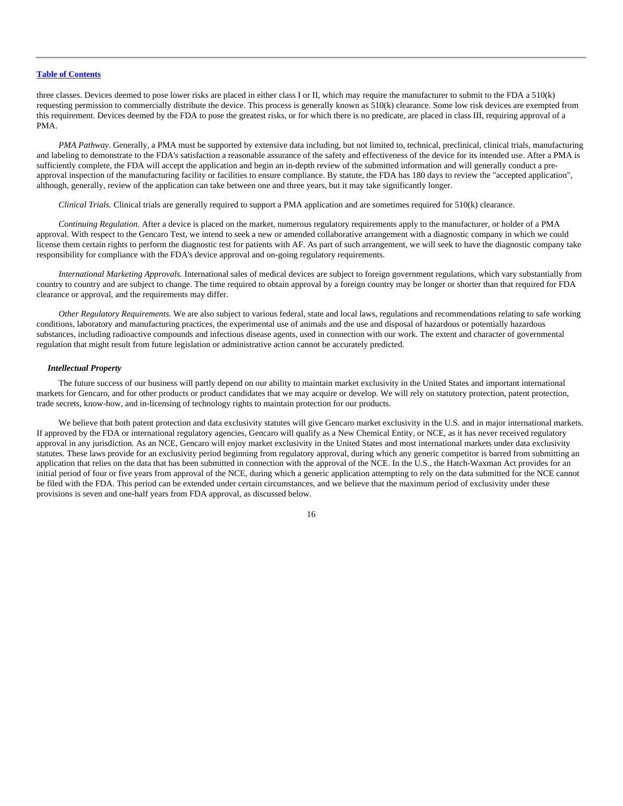three classes. Devices deemed to pose lower risks are placed in either class I or II, which may require the manufacturer to submit to the FDA a 510(k) requesting permission to commercially distribute the device. This process is generally known as 510(k) clearance. Some low risk devices are exempted from this requirement. Devices deemed by the FDA to pose the greatest risks, or for which there is no predicate, are placed in class III, requiring approval of a PMA.

*PMA Pathway*. Generally, a PMA must be supported by extensive data including, but not limited to, technical, preclinical, clinical trials, manufacturing and labeling to demonstrate to the FDA's satisfaction a reasonable assurance of the safety and effectiveness of the device for its intended use. After a PMA is sufficiently complete, the FDA will accept the application and begin an in-depth review of the submitted information and will generally conduct a preapproval inspection of the manufacturing facility or facilities to ensure compliance. By statute, the FDA has 180 days to review the "accepted application", although, generally, review of the application can take between one and three years, but it may take significantly longer.

*Clinical Trials.* Clinical trials are generally required to support a PMA application and are sometimes required for 510(k) clearance.

*Continuing Regulation.* After a device is placed on the market, numerous regulatory requirements apply to the manufacturer, or holder of a PMA approval. With respect to the Gencaro Test, we intend to seek a new or amended collaborative arrangement with a diagnostic company in which we could license them certain rights to perform the diagnostic test for patients with AF. As part of such arrangement, we will seek to have the diagnostic company take responsibility for compliance with the FDA's device approval and on-going regulatory requirements.

*International Marketing Approvals.* International sales of medical devices are subject to foreign government regulations, which vary substantially from country to country and are subject to change. The time required to obtain approval by a foreign country may be longer or shorter than that required for FDA clearance or approval, and the requirements may differ.

*Other Regulatory Requirements.* We are also subject to various federal, state and local laws, regulations and recommendations relating to safe working conditions, laboratory and manufacturing practices, the experimental use of animals and the use and disposal of hazardous or potentially hazardous substances, including radioactive compounds and infectious disease agents, used in connection with our work. The extent and character of governmental regulation that might result from future legislation or administrative action cannot be accurately predicted.

# *Intellectual Property*

The future success of our business will partly depend on our ability to maintain market exclusivity in the United States and important international markets for Gencaro, and for other products or product candidates that we may acquire or develop. We will rely on statutory protection, patent protection, trade secrets, know-how, and in-licensing of technology rights to maintain protection for our products.

We believe that both patent protection and data exclusivity statutes will give Gencaro market exclusivity in the U.S. and in major international markets. If approved by the FDA or international regulatory agencies, Gencaro will qualify as a New Chemical Entity, or NCE, as it has never received regulatory approval in any jurisdiction. As an NCE, Gencaro will enjoy market exclusivity in the United States and most international markets under data exclusivity statutes. These laws provide for an exclusivity period beginning from regulatory approval, during which any generic competitor is barred from submitting an application that relies on the data that has been submitted in connection with the approval of the NCE. In the U.S., the Hatch-Waxman Act provides for an initial period of four or five years from approval of the NCE, during which a generic application attempting to rely on the data submitted for the NCE cannot be filed with the FDA. This period can be extended under certain circumstances, and we believe that the maximum period of exclusivity under these provisions is seven and one-half years from FDA approval, as discussed below.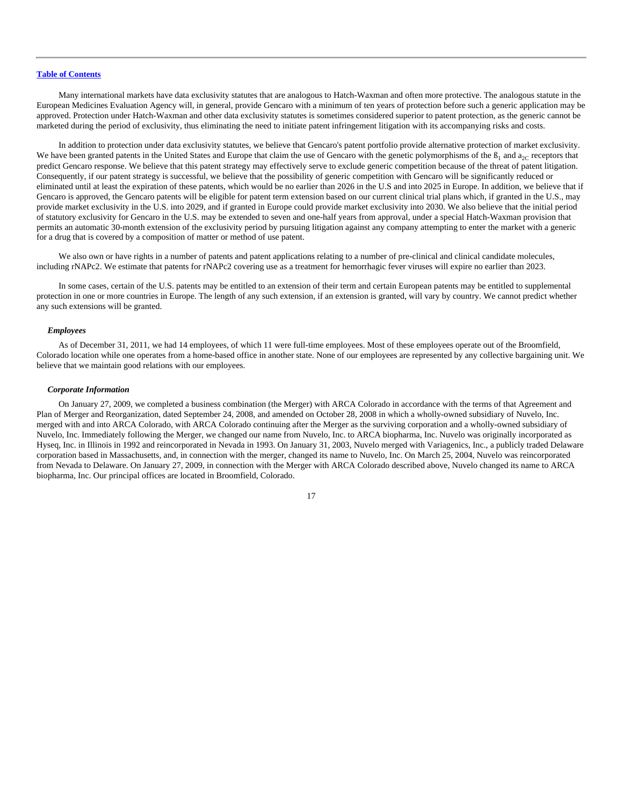Many international markets have data exclusivity statutes that are analogous to Hatch-Waxman and often more protective. The analogous statute in the European Medicines Evaluation Agency will, in general, provide Gencaro with a minimum of ten years of protection before such a generic application may be approved. Protection under Hatch-Waxman and other data exclusivity statutes is sometimes considered superior to patent protection, as the generic cannot be marketed during the period of exclusivity, thus eliminating the need to initiate patent infringement litigation with its accompanying risks and costs.

In addition to protection under data exclusivity statutes, we believe that Gencaro's patent portfolio provide alternative protection of market exclusivity. We have been granted patents in the United States and Europe that claim the use of Gencaro with the genetic polymorphisms of the  $B_1$  and  $a_{2C}$  receptors that predict Gencaro response. We believe that this patent strategy may effectively serve to exclude generic competition because of the threat of patent litigation. Consequently, if our patent strategy is successful, we believe that the possibility of generic competition with Gencaro will be significantly reduced or eliminated until at least the expiration of these patents, which would be no earlier than 2026 in the U.S and into 2025 in Europe. In addition, we believe that if Gencaro is approved, the Gencaro patents will be eligible for patent term extension based on our current clinical trial plans which, if granted in the U.S., may provide market exclusivity in the U.S. into 2029, and if granted in Europe could provide market exclusivity into 2030. We also believe that the initial period of statutory exclusivity for Gencaro in the U.S. may be extended to seven and one-half years from approval, under a special Hatch-Waxman provision that permits an automatic 30-month extension of the exclusivity period by pursuing litigation against any company attempting to enter the market with a generic for a drug that is covered by a composition of matter or method of use patent.

We also own or have rights in a number of patents and patent applications relating to a number of pre-clinical and clinical candidate molecules, including rNAPc2. We estimate that patents for rNAPc2 covering use as a treatment for hemorrhagic fever viruses will expire no earlier than 2023.

In some cases, certain of the U.S. patents may be entitled to an extension of their term and certain European patents may be entitled to supplemental protection in one or more countries in Europe. The length of any such extension, if an extension is granted, will vary by country. We cannot predict whether any such extensions will be granted.

#### *Employees*

As of December 31, 2011, we had 14 employees, of which 11 were full-time employees. Most of these employees operate out of the Broomfield, Colorado location while one operates from a home-based office in another state. None of our employees are represented by any collective bargaining unit. We believe that we maintain good relations with our employees.

#### *Corporate Information*

On January 27, 2009, we completed a business combination (the Merger) with ARCA Colorado in accordance with the terms of that Agreement and Plan of Merger and Reorganization, dated September 24, 2008, and amended on October 28, 2008 in which a wholly-owned subsidiary of Nuvelo, Inc. merged with and into ARCA Colorado, with ARCA Colorado continuing after the Merger as the surviving corporation and a wholly-owned subsidiary of Nuvelo, Inc. Immediately following the Merger, we changed our name from Nuvelo, Inc. to ARCA biopharma, Inc. Nuvelo was originally incorporated as Hyseq, Inc. in Illinois in 1992 and reincorporated in Nevada in 1993. On January 31, 2003, Nuvelo merged with Variagenics, Inc., a publicly traded Delaware corporation based in Massachusetts, and, in connection with the merger, changed its name to Nuvelo, Inc. On March 25, 2004, Nuvelo was reincorporated from Nevada to Delaware. On January 27, 2009, in connection with the Merger with ARCA Colorado described above, Nuvelo changed its name to ARCA biopharma, Inc. Our principal offices are located in Broomfield, Colorado.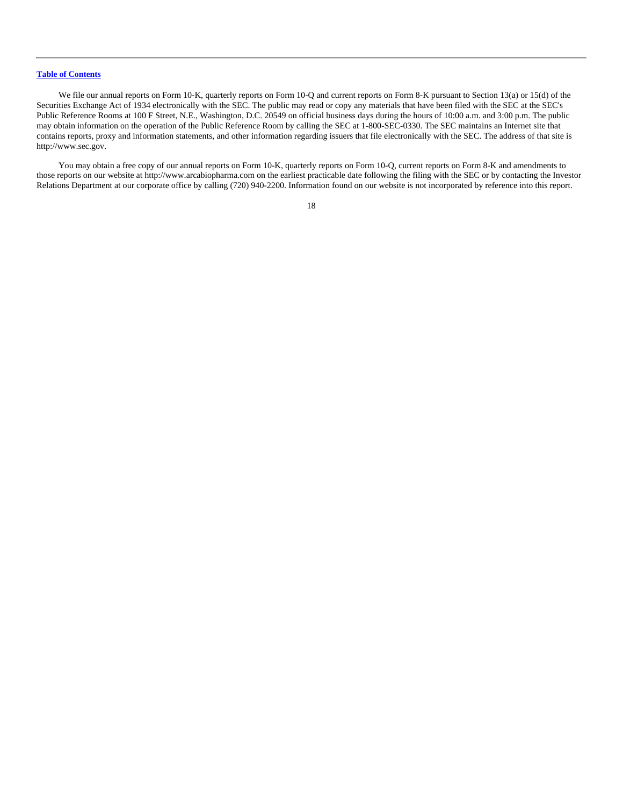We file our annual reports on Form 10-K, quarterly reports on Form 10-Q and current reports on Form 8-K pursuant to Section 13(a) or 15(d) of the Securities Exchange Act of 1934 electronically with the SEC. The public may read or copy any materials that have been filed with the SEC at the SEC's Public Reference Rooms at 100 F Street, N.E., Washington, D.C. 20549 on official business days during the hours of 10:00 a.m. and 3:00 p.m. The public may obtain information on the operation of the Public Reference Room by calling the SEC at 1-800-SEC-0330. The SEC maintains an Internet site that contains reports, proxy and information statements, and other information regarding issuers that file electronically with the SEC. The address of that site is http://www.sec.gov.

You may obtain a free copy of our annual reports on Form 10-K, quarterly reports on Form 10-Q, current reports on Form 8-K and amendments to those reports on our website at http://www.arcabiopharma.com on the earliest practicable date following the filing with the SEC or by contacting the Investor Relations Department at our corporate office by calling (720) 940-2200. Information found on our website is not incorporated by reference into this report.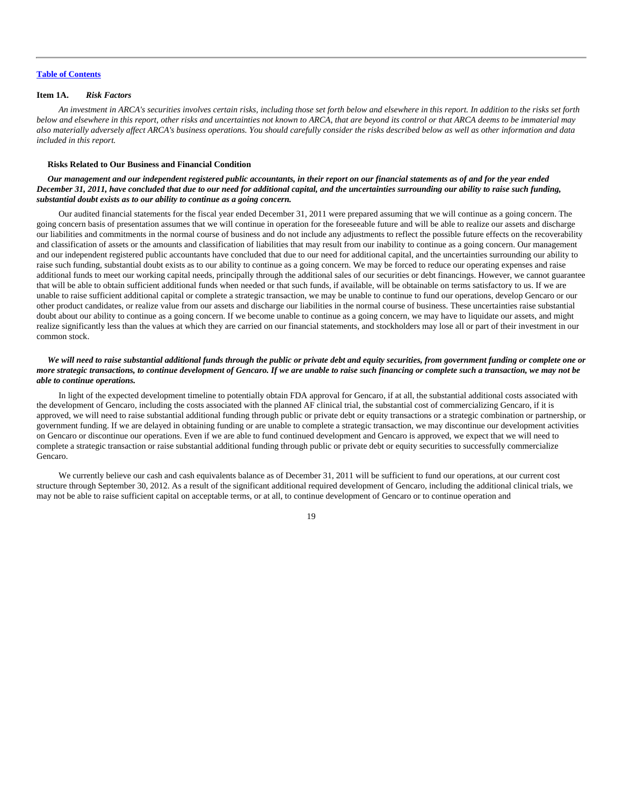# <span id="page-19-0"></span>**Item 1A.** *Risk Factors*

*An investment in ARCA's securities involves certain risks, including those set forth below and elsewhere in this report. In addition to the risks set forth below and elsewhere in this report, other risks and uncertainties not known to ARCA, that are beyond its control or that ARCA deems to be immaterial may also materially adversely affect ARCA's business operations. You should carefully consider the risks described below as well as other information and data included in this report.*

#### **Risks Related to Our Business and Financial Condition**

*Our management and our independent registered public accountants, in their report on our financial statements as of and for the year ended December 31, 2011, have concluded that due to our need for additional capital, and the uncertainties surrounding our ability to raise such funding, substantial doubt exists as to our ability to continue as a going concern.*

Our audited financial statements for the fiscal year ended December 31, 2011 were prepared assuming that we will continue as a going concern. The going concern basis of presentation assumes that we will continue in operation for the foreseeable future and will be able to realize our assets and discharge our liabilities and commitments in the normal course of business and do not include any adjustments to reflect the possible future effects on the recoverability and classification of assets or the amounts and classification of liabilities that may result from our inability to continue as a going concern. Our management and our independent registered public accountants have concluded that due to our need for additional capital, and the uncertainties surrounding our ability to raise such funding, substantial doubt exists as to our ability to continue as a going concern. We may be forced to reduce our operating expenses and raise additional funds to meet our working capital needs, principally through the additional sales of our securities or debt financings. However, we cannot guarantee that will be able to obtain sufficient additional funds when needed or that such funds, if available, will be obtainable on terms satisfactory to us. If we are unable to raise sufficient additional capital or complete a strategic transaction, we may be unable to continue to fund our operations, develop Gencaro or our other product candidates, or realize value from our assets and discharge our liabilities in the normal course of business. These uncertainties raise substantial doubt about our ability to continue as a going concern. If we become unable to continue as a going concern, we may have to liquidate our assets, and might realize significantly less than the values at which they are carried on our financial statements, and stockholders may lose all or part of their investment in our common stock.

# *We will need to raise substantial additional funds through the public or private debt and equity securities, from government funding or complete one or more strategic transactions, to continue development of Gencaro. If we are unable to raise such financing or complete such a transaction, we may not be able to continue operations.*

In light of the expected development timeline to potentially obtain FDA approval for Gencaro, if at all, the substantial additional costs associated with the development of Gencaro, including the costs associated with the planned AF clinical trial, the substantial cost of commercializing Gencaro, if it is approved, we will need to raise substantial additional funding through public or private debt or equity transactions or a strategic combination or partnership, or government funding. If we are delayed in obtaining funding or are unable to complete a strategic transaction, we may discontinue our development activities on Gencaro or discontinue our operations. Even if we are able to fund continued development and Gencaro is approved, we expect that we will need to complete a strategic transaction or raise substantial additional funding through public or private debt or equity securities to successfully commercialize Gencaro.

We currently believe our cash and cash equivalents balance as of December 31, 2011 will be sufficient to fund our operations, at our current cost structure through September 30, 2012. As a result of the significant additional required development of Gencaro, including the additional clinical trials, we may not be able to raise sufficient capital on acceptable terms, or at all, to continue development of Gencaro or to continue operation and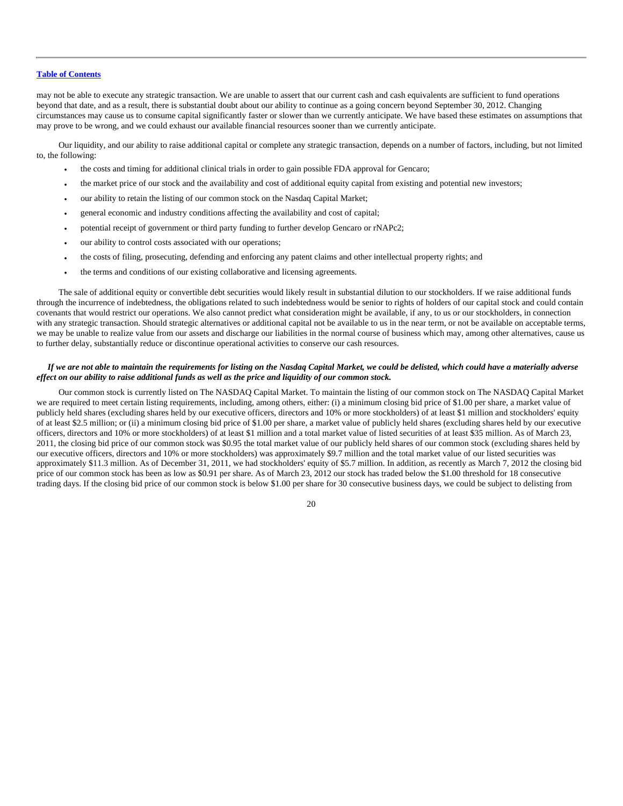may not be able to execute any strategic transaction. We are unable to assert that our current cash and cash equivalents are sufficient to fund operations beyond that date, and as a result, there is substantial doubt about our ability to continue as a going concern beyond September 30, 2012. Changing circumstances may cause us to consume capital significantly faster or slower than we currently anticipate. We have based these estimates on assumptions that may prove to be wrong, and we could exhaust our available financial resources sooner than we currently anticipate.

Our liquidity, and our ability to raise additional capital or complete any strategic transaction, depends on a number of factors, including, but not limited to, the following:

- the costs and timing for additional clinical trials in order to gain possible FDA approval for Gencaro;
- the market price of our stock and the availability and cost of additional equity capital from existing and potential new investors;
- our ability to retain the listing of our common stock on the Nasdaq Capital Market;
- general economic and industry conditions affecting the availability and cost of capital;
- potential receipt of government or third party funding to further develop Gencaro or rNAPc2;
- our ability to control costs associated with our operations;
- the costs of filing, prosecuting, defending and enforcing any patent claims and other intellectual property rights; and
- the terms and conditions of our existing collaborative and licensing agreements.

The sale of additional equity or convertible debt securities would likely result in substantial dilution to our stockholders. If we raise additional funds through the incurrence of indebtedness, the obligations related to such indebtedness would be senior to rights of holders of our capital stock and could contain covenants that would restrict our operations. We also cannot predict what consideration might be available, if any, to us or our stockholders, in connection with any strategic transaction. Should strategic alternatives or additional capital not be available to us in the near term, or not be available on acceptable terms, we may be unable to realize value from our assets and discharge our liabilities in the normal course of business which may, among other alternatives, cause us to further delay, substantially reduce or discontinue operational activities to conserve our cash resources.

#### *If we are not able to maintain the requirements for listing on the Nasdaq Capital Market, we could be delisted, which could have a materially adverse effect on our ability to raise additional funds as well as the price and liquidity of our common stock.*

Our common stock is currently listed on The NASDAQ Capital Market. To maintain the listing of our common stock on The NASDAQ Capital Market we are required to meet certain listing requirements, including, among others, either: (i) a minimum closing bid price of \$1.00 per share, a market value of publicly held shares (excluding shares held by our executive officers, directors and 10% or more stockholders) of at least \$1 million and stockholders' equity of at least \$2.5 million; or (ii) a minimum closing bid price of \$1.00 per share, a market value of publicly held shares (excluding shares held by our executive officers, directors and 10% or more stockholders) of at least \$1 million and a total market value of listed securities of at least \$35 million. As of March 23, 2011, the closing bid price of our common stock was \$0.95 the total market value of our publicly held shares of our common stock (excluding shares held by our executive officers, directors and 10% or more stockholders) was approximately \$9.7 million and the total market value of our listed securities was approximately \$11.3 million. As of December 31, 2011, we had stockholders' equity of \$5.7 million. In addition, as recently as March 7, 2012 the closing bid price of our common stock has been as low as \$0.91 per share. As of March 23, 2012 our stock has traded below the \$1.00 threshold for 18 consecutive trading days. If the closing bid price of our common stock is below \$1.00 per share for 30 consecutive business days, we could be subject to delisting from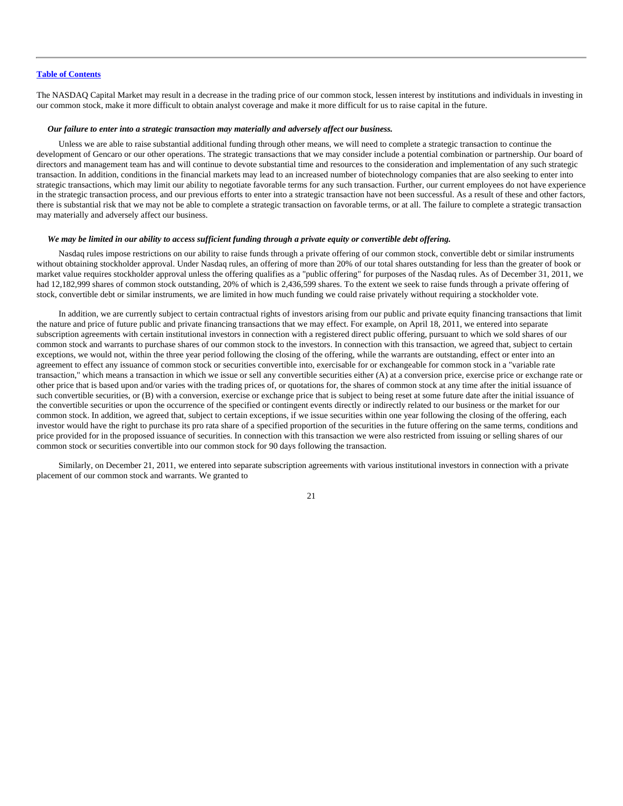The NASDAQ Capital Market may result in a decrease in the trading price of our common stock, lessen interest by institutions and individuals in investing in our common stock, make it more difficult to obtain analyst coverage and make it more difficult for us to raise capital in the future.

#### *Our failure to enter into a strategic transaction may materially and adversely affect our business.*

Unless we are able to raise substantial additional funding through other means, we will need to complete a strategic transaction to continue the development of Gencaro or our other operations. The strategic transactions that we may consider include a potential combination or partnership. Our board of directors and management team has and will continue to devote substantial time and resources to the consideration and implementation of any such strategic transaction. In addition, conditions in the financial markets may lead to an increased number of biotechnology companies that are also seeking to enter into strategic transactions, which may limit our ability to negotiate favorable terms for any such transaction. Further, our current employees do not have experience in the strategic transaction process, and our previous efforts to enter into a strategic transaction have not been successful. As a result of these and other factors, there is substantial risk that we may not be able to complete a strategic transaction on favorable terms, or at all. The failure to complete a strategic transaction may materially and adversely affect our business.

#### *We may be limited in our ability to access sufficient funding through a private equity or convertible debt offering.*

Nasdaq rules impose restrictions on our ability to raise funds through a private offering of our common stock, convertible debt or similar instruments without obtaining stockholder approval. Under Nasdaq rules, an offering of more than 20% of our total shares outstanding for less than the greater of book or market value requires stockholder approval unless the offering qualifies as a "public offering" for purposes of the Nasdaq rules. As of December 31, 2011, we had 12,182,999 shares of common stock outstanding, 20% of which is 2,436,599 shares. To the extent we seek to raise funds through a private offering of stock, convertible debt or similar instruments, we are limited in how much funding we could raise privately without requiring a stockholder vote.

In addition, we are currently subject to certain contractual rights of investors arising from our public and private equity financing transactions that limit the nature and price of future public and private financing transactions that we may effect. For example, on April 18, 2011, we entered into separate subscription agreements with certain institutional investors in connection with a registered direct public offering, pursuant to which we sold shares of our common stock and warrants to purchase shares of our common stock to the investors. In connection with this transaction, we agreed that, subject to certain exceptions, we would not, within the three year period following the closing of the offering, while the warrants are outstanding, effect or enter into an agreement to effect any issuance of common stock or securities convertible into, exercisable for or exchangeable for common stock in a "variable rate transaction," which means a transaction in which we issue or sell any convertible securities either (A) at a conversion price, exercise price or exchange rate or other price that is based upon and/or varies with the trading prices of, or quotations for, the shares of common stock at any time after the initial issuance of such convertible securities, or (B) with a conversion, exercise or exchange price that is subject to being reset at some future date after the initial issuance of the convertible securities or upon the occurrence of the specified or contingent events directly or indirectly related to our business or the market for our common stock. In addition, we agreed that, subject to certain exceptions, if we issue securities within one year following the closing of the offering, each investor would have the right to purchase its pro rata share of a specified proportion of the securities in the future offering on the same terms, conditions and price provided for in the proposed issuance of securities. In connection with this transaction we were also restricted from issuing or selling shares of our common stock or securities convertible into our common stock for 90 days following the transaction.

Similarly, on December 21, 2011, we entered into separate subscription agreements with various institutional investors in connection with a private placement of our common stock and warrants. We granted to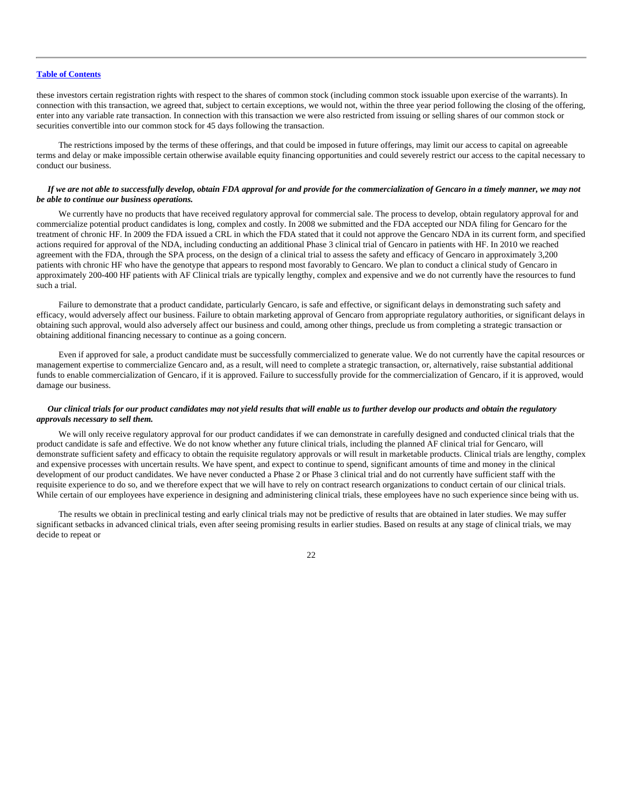these investors certain registration rights with respect to the shares of common stock (including common stock issuable upon exercise of the warrants). In connection with this transaction, we agreed that, subject to certain exceptions, we would not, within the three year period following the closing of the offering, enter into any variable rate transaction. In connection with this transaction we were also restricted from issuing or selling shares of our common stock or securities convertible into our common stock for 45 days following the transaction.

The restrictions imposed by the terms of these offerings, and that could be imposed in future offerings, may limit our access to capital on agreeable terms and delay or make impossible certain otherwise available equity financing opportunities and could severely restrict our access to the capital necessary to conduct our business.

#### *If we are not able to successfully develop, obtain FDA approval for and provide for the commercialization of Gencaro in a timely manner, we may not be able to continue our business operations.*

We currently have no products that have received regulatory approval for commercial sale. The process to develop, obtain regulatory approval for and commercialize potential product candidates is long, complex and costly. In 2008 we submitted and the FDA accepted our NDA filing for Gencaro for the treatment of chronic HF. In 2009 the FDA issued a CRL in which the FDA stated that it could not approve the Gencaro NDA in its current form, and specified actions required for approval of the NDA, including conducting an additional Phase 3 clinical trial of Gencaro in patients with HF. In 2010 we reached agreement with the FDA, through the SPA process, on the design of a clinical trial to assess the safety and efficacy of Gencaro in approximately 3,200 patients with chronic HF who have the genotype that appears to respond most favorably to Gencaro. We plan to conduct a clinical study of Gencaro in approximately 200-400 HF patients with AF Clinical trials are typically lengthy, complex and expensive and we do not currently have the resources to fund such a trial.

Failure to demonstrate that a product candidate, particularly Gencaro, is safe and effective, or significant delays in demonstrating such safety and efficacy, would adversely affect our business. Failure to obtain marketing approval of Gencaro from appropriate regulatory authorities, or significant delays in obtaining such approval, would also adversely affect our business and could, among other things, preclude us from completing a strategic transaction or obtaining additional financing necessary to continue as a going concern.

Even if approved for sale, a product candidate must be successfully commercialized to generate value. We do not currently have the capital resources or management expertise to commercialize Gencaro and, as a result, will need to complete a strategic transaction, or, alternatively, raise substantial additional funds to enable commercialization of Gencaro, if it is approved. Failure to successfully provide for the commercialization of Gencaro, if it is approved, would damage our business.

# *Our clinical trials for our product candidates may not yield results that will enable us to further develop our products and obtain the regulatory approvals necessary to sell them.*

We will only receive regulatory approval for our product candidates if we can demonstrate in carefully designed and conducted clinical trials that the product candidate is safe and effective. We do not know whether any future clinical trials, including the planned AF clinical trial for Gencaro, will demonstrate sufficient safety and efficacy to obtain the requisite regulatory approvals or will result in marketable products. Clinical trials are lengthy, complex and expensive processes with uncertain results. We have spent, and expect to continue to spend, significant amounts of time and money in the clinical development of our product candidates. We have never conducted a Phase 2 or Phase 3 clinical trial and do not currently have sufficient staff with the requisite experience to do so, and we therefore expect that we will have to rely on contract research organizations to conduct certain of our clinical trials. While certain of our employees have experience in designing and administering clinical trials, these employees have no such experience since being with us.

The results we obtain in preclinical testing and early clinical trials may not be predictive of results that are obtained in later studies. We may suffer significant setbacks in advanced clinical trials, even after seeing promising results in earlier studies. Based on results at any stage of clinical trials, we may decide to repeat or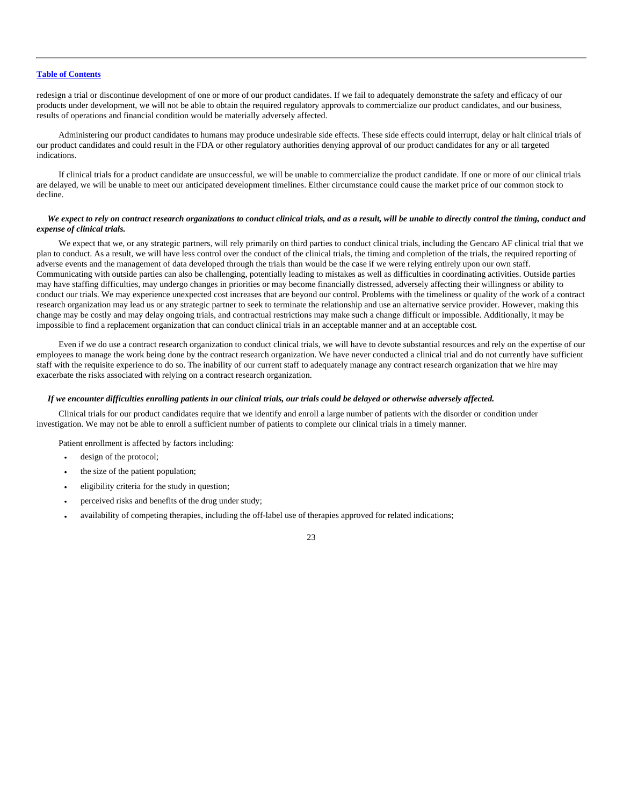redesign a trial or discontinue development of one or more of our product candidates. If we fail to adequately demonstrate the safety and efficacy of our products under development, we will not be able to obtain the required regulatory approvals to commercialize our product candidates, and our business, results of operations and financial condition would be materially adversely affected.

Administering our product candidates to humans may produce undesirable side effects. These side effects could interrupt, delay or halt clinical trials of our product candidates and could result in the FDA or other regulatory authorities denying approval of our product candidates for any or all targeted indications.

If clinical trials for a product candidate are unsuccessful, we will be unable to commercialize the product candidate. If one or more of our clinical trials are delayed, we will be unable to meet our anticipated development timelines. Either circumstance could cause the market price of our common stock to decline.

# *We expect to rely on contract research organizations to conduct clinical trials, and as a result, will be unable to directly control the timing, conduct and expense of clinical trials.*

We expect that we, or any strategic partners, will rely primarily on third parties to conduct clinical trials, including the Gencaro AF clinical trial that we plan to conduct. As a result, we will have less control over the conduct of the clinical trials, the timing and completion of the trials, the required reporting of adverse events and the management of data developed through the trials than would be the case if we were relying entirely upon our own staff. Communicating with outside parties can also be challenging, potentially leading to mistakes as well as difficulties in coordinating activities. Outside parties may have staffing difficulties, may undergo changes in priorities or may become financially distressed, adversely affecting their willingness or ability to conduct our trials. We may experience unexpected cost increases that are beyond our control. Problems with the timeliness or quality of the work of a contract research organization may lead us or any strategic partner to seek to terminate the relationship and use an alternative service provider. However, making this change may be costly and may delay ongoing trials, and contractual restrictions may make such a change difficult or impossible. Additionally, it may be impossible to find a replacement organization that can conduct clinical trials in an acceptable manner and at an acceptable cost.

Even if we do use a contract research organization to conduct clinical trials, we will have to devote substantial resources and rely on the expertise of our employees to manage the work being done by the contract research organization. We have never conducted a clinical trial and do not currently have sufficient staff with the requisite experience to do so. The inability of our current staff to adequately manage any contract research organization that we hire may exacerbate the risks associated with relying on a contract research organization.

#### *If we encounter difficulties enrolling patients in our clinical trials, our trials could be delayed or otherwise adversely affected.*

Clinical trials for our product candidates require that we identify and enroll a large number of patients with the disorder or condition under investigation. We may not be able to enroll a sufficient number of patients to complete our clinical trials in a timely manner.

Patient enrollment is affected by factors including:

- design of the protocol;
- the size of the patient population;
- eligibility criteria for the study in question;
- perceived risks and benefits of the drug under study;
- availability of competing therapies, including the off-label use of therapies approved for related indications;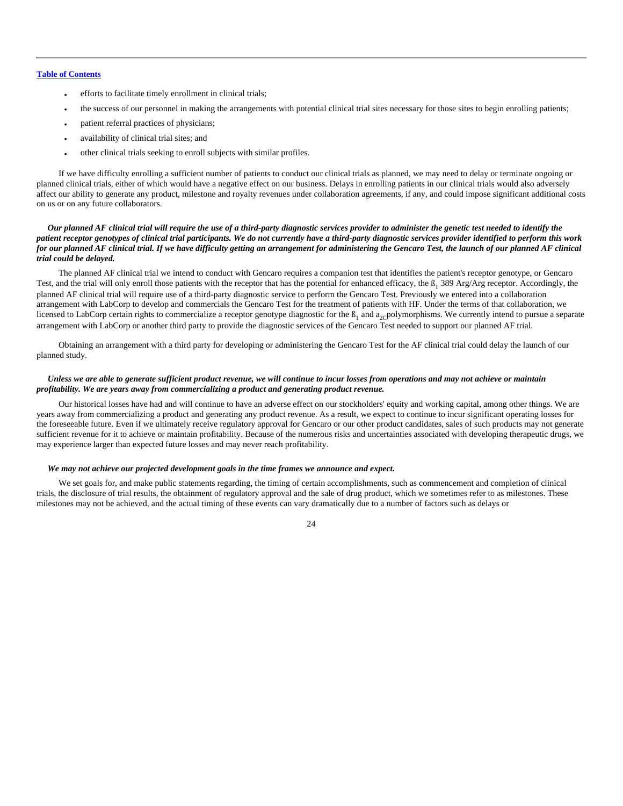- efforts to facilitate timely enrollment in clinical trials;
- the success of our personnel in making the arrangements with potential clinical trial sites necessary for those sites to begin enrolling patients;
- patient referral practices of physicians;
- availability of clinical trial sites; and
- other clinical trials seeking to enroll subjects with similar profiles.

If we have difficulty enrolling a sufficient number of patients to conduct our clinical trials as planned, we may need to delay or terminate ongoing or planned clinical trials, either of which would have a negative effect on our business. Delays in enrolling patients in our clinical trials would also adversely affect our ability to generate any product, milestone and royalty revenues under collaboration agreements, if any, and could impose significant additional costs on us or on any future collaborators.

# *Our planned AF clinical trial will require the use of a third-party diagnostic services provider to administer the genetic test needed to identify the patient receptor genotypes of clinical trial participants. We do not currently have a third-party diagnostic services provider identified to perform this work for our planned AF clinical trial. If we have difficulty getting an arrangement for administering the Gencaro Test, the launch of our planned AF clinical trial could be delayed.*

The planned AF clinical trial we intend to conduct with Gencaro requires a companion test that identifies the patient's receptor genotype, or Gencaro Test, and the trial will only enroll those patients with the receptor that has the potential for enhanced efficacy, the  $\beta_1$  389 Arg/Arg receptor. Accordingly, the planned AF clinical trial will require use of a third-party diagnostic service to perform the Gencaro Test. Previously we entered into a collaboration arrangement with LabCorp to develop and commercials the Gencaro Test for the treatment of patients with HF. Under the terms of that collaboration, we licensed to LabCorp certain rights to commercialize a receptor genotype diagnostic for the  $B_1$  and  $a_2$ -polymorphisms. We currently intend to pursue a separate arrangement with LabCorp or another third party to provide the diagnostic services of the Gencaro Test needed to support our planned AF trial.

Obtaining an arrangement with a third party for developing or administering the Gencaro Test for the AF clinical trial could delay the launch of our planned study.

# *Unless we are able to generate sufficient product revenue, we will continue to incur losses from operations and may not achieve or maintain profitability. We are years away from commercializing a product and generating product revenue.*

Our historical losses have had and will continue to have an adverse effect on our stockholders' equity and working capital, among other things. We are years away from commercializing a product and generating any product revenue. As a result, we expect to continue to incur significant operating losses for the foreseeable future. Even if we ultimately receive regulatory approval for Gencaro or our other product candidates, sales of such products may not generate sufficient revenue for it to achieve or maintain profitability. Because of the numerous risks and uncertainties associated with developing therapeutic drugs, we may experience larger than expected future losses and may never reach profitability.

#### *We may not achieve our projected development goals in the time frames we announce and expect.*

We set goals for, and make public statements regarding, the timing of certain accomplishments, such as commencement and completion of clinical trials, the disclosure of trial results, the obtainment of regulatory approval and the sale of drug product, which we sometimes refer to as milestones. These milestones may not be achieved, and the actual timing of these events can vary dramatically due to a number of factors such as delays or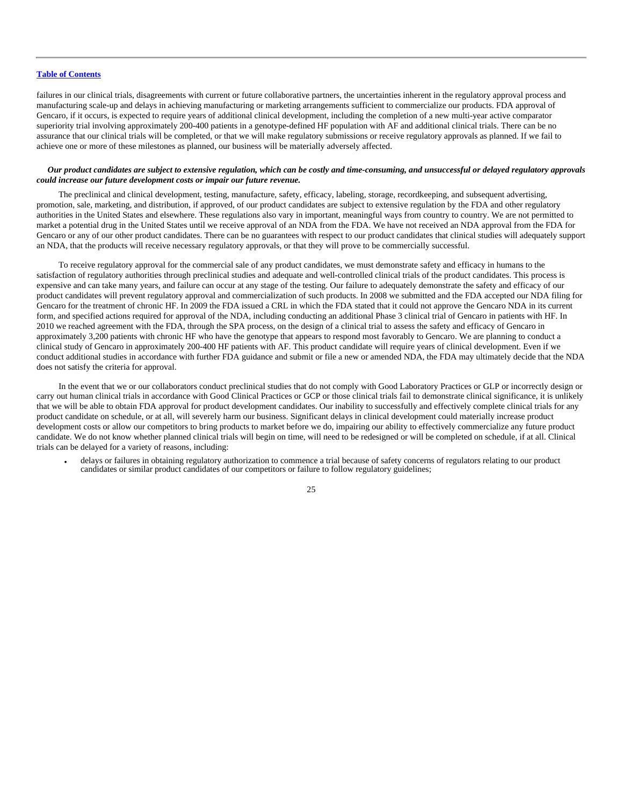failures in our clinical trials, disagreements with current or future collaborative partners, the uncertainties inherent in the regulatory approval process and manufacturing scale-up and delays in achieving manufacturing or marketing arrangements sufficient to commercialize our products. FDA approval of Gencaro, if it occurs, is expected to require years of additional clinical development, including the completion of a new multi-year active comparator superiority trial involving approximately 200-400 patients in a genotype-defined HF population with AF and additional clinical trials. There can be no assurance that our clinical trials will be completed, or that we will make regulatory submissions or receive regulatory approvals as planned. If we fail to achieve one or more of these milestones as planned, our business will be materially adversely affected.

# *Our product candidates are subject to extensive regulation, which can be costly and time-consuming, and unsuccessful or delayed regulatory approvals could increase our future development costs or impair our future revenue.*

The preclinical and clinical development, testing, manufacture, safety, efficacy, labeling, storage, recordkeeping, and subsequent advertising, promotion, sale, marketing, and distribution, if approved, of our product candidates are subject to extensive regulation by the FDA and other regulatory authorities in the United States and elsewhere. These regulations also vary in important, meaningful ways from country to country. We are not permitted to market a potential drug in the United States until we receive approval of an NDA from the FDA. We have not received an NDA approval from the FDA for Gencaro or any of our other product candidates. There can be no guarantees with respect to our product candidates that clinical studies will adequately support an NDA, that the products will receive necessary regulatory approvals, or that they will prove to be commercially successful.

To receive regulatory approval for the commercial sale of any product candidates, we must demonstrate safety and efficacy in humans to the satisfaction of regulatory authorities through preclinical studies and adequate and well-controlled clinical trials of the product candidates. This process is expensive and can take many years, and failure can occur at any stage of the testing. Our failure to adequately demonstrate the safety and efficacy of our product candidates will prevent regulatory approval and commercialization of such products. In 2008 we submitted and the FDA accepted our NDA filing for Gencaro for the treatment of chronic HF. In 2009 the FDA issued a CRL in which the FDA stated that it could not approve the Gencaro NDA in its current form, and specified actions required for approval of the NDA, including conducting an additional Phase 3 clinical trial of Gencaro in patients with HF. In 2010 we reached agreement with the FDA, through the SPA process, on the design of a clinical trial to assess the safety and efficacy of Gencaro in approximately 3,200 patients with chronic HF who have the genotype that appears to respond most favorably to Gencaro. We are planning to conduct a clinical study of Gencaro in approximately 200-400 HF patients with AF. This product candidate will require years of clinical development. Even if we conduct additional studies in accordance with further FDA guidance and submit or file a new or amended NDA, the FDA may ultimately decide that the NDA does not satisfy the criteria for approval.

In the event that we or our collaborators conduct preclinical studies that do not comply with Good Laboratory Practices or GLP or incorrectly design or carry out human clinical trials in accordance with Good Clinical Practices or GCP or those clinical trials fail to demonstrate clinical significance, it is unlikely that we will be able to obtain FDA approval for product development candidates. Our inability to successfully and effectively complete clinical trials for any product candidate on schedule, or at all, will severely harm our business. Significant delays in clinical development could materially increase product development costs or allow our competitors to bring products to market before we do, impairing our ability to effectively commercialize any future product candidate. We do not know whether planned clinical trials will begin on time, will need to be redesigned or will be completed on schedule, if at all. Clinical trials can be delayed for a variety of reasons, including:

• delays or failures in obtaining regulatory authorization to commence a trial because of safety concerns of regulators relating to our product candidates or similar product candidates of our competitors or failure to follow regulatory guidelines;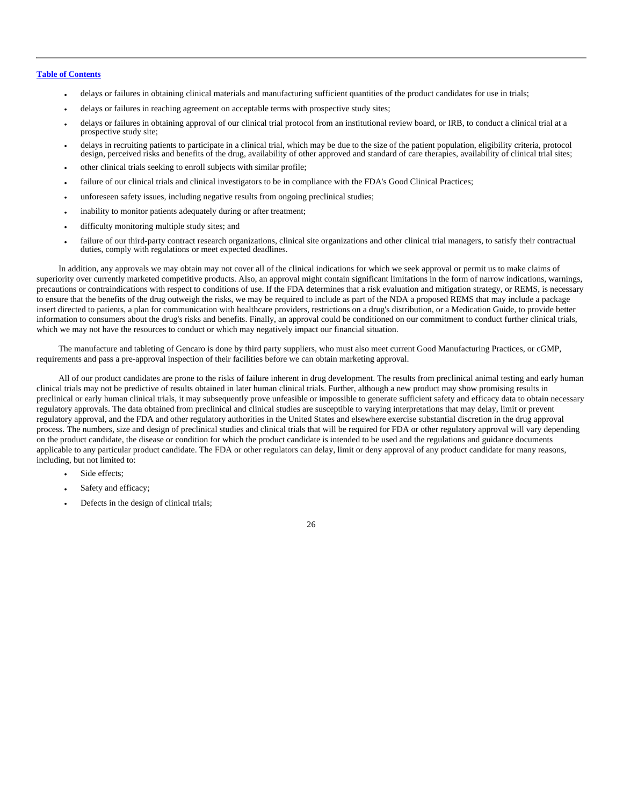- delays or failures in obtaining clinical materials and manufacturing sufficient quantities of the product candidates for use in trials;
- delays or failures in reaching agreement on acceptable terms with prospective study sites;
- delays or failures in obtaining approval of our clinical trial protocol from an institutional review board, or IRB, to conduct a clinical trial at a prospective study site;
- delays in recruiting patients to participate in a clinical trial, which may be due to the size of the patient population, eligibility criteria, protocol design, perceived risks and benefits of the drug, availability of o
- other clinical trials seeking to enroll subjects with similar profile;
- failure of our clinical trials and clinical investigators to be in compliance with the FDA's Good Clinical Practices;
- unforeseen safety issues, including negative results from ongoing preclinical studies;
- inability to monitor patients adequately during or after treatment;
- difficulty monitoring multiple study sites; and
- failure of our third-party contract research organizations, clinical site organizations and other clinical trial managers, to satisfy their contractual duties, comply with regulations or meet expected deadlines.

In addition, any approvals we may obtain may not cover all of the clinical indications for which we seek approval or permit us to make claims of superiority over currently marketed competitive products. Also, an approval might contain significant limitations in the form of narrow indications, warnings, precautions or contraindications with respect to conditions of use. If the FDA determines that a risk evaluation and mitigation strategy, or REMS, is necessary to ensure that the benefits of the drug outweigh the risks, we may be required to include as part of the NDA a proposed REMS that may include a package insert directed to patients, a plan for communication with healthcare providers, restrictions on a drug's distribution, or a Medication Guide, to provide better information to consumers about the drug's risks and benefits. Finally, an approval could be conditioned on our commitment to conduct further clinical trials, which we may not have the resources to conduct or which may negatively impact our financial situation.

The manufacture and tableting of Gencaro is done by third party suppliers, who must also meet current Good Manufacturing Practices, or cGMP, requirements and pass a pre-approval inspection of their facilities before we can obtain marketing approval.

All of our product candidates are prone to the risks of failure inherent in drug development. The results from preclinical animal testing and early human clinical trials may not be predictive of results obtained in later human clinical trials. Further, although a new product may show promising results in preclinical or early human clinical trials, it may subsequently prove unfeasible or impossible to generate sufficient safety and efficacy data to obtain necessary regulatory approvals. The data obtained from preclinical and clinical studies are susceptible to varying interpretations that may delay, limit or prevent regulatory approval, and the FDA and other regulatory authorities in the United States and elsewhere exercise substantial discretion in the drug approval process. The numbers, size and design of preclinical studies and clinical trials that will be required for FDA or other regulatory approval will vary depending on the product candidate, the disease or condition for which the product candidate is intended to be used and the regulations and guidance documents applicable to any particular product candidate. The FDA or other regulators can delay, limit or deny approval of any product candidate for many reasons, including, but not limited to:

- Side effects:
- Safety and efficacy;
- Defects in the design of clinical trials;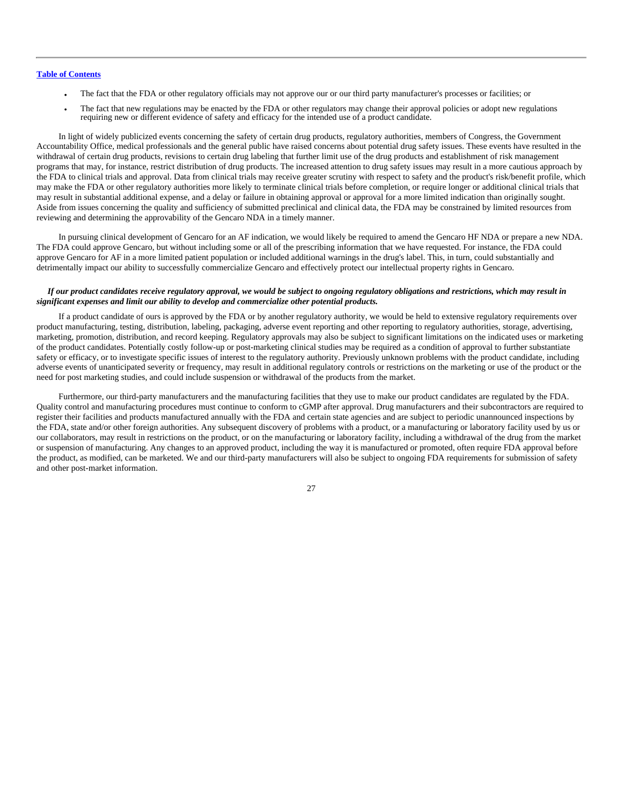- The fact that the FDA or other regulatory officials may not approve our or our third party manufacturer's processes or facilities; or
- The fact that new regulations may be enacted by the FDA or other regulators may change their approval policies or adopt new regulations requiring new or different evidence of safety and efficacy for the intended use of a product candidate.

In light of widely publicized events concerning the safety of certain drug products, regulatory authorities, members of Congress, the Government Accountability Office, medical professionals and the general public have raised concerns about potential drug safety issues. These events have resulted in the withdrawal of certain drug products, revisions to certain drug labeling that further limit use of the drug products and establishment of risk management programs that may, for instance, restrict distribution of drug products. The increased attention to drug safety issues may result in a more cautious approach by the FDA to clinical trials and approval. Data from clinical trials may receive greater scrutiny with respect to safety and the product's risk/benefit profile, which may make the FDA or other regulatory authorities more likely to terminate clinical trials before completion, or require longer or additional clinical trials that may result in substantial additional expense, and a delay or failure in obtaining approval or approval for a more limited indication than originally sought. Aside from issues concerning the quality and sufficiency of submitted preclinical and clinical data, the FDA may be constrained by limited resources from reviewing and determining the approvability of the Gencaro NDA in a timely manner.

In pursuing clinical development of Gencaro for an AF indication, we would likely be required to amend the Gencaro HF NDA or prepare a new NDA. The FDA could approve Gencaro, but without including some or all of the prescribing information that we have requested. For instance, the FDA could approve Gencaro for AF in a more limited patient population or included additional warnings in the drug's label. This, in turn, could substantially and detrimentally impact our ability to successfully commercialize Gencaro and effectively protect our intellectual property rights in Gencaro.

#### *If our product candidates receive regulatory approval, we would be subject to ongoing regulatory obligations and restrictions, which may result in significant expenses and limit our ability to develop and commercialize other potential products.*

If a product candidate of ours is approved by the FDA or by another regulatory authority, we would be held to extensive regulatory requirements over product manufacturing, testing, distribution, labeling, packaging, adverse event reporting and other reporting to regulatory authorities, storage, advertising, marketing, promotion, distribution, and record keeping. Regulatory approvals may also be subject to significant limitations on the indicated uses or marketing of the product candidates. Potentially costly follow-up or post-marketing clinical studies may be required as a condition of approval to further substantiate safety or efficacy, or to investigate specific issues of interest to the regulatory authority. Previously unknown problems with the product candidate, including adverse events of unanticipated severity or frequency, may result in additional regulatory controls or restrictions on the marketing or use of the product or the need for post marketing studies, and could include suspension or withdrawal of the products from the market.

Furthermore, our third-party manufacturers and the manufacturing facilities that they use to make our product candidates are regulated by the FDA. Quality control and manufacturing procedures must continue to conform to cGMP after approval. Drug manufacturers and their subcontractors are required to register their facilities and products manufactured annually with the FDA and certain state agencies and are subject to periodic unannounced inspections by the FDA, state and/or other foreign authorities. Any subsequent discovery of problems with a product, or a manufacturing or laboratory facility used by us or our collaborators, may result in restrictions on the product, or on the manufacturing or laboratory facility, including a withdrawal of the drug from the market or suspension of manufacturing. Any changes to an approved product, including the way it is manufactured or promoted, often require FDA approval before the product, as modified, can be marketed. We and our third-party manufacturers will also be subject to ongoing FDA requirements for submission of safety and other post-market information.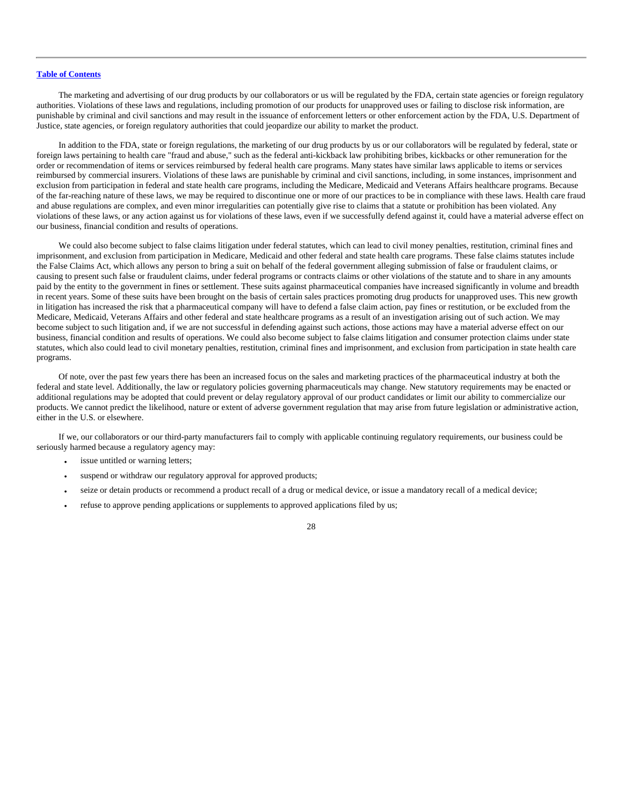The marketing and advertising of our drug products by our collaborators or us will be regulated by the FDA, certain state agencies or foreign regulatory authorities. Violations of these laws and regulations, including promotion of our products for unapproved uses or failing to disclose risk information, are punishable by criminal and civil sanctions and may result in the issuance of enforcement letters or other enforcement action by the FDA, U.S. Department of Justice, state agencies, or foreign regulatory authorities that could jeopardize our ability to market the product.

In addition to the FDA, state or foreign regulations, the marketing of our drug products by us or our collaborators will be regulated by federal, state or foreign laws pertaining to health care "fraud and abuse," such as the federal anti-kickback law prohibiting bribes, kickbacks or other remuneration for the order or recommendation of items or services reimbursed by federal health care programs. Many states have similar laws applicable to items or services reimbursed by commercial insurers. Violations of these laws are punishable by criminal and civil sanctions, including, in some instances, imprisonment and exclusion from participation in federal and state health care programs, including the Medicare, Medicaid and Veterans Affairs healthcare programs. Because of the far-reaching nature of these laws, we may be required to discontinue one or more of our practices to be in compliance with these laws. Health care fraud and abuse regulations are complex, and even minor irregularities can potentially give rise to claims that a statute or prohibition has been violated. Any violations of these laws, or any action against us for violations of these laws, even if we successfully defend against it, could have a material adverse effect on our business, financial condition and results of operations.

We could also become subject to false claims litigation under federal statutes, which can lead to civil money penalties, restitution, criminal fines and imprisonment, and exclusion from participation in Medicare, Medicaid and other federal and state health care programs. These false claims statutes include the False Claims Act, which allows any person to bring a suit on behalf of the federal government alleging submission of false or fraudulent claims, or causing to present such false or fraudulent claims, under federal programs or contracts claims or other violations of the statute and to share in any amounts paid by the entity to the government in fines or settlement. These suits against pharmaceutical companies have increased significantly in volume and breadth in recent years. Some of these suits have been brought on the basis of certain sales practices promoting drug products for unapproved uses. This new growth in litigation has increased the risk that a pharmaceutical company will have to defend a false claim action, pay fines or restitution, or be excluded from the Medicare, Medicaid, Veterans Affairs and other federal and state healthcare programs as a result of an investigation arising out of such action. We may become subject to such litigation and, if we are not successful in defending against such actions, those actions may have a material adverse effect on our business, financial condition and results of operations. We could also become subject to false claims litigation and consumer protection claims under state statutes, which also could lead to civil monetary penalties, restitution, criminal fines and imprisonment, and exclusion from participation in state health care programs.

Of note, over the past few years there has been an increased focus on the sales and marketing practices of the pharmaceutical industry at both the federal and state level. Additionally, the law or regulatory policies governing pharmaceuticals may change. New statutory requirements may be enacted or additional regulations may be adopted that could prevent or delay regulatory approval of our product candidates or limit our ability to commercialize our products. We cannot predict the likelihood, nature or extent of adverse government regulation that may arise from future legislation or administrative action, either in the U.S. or elsewhere.

If we, our collaborators or our third-party manufacturers fail to comply with applicable continuing regulatory requirements, our business could be seriously harmed because a regulatory agency may:

- issue untitled or warning letters;
- suspend or withdraw our regulatory approval for approved products;
- seize or detain products or recommend a product recall of a drug or medical device, or issue a mandatory recall of a medical device;
- refuse to approve pending applications or supplements to approved applications filed by us;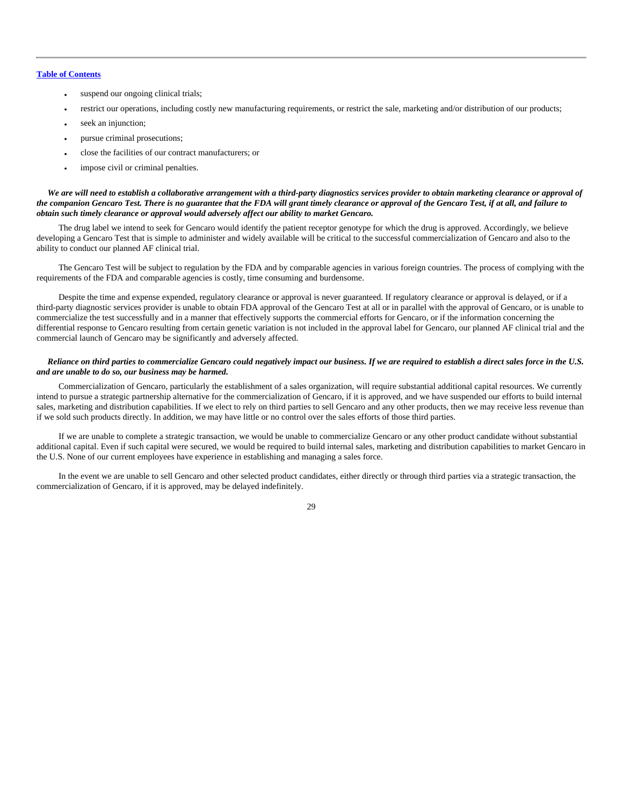- suspend our ongoing clinical trials;
- restrict our operations, including costly new manufacturing requirements, or restrict the sale, marketing and/or distribution of our products;
- seek an injunction;
- pursue criminal prosecutions;
- close the facilities of our contract manufacturers; or
- impose civil or criminal penalties.

#### *We are will need to establish a collaborative arrangement with a third-party diagnostics services provider to obtain marketing clearance or approval of the companion Gencaro Test. There is no guarantee that the FDA will grant timely clearance or approval of the Gencaro Test, if at all, and failure to obtain such timely clearance or approval would adversely affect our ability to market Gencaro.*

The drug label we intend to seek for Gencaro would identify the patient receptor genotype for which the drug is approved. Accordingly, we believe developing a Gencaro Test that is simple to administer and widely available will be critical to the successful commercialization of Gencaro and also to the ability to conduct our planned AF clinical trial.

The Gencaro Test will be subject to regulation by the FDA and by comparable agencies in various foreign countries. The process of complying with the requirements of the FDA and comparable agencies is costly, time consuming and burdensome.

Despite the time and expense expended, regulatory clearance or approval is never guaranteed. If regulatory clearance or approval is delayed, or if a third-party diagnostic services provider is unable to obtain FDA approval of the Gencaro Test at all or in parallel with the approval of Gencaro, or is unable to commercialize the test successfully and in a manner that effectively supports the commercial efforts for Gencaro, or if the information concerning the differential response to Gencaro resulting from certain genetic variation is not included in the approval label for Gencaro, our planned AF clinical trial and the commercial launch of Gencaro may be significantly and adversely affected.

#### *Reliance on third parties to commercialize Gencaro could negatively impact our business. If we are required to establish a direct sales force in the U.S. and are unable to do so, our business may be harmed.*

Commercialization of Gencaro, particularly the establishment of a sales organization, will require substantial additional capital resources. We currently intend to pursue a strategic partnership alternative for the commercialization of Gencaro, if it is approved, and we have suspended our efforts to build internal sales, marketing and distribution capabilities. If we elect to rely on third parties to sell Gencaro and any other products, then we may receive less revenue than if we sold such products directly. In addition, we may have little or no control over the sales efforts of those third parties.

If we are unable to complete a strategic transaction, we would be unable to commercialize Gencaro or any other product candidate without substantial additional capital. Even if such capital were secured, we would be required to build internal sales, marketing and distribution capabilities to market Gencaro in the U.S. None of our current employees have experience in establishing and managing a sales force.

In the event we are unable to sell Gencaro and other selected product candidates, either directly or through third parties via a strategic transaction, the commercialization of Gencaro, if it is approved, may be delayed indefinitely.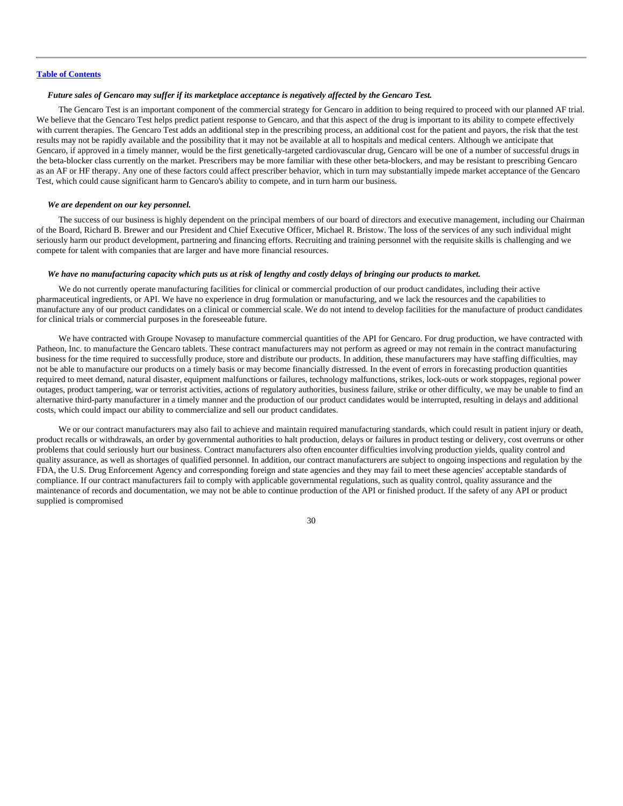# *Future sales of Gencaro may suffer if its marketplace acceptance is negatively affected by the Gencaro Test.*

The Gencaro Test is an important component of the commercial strategy for Gencaro in addition to being required to proceed with our planned AF trial. We believe that the Gencaro Test helps predict patient response to Gencaro, and that this aspect of the drug is important to its ability to compete effectively with current therapies. The Gencaro Test adds an additional step in the prescribing process, an additional cost for the patient and payors, the risk that the test results may not be rapidly available and the possibility that it may not be available at all to hospitals and medical centers. Although we anticipate that Gencaro, if approved in a timely manner, would be the first genetically-targeted cardiovascular drug, Gencaro will be one of a number of successful drugs in the beta-blocker class currently on the market. Prescribers may be more familiar with these other beta-blockers, and may be resistant to prescribing Gencaro as an AF or HF therapy. Any one of these factors could affect prescriber behavior, which in turn may substantially impede market acceptance of the Gencaro Test, which could cause significant harm to Gencaro's ability to compete, and in turn harm our business.

#### *We are dependent on our key personnel.*

The success of our business is highly dependent on the principal members of our board of directors and executive management, including our Chairman of the Board, Richard B. Brewer and our President and Chief Executive Officer, Michael R. Bristow. The loss of the services of any such individual might seriously harm our product development, partnering and financing efforts. Recruiting and training personnel with the requisite skills is challenging and we compete for talent with companies that are larger and have more financial resources.

# *We have no manufacturing capacity which puts us at risk of lengthy and costly delays of bringing our products to market.*

We do not currently operate manufacturing facilities for clinical or commercial production of our product candidates, including their active pharmaceutical ingredients, or API. We have no experience in drug formulation or manufacturing, and we lack the resources and the capabilities to manufacture any of our product candidates on a clinical or commercial scale. We do not intend to develop facilities for the manufacture of product candidates for clinical trials or commercial purposes in the foreseeable future.

We have contracted with Groupe Novasep to manufacture commercial quantities of the API for Gencaro. For drug production, we have contracted with Patheon, Inc. to manufacture the Gencaro tablets. These contract manufacturers may not perform as agreed or may not remain in the contract manufacturing business for the time required to successfully produce, store and distribute our products. In addition, these manufacturers may have staffing difficulties, may not be able to manufacture our products on a timely basis or may become financially distressed. In the event of errors in forecasting production quantities required to meet demand, natural disaster, equipment malfunctions or failures, technology malfunctions, strikes, lock-outs or work stoppages, regional power outages, product tampering, war or terrorist activities, actions of regulatory authorities, business failure, strike or other difficulty, we may be unable to find an alternative third-party manufacturer in a timely manner and the production of our product candidates would be interrupted, resulting in delays and additional costs, which could impact our ability to commercialize and sell our product candidates.

We or our contract manufacturers may also fail to achieve and maintain required manufacturing standards, which could result in patient injury or death, product recalls or withdrawals, an order by governmental authorities to halt production, delays or failures in product testing or delivery, cost overruns or other problems that could seriously hurt our business. Contract manufacturers also often encounter difficulties involving production yields, quality control and quality assurance, as well as shortages of qualified personnel. In addition, our contract manufacturers are subject to ongoing inspections and regulation by the FDA, the U.S. Drug Enforcement Agency and corresponding foreign and state agencies and they may fail to meet these agencies' acceptable standards of compliance. If our contract manufacturers fail to comply with applicable governmental regulations, such as quality control, quality assurance and the maintenance of records and documentation, we may not be able to continue production of the API or finished product. If the safety of any API or product supplied is compromised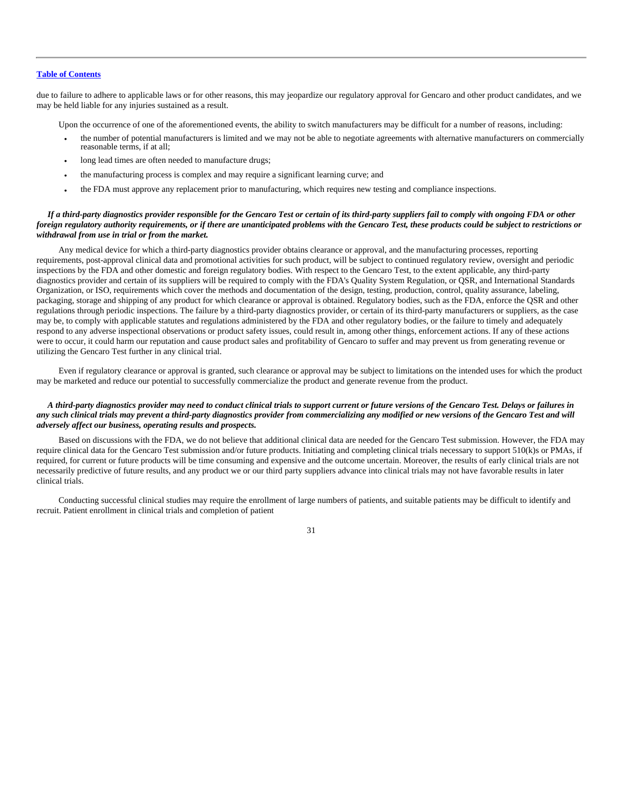due to failure to adhere to applicable laws or for other reasons, this may jeopardize our regulatory approval for Gencaro and other product candidates, and we may be held liable for any injuries sustained as a result.

Upon the occurrence of one of the aforementioned events, the ability to switch manufacturers may be difficult for a number of reasons, including:

- the number of potential manufacturers is limited and we may not be able to negotiate agreements with alternative manufacturers on commercially reasonable terms, if at all;
- long lead times are often needed to manufacture drugs;
- the manufacturing process is complex and may require a significant learning curve; and
- the FDA must approve any replacement prior to manufacturing, which requires new testing and compliance inspections.

# *If a third-party diagnostics provider responsible for the Gencaro Test or certain of its third-party suppliers fail to comply with ongoing FDA or other foreign regulatory authority requirements, or if there are unanticipated problems with the Gencaro Test, these products could be subject to restrictions or withdrawal from use in trial or from the market.*

Any medical device for which a third-party diagnostics provider obtains clearance or approval, and the manufacturing processes, reporting requirements, post-approval clinical data and promotional activities for such product, will be subject to continued regulatory review, oversight and periodic inspections by the FDA and other domestic and foreign regulatory bodies. With respect to the Gencaro Test, to the extent applicable, any third-party diagnostics provider and certain of its suppliers will be required to comply with the FDA's Quality System Regulation, or QSR, and International Standards Organization, or ISO, requirements which cover the methods and documentation of the design, testing, production, control, quality assurance, labeling, packaging, storage and shipping of any product for which clearance or approval is obtained. Regulatory bodies, such as the FDA, enforce the QSR and other regulations through periodic inspections. The failure by a third-party diagnostics provider, or certain of its third-party manufacturers or suppliers, as the case may be, to comply with applicable statutes and regulations administered by the FDA and other regulatory bodies, or the failure to timely and adequately respond to any adverse inspectional observations or product safety issues, could result in, among other things, enforcement actions. If any of these actions were to occur, it could harm our reputation and cause product sales and profitability of Gencaro to suffer and may prevent us from generating revenue or utilizing the Gencaro Test further in any clinical trial.

Even if regulatory clearance or approval is granted, such clearance or approval may be subject to limitations on the intended uses for which the product may be marketed and reduce our potential to successfully commercialize the product and generate revenue from the product.

# *A third-party diagnostics provider may need to conduct clinical trials to support current or future versions of the Gencaro Test. Delays or failures in any such clinical trials may prevent a third-party diagnostics provider from commercializing any modified or new versions of the Gencaro Test and will adversely affect our business, operating results and prospects.*

Based on discussions with the FDA, we do not believe that additional clinical data are needed for the Gencaro Test submission. However, the FDA may require clinical data for the Gencaro Test submission and/or future products. Initiating and completing clinical trials necessary to support 510(k)s or PMAs, if required, for current or future products will be time consuming and expensive and the outcome uncertain. Moreover, the results of early clinical trials are not necessarily predictive of future results, and any product we or our third party suppliers advance into clinical trials may not have favorable results in later clinical trials.

Conducting successful clinical studies may require the enrollment of large numbers of patients, and suitable patients may be difficult to identify and recruit. Patient enrollment in clinical trials and completion of patient

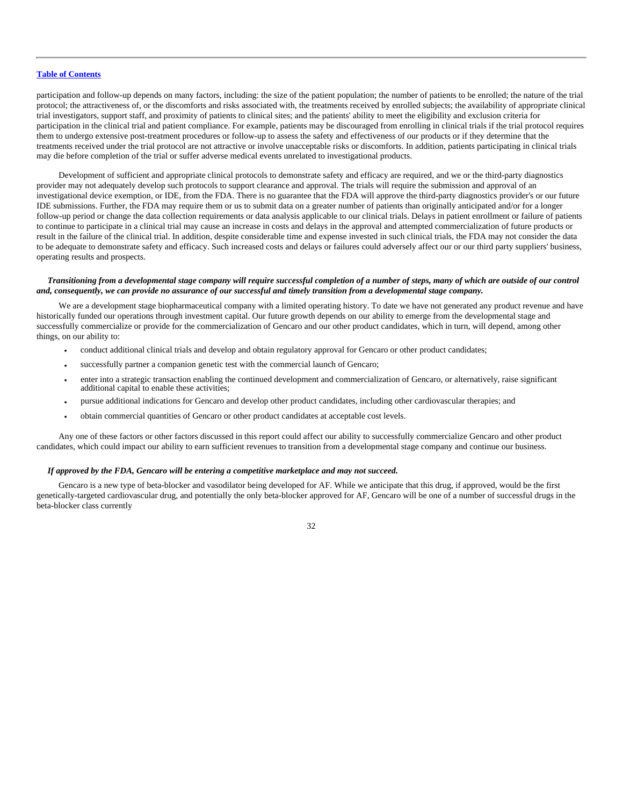participation and follow-up depends on many factors, including: the size of the patient population; the number of patients to be enrolled; the nature of the trial protocol; the attractiveness of, or the discomforts and risks associated with, the treatments received by enrolled subjects; the availability of appropriate clinical trial investigators, support staff, and proximity of patients to clinical sites; and the patients' ability to meet the eligibility and exclusion criteria for participation in the clinical trial and patient compliance. For example, patients may be discouraged from enrolling in clinical trials if the trial protocol requires them to undergo extensive post-treatment procedures or follow-up to assess the safety and effectiveness of our products or if they determine that the treatments received under the trial protocol are not attractive or involve unacceptable risks or discomforts. In addition, patients participating in clinical trials may die before completion of the trial or suffer adverse medical events unrelated to investigational products.

Development of sufficient and appropriate clinical protocols to demonstrate safety and efficacy are required, and we or the third-party diagnostics provider may not adequately develop such protocols to support clearance and approval. The trials will require the submission and approval of an investigational device exemption, or IDE, from the FDA. There is no guarantee that the FDA will approve the third-party diagnostics provider's or our future IDE submissions. Further, the FDA may require them or us to submit data on a greater number of patients than originally anticipated and/or for a longer follow-up period or change the data collection requirements or data analysis applicable to our clinical trials. Delays in patient enrollment or failure of patients to continue to participate in a clinical trial may cause an increase in costs and delays in the approval and attempted commercialization of future products or result in the failure of the clinical trial. In addition, despite considerable time and expense invested in such clinical trials, the FDA may not consider the data to be adequate to demonstrate safety and efficacy. Such increased costs and delays or failures could adversely affect our or our third party suppliers' business, operating results and prospects.

#### *Transitioning from a developmental stage company will require successful completion of a number of steps, many of which are outside of our control and, consequently, we can provide no assurance of our successful and timely transition from a developmental stage company.*

We are a development stage biopharmaceutical company with a limited operating history. To date we have not generated any product revenue and have historically funded our operations through investment capital. Our future growth depends on our ability to emerge from the developmental stage and successfully commercialize or provide for the commercialization of Gencaro and our other product candidates, which in turn, will depend, among other things, on our ability to:

- conduct additional clinical trials and develop and obtain regulatory approval for Gencaro or other product candidates;
- successfully partner a companion genetic test with the commercial launch of Gencaro;
- enter into a strategic transaction enabling the continued development and commercialization of Gencaro, or alternatively, raise significant additional capital to enable these activities;
- pursue additional indications for Gencaro and develop other product candidates, including other cardiovascular therapies; and
- obtain commercial quantities of Gencaro or other product candidates at acceptable cost levels.

Any one of these factors or other factors discussed in this report could affect our ability to successfully commercialize Gencaro and other product candidates, which could impact our ability to earn sufficient revenues to transition from a developmental stage company and continue our business.

# *If approved by the FDA, Gencaro will be entering a competitive marketplace and may not succeed.*

Gencaro is a new type of beta-blocker and vasodilator being developed for AF. While we anticipate that this drug, if approved, would be the first genetically-targeted cardiovascular drug, and potentially the only beta-blocker approved for AF, Gencaro will be one of a number of successful drugs in the beta-blocker class currently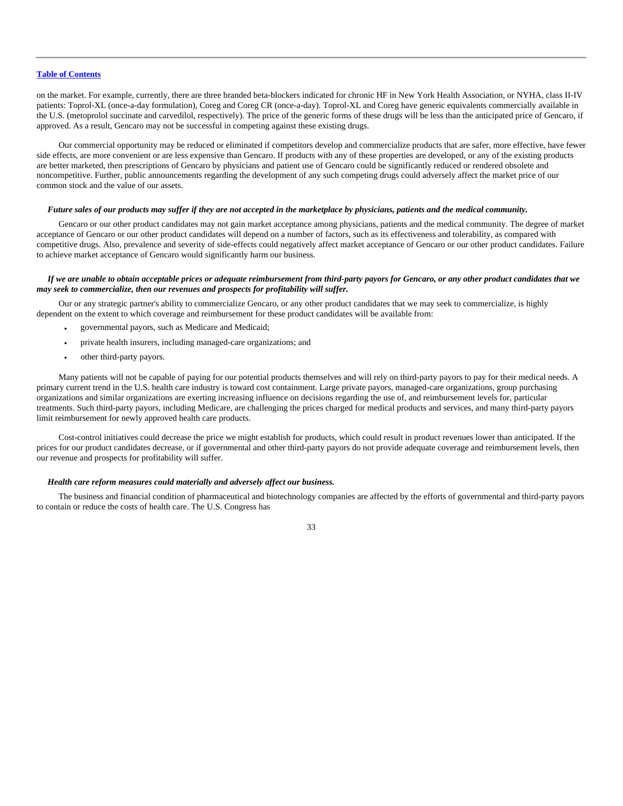on the market. For example, currently, there are three branded beta-blockers indicated for chronic HF in New York Health Association, or NYHA, class II-IV patients: Toprol-XL (once-a-day formulation), Coreg and Coreg CR (once-a-day). Toprol-XL and Coreg have generic equivalents commercially available in the U.S. (metoprolol succinate and carvedilol, respectively). The price of the generic forms of these drugs will be less than the anticipated price of Gencaro, if approved. As a result, Gencaro may not be successful in competing against these existing drugs.

Our commercial opportunity may be reduced or eliminated if competitors develop and commercialize products that are safer, more effective, have fewer side effects, are more convenient or are less expensive than Gencaro. If products with any of these properties are developed, or any of the existing products are better marketed, then prescriptions of Gencaro by physicians and patient use of Gencaro could be significantly reduced or rendered obsolete and noncompetitive. Further, public announcements regarding the development of any such competing drugs could adversely affect the market price of our common stock and the value of our assets.

#### *Future sales of our products may suffer if they are not accepted in the marketplace by physicians, patients and the medical community.*

Gencaro or our other product candidates may not gain market acceptance among physicians, patients and the medical community. The degree of market acceptance of Gencaro or our other product candidates will depend on a number of factors, such as its effectiveness and tolerability, as compared with competitive drugs. Also, prevalence and severity of side-effects could negatively affect market acceptance of Gencaro or our other product candidates. Failure to achieve market acceptance of Gencaro would significantly harm our business.

### *If we are unable to obtain acceptable prices or adequate reimbursement from third-party payors for Gencaro, or any other product candidates that we may seek to commercialize, then our revenues and prospects for profitability will suffer.*

Our or any strategic partner's ability to commercialize Gencaro, or any other product candidates that we may seek to commercialize, is highly dependent on the extent to which coverage and reimbursement for these product candidates will be available from:

- governmental payors, such as Medicare and Medicaid;
- private health insurers, including managed-care organizations; and
- other third-party payors.

Many patients will not be capable of paying for our potential products themselves and will rely on third-party payors to pay for their medical needs. A primary current trend in the U.S. health care industry is toward cost containment. Large private payors, managed-care organizations, group purchasing organizations and similar organizations are exerting increasing influence on decisions regarding the use of, and reimbursement levels for, particular treatments. Such third-party payors, including Medicare, are challenging the prices charged for medical products and services, and many third-party payors limit reimbursement for newly approved health care products.

Cost-control initiatives could decrease the price we might establish for products, which could result in product revenues lower than anticipated. If the prices for our product candidates decrease, or if governmental and other third-party payors do not provide adequate coverage and reimbursement levels, then our revenue and prospects for profitability will suffer.

# *Health care reform measures could materially and adversely affect our business.*

The business and financial condition of pharmaceutical and biotechnology companies are affected by the efforts of governmental and third-party payors to contain or reduce the costs of health care. The U.S. Congress has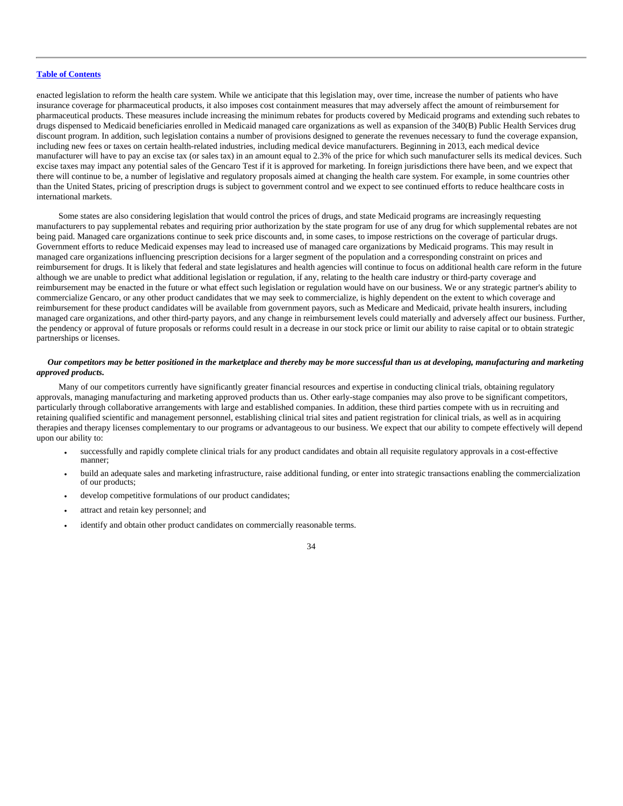enacted legislation to reform the health care system. While we anticipate that this legislation may, over time, increase the number of patients who have insurance coverage for pharmaceutical products, it also imposes cost containment measures that may adversely affect the amount of reimbursement for pharmaceutical products. These measures include increasing the minimum rebates for products covered by Medicaid programs and extending such rebates to drugs dispensed to Medicaid beneficiaries enrolled in Medicaid managed care organizations as well as expansion of the 340(B) Public Health Services drug discount program. In addition, such legislation contains a number of provisions designed to generate the revenues necessary to fund the coverage expansion, including new fees or taxes on certain health-related industries, including medical device manufacturers. Beginning in 2013, each medical device manufacturer will have to pay an excise tax (or sales tax) in an amount equal to 2.3% of the price for which such manufacturer sells its medical devices. Such excise taxes may impact any potential sales of the Gencaro Test if it is approved for marketing. In foreign jurisdictions there have been, and we expect that there will continue to be, a number of legislative and regulatory proposals aimed at changing the health care system. For example, in some countries other than the United States, pricing of prescription drugs is subject to government control and we expect to see continued efforts to reduce healthcare costs in international markets.

Some states are also considering legislation that would control the prices of drugs, and state Medicaid programs are increasingly requesting manufacturers to pay supplemental rebates and requiring prior authorization by the state program for use of any drug for which supplemental rebates are not being paid. Managed care organizations continue to seek price discounts and, in some cases, to impose restrictions on the coverage of particular drugs. Government efforts to reduce Medicaid expenses may lead to increased use of managed care organizations by Medicaid programs. This may result in managed care organizations influencing prescription decisions for a larger segment of the population and a corresponding constraint on prices and reimbursement for drugs. It is likely that federal and state legislatures and health agencies will continue to focus on additional health care reform in the future although we are unable to predict what additional legislation or regulation, if any, relating to the health care industry or third-party coverage and reimbursement may be enacted in the future or what effect such legislation or regulation would have on our business. We or any strategic partner's ability to commercialize Gencaro, or any other product candidates that we may seek to commercialize, is highly dependent on the extent to which coverage and reimbursement for these product candidates will be available from government payors, such as Medicare and Medicaid, private health insurers, including managed care organizations, and other third-party payors, and any change in reimbursement levels could materially and adversely affect our business. Further, the pendency or approval of future proposals or reforms could result in a decrease in our stock price or limit our ability to raise capital or to obtain strategic partnerships or licenses.

# *Our competitors may be better positioned in the marketplace and thereby may be more successful than us at developing, manufacturing and marketing approved products.*

Many of our competitors currently have significantly greater financial resources and expertise in conducting clinical trials, obtaining regulatory approvals, managing manufacturing and marketing approved products than us. Other early-stage companies may also prove to be significant competitors, particularly through collaborative arrangements with large and established companies. In addition, these third parties compete with us in recruiting and retaining qualified scientific and management personnel, establishing clinical trial sites and patient registration for clinical trials, as well as in acquiring therapies and therapy licenses complementary to our programs or advantageous to our business. We expect that our ability to compete effectively will depend upon our ability to:

- successfully and rapidly complete clinical trials for any product candidates and obtain all requisite regulatory approvals in a cost-effective manner;
- build an adequate sales and marketing infrastructure, raise additional funding, or enter into strategic transactions enabling the commercialization of our products;
- develop competitive formulations of our product candidates;
- attract and retain key personnel; and
- identify and obtain other product candidates on commercially reasonable terms.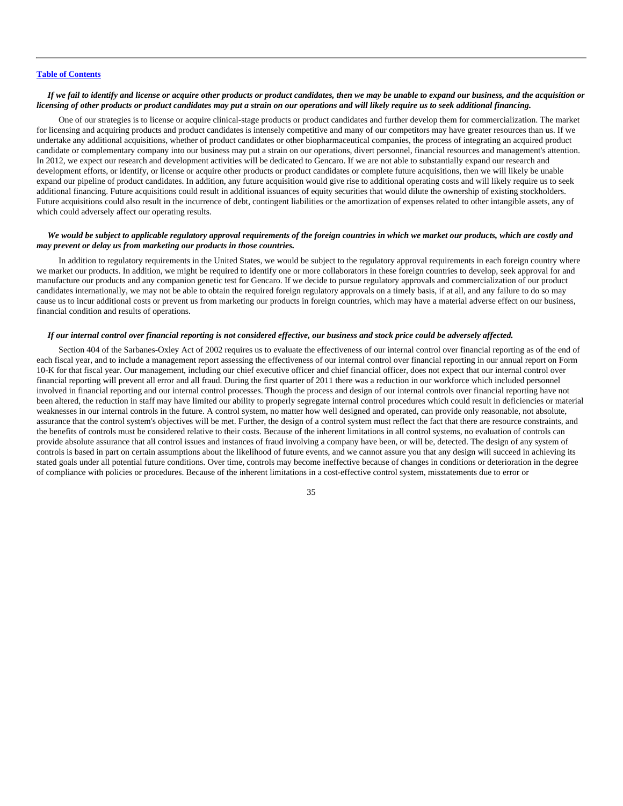# *If we fail to identify and license or acquire other products or product candidates, then we may be unable to expand our business, and the acquisition or licensing of other products or product candidates may put a strain on our operations and will likely require us to seek additional financing.*

One of our strategies is to license or acquire clinical-stage products or product candidates and further develop them for commercialization. The market for licensing and acquiring products and product candidates is intensely competitive and many of our competitors may have greater resources than us. If we undertake any additional acquisitions, whether of product candidates or other biopharmaceutical companies, the process of integrating an acquired product candidate or complementary company into our business may put a strain on our operations, divert personnel, financial resources and management's attention. In 2012, we expect our research and development activities will be dedicated to Gencaro. If we are not able to substantially expand our research and development efforts, or identify, or license or acquire other products or product candidates or complete future acquisitions, then we will likely be unable expand our pipeline of product candidates. In addition, any future acquisition would give rise to additional operating costs and will likely require us to seek additional financing. Future acquisitions could result in additional issuances of equity securities that would dilute the ownership of existing stockholders. Future acquisitions could also result in the incurrence of debt, contingent liabilities or the amortization of expenses related to other intangible assets, any of which could adversely affect our operating results.

# *We would be subject to applicable regulatory approval requirements of the foreign countries in which we market our products, which are costly and may prevent or delay us from marketing our products in those countries.*

In addition to regulatory requirements in the United States, we would be subject to the regulatory approval requirements in each foreign country where we market our products. In addition, we might be required to identify one or more collaborators in these foreign countries to develop, seek approval for and manufacture our products and any companion genetic test for Gencaro. If we decide to pursue regulatory approvals and commercialization of our product candidates internationally, we may not be able to obtain the required foreign regulatory approvals on a timely basis, if at all, and any failure to do so may cause us to incur additional costs or prevent us from marketing our products in foreign countries, which may have a material adverse effect on our business, financial condition and results of operations.

#### *If our internal control over financial reporting is not considered effective, our business and stock price could be adversely affected.*

Section 404 of the Sarbanes-Oxley Act of 2002 requires us to evaluate the effectiveness of our internal control over financial reporting as of the end of each fiscal year, and to include a management report assessing the effectiveness of our internal control over financial reporting in our annual report on Form 10-K for that fiscal year. Our management, including our chief executive officer and chief financial officer, does not expect that our internal control over financial reporting will prevent all error and all fraud. During the first quarter of 2011 there was a reduction in our workforce which included personnel involved in financial reporting and our internal control processes. Though the process and design of our internal controls over financial reporting have not been altered, the reduction in staff may have limited our ability to properly segregate internal control procedures which could result in deficiencies or material weaknesses in our internal controls in the future. A control system, no matter how well designed and operated, can provide only reasonable, not absolute, assurance that the control system's objectives will be met. Further, the design of a control system must reflect the fact that there are resource constraints, and the benefits of controls must be considered relative to their costs. Because of the inherent limitations in all control systems, no evaluation of controls can provide absolute assurance that all control issues and instances of fraud involving a company have been, or will be, detected. The design of any system of controls is based in part on certain assumptions about the likelihood of future events, and we cannot assure you that any design will succeed in achieving its stated goals under all potential future conditions. Over time, controls may become ineffective because of changes in conditions or deterioration in the degree of compliance with policies or procedures. Because of the inherent limitations in a cost-effective control system, misstatements due to error or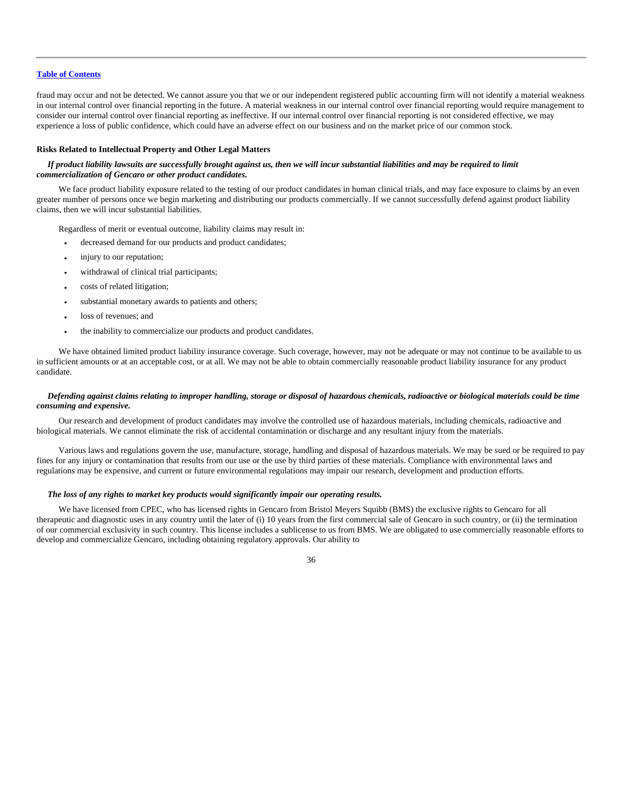fraud may occur and not be detected. We cannot assure you that we or our independent registered public accounting firm will not identify a material weakness in our internal control over financial reporting in the future. A material weakness in our internal control over financial reporting would require management to consider our internal control over financial reporting as ineffective. If our internal control over financial reporting is not considered effective, we may experience a loss of public confidence, which could have an adverse effect on our business and on the market price of our common stock.

### **Risks Related to Intellectual Property and Other Legal Matters**

# *If product liability lawsuits are successfully brought against us, then we will incur substantial liabilities and may be required to limit commercialization of Gencaro or other product candidates.*

We face product liability exposure related to the testing of our product candidates in human clinical trials, and may face exposure to claims by an even greater number of persons once we begin marketing and distributing our products commercially. If we cannot successfully defend against product liability claims, then we will incur substantial liabilities.

Regardless of merit or eventual outcome, liability claims may result in:

- decreased demand for our products and product candidates;
- injury to our reputation;
- withdrawal of clinical trial participants;
- costs of related litigation;
- substantial monetary awards to patients and others;
- loss of revenues; and
- the inability to commercialize our products and product candidates.

We have obtained limited product liability insurance coverage. Such coverage, however, may not be adequate or may not continue to be available to us in sufficient amounts or at an acceptable cost, or at all. We may not be able to obtain commercially reasonable product liability insurance for any product candidate.

# *Defending against claims relating to improper handling, storage or disposal of hazardous chemicals, radioactive or biological materials could be time consuming and expensive.*

Our research and development of product candidates may involve the controlled use of hazardous materials, including chemicals, radioactive and biological materials. We cannot eliminate the risk of accidental contamination or discharge and any resultant injury from the materials.

Various laws and regulations govern the use, manufacture, storage, handling and disposal of hazardous materials. We may be sued or be required to pay fines for any injury or contamination that results from our use or the use by third parties of these materials. Compliance with environmental laws and regulations may be expensive, and current or future environmental regulations may impair our research, development and production efforts.

# *The loss of any rights to market key products would significantly impair our operating results.*

We have licensed from CPEC, who has licensed rights in Gencaro from Bristol Meyers Squibb (BMS) the exclusive rights to Gencaro for all therapeutic and diagnostic uses in any country until the later of (i) 10 years from the first commercial sale of Gencaro in such country, or (ii) the termination of our commercial exclusivity in such country. This license includes a sublicense to us from BMS. We are obligated to use commercially reasonable efforts to develop and commercialize Gencaro, including obtaining regulatory approvals. Our ability to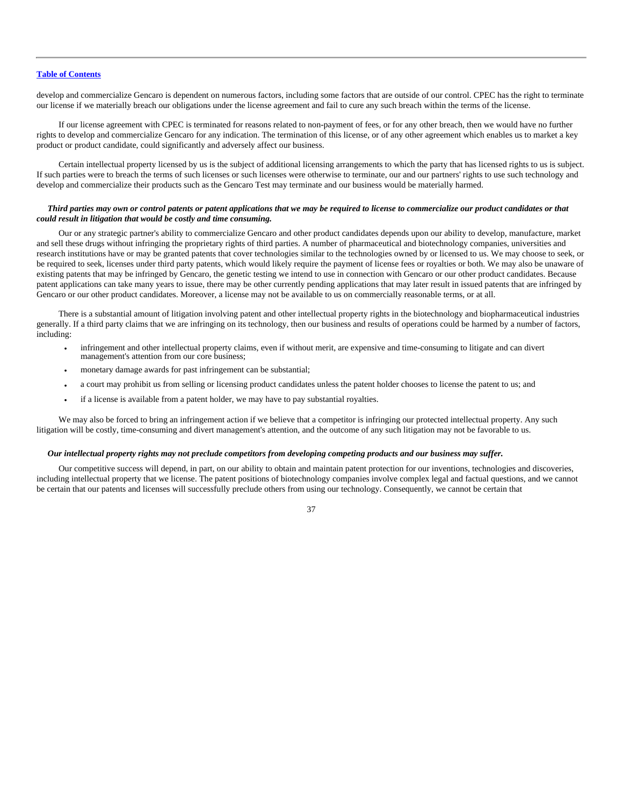develop and commercialize Gencaro is dependent on numerous factors, including some factors that are outside of our control. CPEC has the right to terminate our license if we materially breach our obligations under the license agreement and fail to cure any such breach within the terms of the license.

If our license agreement with CPEC is terminated for reasons related to non-payment of fees, or for any other breach, then we would have no further rights to develop and commercialize Gencaro for any indication. The termination of this license, or of any other agreement which enables us to market a key product or product candidate, could significantly and adversely affect our business.

Certain intellectual property licensed by us is the subject of additional licensing arrangements to which the party that has licensed rights to us is subject. If such parties were to breach the terms of such licenses or such licenses were otherwise to terminate, our and our partners' rights to use such technology and develop and commercialize their products such as the Gencaro Test may terminate and our business would be materially harmed.

# *Third parties may own or control patents or patent applications that we may be required to license to commercialize our product candidates or that could result in litigation that would be costly and time consuming.*

Our or any strategic partner's ability to commercialize Gencaro and other product candidates depends upon our ability to develop, manufacture, market and sell these drugs without infringing the proprietary rights of third parties. A number of pharmaceutical and biotechnology companies, universities and research institutions have or may be granted patents that cover technologies similar to the technologies owned by or licensed to us. We may choose to seek, or be required to seek, licenses under third party patents, which would likely require the payment of license fees or royalties or both. We may also be unaware of existing patents that may be infringed by Gencaro, the genetic testing we intend to use in connection with Gencaro or our other product candidates. Because patent applications can take many years to issue, there may be other currently pending applications that may later result in issued patents that are infringed by Gencaro or our other product candidates. Moreover, a license may not be available to us on commercially reasonable terms, or at all.

There is a substantial amount of litigation involving patent and other intellectual property rights in the biotechnology and biopharmaceutical industries generally. If a third party claims that we are infringing on its technology, then our business and results of operations could be harmed by a number of factors, including:

- infringement and other intellectual property claims, even if without merit, are expensive and time-consuming to litigate and can divert management's attention from our core business;
- monetary damage awards for past infringement can be substantial;
- a court may prohibit us from selling or licensing product candidates unless the patent holder chooses to license the patent to us; and
- if a license is available from a patent holder, we may have to pay substantial royalties.

We may also be forced to bring an infringement action if we believe that a competitor is infringing our protected intellectual property. Any such litigation will be costly, time-consuming and divert management's attention, and the outcome of any such litigation may not be favorable to us.

# *Our intellectual property rights may not preclude competitors from developing competing products and our business may suffer.*

Our competitive success will depend, in part, on our ability to obtain and maintain patent protection for our inventions, technologies and discoveries, including intellectual property that we license. The patent positions of biotechnology companies involve complex legal and factual questions, and we cannot be certain that our patents and licenses will successfully preclude others from using our technology. Consequently, we cannot be certain that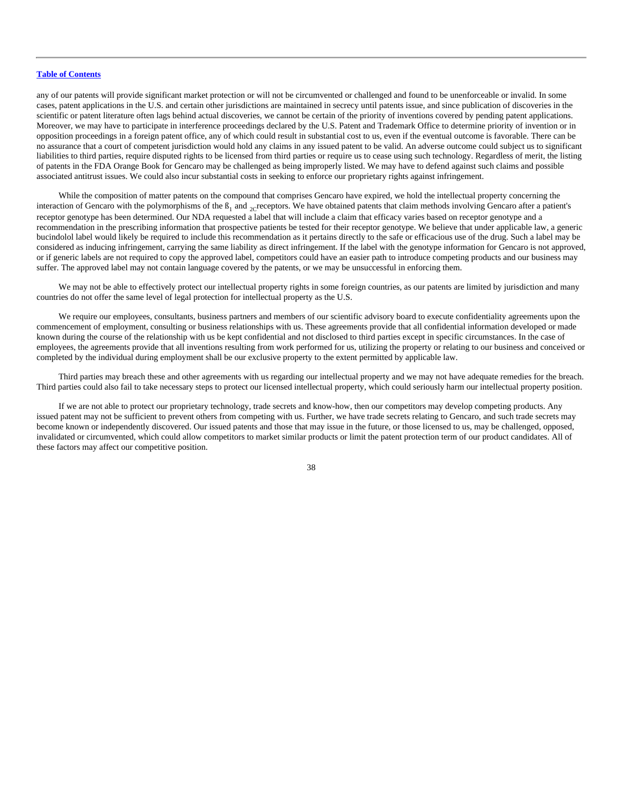any of our patents will provide significant market protection or will not be circumvented or challenged and found to be unenforceable or invalid. In some cases, patent applications in the U.S. and certain other jurisdictions are maintained in secrecy until patents issue, and since publication of discoveries in the scientific or patent literature often lags behind actual discoveries, we cannot be certain of the priority of inventions covered by pending patent applications. Moreover, we may have to participate in interference proceedings declared by the U.S. Patent and Trademark Office to determine priority of invention or in opposition proceedings in a foreign patent office, any of which could result in substantial cost to us, even if the eventual outcome is favorable. There can be no assurance that a court of competent jurisdiction would hold any claims in any issued patent to be valid. An adverse outcome could subject us to significant liabilities to third parties, require disputed rights to be licensed from third parties or require us to cease using such technology. Regardless of merit, the listing of patents in the FDA Orange Book for Gencaro may be challenged as being improperly listed. We may have to defend against such claims and possible associated antitrust issues. We could also incur substantial costs in seeking to enforce our proprietary rights against infringement.

While the composition of matter patents on the compound that comprises Gencaro have expired, we hold the intellectual property concerning the interaction of Gencaro with the polymorphisms of the  $B_1$  and <sub>2</sub>creceptors. We have obtained patents that claim methods involving Gencaro after a patient's receptor genotype has been determined. Our NDA requested a label that will include a claim that efficacy varies based on receptor genotype and a recommendation in the prescribing information that prospective patients be tested for their receptor genotype. We believe that under applicable law, a generic bucindolol label would likely be required to include this recommendation as it pertains directly to the safe or efficacious use of the drug. Such a label may be considered as inducing infringement, carrying the same liability as direct infringement. If the label with the genotype information for Gencaro is not approved, or if generic labels are not required to copy the approved label, competitors could have an easier path to introduce competing products and our business may suffer. The approved label may not contain language covered by the patents, or we may be unsuccessful in enforcing them.

We may not be able to effectively protect our intellectual property rights in some foreign countries, as our patents are limited by jurisdiction and many countries do not offer the same level of legal protection for intellectual property as the U.S.

We require our employees, consultants, business partners and members of our scientific advisory board to execute confidentiality agreements upon the commencement of employment, consulting or business relationships with us. These agreements provide that all confidential information developed or made known during the course of the relationship with us be kept confidential and not disclosed to third parties except in specific circumstances. In the case of employees, the agreements provide that all inventions resulting from work performed for us, utilizing the property or relating to our business and conceived or completed by the individual during employment shall be our exclusive property to the extent permitted by applicable law.

Third parties may breach these and other agreements with us regarding our intellectual property and we may not have adequate remedies for the breach. Third parties could also fail to take necessary steps to protect our licensed intellectual property, which could seriously harm our intellectual property position.

If we are not able to protect our proprietary technology, trade secrets and know-how, then our competitors may develop competing products. Any issued patent may not be sufficient to prevent others from competing with us. Further, we have trade secrets relating to Gencaro, and such trade secrets may become known or independently discovered. Our issued patents and those that may issue in the future, or those licensed to us, may be challenged, opposed, invalidated or circumvented, which could allow competitors to market similar products or limit the patent protection term of our product candidates. All of these factors may affect our competitive position.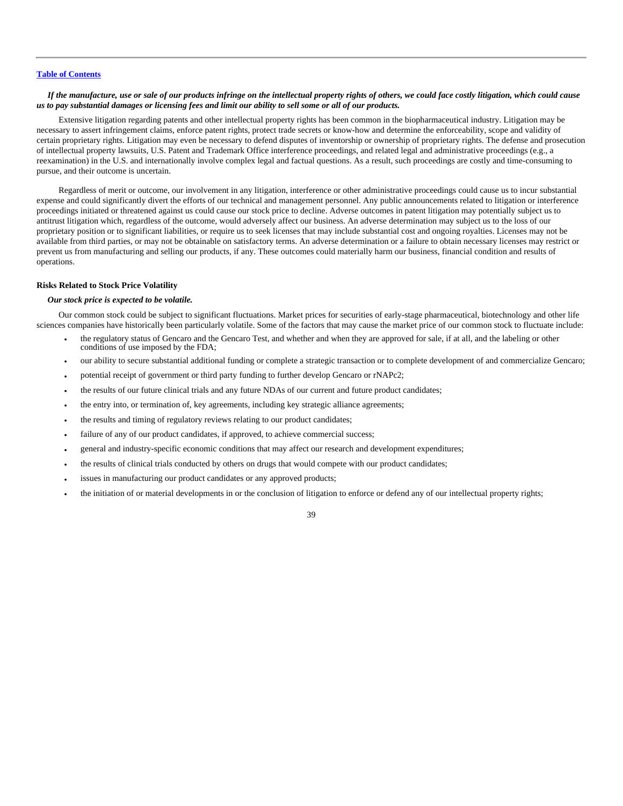# *If the manufacture, use or sale of our products infringe on the intellectual property rights of others, we could face costly litigation, which could cause us to pay substantial damages or licensing fees and limit our ability to sell some or all of our products.*

Extensive litigation regarding patents and other intellectual property rights has been common in the biopharmaceutical industry. Litigation may be necessary to assert infringement claims, enforce patent rights, protect trade secrets or know-how and determine the enforceability, scope and validity of certain proprietary rights. Litigation may even be necessary to defend disputes of inventorship or ownership of proprietary rights. The defense and prosecution of intellectual property lawsuits, U.S. Patent and Trademark Office interference proceedings, and related legal and administrative proceedings (e.g., a reexamination) in the U.S. and internationally involve complex legal and factual questions. As a result, such proceedings are costly and time-consuming to pursue, and their outcome is uncertain.

Regardless of merit or outcome, our involvement in any litigation, interference or other administrative proceedings could cause us to incur substantial expense and could significantly divert the efforts of our technical and management personnel. Any public announcements related to litigation or interference proceedings initiated or threatened against us could cause our stock price to decline. Adverse outcomes in patent litigation may potentially subject us to antitrust litigation which, regardless of the outcome, would adversely affect our business. An adverse determination may subject us to the loss of our proprietary position or to significant liabilities, or require us to seek licenses that may include substantial cost and ongoing royalties. Licenses may not be available from third parties, or may not be obtainable on satisfactory terms. An adverse determination or a failure to obtain necessary licenses may restrict or prevent us from manufacturing and selling our products, if any. These outcomes could materially harm our business, financial condition and results of operations.

# **Risks Related to Stock Price Volatility**

# *Our stock price is expected to be volatile.*

Our common stock could be subject to significant fluctuations. Market prices for securities of early-stage pharmaceutical, biotechnology and other life sciences companies have historically been particularly volatile. Some of the factors that may cause the market price of our common stock to fluctuate include:

- the regulatory status of Gencaro and the Gencaro Test, and whether and when they are approved for sale, if at all, and the labeling or other conditions of use imposed by the FDA;
- our ability to secure substantial additional funding or complete a strategic transaction or to complete development of and commercialize Gencaro;
- potential receipt of government or third party funding to further develop Gencaro or rNAPc2;
- the results of our future clinical trials and any future NDAs of our current and future product candidates;
- the entry into, or termination of, key agreements, including key strategic alliance agreements;
- the results and timing of regulatory reviews relating to our product candidates;
- failure of any of our product candidates, if approved, to achieve commercial success;
- general and industry-specific economic conditions that may affect our research and development expenditures;
- the results of clinical trials conducted by others on drugs that would compete with our product candidates;
- issues in manufacturing our product candidates or any approved products;
- the initiation of or material developments in or the conclusion of litigation to enforce or defend any of our intellectual property rights;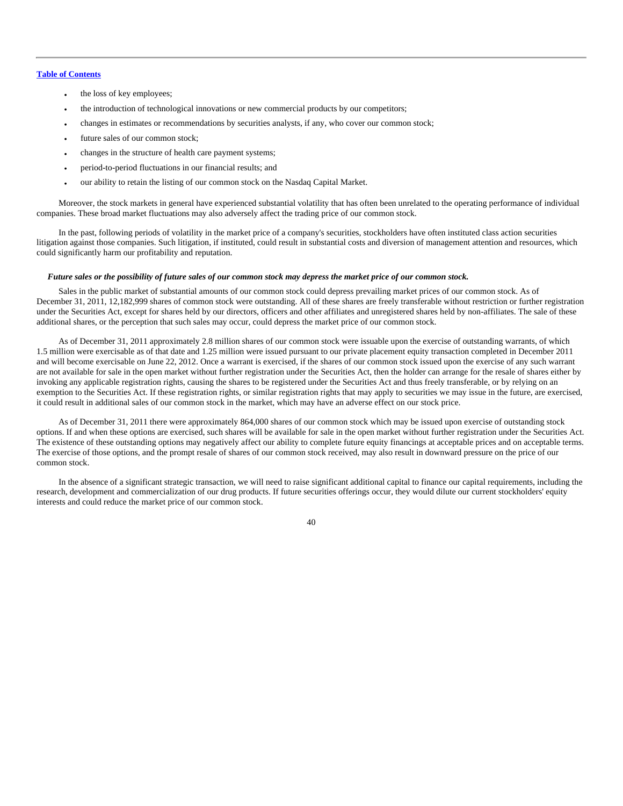- the loss of key employees;
- the introduction of technological innovations or new commercial products by our competitors;
- changes in estimates or recommendations by securities analysts, if any, who cover our common stock;
- future sales of our common stock;
- changes in the structure of health care payment systems;
- period-to-period fluctuations in our financial results; and
- our ability to retain the listing of our common stock on the Nasdaq Capital Market.

Moreover, the stock markets in general have experienced substantial volatility that has often been unrelated to the operating performance of individual companies. These broad market fluctuations may also adversely affect the trading price of our common stock.

In the past, following periods of volatility in the market price of a company's securities, stockholders have often instituted class action securities litigation against those companies. Such litigation, if instituted, could result in substantial costs and diversion of management attention and resources, which could significantly harm our profitability and reputation.

### *Future sales or the possibility of future sales of our common stock may depress the market price of our common stock.*

Sales in the public market of substantial amounts of our common stock could depress prevailing market prices of our common stock. As of December 31, 2011, 12,182,999 shares of common stock were outstanding. All of these shares are freely transferable without restriction or further registration under the Securities Act, except for shares held by our directors, officers and other affiliates and unregistered shares held by non-affiliates. The sale of these additional shares, or the perception that such sales may occur, could depress the market price of our common stock.

As of December 31, 2011 approximately 2.8 million shares of our common stock were issuable upon the exercise of outstanding warrants, of which 1.5 million were exercisable as of that date and 1.25 million were issued pursuant to our private placement equity transaction completed in December 2011 and will become exercisable on June 22, 2012. Once a warrant is exercised, if the shares of our common stock issued upon the exercise of any such warrant are not available for sale in the open market without further registration under the Securities Act, then the holder can arrange for the resale of shares either by invoking any applicable registration rights, causing the shares to be registered under the Securities Act and thus freely transferable, or by relying on an exemption to the Securities Act. If these registration rights, or similar registration rights that may apply to securities we may issue in the future, are exercised, it could result in additional sales of our common stock in the market, which may have an adverse effect on our stock price.

As of December 31, 2011 there were approximately 864,000 shares of our common stock which may be issued upon exercise of outstanding stock options. If and when these options are exercised, such shares will be available for sale in the open market without further registration under the Securities Act. The existence of these outstanding options may negatively affect our ability to complete future equity financings at acceptable prices and on acceptable terms. The exercise of those options, and the prompt resale of shares of our common stock received, may also result in downward pressure on the price of our common stock.

In the absence of a significant strategic transaction, we will need to raise significant additional capital to finance our capital requirements, including the research, development and commercialization of our drug products. If future securities offerings occur, they would dilute our current stockholders' equity interests and could reduce the market price of our common stock.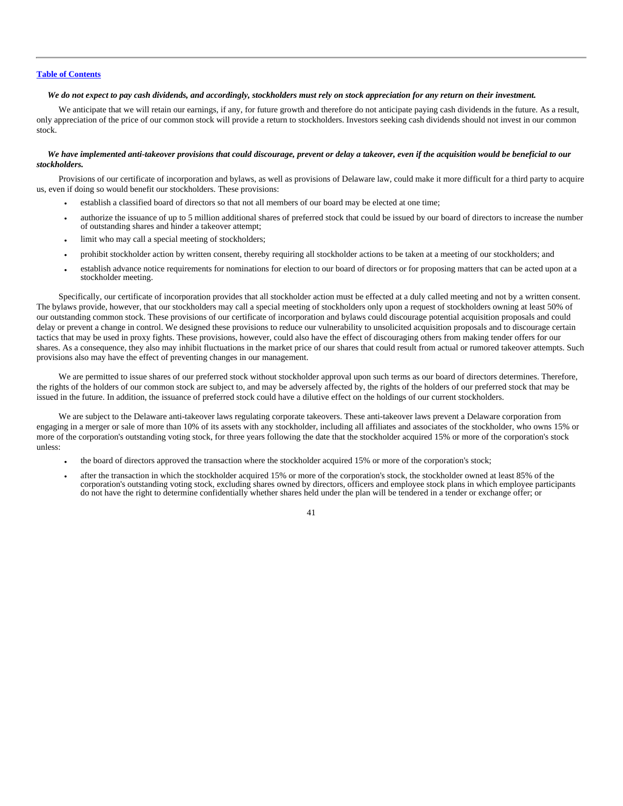# *We do not expect to pay cash dividends, and accordingly, stockholders must rely on stock appreciation for any return on their investment.*

We anticipate that we will retain our earnings, if any, for future growth and therefore do not anticipate paying cash dividends in the future. As a result, only appreciation of the price of our common stock will provide a return to stockholders. Investors seeking cash dividends should not invest in our common stock.

# *We have implemented anti-takeover provisions that could discourage, prevent or delay a takeover, even if the acquisition would be beneficial to our stockholders.*

Provisions of our certificate of incorporation and bylaws, as well as provisions of Delaware law, could make it more difficult for a third party to acquire us, even if doing so would benefit our stockholders. These provisions:

- establish a classified board of directors so that not all members of our board may be elected at one time;
- authorize the issuance of up to 5 million additional shares of preferred stock that could be issued by our board of directors to increase the number of outstanding shares and hinder a takeover attempt;
- limit who may call a special meeting of stockholders;
- prohibit stockholder action by written consent, thereby requiring all stockholder actions to be taken at a meeting of our stockholders; and
- establish advance notice requirements for nominations for election to our board of directors or for proposing matters that can be acted upon at a stockholder meeting.

Specifically, our certificate of incorporation provides that all stockholder action must be effected at a duly called meeting and not by a written consent. The bylaws provide, however, that our stockholders may call a special meeting of stockholders only upon a request of stockholders owning at least 50% of our outstanding common stock. These provisions of our certificate of incorporation and bylaws could discourage potential acquisition proposals and could delay or prevent a change in control. We designed these provisions to reduce our vulnerability to unsolicited acquisition proposals and to discourage certain tactics that may be used in proxy fights. These provisions, however, could also have the effect of discouraging others from making tender offers for our shares. As a consequence, they also may inhibit fluctuations in the market price of our shares that could result from actual or rumored takeover attempts. Such provisions also may have the effect of preventing changes in our management.

We are permitted to issue shares of our preferred stock without stockholder approval upon such terms as our board of directors determines. Therefore, the rights of the holders of our common stock are subject to, and may be adversely affected by, the rights of the holders of our preferred stock that may be issued in the future. In addition, the issuance of preferred stock could have a dilutive effect on the holdings of our current stockholders.

We are subject to the Delaware anti-takeover laws regulating corporate takeovers. These anti-takeover laws prevent a Delaware corporation from engaging in a merger or sale of more than 10% of its assets with any stockholder, including all affiliates and associates of the stockholder, who owns 15% or more of the corporation's outstanding voting stock, for three years following the date that the stockholder acquired 15% or more of the corporation's stock unless:

- the board of directors approved the transaction where the stockholder acquired 15% or more of the corporation's stock;
- after the transaction in which the stockholder acquired 15% or more of the corporation's stock, the stockholder owned at least 85% of the corporation's outstanding voting stock, excluding shares owned by directors, officers and employee stock plans in which employee participants do not have the right to determine confidentially whether shares held under the plan will be tendered in a tender or exchange offer; or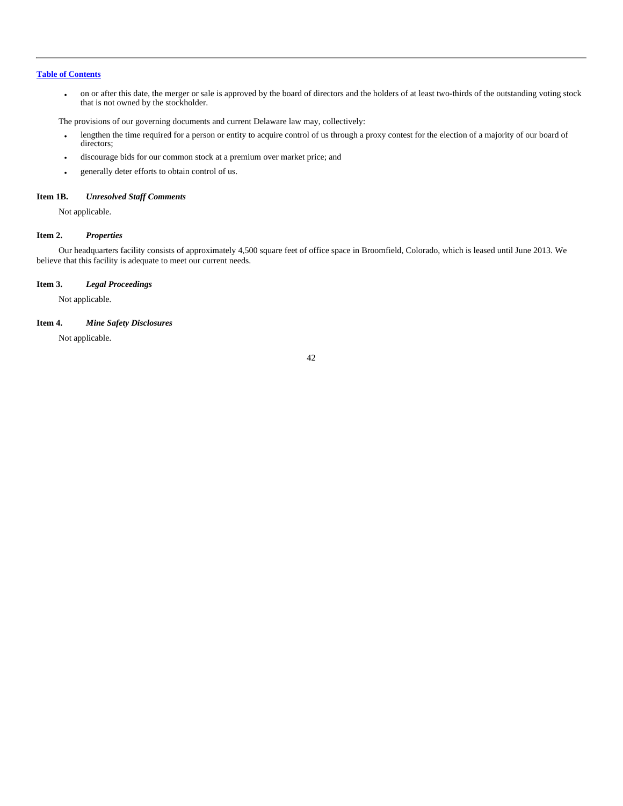• on or after this date, the merger or sale is approved by the board of directors and the holders of at least two-thirds of the outstanding voting stock that is not owned by the stockholder.

The provisions of our governing documents and current Delaware law may, collectively:

- lengthen the time required for a person or entity to acquire control of us through a proxy contest for the election of a majority of our board of directors;
- discourage bids for our common stock at a premium over market price; and
- generally deter efforts to obtain control of us.

# **Item 1B.** *Unresolved Staff Comments*

Not applicable.

# **Item 2.** *Properties*

Our headquarters facility consists of approximately 4,500 square feet of office space in Broomfield, Colorado, which is leased until June 2013. We believe that this facility is adequate to meet our current needs.

# **Item 3.** *Legal Proceedings*

Not applicable.

# **Item 4.** *Mine Safety Disclosures*

Not applicable.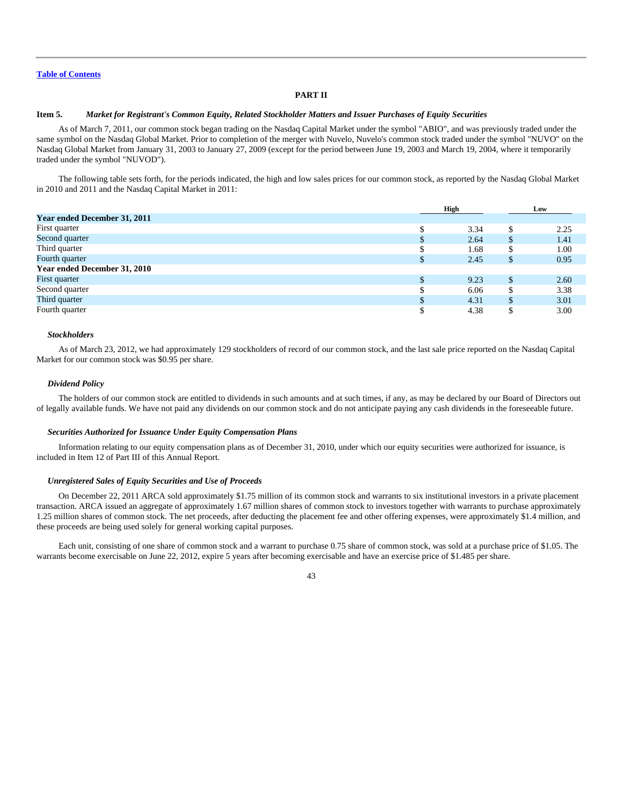# **PART II**

# **Item 5.** *Market for Registrant's Common Equity, Related Stockholder Matters and Issuer Purchases of Equity Securities*

As of March 7, 2011, our common stock began trading on the Nasdaq Capital Market under the symbol "ABIO", and was previously traded under the same symbol on the Nasdaq Global Market. Prior to completion of the merger with Nuvelo, Nuvelo's common stock traded under the symbol "NUVO" on the Nasdaq Global Market from January 31, 2003 to January 27, 2009 (except for the period between June 19, 2003 and March 19, 2004, where it temporarily traded under the symbol "NUVOD").

The following table sets forth, for the periods indicated, the high and low sales prices for our common stock, as reported by the Nasdaq Global Market in 2010 and 2011 and the Nasdaq Capital Market in 2011:

|                              |   | <b>High</b> |               | Low  |
|------------------------------|---|-------------|---------------|------|
| Year ended December 31, 2011 |   |             |               |      |
| First quarter                | ₼ | 3.34        | S             | 2.25 |
| Second quarter               | D | 2.64        | <sup>\$</sup> | 1.41 |
| Third quarter                |   | 1.68        |               | 1.00 |
| Fourth quarter               |   | 2.45        | \$            | 0.95 |
| Year ended December 31, 2010 |   |             |               |      |
| First quarter                |   | 9.23        | <b>S</b>      | 2.60 |
| Second quarter               |   | 6.06        | S             | 3.38 |
| Third quarter                |   | 4.31        | S             | 3.01 |
| Fourth quarter               |   | 4.38        |               | 3.00 |

# *Stockholders*

As of March 23, 2012, we had approximately 129 stockholders of record of our common stock, and the last sale price reported on the Nasdaq Capital Market for our common stock was \$0.95 per share.

#### *Dividend Policy*

The holders of our common stock are entitled to dividends in such amounts and at such times, if any, as may be declared by our Board of Directors out of legally available funds. We have not paid any dividends on our common stock and do not anticipate paying any cash dividends in the foreseeable future.

### *Securities Authorized for Issuance Under Equity Compensation Plans*

Information relating to our equity compensation plans as of December 31, 2010, under which our equity securities were authorized for issuance, is included in Item 12 of Part III of this Annual Report.

# *Unregistered Sales of Equity Securities and Use of Proceeds*

On December 22, 2011 ARCA sold approximately \$1.75 million of its common stock and warrants to six institutional investors in a private placement transaction. ARCA issued an aggregate of approximately 1.67 million shares of common stock to investors together with warrants to purchase approximately 1.25 million shares of common stock. The net proceeds, after deducting the placement fee and other offering expenses, were approximately \$1.4 million, and these proceeds are being used solely for general working capital purposes.

Each unit, consisting of one share of common stock and a warrant to purchase 0.75 share of common stock, was sold at a purchase price of \$1.05. The warrants become exercisable on June 22, 2012, expire 5 years after becoming exercisable and have an exercise price of \$1.485 per share.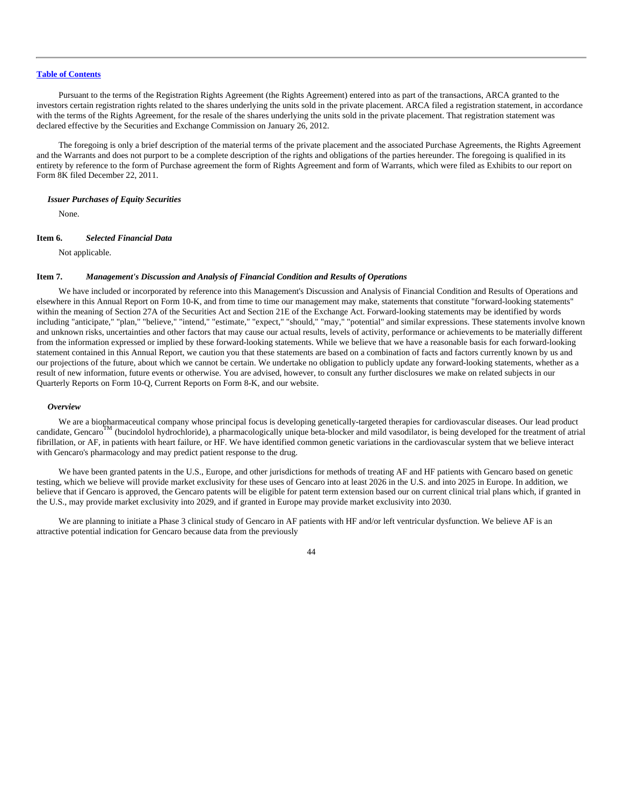Pursuant to the terms of the Registration Rights Agreement (the Rights Agreement) entered into as part of the transactions, ARCA granted to the investors certain registration rights related to the shares underlying the units sold in the private placement. ARCA filed a registration statement, in accordance with the terms of the Rights Agreement, for the resale of the shares underlying the units sold in the private placement. That registration statement was declared effective by the Securities and Exchange Commission on January 26, 2012.

The foregoing is only a brief description of the material terms of the private placement and the associated Purchase Agreements, the Rights Agreement and the Warrants and does not purport to be a complete description of the rights and obligations of the parties hereunder. The foregoing is qualified in its entirety by reference to the form of Purchase agreement the form of Rights Agreement and form of Warrants, which were filed as Exhibits to our report on Form 8K filed December 22, 2011.

### *Issuer Purchases of Equity Securities*

None.

#### **Item 6.** *Selected Financial Data*

Not applicable.

### **Item 7.** *Management's Discussion and Analysis of Financial Condition and Results of Operations*

We have included or incorporated by reference into this Management's Discussion and Analysis of Financial Condition and Results of Operations and elsewhere in this Annual Report on Form 10-K, and from time to time our management may make, statements that constitute "forward-looking statements" within the meaning of Section 27A of the Securities Act and Section 21E of the Exchange Act. Forward-looking statements may be identified by words including "anticipate," "plan," "believe," "intend," "estimate," "expect," "should," "may," "potential" and similar expressions. These statements involve known and unknown risks, uncertainties and other factors that may cause our actual results, levels of activity, performance or achievements to be materially different from the information expressed or implied by these forward-looking statements. While we believe that we have a reasonable basis for each forward-looking statement contained in this Annual Report, we caution you that these statements are based on a combination of facts and factors currently known by us and our projections of the future, about which we cannot be certain. We undertake no obligation to publicly update any forward-looking statements, whether as a result of new information, future events or otherwise. You are advised, however, to consult any further disclosures we make on related subjects in our Quarterly Reports on Form 10-Q, Current Reports on Form 8-K, and our website.

#### *Overview*

We are a biopharmaceutical company whose principal focus is developing genetically-targeted therapies for cardiovascular diseases. Our lead product candidate, Gencaro<sup>TM</sup> (bucindolol hydrochloride), a pharmacologically unique beta-blocker and mild vasodilator, is being developed for the treatment of atrial fibrillation, or AF, in patients with heart failure, or HF. We have identified common genetic variations in the cardiovascular system that we believe interact with Gencaro's pharmacology and may predict patient response to the drug.

We have been granted patents in the U.S., Europe, and other jurisdictions for methods of treating AF and HF patients with Gencaro based on genetic testing, which we believe will provide market exclusivity for these uses of Gencaro into at least 2026 in the U.S. and into 2025 in Europe. In addition, we believe that if Gencaro is approved, the Gencaro patents will be eligible for patent term extension based our on current clinical trial plans which, if granted in the U.S., may provide market exclusivity into 2029, and if granted in Europe may provide market exclusivity into 2030.

We are planning to initiate a Phase 3 clinical study of Gencaro in AF patients with HF and/or left ventricular dysfunction. We believe AF is an attractive potential indication for Gencaro because data from the previously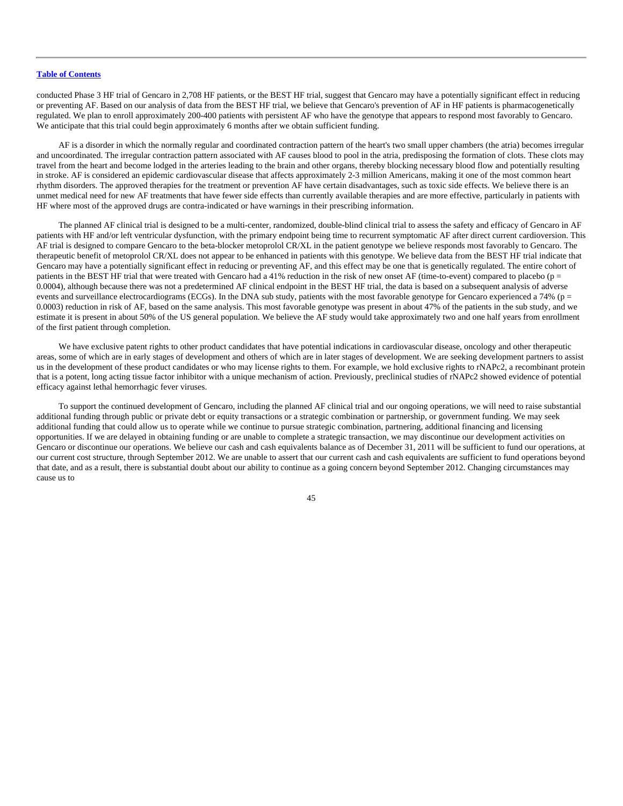conducted Phase 3 HF trial of Gencaro in 2,708 HF patients, or the BEST HF trial, suggest that Gencaro may have a potentially significant effect in reducing or preventing AF. Based on our analysis of data from the BEST HF trial, we believe that Gencaro's prevention of AF in HF patients is pharmacogenetically regulated. We plan to enroll approximately 200-400 patients with persistent AF who have the genotype that appears to respond most favorably to Gencaro. We anticipate that this trial could begin approximately 6 months after we obtain sufficient funding.

AF is a disorder in which the normally regular and coordinated contraction pattern of the heart's two small upper chambers (the atria) becomes irregular and uncoordinated. The irregular contraction pattern associated with AF causes blood to pool in the atria, predisposing the formation of clots. These clots may travel from the heart and become lodged in the arteries leading to the brain and other organs, thereby blocking necessary blood flow and potentially resulting in stroke. AF is considered an epidemic cardiovascular disease that affects approximately 2-3 million Americans, making it one of the most common heart rhythm disorders. The approved therapies for the treatment or prevention AF have certain disadvantages, such as toxic side effects. We believe there is an unmet medical need for new AF treatments that have fewer side effects than currently available therapies and are more effective, particularly in patients with HF where most of the approved drugs are contra-indicated or have warnings in their prescribing information.

The planned AF clinical trial is designed to be a multi-center, randomized, double-blind clinical trial to assess the safety and efficacy of Gencaro in AF patients with HF and/or left ventricular dysfunction, with the primary endpoint being time to recurrent symptomatic AF after direct current cardioversion. This AF trial is designed to compare Gencaro to the beta-blocker metoprolol CR/XL in the patient genotype we believe responds most favorably to Gencaro. The therapeutic benefit of metoprolol CR/XL does not appear to be enhanced in patients with this genotype. We believe data from the BEST HF trial indicate that Gencaro may have a potentially significant effect in reducing or preventing AF, and this effect may be one that is genetically regulated. The entire cohort of patients in the BEST HF trial that were treated with Gencaro had a 41% reduction in the risk of new onset AF (time-to-event) compared to placebo (p = 0.0004), although because there was not a predetermined AF clinical endpoint in the BEST HF trial, the data is based on a subsequent analysis of adverse events and surveillance electrocardiograms (ECGs). In the DNA sub study, patients with the most favorable genotype for Gencaro experienced a 74% (p = 0.0003) reduction in risk of AF, based on the same analysis. This most favorable genotype was present in about 47% of the patients in the sub study, and we estimate it is present in about 50% of the US general population. We believe the AF study would take approximately two and one half years from enrollment of the first patient through completion.

We have exclusive patent rights to other product candidates that have potential indications in cardiovascular disease, oncology and other therapeutic areas, some of which are in early stages of development and others of which are in later stages of development. We are seeking development partners to assist us in the development of these product candidates or who may license rights to them. For example, we hold exclusive rights to rNAPc2, a recombinant protein that is a potent, long acting tissue factor inhibitor with a unique mechanism of action. Previously, preclinical studies of rNAPc2 showed evidence of potential efficacy against lethal hemorrhagic fever viruses.

To support the continued development of Gencaro, including the planned AF clinical trial and our ongoing operations, we will need to raise substantial additional funding through public or private debt or equity transactions or a strategic combination or partnership, or government funding. We may seek additional funding that could allow us to operate while we continue to pursue strategic combination, partnering, additional financing and licensing opportunities. If we are delayed in obtaining funding or are unable to complete a strategic transaction, we may discontinue our development activities on Gencaro or discontinue our operations. We believe our cash and cash equivalents balance as of December 31, 2011 will be sufficient to fund our operations, at our current cost structure, through September 2012. We are unable to assert that our current cash and cash equivalents are sufficient to fund operations beyond that date, and as a result, there is substantial doubt about our ability to continue as a going concern beyond September 2012. Changing circumstances may cause us to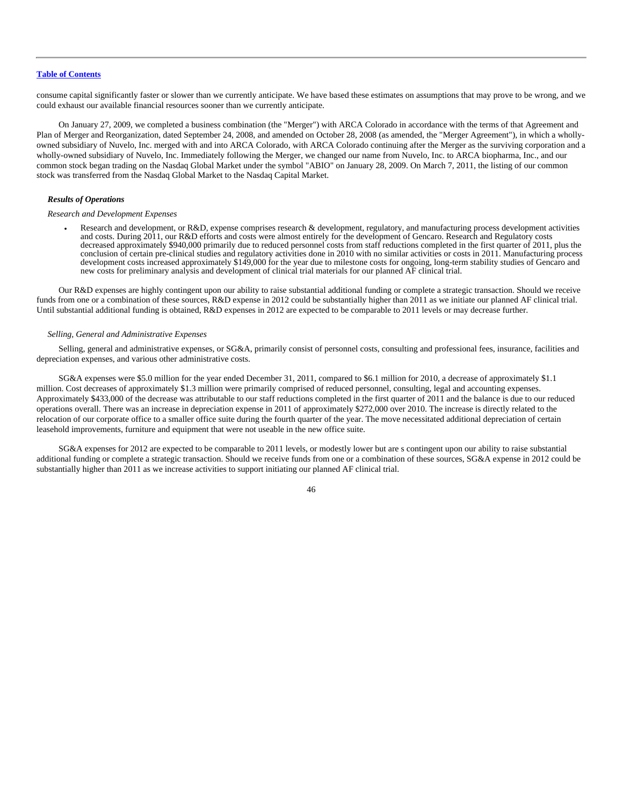consume capital significantly faster or slower than we currently anticipate. We have based these estimates on assumptions that may prove to be wrong, and we could exhaust our available financial resources sooner than we currently anticipate.

On January 27, 2009, we completed a business combination (the "Merger") with ARCA Colorado in accordance with the terms of that Agreement and Plan of Merger and Reorganization, dated September 24, 2008, and amended on October 28, 2008 (as amended, the "Merger Agreement"), in which a whollyowned subsidiary of Nuvelo, Inc. merged with and into ARCA Colorado, with ARCA Colorado continuing after the Merger as the surviving corporation and a wholly-owned subsidiary of Nuvelo, Inc. Immediately following the Merger, we changed our name from Nuvelo, Inc. to ARCA biopharma, Inc., and our common stock began trading on the Nasdaq Global Market under the symbol "ABIO" on January 28, 2009. On March 7, 2011, the listing of our common stock was transferred from the Nasdaq Global Market to the Nasdaq Capital Market.

# *Results of Operations*

#### *Research and Development Expenses*

• Research and development, or R&D, expense comprises research & development, regulatory, and manufacturing process development activities and costs. During 2011, our R&D efforts and costs were almost entirely for the development of Gencaro. Research and Regulatory costs decreased approximately \$940,000 primarily due to reduced personnel costs from staff reductions completed in the first quarter of 2011, plus the conclusion of certain pre-clinical studies and regulatory activities done in 2010 with no similar activities or costs in 2011. Manufacturing process development costs increased approximately \$149,000 for the year due to milestone costs for ongoing, long-term stability studies of Gencaro and new costs for preliminary analysis and development of clinical trial materials for our planned AF clinical trial.

Our R&D expenses are highly contingent upon our ability to raise substantial additional funding or complete a strategic transaction. Should we receive funds from one or a combination of these sources, R&D expense in 2012 could be substantially higher than 2011 as we initiate our planned AF clinical trial. Until substantial additional funding is obtained, R&D expenses in 2012 are expected to be comparable to 2011 levels or may decrease further.

### *Selling, General and Administrative Expenses*

Selling, general and administrative expenses, or SG&A, primarily consist of personnel costs, consulting and professional fees, insurance, facilities and depreciation expenses, and various other administrative costs.

SG&A expenses were \$5.0 million for the year ended December 31, 2011, compared to \$6.1 million for 2010, a decrease of approximately \$1.1 million. Cost decreases of approximately \$1.3 million were primarily comprised of reduced personnel, consulting, legal and accounting expenses. Approximately \$433,000 of the decrease was attributable to our staff reductions completed in the first quarter of 2011 and the balance is due to our reduced operations overall. There was an increase in depreciation expense in 2011 of approximately \$272,000 over 2010. The increase is directly related to the relocation of our corporate office to a smaller office suite during the fourth quarter of the year. The move necessitated additional depreciation of certain leasehold improvements, furniture and equipment that were not useable in the new office suite.

SG&A expenses for 2012 are expected to be comparable to 2011 levels, or modestly lower but are s contingent upon our ability to raise substantial additional funding or complete a strategic transaction. Should we receive funds from one or a combination of these sources, SG&A expense in 2012 could be substantially higher than 2011 as we increase activities to support initiating our planned AF clinical trial.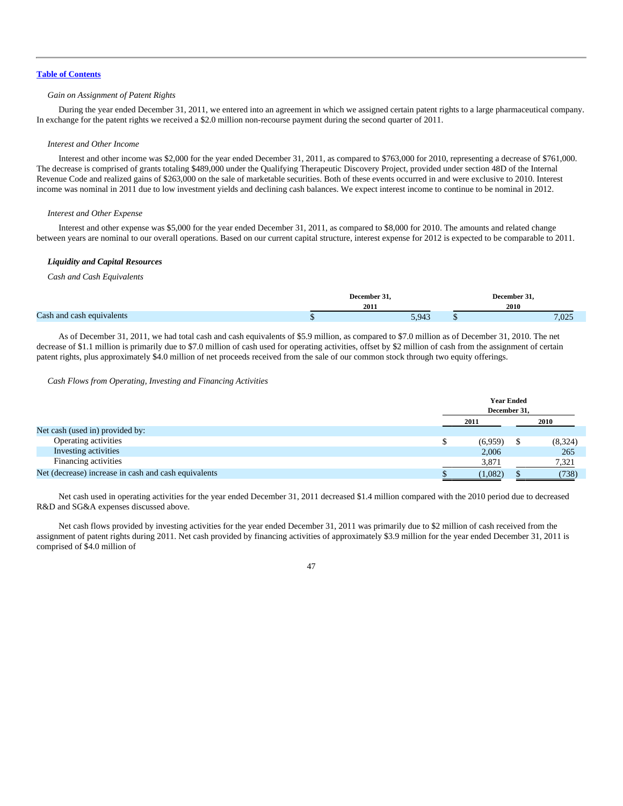# *Gain on Assignment of Patent Rights*

During the year ended December 31, 2011, we entered into an agreement in which we assigned certain patent rights to a large pharmaceutical company. In exchange for the patent rights we received a \$2.0 million non-recourse payment during the second quarter of 2011.

### *Interest and Other Income*

Interest and other income was \$2,000 for the year ended December 31, 2011, as compared to \$763,000 for 2010, representing a decrease of \$761,000. The decrease is comprised of grants totaling \$489,000 under the Qualifying Therapeutic Discovery Project, provided under section 48D of the Internal Revenue Code and realized gains of \$263,000 on the sale of marketable securities. Both of these events occurred in and were exclusive to 2010. Interest income was nominal in 2011 due to low investment yields and declining cash balances. We expect interest income to continue to be nominal in 2012.

# *Interest and Other Expense*

Interest and other expense was \$5,000 for the year ended December 31, 2011, as compared to \$8,000 for 2010. The amounts and related change between years are nominal to our overall operations. Based on our current capital structure, interest expense for 2012 is expected to be comparable to 2011.

### *Liquidity and Capital Resources*

# *Cash and Cash Equivalents*

|                           | December 3 |             | December 31.                |
|---------------------------|------------|-------------|-----------------------------|
|                           | 2011       |             | 2010                        |
| Cash and cash equivalents |            | 943<br>ン・ノー | $\sim$ $\sim$ $\sim$<br>.UZ |

As of December 31, 2011, we had total cash and cash equivalents of \$5.9 million, as compared to \$7.0 million as of December 31, 2010. The net decrease of \$1.1 million is primarily due to \$7.0 million of cash used for operating activities, offset by \$2 million of cash from the assignment of certain patent rights, plus approximately \$4.0 million of net proceeds received from the sale of our common stock through two equity offerings.

### *Cash Flows from Operating, Investing and Financing Activities*

|                                                      |              | <b>Year Ended</b> |  |         |  |  |
|------------------------------------------------------|--------------|-------------------|--|---------|--|--|
|                                                      | December 31, |                   |  |         |  |  |
|                                                      | 2011         |                   |  | 2010    |  |  |
| Net cash (used in) provided by:                      |              |                   |  |         |  |  |
| Operating activities                                 |              | (6,959)           |  | (8,324) |  |  |
| Investing activities                                 |              | 2,006             |  | 265     |  |  |
| Financing activities                                 |              | 3,871             |  | 7,321   |  |  |
| Net (decrease) increase in cash and cash equivalents |              | (1,082)           |  | (738)   |  |  |

Net cash used in operating activities for the year ended December 31, 2011 decreased \$1.4 million compared with the 2010 period due to decreased R&D and SG&A expenses discussed above.

Net cash flows provided by investing activities for the year ended December 31, 2011 was primarily due to \$2 million of cash received from the assignment of patent rights during 2011. Net cash provided by financing activities of approximately \$3.9 million for the year ended December 31, 2011 is comprised of \$4.0 million of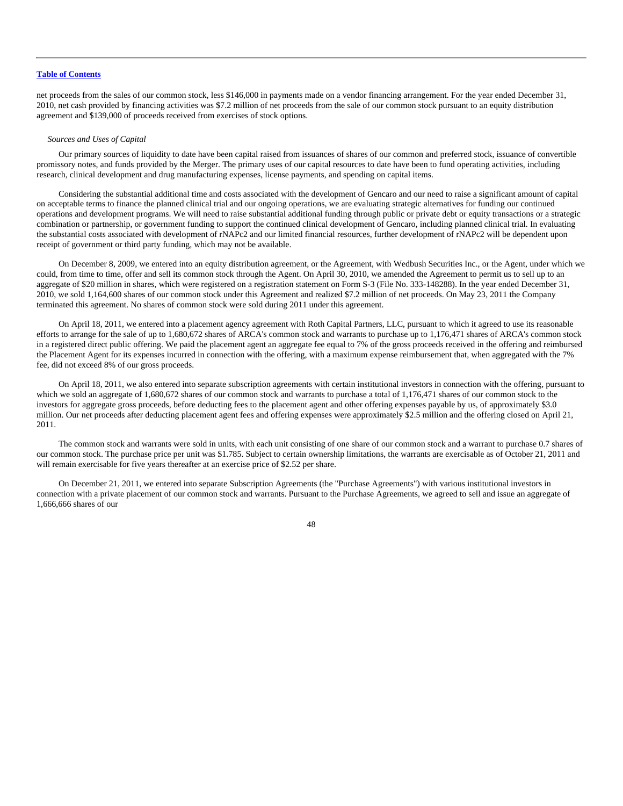net proceeds from the sales of our common stock, less \$146,000 in payments made on a vendor financing arrangement. For the year ended December 31, 2010, net cash provided by financing activities was \$7.2 million of net proceeds from the sale of our common stock pursuant to an equity distribution agreement and \$139,000 of proceeds received from exercises of stock options.

### *Sources and Uses of Capital*

Our primary sources of liquidity to date have been capital raised from issuances of shares of our common and preferred stock, issuance of convertible promissory notes, and funds provided by the Merger. The primary uses of our capital resources to date have been to fund operating activities, including research, clinical development and drug manufacturing expenses, license payments, and spending on capital items.

Considering the substantial additional time and costs associated with the development of Gencaro and our need to raise a significant amount of capital on acceptable terms to finance the planned clinical trial and our ongoing operations, we are evaluating strategic alternatives for funding our continued operations and development programs. We will need to raise substantial additional funding through public or private debt or equity transactions or a strategic combination or partnership, or government funding to support the continued clinical development of Gencaro, including planned clinical trial. In evaluating the substantial costs associated with development of rNAPc2 and our limited financial resources, further development of rNAPc2 will be dependent upon receipt of government or third party funding, which may not be available.

On December 8, 2009, we entered into an equity distribution agreement, or the Agreement, with Wedbush Securities Inc., or the Agent, under which we could, from time to time, offer and sell its common stock through the Agent. On April 30, 2010, we amended the Agreement to permit us to sell up to an aggregate of \$20 million in shares, which were registered on a registration statement on Form S-3 (File No. 333-148288). In the year ended December 31, 2010, we sold 1,164,600 shares of our common stock under this Agreement and realized \$7.2 million of net proceeds. On May 23, 2011 the Company terminated this agreement. No shares of common stock were sold during 2011 under this agreement.

On April 18, 2011, we entered into a placement agency agreement with Roth Capital Partners, LLC, pursuant to which it agreed to use its reasonable efforts to arrange for the sale of up to 1,680,672 shares of ARCA's common stock and warrants to purchase up to 1,176,471 shares of ARCA's common stock in a registered direct public offering. We paid the placement agent an aggregate fee equal to 7% of the gross proceeds received in the offering and reimbursed the Placement Agent for its expenses incurred in connection with the offering, with a maximum expense reimbursement that, when aggregated with the 7% fee, did not exceed 8% of our gross proceeds.

On April 18, 2011, we also entered into separate subscription agreements with certain institutional investors in connection with the offering, pursuant to which we sold an aggregate of 1,680,672 shares of our common stock and warrants to purchase a total of 1,176,471 shares of our common stock to the investors for aggregate gross proceeds, before deducting fees to the placement agent and other offering expenses payable by us, of approximately \$3.0 million. Our net proceeds after deducting placement agent fees and offering expenses were approximately \$2.5 million and the offering closed on April 21, 2011.

The common stock and warrants were sold in units, with each unit consisting of one share of our common stock and a warrant to purchase 0.7 shares of our common stock. The purchase price per unit was \$1.785. Subject to certain ownership limitations, the warrants are exercisable as of October 21, 2011 and will remain exercisable for five years thereafter at an exercise price of \$2.52 per share.

On December 21, 2011, we entered into separate Subscription Agreements (the "Purchase Agreements") with various institutional investors in connection with a private placement of our common stock and warrants. Pursuant to the Purchase Agreements, we agreed to sell and issue an aggregate of 1,666,666 shares of our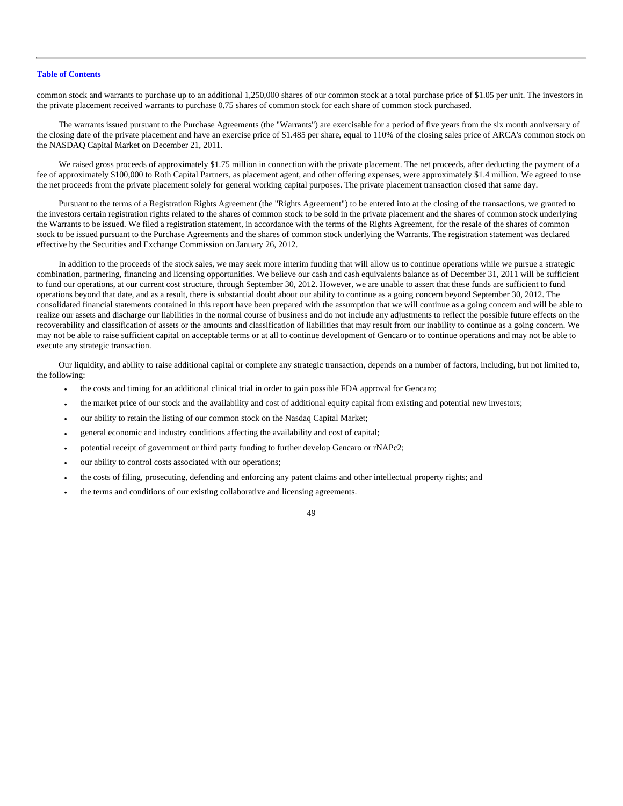common stock and warrants to purchase up to an additional 1,250,000 shares of our common stock at a total purchase price of \$1.05 per unit. The investors in the private placement received warrants to purchase 0.75 shares of common stock for each share of common stock purchased.

The warrants issued pursuant to the Purchase Agreements (the "Warrants") are exercisable for a period of five years from the six month anniversary of the closing date of the private placement and have an exercise price of \$1.485 per share, equal to 110% of the closing sales price of ARCA's common stock on the NASDAQ Capital Market on December 21, 2011.

We raised gross proceeds of approximately \$1.75 million in connection with the private placement. The net proceeds, after deducting the payment of a fee of approximately \$100,000 to Roth Capital Partners, as placement agent, and other offering expenses, were approximately \$1.4 million. We agreed to use the net proceeds from the private placement solely for general working capital purposes. The private placement transaction closed that same day.

Pursuant to the terms of a Registration Rights Agreement (the "Rights Agreement") to be entered into at the closing of the transactions, we granted to the investors certain registration rights related to the shares of common stock to be sold in the private placement and the shares of common stock underlying the Warrants to be issued. We filed a registration statement, in accordance with the terms of the Rights Agreement, for the resale of the shares of common stock to be issued pursuant to the Purchase Agreements and the shares of common stock underlying the Warrants. The registration statement was declared effective by the Securities and Exchange Commission on January 26, 2012.

In addition to the proceeds of the stock sales, we may seek more interim funding that will allow us to continue operations while we pursue a strategic combination, partnering, financing and licensing opportunities. We believe our cash and cash equivalents balance as of December 31, 2011 will be sufficient to fund our operations, at our current cost structure, through September 30, 2012. However, we are unable to assert that these funds are sufficient to fund operations beyond that date, and as a result, there is substantial doubt about our ability to continue as a going concern beyond September 30, 2012. The consolidated financial statements contained in this report have been prepared with the assumption that we will continue as a going concern and will be able to realize our assets and discharge our liabilities in the normal course of business and do not include any adjustments to reflect the possible future effects on the recoverability and classification of assets or the amounts and classification of liabilities that may result from our inability to continue as a going concern. We may not be able to raise sufficient capital on acceptable terms or at all to continue development of Gencaro or to continue operations and may not be able to execute any strategic transaction.

Our liquidity, and ability to raise additional capital or complete any strategic transaction, depends on a number of factors, including, but not limited to, the following:

- the costs and timing for an additional clinical trial in order to gain possible FDA approval for Gencaro;
- the market price of our stock and the availability and cost of additional equity capital from existing and potential new investors;
- our ability to retain the listing of our common stock on the Nasdaq Capital Market;
- general economic and industry conditions affecting the availability and cost of capital;
- potential receipt of government or third party funding to further develop Gencaro or rNAPc2;
- our ability to control costs associated with our operations;
- the costs of filing, prosecuting, defending and enforcing any patent claims and other intellectual property rights; and
- the terms and conditions of our existing collaborative and licensing agreements.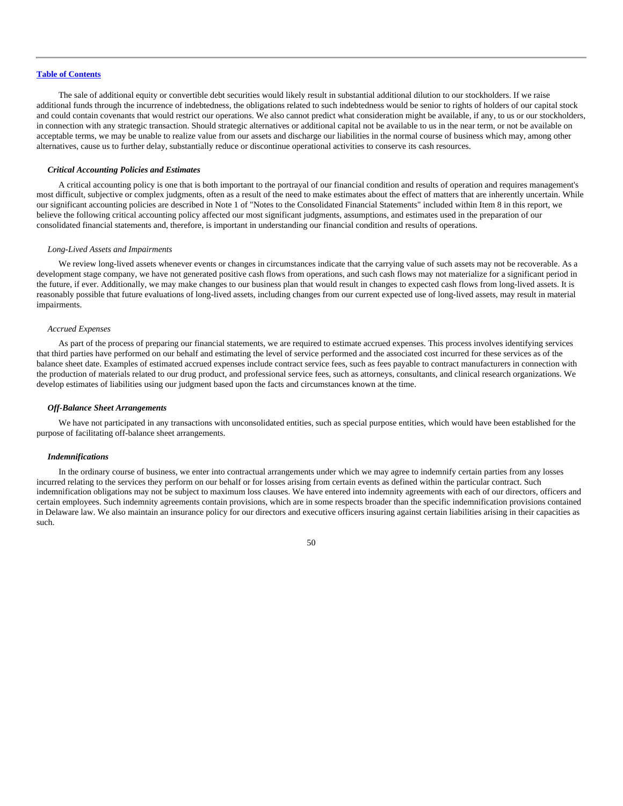The sale of additional equity or convertible debt securities would likely result in substantial additional dilution to our stockholders. If we raise additional funds through the incurrence of indebtedness, the obligations related to such indebtedness would be senior to rights of holders of our capital stock and could contain covenants that would restrict our operations. We also cannot predict what consideration might be available, if any, to us or our stockholders, in connection with any strategic transaction. Should strategic alternatives or additional capital not be available to us in the near term, or not be available on acceptable terms, we may be unable to realize value from our assets and discharge our liabilities in the normal course of business which may, among other alternatives, cause us to further delay, substantially reduce or discontinue operational activities to conserve its cash resources.

### *Critical Accounting Policies and Estimates*

A critical accounting policy is one that is both important to the portrayal of our financial condition and results of operation and requires management's most difficult, subjective or complex judgments, often as a result of the need to make estimates about the effect of matters that are inherently uncertain. While our significant accounting policies are described in Note 1 of "Notes to the Consolidated Financial Statements" included within Item 8 in this report, we believe the following critical accounting policy affected our most significant judgments, assumptions, and estimates used in the preparation of our consolidated financial statements and, therefore, is important in understanding our financial condition and results of operations.

#### *Long-Lived Assets and Impairments*

We review long-lived assets whenever events or changes in circumstances indicate that the carrying value of such assets may not be recoverable. As a development stage company, we have not generated positive cash flows from operations, and such cash flows may not materialize for a significant period in the future, if ever. Additionally, we may make changes to our business plan that would result in changes to expected cash flows from long-lived assets. It is reasonably possible that future evaluations of long-lived assets, including changes from our current expected use of long-lived assets, may result in material impairments.

### *Accrued Expenses*

As part of the process of preparing our financial statements, we are required to estimate accrued expenses. This process involves identifying services that third parties have performed on our behalf and estimating the level of service performed and the associated cost incurred for these services as of the balance sheet date. Examples of estimated accrued expenses include contract service fees, such as fees payable to contract manufacturers in connection with the production of materials related to our drug product, and professional service fees, such as attorneys, consultants, and clinical research organizations. We develop estimates of liabilities using our judgment based upon the facts and circumstances known at the time.

### *Off-Balance Sheet Arrangements*

We have not participated in any transactions with unconsolidated entities, such as special purpose entities, which would have been established for the purpose of facilitating off-balance sheet arrangements.

#### *Indemnifications*

In the ordinary course of business, we enter into contractual arrangements under which we may agree to indemnify certain parties from any losses incurred relating to the services they perform on our behalf or for losses arising from certain events as defined within the particular contract. Such indemnification obligations may not be subject to maximum loss clauses. We have entered into indemnity agreements with each of our directors, officers and certain employees. Such indemnity agreements contain provisions, which are in some respects broader than the specific indemnification provisions contained in Delaware law. We also maintain an insurance policy for our directors and executive officers insuring against certain liabilities arising in their capacities as such.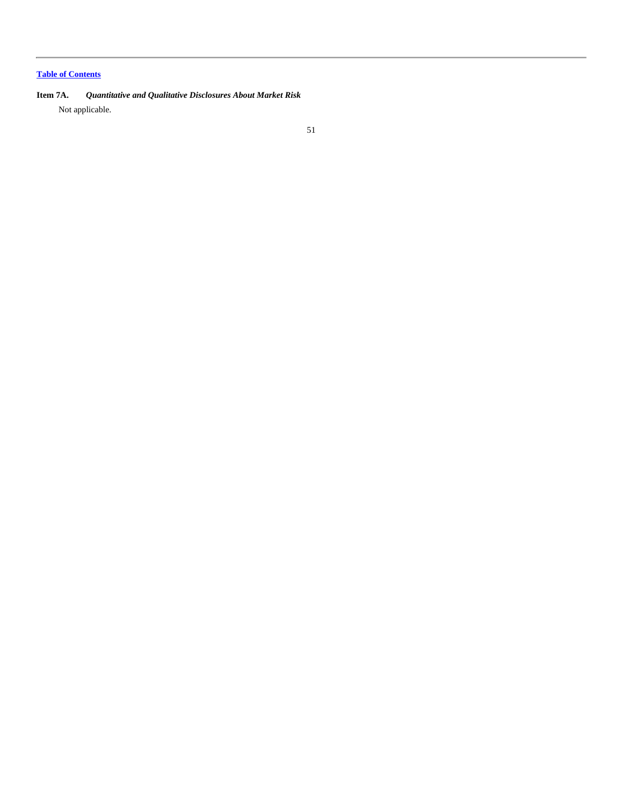**Item 7A.** *Quantitative and Qualitative Disclosures About Market Risk* Not applicable.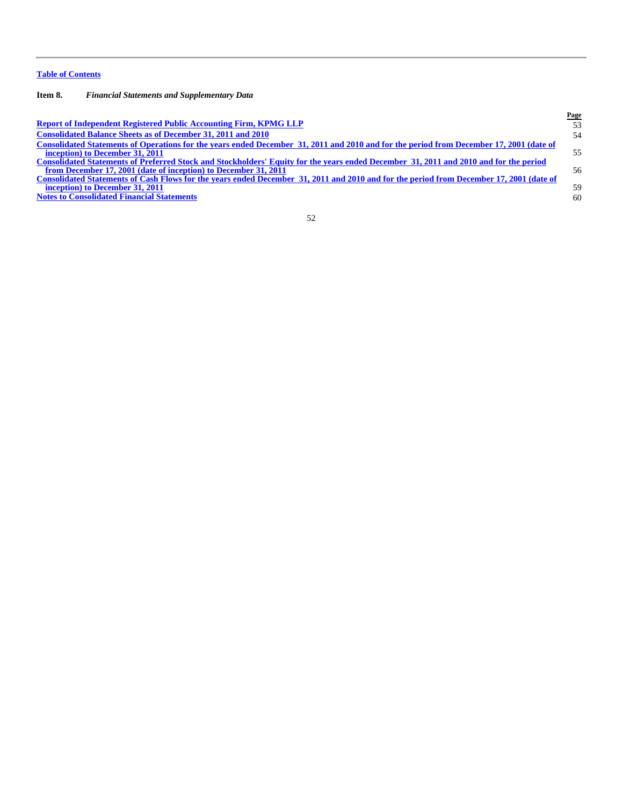**Item 8.** *Financial Statements and Supplementary Data*

|                                                                                                                                         | Page |
|-----------------------------------------------------------------------------------------------------------------------------------------|------|
| <b>Report of Independent Registered Public Accounting Firm, KPMG LLP</b>                                                                | 53   |
| <b>Consolidated Balance Sheets as of December 31, 2011 and 2010</b>                                                                     | 54   |
| Consolidated Statements of Operations for the years ended December 31, 2011 and 2010 and for the period from December 17, 2001 (date of |      |
| inception) to December 31, 2011                                                                                                         | 55   |
| Consolidated Statements of Preferred Stock and Stockholders' Equity for the years ended December 31, 2011 and 2010 and for the period   |      |
| from December 17, 2001 (date of inception) to December 31, 2011                                                                         | 56   |
| Consolidated Statements of Cash Flows for the years ended December 31, 2011 and 2010 and for the period from December 17, 2001 (date of |      |
| inception) to December 31, 2011                                                                                                         | 59   |
| <b>Notes to Consolidated Financial Statements</b>                                                                                       | 60   |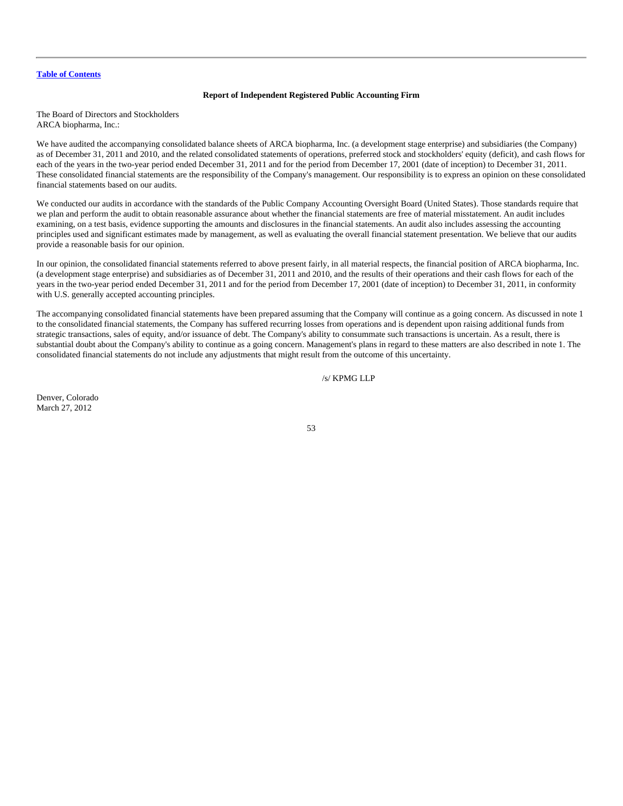# **Report of Independent Registered Public Accounting Firm**

<span id="page-53-0"></span>The Board of Directors and Stockholders ARCA biopharma, Inc.:

We have audited the accompanying consolidated balance sheets of ARCA biopharma, Inc. (a development stage enterprise) and subsidiaries (the Company) as of December 31, 2011 and 2010, and the related consolidated statements of operations, preferred stock and stockholders' equity (deficit), and cash flows for each of the years in the two-year period ended December 31, 2011 and for the period from December 17, 2001 (date of inception) to December 31, 2011. These consolidated financial statements are the responsibility of the Company's management. Our responsibility is to express an opinion on these consolidated financial statements based on our audits.

We conducted our audits in accordance with the standards of the Public Company Accounting Oversight Board (United States). Those standards require that we plan and perform the audit to obtain reasonable assurance about whether the financial statements are free of material misstatement. An audit includes examining, on a test basis, evidence supporting the amounts and disclosures in the financial statements. An audit also includes assessing the accounting principles used and significant estimates made by management, as well as evaluating the overall financial statement presentation. We believe that our audits provide a reasonable basis for our opinion.

In our opinion, the consolidated financial statements referred to above present fairly, in all material respects, the financial position of ARCA biopharma, Inc. (a development stage enterprise) and subsidiaries as of December 31, 2011 and 2010, and the results of their operations and their cash flows for each of the years in the two-year period ended December 31, 2011 and for the period from December 17, 2001 (date of inception) to December 31, 2011, in conformity with U.S. generally accepted accounting principles.

The accompanying consolidated financial statements have been prepared assuming that the Company will continue as a going concern. As discussed in note 1 to the consolidated financial statements, the Company has suffered recurring losses from operations and is dependent upon raising additional funds from strategic transactions, sales of equity, and/or issuance of debt. The Company's ability to consummate such transactions is uncertain. As a result, there is substantial doubt about the Company's ability to continue as a going concern. Management's plans in regard to these matters are also described in note 1. The consolidated financial statements do not include any adjustments that might result from the outcome of this uncertainty.

# /s/ KPMG LLP

Denver, Colorado March 27, 2012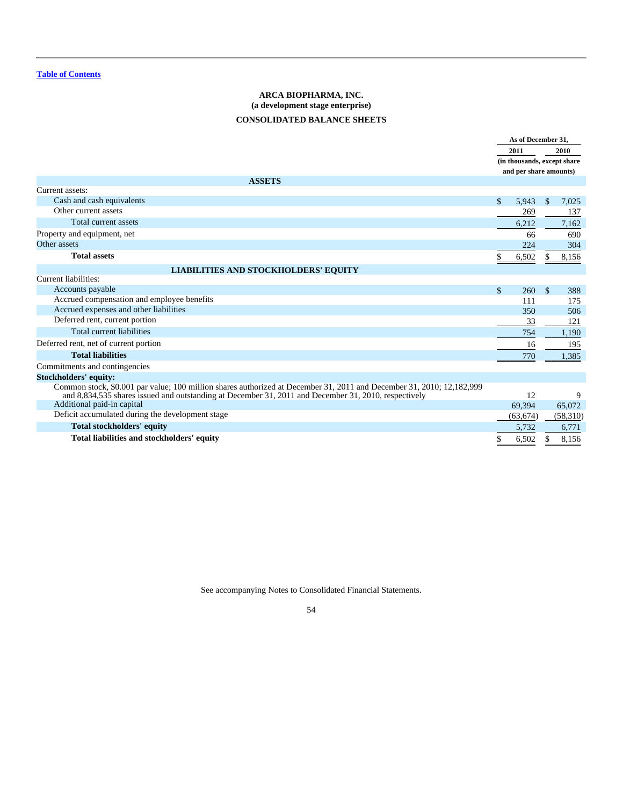# **ARCA BIOPHARMA, INC. (a development stage enterprise) CONSOLIDATED BALANCE SHEETS**

<span id="page-54-0"></span>

|                                                                                                                                                                                                                               |     | As of December 31.<br>2011<br>(in thousands, except share<br>and per share amounts) |               | 2010     |
|-------------------------------------------------------------------------------------------------------------------------------------------------------------------------------------------------------------------------------|-----|-------------------------------------------------------------------------------------|---------------|----------|
| <b>ASSETS</b>                                                                                                                                                                                                                 |     |                                                                                     |               |          |
| Current assets:                                                                                                                                                                                                               |     |                                                                                     |               |          |
| Cash and cash equivalents                                                                                                                                                                                                     | \$. | 5.943                                                                               | $\mathbb{S}$  | 7,025    |
| Other current assets                                                                                                                                                                                                          |     | 269                                                                                 |               | 137      |
| Total current assets                                                                                                                                                                                                          |     | 6,212                                                                               |               | 7,162    |
| Property and equipment, net                                                                                                                                                                                                   |     | 66                                                                                  |               | 690      |
| Other assets                                                                                                                                                                                                                  |     | 224                                                                                 |               | 304      |
| <b>Total assets</b>                                                                                                                                                                                                           |     | 6,502                                                                               |               | 8,156    |
| <b>LIABILITIES AND STOCKHOLDERS' EQUITY</b>                                                                                                                                                                                   |     |                                                                                     |               |          |
| Current liabilities:                                                                                                                                                                                                          |     |                                                                                     |               |          |
| Accounts payable                                                                                                                                                                                                              | \$  | 260                                                                                 | $\mathcal{S}$ | 388      |
| Accrued compensation and employee benefits                                                                                                                                                                                    |     | 111                                                                                 |               | 175      |
| Accrued expenses and other liabilities                                                                                                                                                                                        |     | 350                                                                                 |               | 506      |
| Deferred rent, current portion                                                                                                                                                                                                |     | 33                                                                                  |               | 121      |
| Total current liabilities                                                                                                                                                                                                     |     | 754                                                                                 |               | 1,190    |
| Deferred rent, net of current portion                                                                                                                                                                                         |     | 16                                                                                  |               | 195      |
| <b>Total liabilities</b>                                                                                                                                                                                                      |     | 770                                                                                 |               | 1,385    |
| Commitments and contingencies                                                                                                                                                                                                 |     |                                                                                     |               |          |
| Stockholders' equity:                                                                                                                                                                                                         |     |                                                                                     |               |          |
| Common stock, \$0.001 par value; 100 million shares authorized at December 31, 2011 and December 31, 2010; 12,182,999<br>and 8,834,535 shares issued and outstanding at December 31, 2011 and December 31, 2010, respectively |     | 12                                                                                  |               | 9        |
| Additional paid-in capital                                                                                                                                                                                                    |     | 69,394                                                                              |               | 65,072   |
| Deficit accumulated during the development stage                                                                                                                                                                              |     | (63, 674)                                                                           |               | (58,310) |
| <b>Total stockholders' equity</b>                                                                                                                                                                                             |     | 5,732                                                                               |               | 6,771    |
| Total liabilities and stockholders' equity                                                                                                                                                                                    |     | 6,502                                                                               |               | 8,156    |

See accompanying Notes to Consolidated Financial Statements.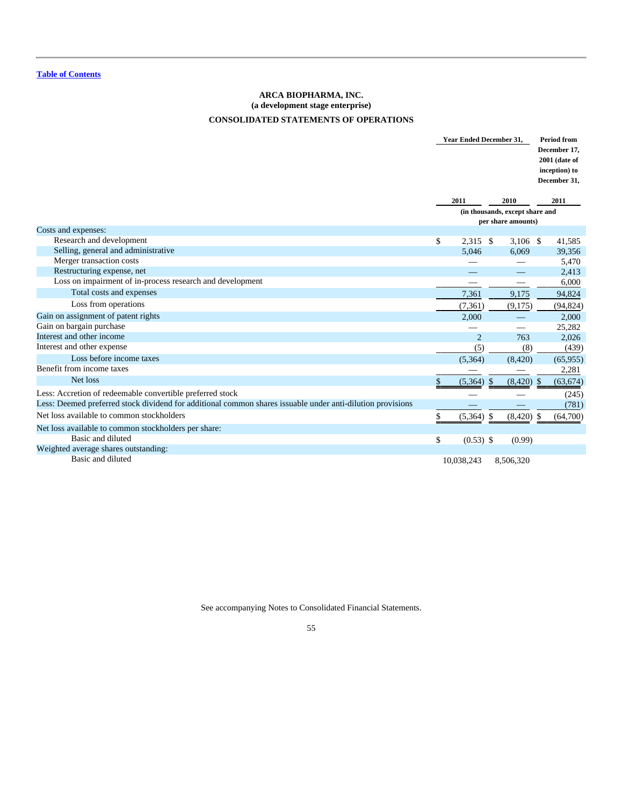# **ARCA BIOPHARMA, INC. (a development stage enterprise) CONSOLIDATED STATEMENTS OF OPERATIONS**

<span id="page-55-0"></span>

|                                                                                                            |                    | <b>Year Ended December 31,</b>  | <b>Period from</b><br>December 17.<br>2001 (date of<br>inception) to<br>December 31, |
|------------------------------------------------------------------------------------------------------------|--------------------|---------------------------------|--------------------------------------------------------------------------------------|
|                                                                                                            | 2011               | 2010                            | 2011                                                                                 |
|                                                                                                            |                    | (in thousands, except share and |                                                                                      |
|                                                                                                            |                    | per share amounts)              |                                                                                      |
| Costs and expenses:                                                                                        |                    |                                 |                                                                                      |
| Research and development                                                                                   | \$<br>$2.315$ \$   | $3,106$ \$                      | 41,585                                                                               |
| Selling, general and administrative                                                                        | 5.046              | 6.069                           | 39,356                                                                               |
| Merger transaction costs<br>Restructuring expense, net                                                     |                    |                                 | 5,470                                                                                |
| Loss on impairment of in-process research and development                                                  |                    |                                 | 2,413<br>6,000                                                                       |
| Total costs and expenses                                                                                   |                    |                                 |                                                                                      |
|                                                                                                            | 7,361              | 9,175                           | 94,824                                                                               |
| Loss from operations                                                                                       | (7, 361)           | (9,175)                         | (94, 824)                                                                            |
| Gain on assignment of patent rights                                                                        | 2.000              |                                 | 2,000                                                                                |
| Gain on bargain purchase                                                                                   |                    |                                 | 25,282                                                                               |
| Interest and other income                                                                                  | $\overline{2}$     | 763                             | 2,026                                                                                |
| Interest and other expense                                                                                 | (5)                | (8)                             | (439)                                                                                |
| Loss before income taxes                                                                                   | (5,364)            | (8,420)                         | (65, 955)                                                                            |
| Benefit from income taxes                                                                                  |                    |                                 | 2,281                                                                                |
| Net loss                                                                                                   | \$<br>$(5,364)$ \$ | $(8,420)$ \$                    | (63, 674)                                                                            |
| Less: Accretion of redeemable convertible preferred stock                                                  |                    |                                 | (245)                                                                                |
| Less: Deemed preferred stock dividend for additional common shares issuable under anti-dilution provisions |                    |                                 | (781)                                                                                |
| Net loss available to common stockholders                                                                  | $(5,364)$ \$       | (8,420)                         | (64,700)<br>-S                                                                       |
| Net loss available to common stockholders per share:                                                       |                    |                                 |                                                                                      |
| Basic and diluted                                                                                          | \$<br>$(0.53)$ \$  | (0.99)                          |                                                                                      |
| Weighted average shares outstanding:                                                                       |                    |                                 |                                                                                      |
| Basic and diluted                                                                                          | 10,038,243         | 8,506,320                       |                                                                                      |

See accompanying Notes to Consolidated Financial Statements.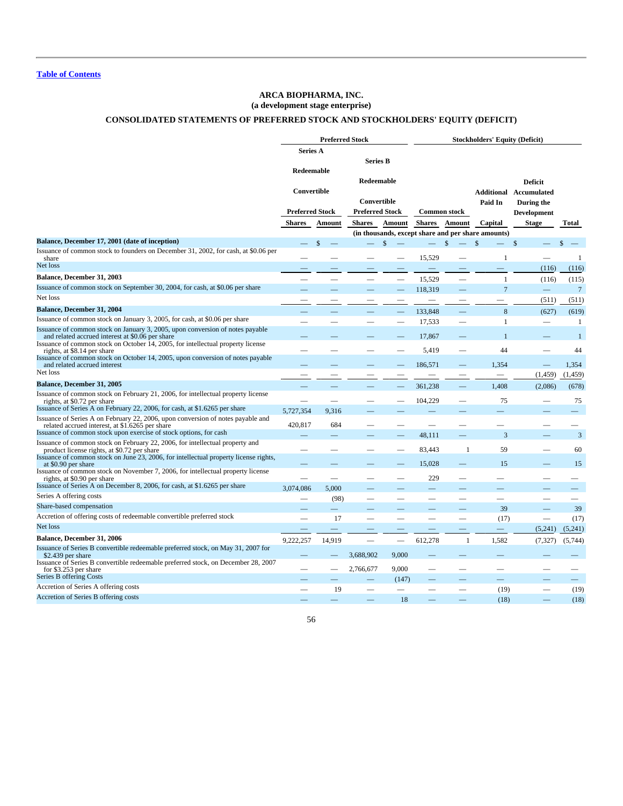# **ARCA BIOPHARMA, INC. (a development stage enterprise)**

# **CONSOLIDATED STATEMENTS OF PREFERRED STOCK AND STOCKHOLDERS' EQUITY (DEFICIT)**

<span id="page-56-0"></span>

|                                                                                                                                                                                                  |                                                     | <b>Preferred Stock</b>   |                                                     |                          | <b>Stockholders' Equity (Deficit)</b> |                          |                                                    |                                                                                     |                          |
|--------------------------------------------------------------------------------------------------------------------------------------------------------------------------------------------------|-----------------------------------------------------|--------------------------|-----------------------------------------------------|--------------------------|---------------------------------------|--------------------------|----------------------------------------------------|-------------------------------------------------------------------------------------|--------------------------|
|                                                                                                                                                                                                  | <b>Series A</b>                                     |                          | <b>Series B</b>                                     |                          |                                       |                          |                                                    |                                                                                     |                          |
|                                                                                                                                                                                                  | Redeemable<br>Convertible<br><b>Preferred Stock</b> |                          | Redeemable<br>Convertible<br><b>Preferred Stock</b> |                          |                                       | <b>Common stock</b>      |                                                    | <b>Deficit</b><br><b>Additional Accumulated</b><br>During the<br><b>Development</b> |                          |
|                                                                                                                                                                                                  | <b>Shares</b>                                       | Amount                   | <b>Shares</b>                                       | Amount                   | <b>Shares</b>                         | Amount                   | Capital                                            | <b>Stage</b>                                                                        | Total                    |
|                                                                                                                                                                                                  |                                                     |                          |                                                     |                          |                                       |                          | (in thousands, except share and per share amounts) |                                                                                     |                          |
| Balance, December 17, 2001 (date of inception)                                                                                                                                                   |                                                     | \$                       |                                                     |                          |                                       | \$                       | \$                                                 | \$                                                                                  | \$                       |
| Issuance of common stock to founders on December 31, 2002, for cash, at \$0.06 per<br>share                                                                                                      |                                                     |                          |                                                     | $\overline{\phantom{0}}$ | 15,529                                |                          | -1                                                 |                                                                                     | -1                       |
| Net loss                                                                                                                                                                                         |                                                     |                          |                                                     |                          | $\qquad \qquad -$                     |                          | $\qquad \qquad$                                    | (116)                                                                               | (116)                    |
| Balance, December 31, 2003                                                                                                                                                                       |                                                     |                          |                                                     |                          | 15,529                                |                          | 1                                                  | (116)                                                                               | (115)                    |
| Issuance of common stock on September 30, 2004, for cash, at \$0.06 per share                                                                                                                    |                                                     |                          |                                                     |                          | 118,319                               |                          | $\overline{7}$                                     |                                                                                     | $\overline{7}$           |
| Net loss                                                                                                                                                                                         |                                                     |                          |                                                     |                          |                                       |                          |                                                    | (511)                                                                               | (511)                    |
| <b>Balance, December 31, 2004</b>                                                                                                                                                                |                                                     |                          |                                                     |                          | 133,848                               |                          | 8                                                  | (627)                                                                               | (619)                    |
| Issuance of common stock on January 3, 2005, for cash, at \$0.06 per share                                                                                                                       |                                                     |                          |                                                     |                          | 17,533                                |                          | 1                                                  | $\overline{\phantom{m}}$                                                            | -1                       |
| Issuance of common stock on January 3, 2005, upon conversion of notes payable<br>and related accrued interest at \$0.06 per share                                                                |                                                     |                          |                                                     |                          | 17,867                                |                          |                                                    |                                                                                     | -1                       |
| Issuance of common stock on October 14, 2005, for intellectual property license<br>rights, at \$8.14 per share<br>Issuance of common stock on October 14, 2005, upon conversion of notes payable |                                                     |                          |                                                     |                          | 5,419                                 |                          | 44                                                 |                                                                                     | 44                       |
| and related accrued interest<br>Net loss                                                                                                                                                         |                                                     |                          |                                                     |                          | 186,571                               |                          | 1,354<br>$\overline{\phantom{0}}$                  | (1, 459)                                                                            | 1,354<br>(1, 459)        |
| <b>Balance, December 31, 2005</b>                                                                                                                                                                |                                                     |                          |                                                     |                          |                                       |                          |                                                    |                                                                                     |                          |
| Issuance of common stock on February 21, 2006, for intellectual property license<br>rights, at \$0.72 per share                                                                                  | -                                                   | $\overline{\phantom{m}}$ |                                                     |                          | 361,238<br>104,229                    |                          | 1,408<br>75                                        | (2,086)<br>-                                                                        | (678)<br>75              |
| Issuance of Series A on February 22, 2006, for cash, at \$1.6265 per share                                                                                                                       | 5,727,354                                           | 9,316                    |                                                     |                          |                                       |                          |                                                    |                                                                                     |                          |
| Issuance of Series A on February 22, 2006, upon conversion of notes payable and<br>related accrued interest, at \$1.6265 per share                                                               | 420,817                                             | 684                      |                                                     |                          | -                                     |                          |                                                    |                                                                                     |                          |
| Issuance of common stock upon exercise of stock options, for cash                                                                                                                                |                                                     |                          |                                                     |                          | 48,111                                |                          | 3                                                  |                                                                                     | 3                        |
| Issuance of common stock on February 22, 2006, for intellectual property and<br>product license rights, at \$0.72 per share                                                                      |                                                     |                          |                                                     |                          | 83,443                                | $\mathbf{1}$             | 59                                                 |                                                                                     | 60                       |
| Issuance of common stock on June 23, 2006, for intellectual property license rights,<br>at \$0.90 per share<br>Issuance of common stock on November 7, 2006, for intellectual property license   |                                                     |                          |                                                     |                          | 15,028                                |                          | 15                                                 |                                                                                     | 15                       |
| rights, at \$0.90 per share                                                                                                                                                                      |                                                     |                          |                                                     |                          | 229                                   |                          |                                                    |                                                                                     |                          |
| Issuance of Series A on December 8, 2006, for cash, at \$1.6265 per share                                                                                                                        | 3,074,086                                           | 5,000                    |                                                     |                          |                                       |                          |                                                    |                                                                                     |                          |
| Series A offering costs<br>Share-based compensation                                                                                                                                              |                                                     | (98)                     | $\overline{\phantom{0}}$                            |                          |                                       | -                        |                                                    |                                                                                     |                          |
| Accretion of offering costs of redeemable convertible preferred stock                                                                                                                            |                                                     | —                        |                                                     |                          |                                       |                          | 39                                                 |                                                                                     | 39                       |
| Net loss                                                                                                                                                                                         |                                                     | 17                       |                                                     |                          | $\overline{\phantom{0}}$              | $\overline{\phantom{a}}$ | (17)                                               | $\overline{\phantom{0}}$                                                            | (17)                     |
|                                                                                                                                                                                                  |                                                     |                          |                                                     |                          | $\overline{\phantom{0}}$              |                          |                                                    | (5,241)                                                                             | (5,241)                  |
| <b>Balance, December 31, 2006</b>                                                                                                                                                                | 9,222,257                                           | 14,919                   |                                                     |                          | 612,278                               | $\mathbf{1}$             | 1,582                                              | (7, 327)                                                                            | (5,744)                  |
| Issuance of Series B convertible redeemable preferred stock, on May 31, 2007 for<br>\$2.439 per share<br>Issuance of Series B convertible redeemable preferred stock, on December 28, 2007       |                                                     |                          | 3,688,902                                           | 9,000                    |                                       |                          |                                                    |                                                                                     |                          |
| for \$3.253 per share                                                                                                                                                                            |                                                     |                          | 2,766,677                                           | 9,000                    |                                       |                          |                                                    |                                                                                     |                          |
| Series B offering Costs                                                                                                                                                                          |                                                     |                          |                                                     | (147)                    |                                       |                          |                                                    |                                                                                     | $\overline{\phantom{0}}$ |
| Accretion of Series A offering costs                                                                                                                                                             |                                                     | 19                       |                                                     |                          |                                       | $\overline{\phantom{0}}$ | (19)                                               | $\overline{\phantom{0}}$                                                            | (19)                     |
| Accretion of Series B offering costs                                                                                                                                                             |                                                     |                          |                                                     | 18                       |                                       |                          | (18)                                               |                                                                                     | (18)                     |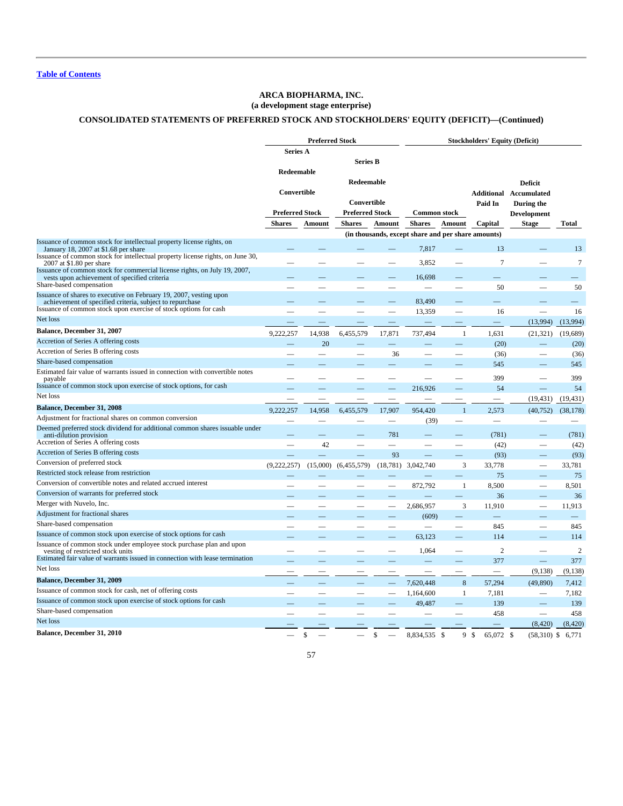# **ARCA BIOPHARMA, INC.**

# **(a development stage enterprise)**

# **CONSOLIDATED STATEMENTS OF PREFERRED STOCK AND STOCKHOLDERS' EQUITY (DEFICIT)—(Continued)**

|                                                                                                                              |                          | <b>Preferred Stock</b> |                        |                          | <b>Stockholders' Equity (Deficit)</b>              |                          |                            |                          |                  |
|------------------------------------------------------------------------------------------------------------------------------|--------------------------|------------------------|------------------------|--------------------------|----------------------------------------------------|--------------------------|----------------------------|--------------------------|------------------|
|                                                                                                                              | Series A                 |                        |                        |                          |                                                    |                          |                            |                          |                  |
|                                                                                                                              |                          |                        | Series B               |                          |                                                    |                          |                            |                          |                  |
|                                                                                                                              | Redeemable               |                        |                        |                          |                                                    |                          |                            |                          |                  |
|                                                                                                                              |                          |                        | Redeemable             |                          |                                                    |                          |                            | <b>Deficit</b>           |                  |
|                                                                                                                              | Convertible              |                        |                        |                          |                                                    |                          | Additional                 | Accumulated              |                  |
|                                                                                                                              |                          |                        | Convertible            |                          |                                                    |                          | Paid In                    | During the               |                  |
|                                                                                                                              | <b>Preferred Stock</b>   |                        | <b>Preferred Stock</b> |                          | <b>Common stock</b>                                |                          |                            | <b>Development</b>       |                  |
|                                                                                                                              | <b>Shares</b>            | Amount                 | <b>Shares</b>          | Amount                   | <b>Shares</b>                                      | Amount                   | Capital                    | <b>Stage</b>             | Total            |
|                                                                                                                              |                          |                        |                        |                          | (in thousands, except share and per share amounts) |                          |                            |                          |                  |
| Issuance of common stock for intellectual property license rights, on                                                        |                          |                        |                        |                          | 7,817                                              |                          | 13                         |                          | 13               |
| January 18, 2007 at \$1.68 per share<br>Issuance of common stock for intellectual property license rights, on June 30,       |                          |                        |                        |                          |                                                    |                          |                            |                          |                  |
| 2007 at \$1.80 per share                                                                                                     |                          |                        |                        |                          | 3,852                                              |                          | 7                          |                          | $\boldsymbol{7}$ |
| Issuance of common stock for commercial license rights, on July 19, 2007,<br>vests upon achievement of specified criteria    |                          |                        |                        |                          | 16,698                                             |                          |                            |                          |                  |
| Share-based compensation                                                                                                     |                          |                        |                        |                          |                                                    |                          | 50                         |                          | 50               |
| Issuance of shares to executive on February 19, 2007, vesting upon                                                           |                          |                        |                        |                          |                                                    |                          |                            |                          |                  |
| achievement of specified criteria, subject to repurchase<br>Issuance of common stock upon exercise of stock options for cash |                          |                        |                        |                          | 83,490                                             |                          |                            |                          |                  |
| Net loss                                                                                                                     |                          |                        |                        |                          | 13,359                                             |                          | 16                         |                          | 16               |
|                                                                                                                              |                          |                        |                        |                          |                                                    |                          |                            | (13,994)                 | (13,994)         |
| Balance, December 31, 2007                                                                                                   | 9,222,257                | 14,938                 | 6,455,579              | 17,871                   | 737,494                                            | -1                       | 1,631                      | (21, 321)                | (19,689)         |
| Accretion of Series A offering costs                                                                                         |                          | 20                     |                        |                          |                                                    |                          | (20)                       |                          | (20)             |
| Accretion of Series B offering costs                                                                                         |                          |                        | -                      | 36                       |                                                    | $\overline{\phantom{0}}$ | (36)                       | $\qquad \qquad$          | (36)             |
| Share-based compensation                                                                                                     |                          |                        |                        |                          |                                                    |                          | 545                        |                          | 545              |
| Estimated fair value of warrants issued in connection with convertible notes<br>payable                                      |                          |                        |                        |                          |                                                    |                          | 399                        |                          | 399              |
| Issuance of common stock upon exercise of stock options, for cash                                                            |                          |                        |                        |                          | 216,926                                            |                          | 54                         |                          | 54               |
| Net loss                                                                                                                     |                          |                        |                        | $\overline{\phantom{0}}$ |                                                    |                          |                            | (19, 431)                | (19, 431)        |
| <b>Balance, December 31, 2008</b>                                                                                            | 9.222.257                | 14,958                 | 6,455,579              | 17,907                   | 954,420                                            | $\mathbf{1}$             | 2,573                      | (40, 752)                | (38, 178)        |
| Adjustment for fractional shares on common conversion                                                                        |                          |                        |                        |                          | (39)                                               | $\overline{\phantom{0}}$ | $\overline{\phantom{m}}$   |                          |                  |
| Deemed preferred stock dividend for additional common shares issuable under                                                  |                          |                        |                        |                          |                                                    |                          |                            |                          |                  |
| anti-dilution provision                                                                                                      |                          |                        |                        | 781                      |                                                    |                          | (781)                      |                          | (781)            |
| Accretion of Series A offering costs                                                                                         | $\overline{\phantom{0}}$ | 42                     |                        |                          |                                                    | $\overline{\phantom{0}}$ | (42)                       | -                        | (42)             |
| Accretion of Series B offering costs                                                                                         |                          |                        |                        | 93                       |                                                    |                          | (93)                       |                          | (93)             |
| Conversion of preferred stock                                                                                                | (9,222,257)              | (15,000)               | (6,455,579)            | (18, 781)                | 3,042,740                                          | 3                        | 33,778                     |                          | 33,781           |
| Restricted stock release from restriction                                                                                    |                          |                        |                        |                          |                                                    | -                        | 75                         |                          | 75               |
| Conversion of convertible notes and related accrued interest                                                                 |                          |                        |                        |                          | 872,792                                            | 1                        | 8,500                      |                          | 8,501            |
| Conversion of warrants for preferred stock                                                                                   |                          |                        |                        |                          |                                                    |                          | 36                         |                          | 36               |
| Merger with Nuvelo, Inc.                                                                                                     |                          |                        | -                      | $\overline{\phantom{a}}$ | 2,686,957                                          | 3                        | 11,910                     | $\overline{\phantom{0}}$ | 11,913           |
| Adjustment for fractional shares                                                                                             |                          |                        |                        |                          | (609)                                              |                          |                            |                          |                  |
| Share-based compensation                                                                                                     |                          |                        |                        |                          |                                                    |                          | 845                        |                          | 845              |
| Issuance of common stock upon exercise of stock options for cash                                                             |                          |                        |                        |                          | 63,123                                             |                          | 114                        |                          | 114              |
| Issuance of common stock under employee stock purchase plan and upon<br>vesting of restricted stock units                    |                          |                        |                        |                          | 1,064                                              |                          | $\overline{2}$             |                          | $\overline{2}$   |
| Estimated fair value of warrants issued in connection with lease termination                                                 |                          |                        |                        |                          |                                                    |                          | 377                        |                          | 377              |
| Net loss                                                                                                                     |                          |                        |                        |                          |                                                    |                          |                            | (9, 138)                 | (9, 138)         |
| <b>Balance, December 31, 2009</b>                                                                                            |                          |                        |                        |                          | 7,620,448                                          | $\,$ 8 $\,$              | 57,294                     | (49, 890)                | 7,412            |
| Issuance of common stock for cash, net of offering costs                                                                     |                          |                        |                        |                          | 1,164,600                                          | 1                        | 7,181                      |                          | 7,182            |
| Issuance of common stock upon exercise of stock options for cash                                                             |                          |                        |                        |                          | 49,487                                             |                          | 139                        |                          | 139              |
| Share-based compensation                                                                                                     |                          |                        |                        | $\overline{\phantom{0}}$ |                                                    |                          | 458                        |                          | 458              |
| Net loss                                                                                                                     |                          |                        |                        |                          |                                                    |                          |                            | (8,420)                  | (8,420)          |
| <b>Balance, December 31, 2010</b>                                                                                            |                          |                        |                        |                          |                                                    |                          |                            |                          |                  |
|                                                                                                                              |                          | \$                     |                        | \$                       | 8,834,535                                          | 9<br>$\mathcal{S}$       | $\mathcal{S}$<br>65,072 \$ | $(58,310)$ \$            | 6,771            |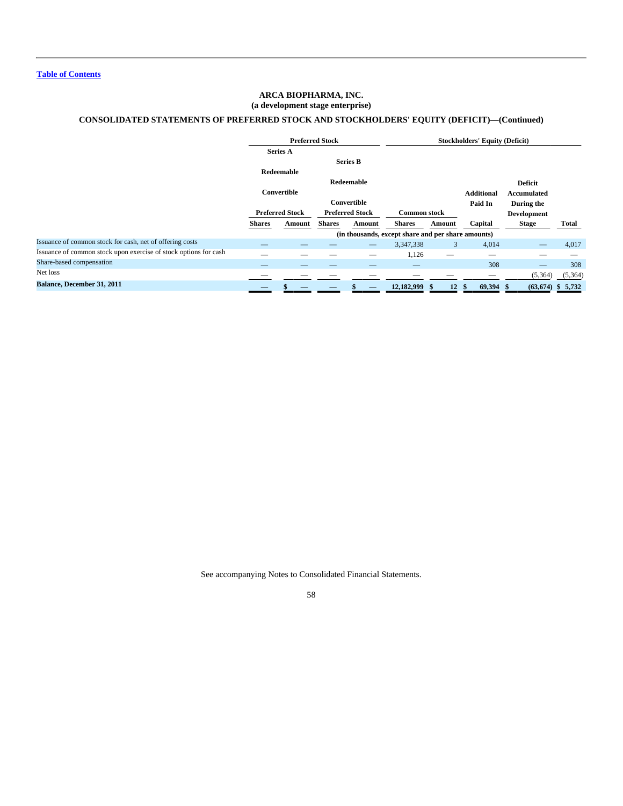# **ARCA BIOPHARMA, INC. (a development stage enterprise)**

# **CONSOLIDATED STATEMENTS OF PREFERRED STOCK AND STOCKHOLDERS' EQUITY (DEFICIT)—(Continued)**

|                                                                  |               |                        | <b>Preferred Stock</b> |                        |                                                    | <b>Stockholders' Equity (Deficit)</b> |                   |                    |              |  |
|------------------------------------------------------------------|---------------|------------------------|------------------------|------------------------|----------------------------------------------------|---------------------------------------|-------------------|--------------------|--------------|--|
|                                                                  |               | <b>Series A</b>        |                        |                        |                                                    |                                       |                   |                    |              |  |
|                                                                  |               |                        |                        | <b>Series B</b>        |                                                    |                                       |                   |                    |              |  |
|                                                                  |               | Redeemable             |                        |                        |                                                    |                                       |                   |                    |              |  |
|                                                                  |               |                        |                        | Redeemable             |                                                    |                                       |                   | <b>Deficit</b>     |              |  |
|                                                                  |               | Convertible            |                        |                        |                                                    |                                       | <b>Additional</b> | Accumulated        |              |  |
|                                                                  |               |                        |                        | Convertible            |                                                    |                                       | Paid In           | During the         |              |  |
|                                                                  |               | <b>Preferred Stock</b> |                        | <b>Preferred Stock</b> | <b>Common stock</b>                                |                                       |                   | <b>Development</b> |              |  |
|                                                                  | <b>Shares</b> | Amount                 | <b>Shares</b>          | Amount                 | <b>Shares</b>                                      | Amount                                | Capital           | <b>Stage</b>       | <b>Total</b> |  |
|                                                                  |               |                        |                        |                        | (in thousands, except share and per share amounts) |                                       |                   |                    |              |  |
| Issuance of common stock for cash, net of offering costs         |               |                        |                        |                        | 3,347,338                                          | 3                                     | 4,014             |                    | 4,017        |  |
| Issuance of common stock upon exercise of stock options for cash | _             | --                     |                        | –                      | 1,126                                              |                                       | _                 |                    |              |  |
| Share-based compensation                                         |               |                        |                        |                        |                                                    |                                       | 308               |                    | 308          |  |
| Net loss                                                         |               |                        |                        |                        |                                                    |                                       |                   | (5,364)            | (5,364)      |  |
| Balance, December 31, 2011                                       |               |                        |                        |                        | 12,182,999 \$                                      | 12                                    | 69,394<br>Ŝ.      | (63, 674)          | \$5,732      |  |

See accompanying Notes to Consolidated Financial Statements.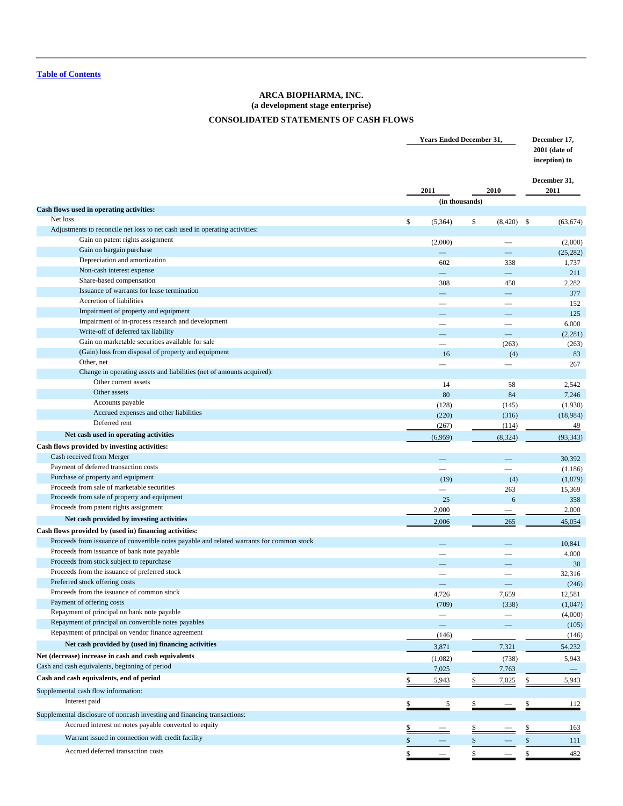# **ARCA BIOPHARMA, INC. (a development stage enterprise) CONSOLIDATED STATEMENTS OF CASH FLOWS**

<span id="page-59-0"></span>

|                                                                                           | <b>Years Ended December 31,</b> |    |                          |              |            |  |  |
|-------------------------------------------------------------------------------------------|---------------------------------|----|--------------------------|--------------|------------|--|--|
|                                                                                           |                                 |    |                          | December 31, |            |  |  |
|                                                                                           | 2011                            |    | 2010                     | 2011         |            |  |  |
| Cash flows used in operating activities:                                                  | (in thousands)                  |    |                          |              |            |  |  |
| Net loss                                                                                  | \$<br>(5,364)                   | \$ | $(8,420)$ \$             |              | (63, 674)  |  |  |
| Adjustments to reconcile net loss to net cash used in operating activities:               |                                 |    |                          |              |            |  |  |
| Gain on patent rights assignment                                                          | (2,000)                         |    | $\overline{\phantom{0}}$ |              | (2,000)    |  |  |
| Gain on bargain purchase                                                                  |                                 |    | <u>in a</u>              |              | (25, 282)  |  |  |
| Depreciation and amortization                                                             | 602                             |    | 338                      |              | 1,737      |  |  |
| Non-cash interest expense                                                                 | $\equiv$                        |    | $\overline{\phantom{0}}$ |              | 211        |  |  |
| Share-based compensation                                                                  | 308                             |    | 458                      |              | 2,282      |  |  |
| Issuance of warrants for lease termination                                                |                                 |    | $\overline{\phantom{0}}$ |              | 377        |  |  |
| Accretion of liabilities                                                                  | $\overline{\phantom{0}}$        |    | $\overline{\phantom{0}}$ |              | 152        |  |  |
| Impairment of property and equipment                                                      |                                 |    | ═                        |              | 125        |  |  |
| Impairment of in-process research and development                                         | -                               |    | $\overline{\phantom{0}}$ |              | 6,000      |  |  |
| Write-off of deferred tax liability                                                       | $\overline{\phantom{0}}$        |    | $\equiv$                 |              | (2,281)    |  |  |
| Gain on marketable securities available for sale                                          |                                 |    | (263)                    |              | (263)      |  |  |
| (Gain) loss from disposal of property and equipment                                       | 16                              |    | (4)                      |              | 83         |  |  |
| Other, net                                                                                | $\overline{\phantom{0}}$        |    |                          |              | 267        |  |  |
| Change in operating assets and liabilities (net of amounts acquired):                     |                                 |    |                          |              |            |  |  |
| Other current assets                                                                      | 14                              |    | 58                       |              | 2,542      |  |  |
| Other assets                                                                              | 80                              |    | 84                       |              | 7,246      |  |  |
| Accounts payable                                                                          | (128)                           |    | (145)                    |              | (1,930)    |  |  |
| Accrued expenses and other liabilities                                                    | (220)                           |    | (316)                    |              | (18,984)   |  |  |
| Deferred rent                                                                             | (267)                           |    | (114)                    |              | 49         |  |  |
| Net cash used in operating activities                                                     | (6,959)                         |    | (8, 324)                 |              | (93, 343)  |  |  |
| Cash flows provided by investing activities:                                              |                                 |    |                          |              |            |  |  |
| Cash received from Merger                                                                 |                                 |    | ═                        |              | 30,392     |  |  |
| Payment of deferred transaction costs                                                     |                                 |    |                          |              |            |  |  |
| Purchase of property and equipment                                                        |                                 |    |                          |              | (1,186)    |  |  |
| Proceeds from sale of marketable securities                                               | (19)                            |    | (4)                      |              | (1, 879)   |  |  |
| Proceeds from sale of property and equipment                                              | $\overline{\phantom{0}}$        |    | 263<br>6                 |              | 15,369     |  |  |
| Proceeds from patent rights assignment                                                    | 25                              |    |                          |              | 358        |  |  |
| Net cash provided by investing activities                                                 | 2,000                           |    |                          |              | 2,000      |  |  |
|                                                                                           | 2,006                           |    | 265                      |              | 45,054     |  |  |
| Cash flows provided by (used in) financing activities:                                    |                                 |    |                          |              |            |  |  |
| Proceeds from issuance of convertible notes payable and related warrants for common stock |                                 |    |                          |              | 10,841     |  |  |
| Proceeds from issuance of bank note payable                                               | $\overline{\phantom{0}}$        |    | $\overline{\phantom{0}}$ |              | 4,000      |  |  |
| Proceeds from stock subject to repurchase                                                 |                                 |    |                          |              | 38         |  |  |
| Proceeds from the issuance of preferred stock                                             |                                 |    |                          |              | 32,316     |  |  |
| Preferred stock offering costs<br>Proceeds from the issuance of common stock              |                                 |    |                          |              | (246)      |  |  |
|                                                                                           | 4,726                           |    | 7,659                    |              | 12,581     |  |  |
| Payment of offering costs                                                                 | (709)                           |    | (338)                    |              | (1,047)    |  |  |
| Repayment of principal on bank note payable                                               | $\overline{\phantom{m}}$        |    |                          |              | (4,000)    |  |  |
| Repayment of principal on convertible notes payables                                      | $\qquad \qquad -$               |    |                          |              | (105)      |  |  |
| Repayment of principal on vendor finance agreement                                        | (146)                           |    |                          |              | (146)      |  |  |
| Net cash provided by (used in) financing activities                                       | 3,871                           |    | 7,321                    |              | 54,232     |  |  |
| Net (decrease) increase in cash and cash equivalents                                      | (1,082)                         |    | (738)                    |              | 5,943      |  |  |
| Cash and cash equivalents, beginning of period                                            | 7,025                           |    | 7,763                    |              |            |  |  |
| Cash and cash equivalents, end of period                                                  | $\underline{5,943}$             | \$ | 7,025                    | \$           | 5,943      |  |  |
| Supplemental cash flow information:                                                       |                                 |    |                          |              |            |  |  |
| Interest paid                                                                             |                                 |    |                          |              |            |  |  |
|                                                                                           | $\frac{5}{1}$                   |    |                          |              | <u>112</u> |  |  |
| Supplemental disclosure of noncash investing and financing transactions:                  |                                 |    |                          |              |            |  |  |
| Accrued interest on notes payable converted to equity                                     |                                 |    |                          |              | 163        |  |  |
| Warrant issued in connection with credit facility                                         |                                 |    |                          |              | 111        |  |  |
| Accrued deferred transaction costs                                                        | \$                              | \$ |                          | \$           | 482        |  |  |
|                                                                                           |                                 |    |                          |              |            |  |  |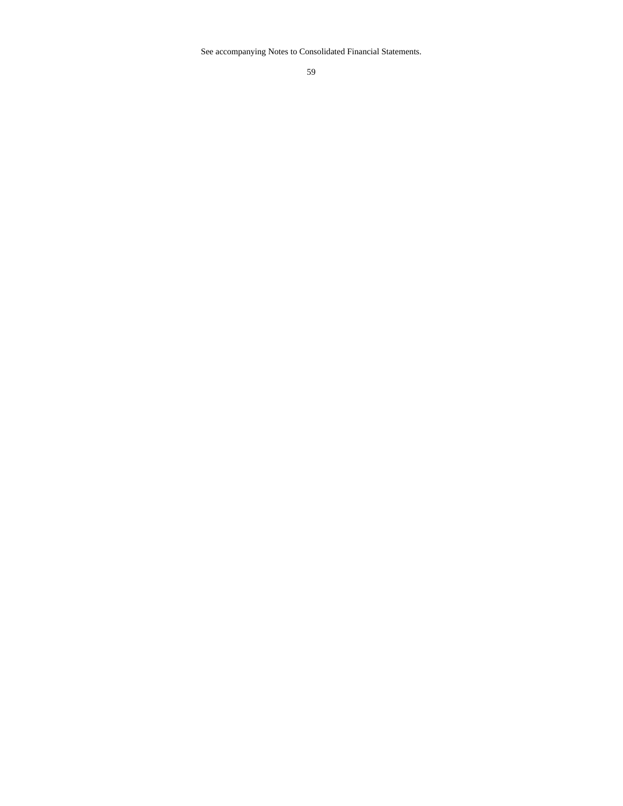See accompanying Notes to Consolidated Financial Statements.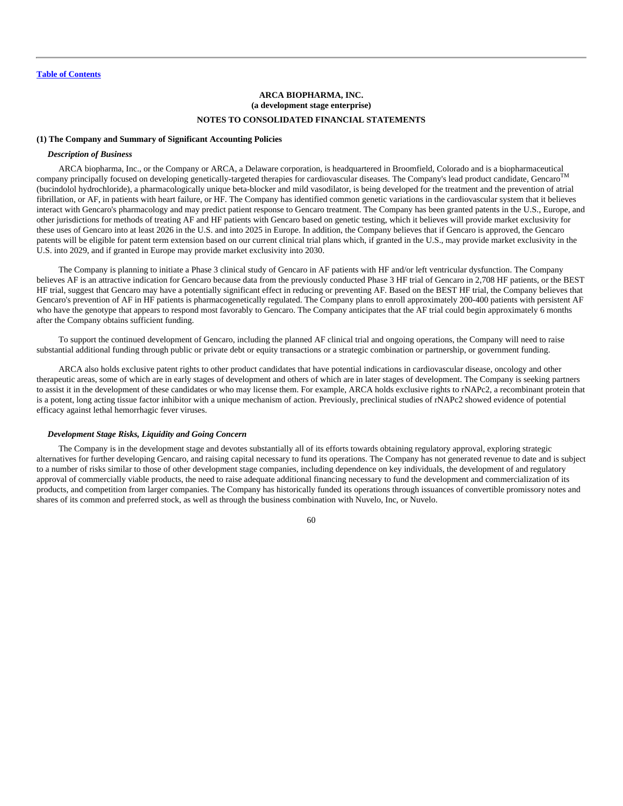# **ARCA BIOPHARMA, INC. (a development stage enterprise) NOTES TO CONSOLIDATED FINANCIAL STATEMENTS**

### <span id="page-61-0"></span>**(1) The Company and Summary of Significant Accounting Policies**

### *Description of Business*

ARCA biopharma, Inc., or the Company or ARCA, a Delaware corporation, is headquartered in Broomfield, Colorado and is a biopharmaceutical company principally focused on developing genetically-targeted therapies for cardiovascular diseases. The Company's lead product candidate, Gencaro<sup>TM</sup> (bucindolol hydrochloride), a pharmacologically unique beta-blocker and mild vasodilator, is being developed for the treatment and the prevention of atrial fibrillation, or AF, in patients with heart failure, or HF. The Company has identified common genetic variations in the cardiovascular system that it believes interact with Gencaro's pharmacology and may predict patient response to Gencaro treatment. The Company has been granted patents in the U.S., Europe, and other jurisdictions for methods of treating AF and HF patients with Gencaro based on genetic testing, which it believes will provide market exclusivity for these uses of Gencaro into at least 2026 in the U.S. and into 2025 in Europe. In addition, the Company believes that if Gencaro is approved, the Gencaro patents will be eligible for patent term extension based on our current clinical trial plans which, if granted in the U.S., may provide market exclusivity in the U.S. into 2029, and if granted in Europe may provide market exclusivity into 2030.

The Company is planning to initiate a Phase 3 clinical study of Gencaro in AF patients with HF and/or left ventricular dysfunction. The Company believes AF is an attractive indication for Gencaro because data from the previously conducted Phase 3 HF trial of Gencaro in 2,708 HF patients, or the BEST HF trial, suggest that Gencaro may have a potentially significant effect in reducing or preventing AF. Based on the BEST HF trial, the Company believes that Gencaro's prevention of AF in HF patients is pharmacogenetically regulated. The Company plans to enroll approximately 200-400 patients with persistent AF who have the genotype that appears to respond most favorably to Gencaro. The Company anticipates that the AF trial could begin approximately 6 months after the Company obtains sufficient funding.

To support the continued development of Gencaro, including the planned AF clinical trial and ongoing operations, the Company will need to raise substantial additional funding through public or private debt or equity transactions or a strategic combination or partnership, or government funding.

ARCA also holds exclusive patent rights to other product candidates that have potential indications in cardiovascular disease, oncology and other therapeutic areas, some of which are in early stages of development and others of which are in later stages of development. The Company is seeking partners to assist it in the development of these candidates or who may license them. For example, ARCA holds exclusive rights to rNAPc2, a recombinant protein that is a potent, long acting tissue factor inhibitor with a unique mechanism of action. Previously, preclinical studies of rNAPc2 showed evidence of potential efficacy against lethal hemorrhagic fever viruses.

### *Development Stage Risks, Liquidity and Going Concern*

The Company is in the development stage and devotes substantially all of its efforts towards obtaining regulatory approval, exploring strategic alternatives for further developing Gencaro, and raising capital necessary to fund its operations. The Company has not generated revenue to date and is subject to a number of risks similar to those of other development stage companies, including dependence on key individuals, the development of and regulatory approval of commercially viable products, the need to raise adequate additional financing necessary to fund the development and commercialization of its products, and competition from larger companies. The Company has historically funded its operations through issuances of convertible promissory notes and shares of its common and preferred stock, as well as through the business combination with Nuvelo, Inc, or Nuvelo.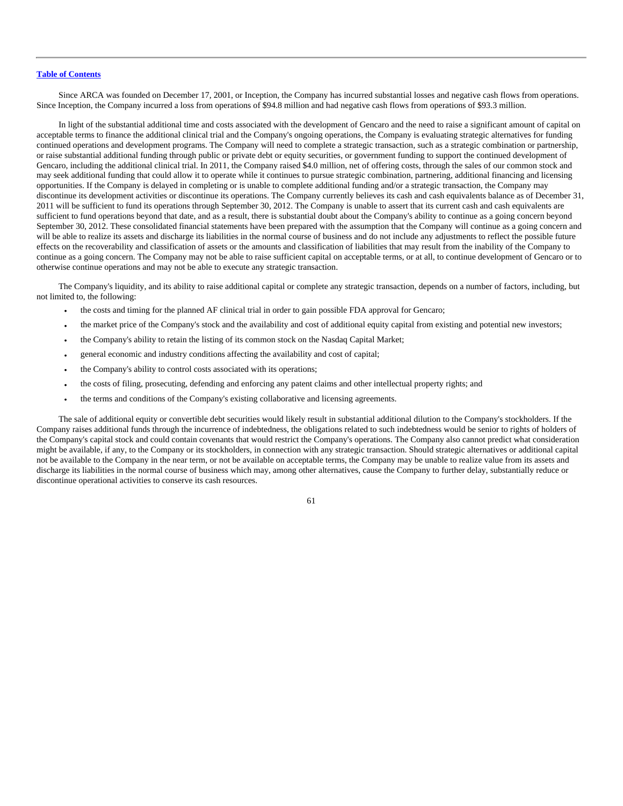Since ARCA was founded on December 17, 2001, or Inception, the Company has incurred substantial losses and negative cash flows from operations. Since Inception, the Company incurred a loss from operations of \$94.8 million and had negative cash flows from operations of \$93.3 million.

In light of the substantial additional time and costs associated with the development of Gencaro and the need to raise a significant amount of capital on acceptable terms to finance the additional clinical trial and the Company's ongoing operations, the Company is evaluating strategic alternatives for funding continued operations and development programs. The Company will need to complete a strategic transaction, such as a strategic combination or partnership, or raise substantial additional funding through public or private debt or equity securities, or government funding to support the continued development of Gencaro, including the additional clinical trial. In 2011, the Company raised \$4.0 million, net of offering costs, through the sales of our common stock and may seek additional funding that could allow it to operate while it continues to pursue strategic combination, partnering, additional financing and licensing opportunities. If the Company is delayed in completing or is unable to complete additional funding and/or a strategic transaction, the Company may discontinue its development activities or discontinue its operations. The Company currently believes its cash and cash equivalents balance as of December 31, 2011 will be sufficient to fund its operations through September 30, 2012. The Company is unable to assert that its current cash and cash equivalents are sufficient to fund operations beyond that date, and as a result, there is substantial doubt about the Company's ability to continue as a going concern beyond September 30, 2012. These consolidated financial statements have been prepared with the assumption that the Company will continue as a going concern and will be able to realize its assets and discharge its liabilities in the normal course of business and do not include any adjustments to reflect the possible future effects on the recoverability and classification of assets or the amounts and classification of liabilities that may result from the inability of the Company to continue as a going concern. The Company may not be able to raise sufficient capital on acceptable terms, or at all, to continue development of Gencaro or to otherwise continue operations and may not be able to execute any strategic transaction.

The Company's liquidity, and its ability to raise additional capital or complete any strategic transaction, depends on a number of factors, including, but not limited to, the following:

- the costs and timing for the planned AF clinical trial in order to gain possible FDA approval for Gencaro;
- the market price of the Company's stock and the availability and cost of additional equity capital from existing and potential new investors;
- the Company's ability to retain the listing of its common stock on the Nasdaq Capital Market;
- general economic and industry conditions affecting the availability and cost of capital;
- the Company's ability to control costs associated with its operations;
- the costs of filing, prosecuting, defending and enforcing any patent claims and other intellectual property rights; and
- the terms and conditions of the Company's existing collaborative and licensing agreements.

The sale of additional equity or convertible debt securities would likely result in substantial additional dilution to the Company's stockholders. If the Company raises additional funds through the incurrence of indebtedness, the obligations related to such indebtedness would be senior to rights of holders of the Company's capital stock and could contain covenants that would restrict the Company's operations. The Company also cannot predict what consideration might be available, if any, to the Company or its stockholders, in connection with any strategic transaction. Should strategic alternatives or additional capital not be available to the Company in the near term, or not be available on acceptable terms, the Company may be unable to realize value from its assets and discharge its liabilities in the normal course of business which may, among other alternatives, cause the Company to further delay, substantially reduce or discontinue operational activities to conserve its cash resources.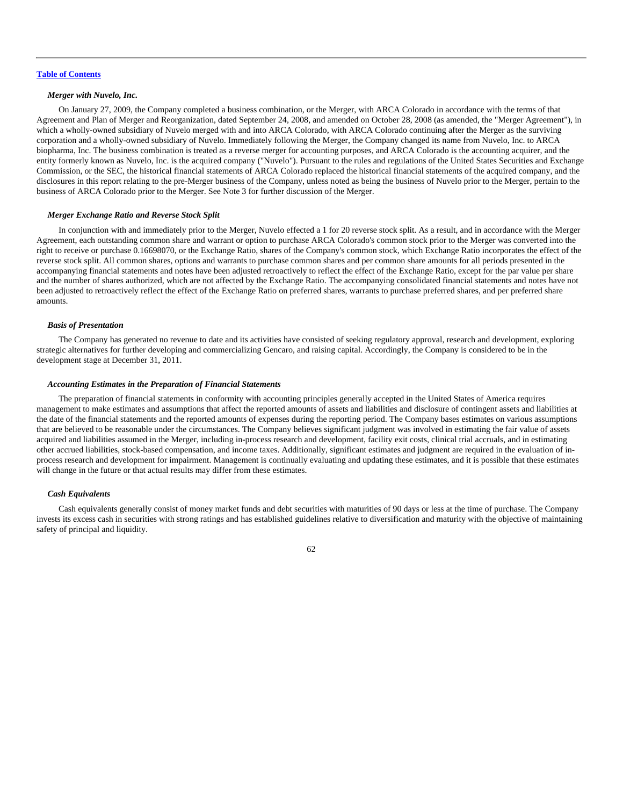# *Merger with Nuvelo, Inc.*

On January 27, 2009, the Company completed a business combination, or the Merger, with ARCA Colorado in accordance with the terms of that Agreement and Plan of Merger and Reorganization, dated September 24, 2008, and amended on October 28, 2008 (as amended, the "Merger Agreement"), in which a wholly-owned subsidiary of Nuvelo merged with and into ARCA Colorado, with ARCA Colorado continuing after the Merger as the surviving corporation and a wholly-owned subsidiary of Nuvelo. Immediately following the Merger, the Company changed its name from Nuvelo, Inc. to ARCA biopharma, Inc. The business combination is treated as a reverse merger for accounting purposes, and ARCA Colorado is the accounting acquirer, and the entity formerly known as Nuvelo, Inc. is the acquired company ("Nuvelo"). Pursuant to the rules and regulations of the United States Securities and Exchange Commission, or the SEC, the historical financial statements of ARCA Colorado replaced the historical financial statements of the acquired company, and the disclosures in this report relating to the pre-Merger business of the Company, unless noted as being the business of Nuvelo prior to the Merger, pertain to the business of ARCA Colorado prior to the Merger. See Note 3 for further discussion of the Merger.

#### *Merger Exchange Ratio and Reverse Stock Split*

In conjunction with and immediately prior to the Merger, Nuvelo effected a 1 for 20 reverse stock split. As a result, and in accordance with the Merger Agreement, each outstanding common share and warrant or option to purchase ARCA Colorado's common stock prior to the Merger was converted into the right to receive or purchase 0.16698070, or the Exchange Ratio, shares of the Company's common stock, which Exchange Ratio incorporates the effect of the reverse stock split. All common shares, options and warrants to purchase common shares and per common share amounts for all periods presented in the accompanying financial statements and notes have been adjusted retroactively to reflect the effect of the Exchange Ratio, except for the par value per share and the number of shares authorized, which are not affected by the Exchange Ratio. The accompanying consolidated financial statements and notes have not been adjusted to retroactively reflect the effect of the Exchange Ratio on preferred shares, warrants to purchase preferred shares, and per preferred share amounts.

### *Basis of Presentation*

The Company has generated no revenue to date and its activities have consisted of seeking regulatory approval, research and development, exploring strategic alternatives for further developing and commercializing Gencaro, and raising capital. Accordingly, the Company is considered to be in the development stage at December 31, 2011.

### *Accounting Estimates in the Preparation of Financial Statements*

The preparation of financial statements in conformity with accounting principles generally accepted in the United States of America requires management to make estimates and assumptions that affect the reported amounts of assets and liabilities and disclosure of contingent assets and liabilities at the date of the financial statements and the reported amounts of expenses during the reporting period. The Company bases estimates on various assumptions that are believed to be reasonable under the circumstances. The Company believes significant judgment was involved in estimating the fair value of assets acquired and liabilities assumed in the Merger, including in-process research and development, facility exit costs, clinical trial accruals, and in estimating other accrued liabilities, stock-based compensation, and income taxes. Additionally, significant estimates and judgment are required in the evaluation of inprocess research and development for impairment. Management is continually evaluating and updating these estimates, and it is possible that these estimates will change in the future or that actual results may differ from these estimates.

# *Cash Equivalents*

Cash equivalents generally consist of money market funds and debt securities with maturities of 90 days or less at the time of purchase. The Company invests its excess cash in securities with strong ratings and has established guidelines relative to diversification and maturity with the objective of maintaining safety of principal and liquidity.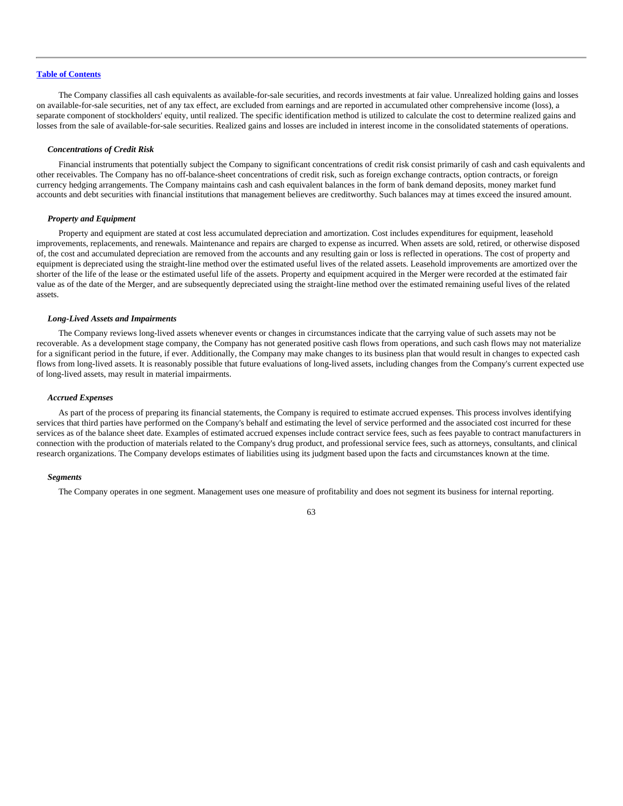The Company classifies all cash equivalents as available-for-sale securities, and records investments at fair value. Unrealized holding gains and losses on available-for-sale securities, net of any tax effect, are excluded from earnings and are reported in accumulated other comprehensive income (loss), a separate component of stockholders' equity, until realized. The specific identification method is utilized to calculate the cost to determine realized gains and losses from the sale of available-for-sale securities. Realized gains and losses are included in interest income in the consolidated statements of operations.

### *Concentrations of Credit Risk*

Financial instruments that potentially subject the Company to significant concentrations of credit risk consist primarily of cash and cash equivalents and other receivables. The Company has no off-balance-sheet concentrations of credit risk, such as foreign exchange contracts, option contracts, or foreign currency hedging arrangements. The Company maintains cash and cash equivalent balances in the form of bank demand deposits, money market fund accounts and debt securities with financial institutions that management believes are creditworthy. Such balances may at times exceed the insured amount.

### *Property and Equipment*

Property and equipment are stated at cost less accumulated depreciation and amortization. Cost includes expenditures for equipment, leasehold improvements, replacements, and renewals. Maintenance and repairs are charged to expense as incurred. When assets are sold, retired, or otherwise disposed of, the cost and accumulated depreciation are removed from the accounts and any resulting gain or loss is reflected in operations. The cost of property and equipment is depreciated using the straight-line method over the estimated useful lives of the related assets. Leasehold improvements are amortized over the shorter of the life of the lease or the estimated useful life of the assets. Property and equipment acquired in the Merger were recorded at the estimated fair value as of the date of the Merger, and are subsequently depreciated using the straight-line method over the estimated remaining useful lives of the related assets.

# *Long-Lived Assets and Impairments*

The Company reviews long-lived assets whenever events or changes in circumstances indicate that the carrying value of such assets may not be recoverable. As a development stage company, the Company has not generated positive cash flows from operations, and such cash flows may not materialize for a significant period in the future, if ever. Additionally, the Company may make changes to its business plan that would result in changes to expected cash flows from long-lived assets. It is reasonably possible that future evaluations of long-lived assets, including changes from the Company's current expected use of long-lived assets, may result in material impairments.

# *Accrued Expenses*

As part of the process of preparing its financial statements, the Company is required to estimate accrued expenses. This process involves identifying services that third parties have performed on the Company's behalf and estimating the level of service performed and the associated cost incurred for these services as of the balance sheet date. Examples of estimated accrued expenses include contract service fees, such as fees payable to contract manufacturers in connection with the production of materials related to the Company's drug product, and professional service fees, such as attorneys, consultants, and clinical research organizations. The Company develops estimates of liabilities using its judgment based upon the facts and circumstances known at the time.

#### *Segments*

The Company operates in one segment. Management uses one measure of profitability and does not segment its business for internal reporting.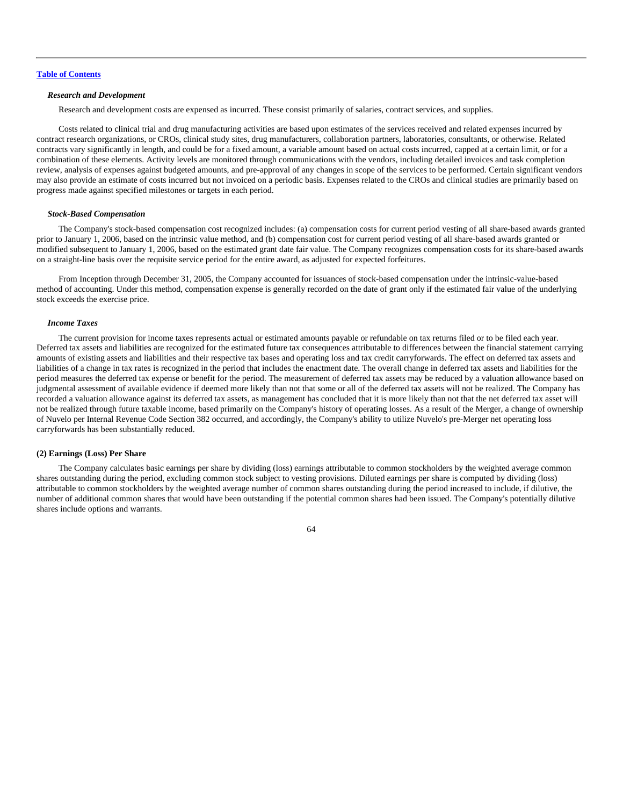# *Research and Development*

Research and development costs are expensed as incurred. These consist primarily of salaries, contract services, and supplies.

Costs related to clinical trial and drug manufacturing activities are based upon estimates of the services received and related expenses incurred by contract research organizations, or CROs, clinical study sites, drug manufacturers, collaboration partners, laboratories, consultants, or otherwise. Related contracts vary significantly in length, and could be for a fixed amount, a variable amount based on actual costs incurred, capped at a certain limit, or for a combination of these elements. Activity levels are monitored through communications with the vendors, including detailed invoices and task completion review, analysis of expenses against budgeted amounts, and pre-approval of any changes in scope of the services to be performed. Certain significant vendors may also provide an estimate of costs incurred but not invoiced on a periodic basis. Expenses related to the CROs and clinical studies are primarily based on progress made against specified milestones or targets in each period.

### *Stock-Based Compensation*

The Company's stock-based compensation cost recognized includes: (a) compensation costs for current period vesting of all share-based awards granted prior to January 1, 2006, based on the intrinsic value method, and (b) compensation cost for current period vesting of all share-based awards granted or modified subsequent to January 1, 2006, based on the estimated grant date fair value. The Company recognizes compensation costs for its share-based awards on a straight-line basis over the requisite service period for the entire award, as adjusted for expected forfeitures.

From Inception through December 31, 2005, the Company accounted for issuances of stock-based compensation under the intrinsic-value-based method of accounting. Under this method, compensation expense is generally recorded on the date of grant only if the estimated fair value of the underlying stock exceeds the exercise price.

### *Income Taxes*

The current provision for income taxes represents actual or estimated amounts payable or refundable on tax returns filed or to be filed each year. Deferred tax assets and liabilities are recognized for the estimated future tax consequences attributable to differences between the financial statement carrying amounts of existing assets and liabilities and their respective tax bases and operating loss and tax credit carryforwards. The effect on deferred tax assets and liabilities of a change in tax rates is recognized in the period that includes the enactment date. The overall change in deferred tax assets and liabilities for the period measures the deferred tax expense or benefit for the period. The measurement of deferred tax assets may be reduced by a valuation allowance based on judgmental assessment of available evidence if deemed more likely than not that some or all of the deferred tax assets will not be realized. The Company has recorded a valuation allowance against its deferred tax assets, as management has concluded that it is more likely than not that the net deferred tax asset will not be realized through future taxable income, based primarily on the Company's history of operating losses. As a result of the Merger, a change of ownership of Nuvelo per Internal Revenue Code Section 382 occurred, and accordingly, the Company's ability to utilize Nuvelo's pre-Merger net operating loss carryforwards has been substantially reduced.

### **(2) Earnings (Loss) Per Share**

The Company calculates basic earnings per share by dividing (loss) earnings attributable to common stockholders by the weighted average common shares outstanding during the period, excluding common stock subject to vesting provisions. Diluted earnings per share is computed by dividing (loss) attributable to common stockholders by the weighted average number of common shares outstanding during the period increased to include, if dilutive, the number of additional common shares that would have been outstanding if the potential common shares had been issued. The Company's potentially dilutive shares include options and warrants.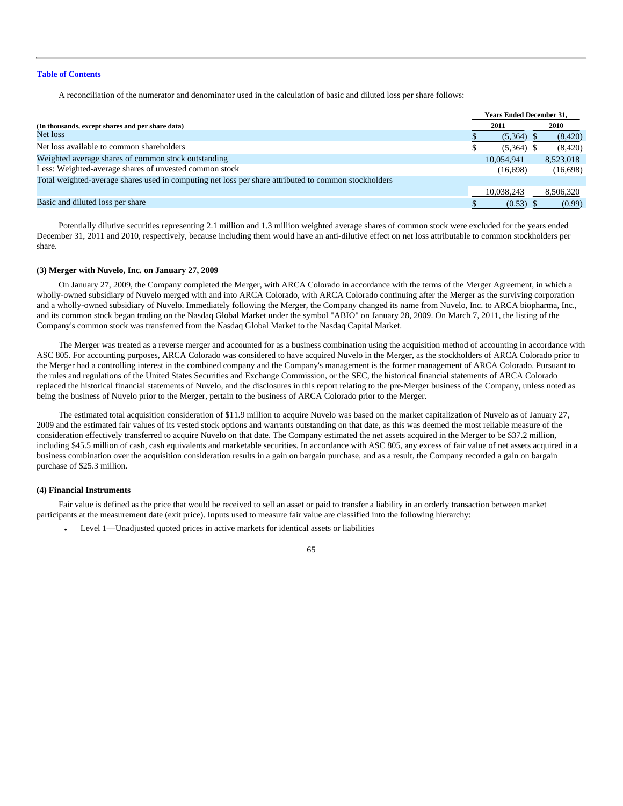A reconciliation of the numerator and denominator used in the calculation of basic and diluted loss per share follows:

|                                                                                                      | <b>Years Ended December 31.</b> |           |
|------------------------------------------------------------------------------------------------------|---------------------------------|-----------|
| (In thousands, except shares and per share data)                                                     | 2011                            | 2010      |
| Net loss                                                                                             | (5,364)                         | (8,420)   |
| Net loss available to common shareholders                                                            | $(5,364)$ \$                    | (8,420)   |
| Weighted average shares of common stock outstanding                                                  | 10.054.941                      | 8,523,018 |
| Less: Weighted-average shares of unvested common stock                                               | (16,698)                        | (16,698)  |
| Total weighted-average shares used in computing net loss per share attributed to common stockholders |                                 |           |
|                                                                                                      | 10,038,243                      | 8,506,320 |
| Basic and diluted loss per share                                                                     | $(0.53)$ \$                     | (0.99)    |

Potentially dilutive securities representing 2.1 million and 1.3 million weighted average shares of common stock were excluded for the years ended December 31, 2011 and 2010, respectively, because including them would have an anti-dilutive effect on net loss attributable to common stockholders per share.

### **(3) Merger with Nuvelo, Inc. on January 27, 2009**

On January 27, 2009, the Company completed the Merger, with ARCA Colorado in accordance with the terms of the Merger Agreement, in which a wholly-owned subsidiary of Nuvelo merged with and into ARCA Colorado, with ARCA Colorado continuing after the Merger as the surviving corporation and a wholly-owned subsidiary of Nuvelo. Immediately following the Merger, the Company changed its name from Nuvelo, Inc. to ARCA biopharma, Inc., and its common stock began trading on the Nasdaq Global Market under the symbol "ABIO" on January 28, 2009. On March 7, 2011, the listing of the Company's common stock was transferred from the Nasdaq Global Market to the Nasdaq Capital Market.

The Merger was treated as a reverse merger and accounted for as a business combination using the acquisition method of accounting in accordance with ASC 805. For accounting purposes, ARCA Colorado was considered to have acquired Nuvelo in the Merger, as the stockholders of ARCA Colorado prior to the Merger had a controlling interest in the combined company and the Company's management is the former management of ARCA Colorado. Pursuant to the rules and regulations of the United States Securities and Exchange Commission, or the SEC, the historical financial statements of ARCA Colorado replaced the historical financial statements of Nuvelo, and the disclosures in this report relating to the pre-Merger business of the Company, unless noted as being the business of Nuvelo prior to the Merger, pertain to the business of ARCA Colorado prior to the Merger.

The estimated total acquisition consideration of \$11.9 million to acquire Nuvelo was based on the market capitalization of Nuvelo as of January 27, 2009 and the estimated fair values of its vested stock options and warrants outstanding on that date, as this was deemed the most reliable measure of the consideration effectively transferred to acquire Nuvelo on that date. The Company estimated the net assets acquired in the Merger to be \$37.2 million, including \$45.5 million of cash, cash equivalents and marketable securities. In accordance with ASC 805, any excess of fair value of net assets acquired in a business combination over the acquisition consideration results in a gain on bargain purchase, and as a result, the Company recorded a gain on bargain purchase of \$25.3 million.

### **(4) Financial Instruments**

Fair value is defined as the price that would be received to sell an asset or paid to transfer a liability in an orderly transaction between market participants at the measurement date (exit price). Inputs used to measure fair value are classified into the following hierarchy:

• Level 1—Unadjusted quoted prices in active markets for identical assets or liabilities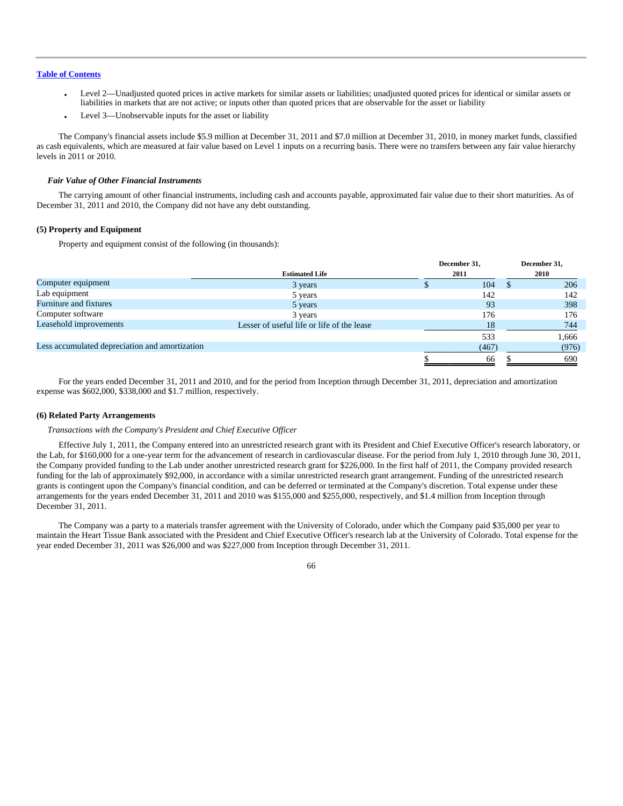- Level 2—Unadjusted quoted prices in active markets for similar assets or liabilities; unadjusted quoted prices for identical or similar assets or liabilities in markets that are not active; or inputs other than quoted prices that are observable for the asset or liability
- Level 3—Unobservable inputs for the asset or liability

The Company's financial assets include \$5.9 million at December 31, 2011 and \$7.0 million at December 31, 2010, in money market funds, classified as cash equivalents, which are measured at fair value based on Level 1 inputs on a recurring basis. There were no transfers between any fair value hierarchy levels in 2011 or 2010.

### *Fair Value of Other Financial Instruments*

The carrying amount of other financial instruments, including cash and accounts payable, approximated fair value due to their short maturities. As of December 31, 2011 and 2010, the Company did not have any debt outstanding.

### **(5) Property and Equipment**

Property and equipment consist of the following (in thousands):

|                                                |                                            | December 31, |       | December 31, |       |
|------------------------------------------------|--------------------------------------------|--------------|-------|--------------|-------|
|                                                | <b>Estimated Life</b>                      | 2011         |       |              | 2010  |
| Computer equipment                             | 3 years                                    |              | 104   |              | 206   |
| Lab equipment                                  | 5 years                                    |              | 142   |              | 142   |
| Furniture and fixtures                         | 5 years                                    |              | 93    |              | 398   |
| Computer software                              | 3 years                                    |              | 176   |              | 176   |
| Leasehold improvements                         | Lesser of useful life or life of the lease |              | 18    |              | 744   |
|                                                |                                            |              | 533   |              | 1,666 |
| Less accumulated depreciation and amortization |                                            |              | (467) |              | (976) |
|                                                |                                            |              | 66    |              | 690   |

For the years ended December 31, 2011 and 2010, and for the period from Inception through December 31, 2011, depreciation and amortization expense was \$602,000, \$338,000 and \$1.7 million, respectively.

### **(6) Related Party Arrangements**

# *Transactions with the Company's President and Chief Executive Officer*

Effective July 1, 2011, the Company entered into an unrestricted research grant with its President and Chief Executive Officer's research laboratory, or the Lab, for \$160,000 for a one-year term for the advancement of research in cardiovascular disease. For the period from July 1, 2010 through June 30, 2011, the Company provided funding to the Lab under another unrestricted research grant for \$226,000. In the first half of 2011, the Company provided research funding for the lab of approximately \$92,000, in accordance with a similar unrestricted research grant arrangement. Funding of the unrestricted research grants is contingent upon the Company's financial condition, and can be deferred or terminated at the Company's discretion. Total expense under these arrangements for the years ended December 31, 2011 and 2010 was \$155,000 and \$255,000, respectively, and \$1.4 million from Inception through December 31, 2011.

The Company was a party to a materials transfer agreement with the University of Colorado, under which the Company paid \$35,000 per year to maintain the Heart Tissue Bank associated with the President and Chief Executive Officer's research lab at the University of Colorado. Total expense for the year ended December 31, 2011 was \$26,000 and was \$227,000 from Inception through December 31, 2011.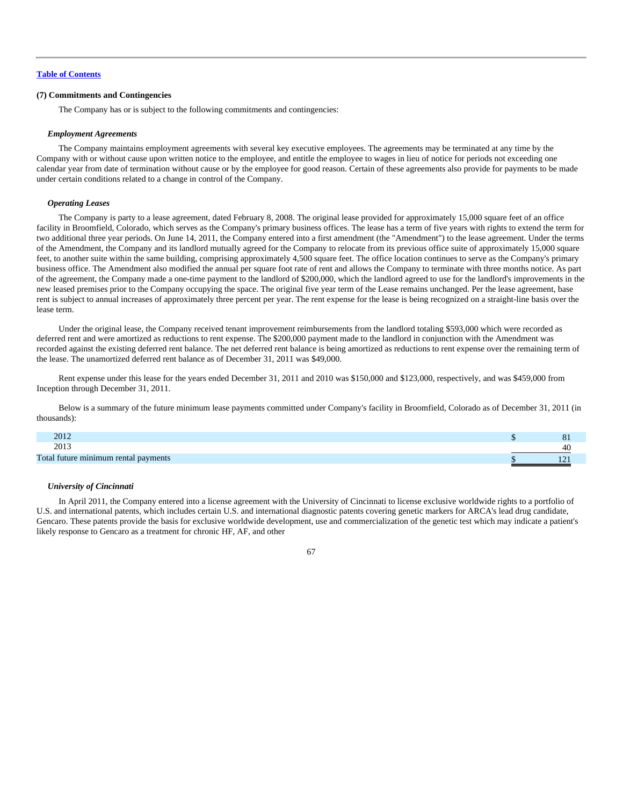# **(7) Commitments and Contingencies**

The Company has or is subject to the following commitments and contingencies:

### *Employment Agreements*

The Company maintains employment agreements with several key executive employees. The agreements may be terminated at any time by the Company with or without cause upon written notice to the employee, and entitle the employee to wages in lieu of notice for periods not exceeding one calendar year from date of termination without cause or by the employee for good reason. Certain of these agreements also provide for payments to be made under certain conditions related to a change in control of the Company.

#### *Operating Leases*

The Company is party to a lease agreement, dated February 8, 2008. The original lease provided for approximately 15,000 square feet of an office facility in Broomfield, Colorado, which serves as the Company's primary business offices. The lease has a term of five years with rights to extend the term for two additional three year periods. On June 14, 2011, the Company entered into a first amendment (the "Amendment") to the lease agreement. Under the terms of the Amendment, the Company and its landlord mutually agreed for the Company to relocate from its previous office suite of approximately 15,000 square feet, to another suite within the same building, comprising approximately 4,500 square feet. The office location continues to serve as the Company's primary business office. The Amendment also modified the annual per square foot rate of rent and allows the Company to terminate with three months notice. As part of the agreement, the Company made a one-time payment to the landlord of \$200,000, which the landlord agreed to use for the landlord's improvements in the new leased premises prior to the Company occupying the space. The original five year term of the Lease remains unchanged. Per the lease agreement, base rent is subject to annual increases of approximately three percent per year. The rent expense for the lease is being recognized on a straight-line basis over the lease term.

Under the original lease, the Company received tenant improvement reimbursements from the landlord totaling \$593,000 which were recorded as deferred rent and were amortized as reductions to rent expense. The \$200,000 payment made to the landlord in conjunction with the Amendment was recorded against the existing deferred rent balance. The net deferred rent balance is being amortized as reductions to rent expense over the remaining term of the lease. The unamortized deferred rent balance as of December 31, 2011 was \$49,000.

Rent expense under this lease for the years ended December 31, 2011 and 2010 was \$150,000 and \$123,000, respectively, and was \$459,000 from Inception through December 31, 2011.

Below is a summary of the future minimum lease payments committed under Company's facility in Broomfield, Colorado as of December 31, 2011 (in thousands):

| 2012                                 | $^{\circ}$     |
|--------------------------------------|----------------|
| 2012                                 | 41             |
| Total future minimum rental payments | $\overline{1}$ |

### *University of Cincinnati*

In April 2011, the Company entered into a license agreement with the University of Cincinnati to license exclusive worldwide rights to a portfolio of U.S. and international patents, which includes certain U.S. and international diagnostic patents covering genetic markers for ARCA's lead drug candidate, Gencaro. These patents provide the basis for exclusive worldwide development, use and commercialization of the genetic test which may indicate a patient's likely response to Gencaro as a treatment for chronic HF, AF, and other

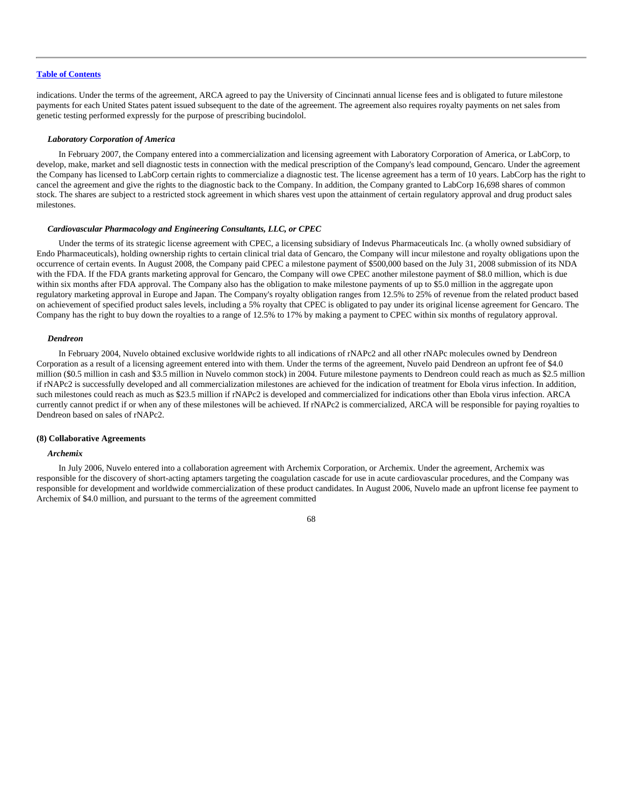indications. Under the terms of the agreement, ARCA agreed to pay the University of Cincinnati annual license fees and is obligated to future milestone payments for each United States patent issued subsequent to the date of the agreement. The agreement also requires royalty payments on net sales from genetic testing performed expressly for the purpose of prescribing bucindolol.

#### *Laboratory Corporation of America*

In February 2007, the Company entered into a commercialization and licensing agreement with Laboratory Corporation of America, or LabCorp, to develop, make, market and sell diagnostic tests in connection with the medical prescription of the Company's lead compound, Gencaro. Under the agreement the Company has licensed to LabCorp certain rights to commercialize a diagnostic test. The license agreement has a term of 10 years. LabCorp has the right to cancel the agreement and give the rights to the diagnostic back to the Company. In addition, the Company granted to LabCorp 16,698 shares of common stock. The shares are subject to a restricted stock agreement in which shares vest upon the attainment of certain regulatory approval and drug product sales milestones.

# *Cardiovascular Pharmacology and Engineering Consultants, LLC, or CPEC*

Under the terms of its strategic license agreement with CPEC, a licensing subsidiary of Indevus Pharmaceuticals Inc. (a wholly owned subsidiary of Endo Pharmaceuticals), holding ownership rights to certain clinical trial data of Gencaro, the Company will incur milestone and royalty obligations upon the occurrence of certain events. In August 2008, the Company paid CPEC a milestone payment of \$500,000 based on the July 31, 2008 submission of its NDA with the FDA. If the FDA grants marketing approval for Gencaro, the Company will owe CPEC another milestone payment of \$8.0 million, which is due within six months after FDA approval. The Company also has the obligation to make milestone payments of up to \$5.0 million in the aggregate upon regulatory marketing approval in Europe and Japan. The Company's royalty obligation ranges from 12.5% to 25% of revenue from the related product based on achievement of specified product sales levels, including a 5% royalty that CPEC is obligated to pay under its original license agreement for Gencaro. The Company has the right to buy down the royalties to a range of 12.5% to 17% by making a payment to CPEC within six months of regulatory approval.

### *Dendreon*

In February 2004, Nuvelo obtained exclusive worldwide rights to all indications of rNAPc2 and all other rNAPc molecules owned by Dendreon Corporation as a result of a licensing agreement entered into with them. Under the terms of the agreement, Nuvelo paid Dendreon an upfront fee of \$4.0 million (\$0.5 million in cash and \$3.5 million in Nuvelo common stock) in 2004. Future milestone payments to Dendreon could reach as much as \$2.5 million if rNAPc2 is successfully developed and all commercialization milestones are achieved for the indication of treatment for Ebola virus infection. In addition, such milestones could reach as much as \$23.5 million if rNAPc2 is developed and commercialized for indications other than Ebola virus infection. ARCA currently cannot predict if or when any of these milestones will be achieved. If rNAPc2 is commercialized, ARCA will be responsible for paying royalties to Dendreon based on sales of rNAPc2.

### **(8) Collaborative Agreements**

### *Archemix*

In July 2006, Nuvelo entered into a collaboration agreement with Archemix Corporation, or Archemix. Under the agreement, Archemix was responsible for the discovery of short-acting aptamers targeting the coagulation cascade for use in acute cardiovascular procedures, and the Company was responsible for development and worldwide commercialization of these product candidates. In August 2006, Nuvelo made an upfront license fee payment to Archemix of \$4.0 million, and pursuant to the terms of the agreement committed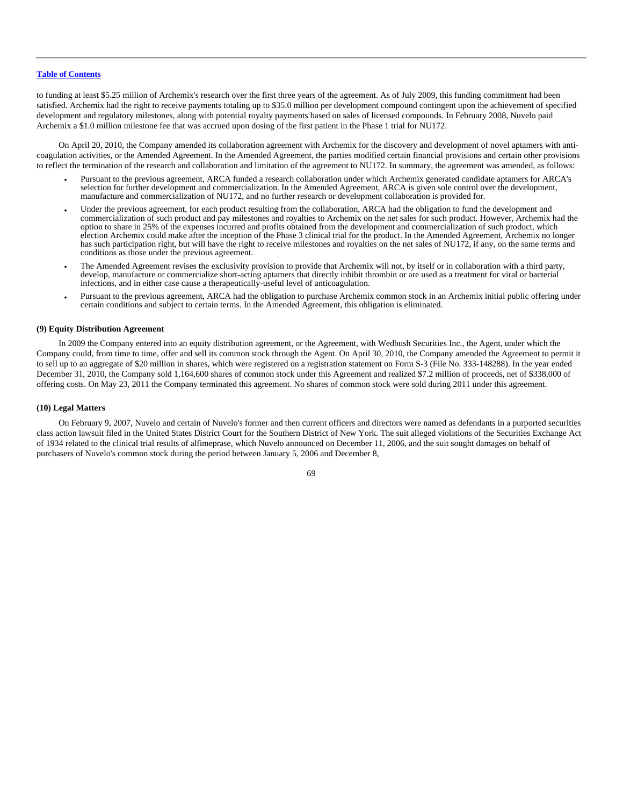to funding at least \$5.25 million of Archemix's research over the first three years of the agreement. As of July 2009, this funding commitment had been satisfied. Archemix had the right to receive payments totaling up to \$35.0 million per development compound contingent upon the achievement of specified development and regulatory milestones, along with potential royalty payments based on sales of licensed compounds. In February 2008, Nuvelo paid Archemix a \$1.0 million milestone fee that was accrued upon dosing of the first patient in the Phase 1 trial for NU172.

On April 20, 2010, the Company amended its collaboration agreement with Archemix for the discovery and development of novel aptamers with anticoagulation activities, or the Amended Agreement. In the Amended Agreement, the parties modified certain financial provisions and certain other provisions to reflect the termination of the research and collaboration and limitation of the agreement to NU172. In summary, the agreement was amended, as follows:

- Pursuant to the previous agreement, ARCA funded a research collaboration under which Archemix generated candidate aptamers for ARCA's selection for further development and commercialization. In the Amended Agreement, ARCA is given sole control over the development, manufacture and commercialization of NU172, and no further research or development collaboration is provided for.
- Under the previous agreement, for each product resulting from the collaboration, ARCA had the obligation to fund the development and commercialization of such product and pay milestones and royalties to Archemix on the net sales for such product. However, Archemix had the option to share in 25% of the expenses incurred and profits obtained from the development and commercialization of such product, which election Archemix could make after the inception of the Phase 3 clinical trial for the product. In the Amended Agreement, Archemix no longer has such participation right, but will have the right to receive milestones and royalties on the net sales of NU172, if any, on the same terms and conditions as those under the previous agreement.
- The Amended Agreement revises the exclusivity provision to provide that Archemix will not, by itself or in collaboration with a third party, develop, manufacture or commercialize short-acting aptamers that directly inhibit thrombin or are used as a treatment for viral or bacterial infections, and in either case cause a therapeutically-useful level of anticoagulation.
- Pursuant to the previous agreement, ARCA had the obligation to purchase Archemix common stock in an Archemix initial public offering under certain conditions and subject to certain terms. In the Amended Agreement, this obligation is eliminated.

# **(9) Equity Distribution Agreement**

In 2009 the Company entered into an equity distribution agreement, or the Agreement, with Wedbush Securities Inc., the Agent, under which the Company could, from time to time, offer and sell its common stock through the Agent. On April 30, 2010, the Company amended the Agreement to permit it to sell up to an aggregate of \$20 million in shares, which were registered on a registration statement on Form S-3 (File No. 333-148288). In the year ended December 31, 2010, the Company sold 1,164,600 shares of common stock under this Agreement and realized \$7.2 million of proceeds, net of \$338,000 of offering costs. On May 23, 2011 the Company terminated this agreement. No shares of common stock were sold during 2011 under this agreement.

### **(10) Legal Matters**

On February 9, 2007, Nuvelo and certain of Nuvelo's former and then current officers and directors were named as defendants in a purported securities class action lawsuit filed in the United States District Court for the Southern District of New York. The suit alleged violations of the Securities Exchange Act of 1934 related to the clinical trial results of alfimeprase, which Nuvelo announced on December 11, 2006, and the suit sought damages on behalf of purchasers of Nuvelo's common stock during the period between January 5, 2006 and December 8,

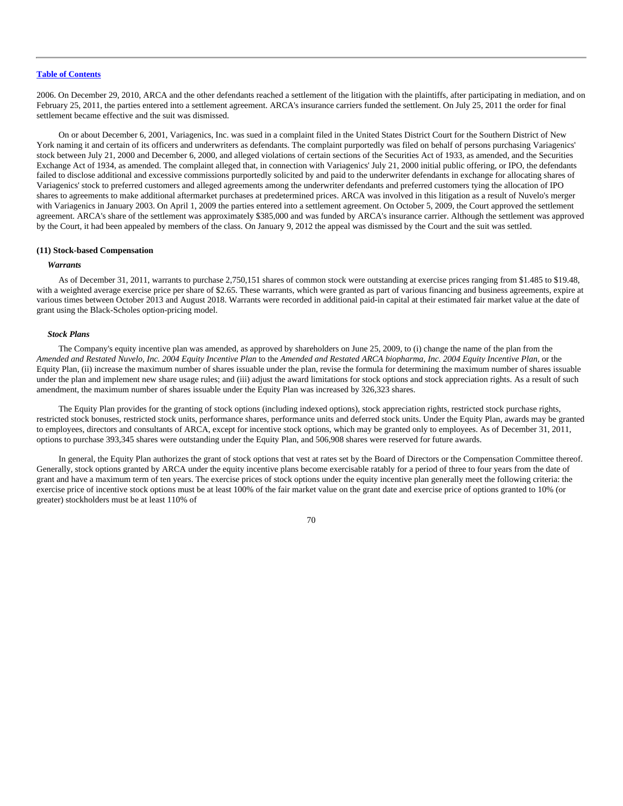2006. On December 29, 2010, ARCA and the other defendants reached a settlement of the litigation with the plaintiffs, after participating in mediation, and on February 25, 2011, the parties entered into a settlement agreement. ARCA's insurance carriers funded the settlement. On July 25, 2011 the order for final settlement became effective and the suit was dismissed.

On or about December 6, 2001, Variagenics, Inc. was sued in a complaint filed in the United States District Court for the Southern District of New York naming it and certain of its officers and underwriters as defendants. The complaint purportedly was filed on behalf of persons purchasing Variagenics' stock between July 21, 2000 and December 6, 2000, and alleged violations of certain sections of the Securities Act of 1933, as amended, and the Securities Exchange Act of 1934, as amended. The complaint alleged that, in connection with Variagenics' July 21, 2000 initial public offering, or IPO, the defendants failed to disclose additional and excessive commissions purportedly solicited by and paid to the underwriter defendants in exchange for allocating shares of Variagenics' stock to preferred customers and alleged agreements among the underwriter defendants and preferred customers tying the allocation of IPO shares to agreements to make additional aftermarket purchases at predetermined prices. ARCA was involved in this litigation as a result of Nuvelo's merger with Variagenics in January 2003. On April 1, 2009 the parties entered into a settlement agreement. On October 5, 2009, the Court approved the settlement agreement. ARCA's share of the settlement was approximately \$385,000 and was funded by ARCA's insurance carrier. Although the settlement was approved by the Court, it had been appealed by members of the class. On January 9, 2012 the appeal was dismissed by the Court and the suit was settled.

# **(11) Stock-based Compensation**

### *Warrants*

As of December 31, 2011, warrants to purchase 2,750,151 shares of common stock were outstanding at exercise prices ranging from \$1.485 to \$19.48, with a weighted average exercise price per share of \$2.65. These warrants, which were granted as part of various financing and business agreements, expire at various times between October 2013 and August 2018. Warrants were recorded in additional paid-in capital at their estimated fair market value at the date of grant using the Black-Scholes option-pricing model.

# *Stock Plans*

The Company's equity incentive plan was amended, as approved by shareholders on June 25, 2009, to (i) change the name of the plan from the *Amended and Restated Nuvelo, Inc. 2004 Equity Incentive Plan* to the *Amended and Restated ARCA biopharma, Inc. 2004 Equity Incentive Plan*, or the Equity Plan, (ii) increase the maximum number of shares issuable under the plan, revise the formula for determining the maximum number of shares issuable under the plan and implement new share usage rules; and (iii) adjust the award limitations for stock options and stock appreciation rights. As a result of such amendment, the maximum number of shares issuable under the Equity Plan was increased by 326,323 shares.

The Equity Plan provides for the granting of stock options (including indexed options), stock appreciation rights, restricted stock purchase rights, restricted stock bonuses, restricted stock units, performance shares, performance units and deferred stock units. Under the Equity Plan, awards may be granted to employees, directors and consultants of ARCA, except for incentive stock options, which may be granted only to employees. As of December 31, 2011, options to purchase 393,345 shares were outstanding under the Equity Plan, and 506,908 shares were reserved for future awards.

In general, the Equity Plan authorizes the grant of stock options that vest at rates set by the Board of Directors or the Compensation Committee thereof. Generally, stock options granted by ARCA under the equity incentive plans become exercisable ratably for a period of three to four years from the date of grant and have a maximum term of ten years. The exercise prices of stock options under the equity incentive plan generally meet the following criteria: the exercise price of incentive stock options must be at least 100% of the fair market value on the grant date and exercise price of options granted to 10% (or greater) stockholders must be at least 110% of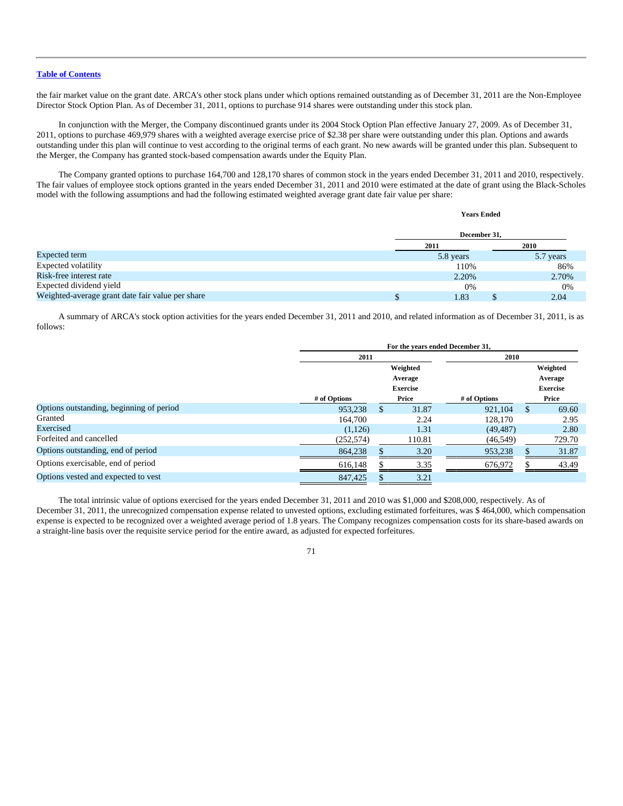the fair market value on the grant date. ARCA's other stock plans under which options remained outstanding as of December 31, 2011 are the Non-Employee Director Stock Option Plan. As of December 31, 2011, options to purchase 914 shares were outstanding under this stock plan.

In conjunction with the Merger, the Company discontinued grants under its 2004 Stock Option Plan effective January 27, 2009. As of December 31, 2011, options to purchase 469,979 shares with a weighted average exercise price of \$2.38 per share were outstanding under this plan. Options and awards outstanding under this plan will continue to vest according to the original terms of each grant. No new awards will be granted under this plan. Subsequent to the Merger, the Company has granted stock-based compensation awards under the Equity Plan.

The Company granted options to purchase 164,700 and 128,170 shares of common stock in the years ended December 31, 2011 and 2010, respectively. The fair values of employee stock options granted in the years ended December 31, 2011 and 2010 were estimated at the date of grant using the Black-Scholes model with the following assumptions and had the following estimated weighted average grant date fair value per share:

#### **Years Ended**

|                                                  | December 31.        |  |           |  |  |
|--------------------------------------------------|---------------------|--|-----------|--|--|
|                                                  | 2011<br><b>2010</b> |  |           |  |  |
| Expected term                                    | 5.8 years           |  | 5.7 years |  |  |
| <b>Expected volatility</b>                       | 110%                |  | 86%       |  |  |
| Risk-free interest rate                          | 2.20%               |  | 2.70%     |  |  |
| Expected dividend yield                          | 0%                  |  | 0%        |  |  |
| Weighted-average grant date fair value per share | l.83                |  | 2.04      |  |  |

A summary of ARCA's stock option activities for the years ended December 31, 2011 and 2010, and related information as of December 31, 2011, is as follows:

|                                          | For the years ended December 31, |   |                 |              |               |                 |  |  |
|------------------------------------------|----------------------------------|---|-----------------|--------------|---------------|-----------------|--|--|
|                                          | 2011<br>2010                     |   |                 |              |               |                 |  |  |
|                                          |                                  |   | Weighted        |              |               | Weighted        |  |  |
|                                          |                                  |   | Average         |              |               | Average         |  |  |
|                                          |                                  |   | <b>Exercise</b> |              |               | <b>Exercise</b> |  |  |
|                                          | # of Options                     |   | Price           | # of Options |               | Price           |  |  |
| Options outstanding, beginning of period | 953.238                          | S | 31.87           | 921.104      | <sup>\$</sup> | 69.60           |  |  |
| Granted                                  | 164.700                          |   | 2.24            | 128,170      |               | 2.95            |  |  |
| Exercised                                | (1,126)                          |   | 1.31            | (49, 487)    |               | 2.80            |  |  |
| Forfeited and cancelled                  | (252, 574)                       |   | 110.81          | (46, 549)    |               | 729.70          |  |  |
| Options outstanding, end of period       | 864,238                          |   | 3.20            | 953,238      |               | 31.87           |  |  |
| Options exercisable, end of period       | 616,148                          |   | 3.35            | 676,972      |               | 43.49           |  |  |
| Options vested and expected to vest      | 847,425                          |   | 3.21            |              |               |                 |  |  |

The total intrinsic value of options exercised for the years ended December 31, 2011 and 2010 was \$1,000 and \$208,000, respectively. As of December 31, 2011, the unrecognized compensation expense related to unvested options, excluding estimated forfeitures, was \$ 464,000, which compensation expense is expected to be recognized over a weighted average period of 1.8 years. The Company recognizes compensation costs for its share-based awards on a straight-line basis over the requisite service period for the entire award, as adjusted for expected forfeitures.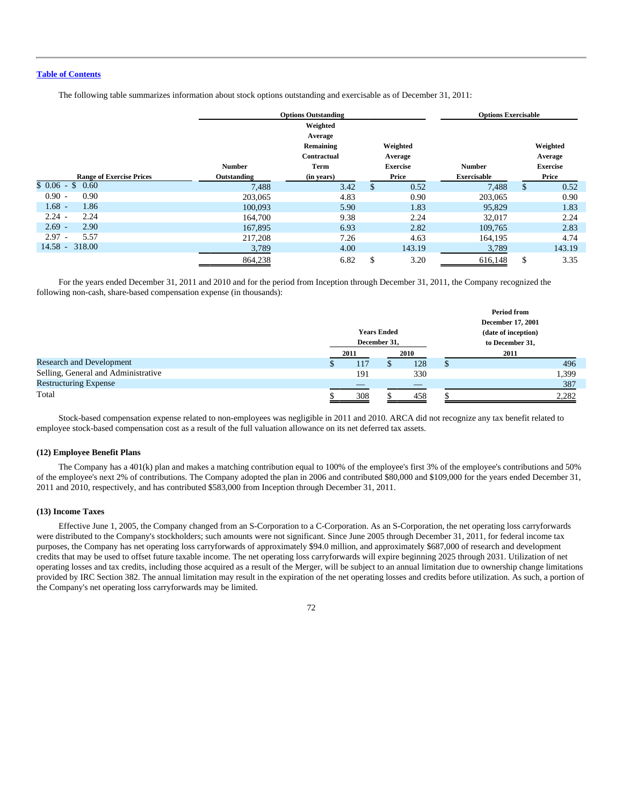The following table summarizes information about stock options outstanding and exercisable as of December 31, 2011:

|                                 | <b>Options Outstanding</b> |                          |                     | <b>Options Exercisable</b> |                    |     |                     |
|---------------------------------|----------------------------|--------------------------|---------------------|----------------------------|--------------------|-----|---------------------|
|                                 |                            | Weighted<br>Average      |                     |                            |                    |     |                     |
|                                 |                            | Remaining<br>Contractual | Weighted<br>Average |                            |                    |     | Weighted<br>Average |
|                                 | <b>Number</b>              | Term                     | <b>Exercise</b>     |                            | <b>Number</b>      |     | <b>Exercise</b>     |
| <b>Range of Exercise Prices</b> | Outstanding                | (in years)               | Price               |                            | <b>Exercisable</b> |     | Price               |
| $$0.06-S$<br>0.60               | 7,488                      | 3.42                     | \$                  | 0.52                       | 7,488              | \$. | 0.52                |
| $0.90 -$<br>0.90                | 203,065                    | 4.83                     |                     | 0.90                       | 203,065            |     | 0.90                |
| $1.68 -$<br>1.86                | 100,093                    | 5.90                     |                     | 1.83                       | 95,829             |     | 1.83                |
| $2.24 -$<br>2.24                | 164,700                    | 9.38                     |                     | 2.24                       | 32,017             |     | 2.24                |
| $2.69 -$<br>2.90                | 167,895                    | 6.93                     |                     | 2.82                       | 109.765            |     | 2.83                |
| $2.97 -$<br>5.57                | 217,208                    | 7.26                     |                     | 4.63                       | 164,195            |     | 4.74                |
| $14.58 - 318.00$                | 3,789                      | 4.00                     |                     | 143.19                     | 3,789              |     | 143.19              |
|                                 | 864,238                    | 6.82                     | \$                  | 3.20                       | 616,148            | \$  | 3.35                |

For the years ended December 31, 2011 and 2010 and for the period from Inception through December 31, 2011, the Company recognized the following non-cash, share-based compensation expense (in thousands):

|                                     |              |              |                    |     |                     | <b>Period from</b><br><b>December 17, 2001</b> |       |
|-------------------------------------|--------------|--------------|--------------------|-----|---------------------|------------------------------------------------|-------|
|                                     |              |              | <b>Years Ended</b> |     | (date of inception) |                                                |       |
|                                     | December 31, |              |                    |     | to December 31,     |                                                |       |
|                                     |              | 2010<br>2011 |                    |     | 2011                |                                                |       |
| <b>Research and Development</b>     |              | 117          |                    | 128 |                     |                                                | 496   |
| Selling, General and Administrative |              | 191          |                    | 330 |                     |                                                | 1,399 |
| <b>Restructuring Expense</b>        |              | _            |                    | _   |                     |                                                | 387   |
| Total                               |              | 308          |                    | 458 |                     |                                                | 2,282 |

Stock-based compensation expense related to non-employees was negligible in 2011 and 2010. ARCA did not recognize any tax benefit related to employee stock-based compensation cost as a result of the full valuation allowance on its net deferred tax assets.

#### **(12) Employee Benefit Plans**

The Company has a 401(k) plan and makes a matching contribution equal to 100% of the employee's first 3% of the employee's contributions and 50% of the employee's next 2% of contributions. The Company adopted the plan in 2006 and contributed \$80,000 and \$109,000 for the years ended December 31, 2011 and 2010, respectively, and has contributed \$583,000 from Inception through December 31, 2011.

#### **(13) Income Taxes**

Effective June 1, 2005, the Company changed from an S-Corporation to a C-Corporation. As an S-Corporation, the net operating loss carryforwards were distributed to the Company's stockholders; such amounts were not significant. Since June 2005 through December 31, 2011, for federal income tax purposes, the Company has net operating loss carryforwards of approximately \$94.0 million, and approximately \$687,000 of research and development credits that may be used to offset future taxable income. The net operating loss carryforwards will expire beginning 2025 through 2031. Utilization of net operating losses and tax credits, including those acquired as a result of the Merger, will be subject to an annual limitation due to ownership change limitations provided by IRC Section 382. The annual limitation may result in the expiration of the net operating losses and credits before utilization. As such, a portion of the Company's net operating loss carryforwards may be limited.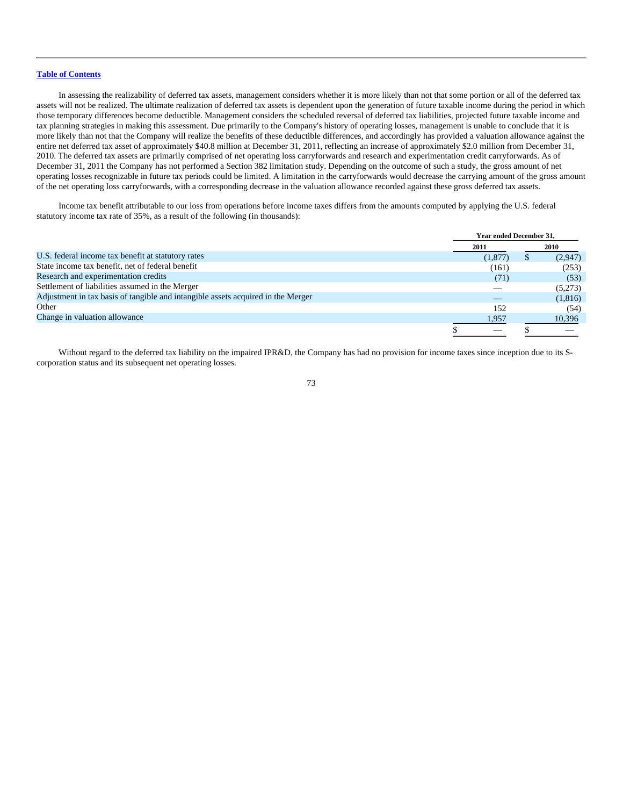In assessing the realizability of deferred tax assets, management considers whether it is more likely than not that some portion or all of the deferred tax assets will not be realized. The ultimate realization of deferred tax assets is dependent upon the generation of future taxable income during the period in which those temporary differences become deductible. Management considers the scheduled reversal of deferred tax liabilities, projected future taxable income and tax planning strategies in making this assessment. Due primarily to the Company's history of operating losses, management is unable to conclude that it is more likely than not that the Company will realize the benefits of these deductible differences, and accordingly has provided a valuation allowance against the entire net deferred tax asset of approximately \$40.8 million at December 31, 2011, reflecting an increase of approximately \$2.0 million from December 31, 2010. The deferred tax assets are primarily comprised of net operating loss carryforwards and research and experimentation credit carryforwards. As of December 31, 2011 the Company has not performed a Section 382 limitation study. Depending on the outcome of such a study, the gross amount of net operating losses recognizable in future tax periods could be limited. A limitation in the carryforwards would decrease the carrying amount of the gross amount of the net operating loss carryforwards, with a corresponding decrease in the valuation allowance recorded against these gross deferred tax assets.

Income tax benefit attributable to our loss from operations before income taxes differs from the amounts computed by applying the U.S. federal statutory income tax rate of 35%, as a result of the following (in thousands):

|                                                                                  |         | Year ended December 31, |         |  |
|----------------------------------------------------------------------------------|---------|-------------------------|---------|--|
|                                                                                  | 2011    |                         | 2010    |  |
| U.S. federal income tax benefit at statutory rates                               | (1,877) |                         | (2,947) |  |
| State income tax benefit, net of federal benefit                                 | (161)   |                         | (253)   |  |
| Research and experimentation credits                                             | (71)    |                         | (53)    |  |
| Settlement of liabilities assumed in the Merger                                  |         |                         | (5,273) |  |
| Adjustment in tax basis of tangible and intangible assets acquired in the Merger |         |                         | (1,816) |  |
| Other                                                                            | 152     |                         | (54)    |  |
| Change in valuation allowance                                                    | 1,957   |                         | 10,396  |  |
|                                                                                  |         |                         |         |  |

Without regard to the deferred tax liability on the impaired IPR&D, the Company has had no provision for income taxes since inception due to its Scorporation status and its subsequent net operating losses.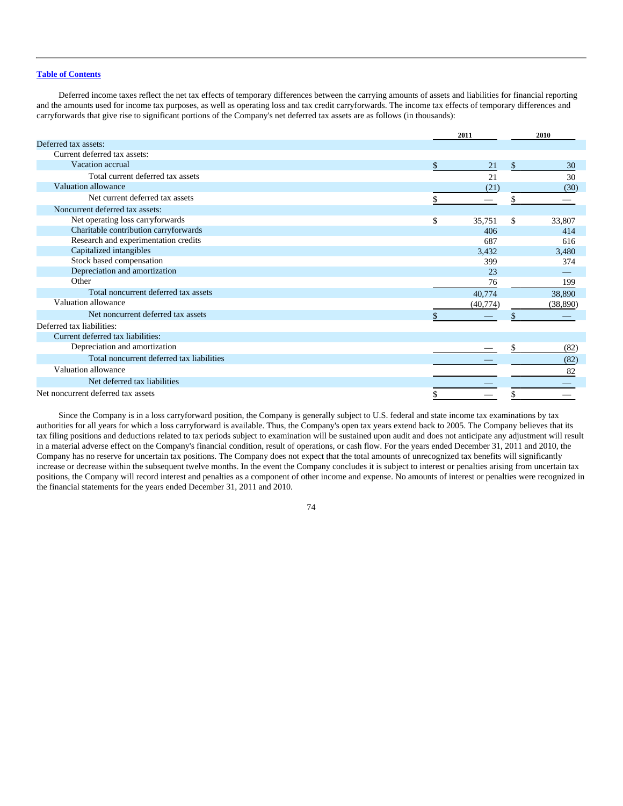Deferred income taxes reflect the net tax effects of temporary differences between the carrying amounts of assets and liabilities for financial reporting and the amounts used for income tax purposes, as well as operating loss and tax credit carryforwards. The income tax effects of temporary differences and carryforwards that give rise to significant portions of the Company's net deferred tax assets are as follows (in thousands):

|                                           |              | 2011      |               | 2010      |  |
|-------------------------------------------|--------------|-----------|---------------|-----------|--|
| Deferred tax assets:                      |              |           |               |           |  |
| Current deferred tax assets:              |              |           |               |           |  |
| Vacation accrual                          | $\mathbb{S}$ | 21        | $\mathcal{S}$ | 30        |  |
| Total current deferred tax assets         |              | 21        |               | 30        |  |
| Valuation allowance                       |              | (21)      |               | (30)      |  |
| Net current deferred tax assets           | \$           |           |               |           |  |
| Noncurrent deferred tax assets:           |              |           |               |           |  |
| Net operating loss carryforwards          | $\mathbb{S}$ | 35.751    | \$            | 33,807    |  |
| Charitable contribution carryforwards     |              | 406       |               | 414       |  |
| Research and experimentation credits      |              | 687       |               | 616       |  |
| Capitalized intangibles                   |              | 3,432     |               | 3,480     |  |
| Stock based compensation                  |              | 399       |               | 374       |  |
| Depreciation and amortization             |              | 23        |               |           |  |
| Other                                     |              | 76        |               | 199       |  |
| Total noncurrent deferred tax assets      |              | 40,774    |               | 38,890    |  |
| Valuation allowance                       |              | (40, 774) |               | (38, 890) |  |
| Net noncurrent deferred tax assets        |              |           |               |           |  |
| Deferred tax liabilities:                 |              |           |               |           |  |
| Current deferred tax liabilities:         |              |           |               |           |  |
| Depreciation and amortization             |              |           | \$.           | (82)      |  |
| Total noncurrent deferred tax liabilities |              |           |               | (82)      |  |
| Valuation allowance                       |              |           |               | 82        |  |
| Net deferred tax liabilities              |              |           |               |           |  |
| Net noncurrent deferred tax assets        | \$           |           |               |           |  |

Since the Company is in a loss carryforward position, the Company is generally subject to U.S. federal and state income tax examinations by tax authorities for all years for which a loss carryforward is available. Thus, the Company's open tax years extend back to 2005. The Company believes that its tax filing positions and deductions related to tax periods subject to examination will be sustained upon audit and does not anticipate any adjustment will result in a material adverse effect on the Company's financial condition, result of operations, or cash flow. For the years ended December 31, 2011 and 2010, the Company has no reserve for uncertain tax positions. The Company does not expect that the total amounts of unrecognized tax benefits will significantly increase or decrease within the subsequent twelve months. In the event the Company concludes it is subject to interest or penalties arising from uncertain tax positions, the Company will record interest and penalties as a component of other income and expense. No amounts of interest or penalties were recognized in the financial statements for the years ended December 31, 2011 and 2010.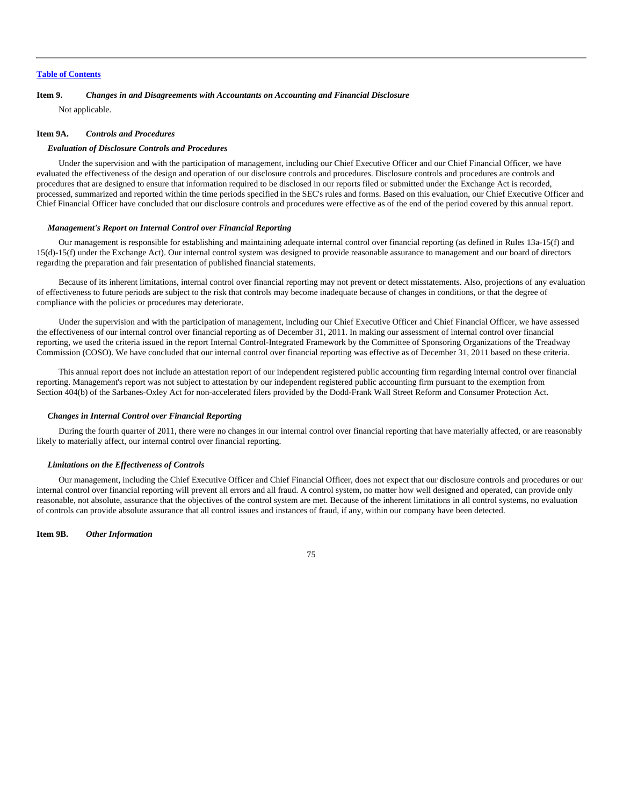## **Item 9.** *Changes in and Disagreements with Accountants on Accounting and Financial Disclosure*

Not applicable.

#### **Item 9A.** *Controls and Procedures*

#### *Evaluation of Disclosure Controls and Procedures*

Under the supervision and with the participation of management, including our Chief Executive Officer and our Chief Financial Officer, we have evaluated the effectiveness of the design and operation of our disclosure controls and procedures. Disclosure controls and procedures are controls and procedures that are designed to ensure that information required to be disclosed in our reports filed or submitted under the Exchange Act is recorded, processed, summarized and reported within the time periods specified in the SEC's rules and forms. Based on this evaluation, our Chief Executive Officer and Chief Financial Officer have concluded that our disclosure controls and procedures were effective as of the end of the period covered by this annual report.

#### *Management's Report on Internal Control over Financial Reporting*

Our management is responsible for establishing and maintaining adequate internal control over financial reporting (as defined in Rules 13a-15(f) and 15(d)-15(f) under the Exchange Act). Our internal control system was designed to provide reasonable assurance to management and our board of directors regarding the preparation and fair presentation of published financial statements.

Because of its inherent limitations, internal control over financial reporting may not prevent or detect misstatements. Also, projections of any evaluation of effectiveness to future periods are subject to the risk that controls may become inadequate because of changes in conditions, or that the degree of compliance with the policies or procedures may deteriorate.

Under the supervision and with the participation of management, including our Chief Executive Officer and Chief Financial Officer, we have assessed the effectiveness of our internal control over financial reporting as of December 31, 2011. In making our assessment of internal control over financial reporting, we used the criteria issued in the report Internal Control-Integrated Framework by the Committee of Sponsoring Organizations of the Treadway Commission (COSO). We have concluded that our internal control over financial reporting was effective as of December 31, 2011 based on these criteria.

This annual report does not include an attestation report of our independent registered public accounting firm regarding internal control over financial reporting. Management's report was not subject to attestation by our independent registered public accounting firm pursuant to the exemption from Section 404(b) of the Sarbanes-Oxley Act for non-accelerated filers provided by the Dodd-Frank Wall Street Reform and Consumer Protection Act.

#### *Changes in Internal Control over Financial Reporting*

During the fourth quarter of 2011, there were no changes in our internal control over financial reporting that have materially affected, or are reasonably likely to materially affect, our internal control over financial reporting.

# *Limitations on the Effectiveness of Controls*

Our management, including the Chief Executive Officer and Chief Financial Officer, does not expect that our disclosure controls and procedures or our internal control over financial reporting will prevent all errors and all fraud. A control system, no matter how well designed and operated, can provide only reasonable, not absolute, assurance that the objectives of the control system are met. Because of the inherent limitations in all control systems, no evaluation of controls can provide absolute assurance that all control issues and instances of fraud, if any, within our company have been detected.

**Item 9B.** *Other Information*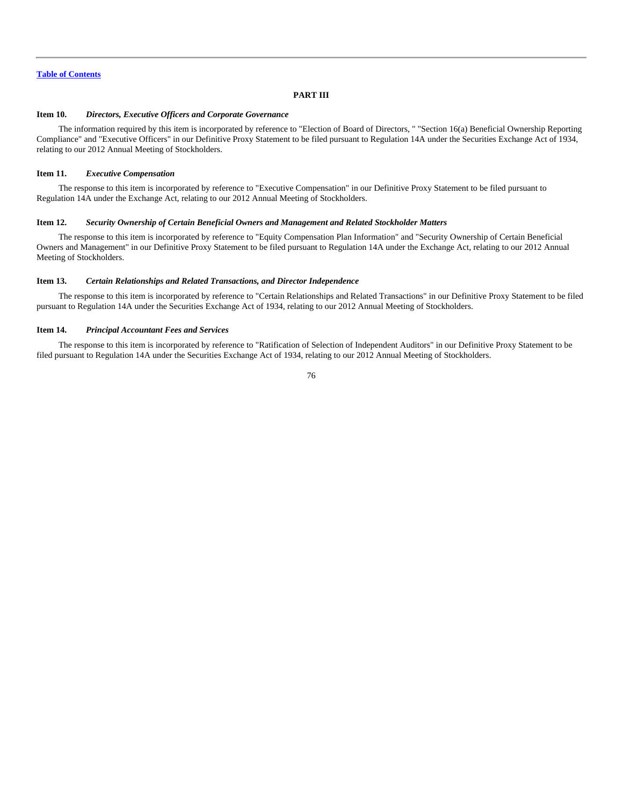# **PART III**

#### **Item 10.** *Directors, Executive Officers and Corporate Governance*

The information required by this item is incorporated by reference to "Election of Board of Directors, " "Section 16(a) Beneficial Ownership Reporting Compliance" and "Executive Officers" in our Definitive Proxy Statement to be filed pursuant to Regulation 14A under the Securities Exchange Act of 1934, relating to our 2012 Annual Meeting of Stockholders.

#### **Item 11.** *Executive Compensation*

The response to this item is incorporated by reference to "Executive Compensation" in our Definitive Proxy Statement to be filed pursuant to Regulation 14A under the Exchange Act, relating to our 2012 Annual Meeting of Stockholders.

#### **Item 12.** *Security Ownership of Certain Beneficial Owners and Management and Related Stockholder Matters*

The response to this item is incorporated by reference to "Equity Compensation Plan Information" and "Security Ownership of Certain Beneficial Owners and Management" in our Definitive Proxy Statement to be filed pursuant to Regulation 14A under the Exchange Act, relating to our 2012 Annual Meeting of Stockholders.

#### **Item 13.** *Certain Relationships and Related Transactions, and Director Independence*

The response to this item is incorporated by reference to "Certain Relationships and Related Transactions" in our Definitive Proxy Statement to be filed pursuant to Regulation 14A under the Securities Exchange Act of 1934, relating to our 2012 Annual Meeting of Stockholders.

#### **Item 14.** *Principal Accountant Fees and Services*

The response to this item is incorporated by reference to "Ratification of Selection of Independent Auditors" in our Definitive Proxy Statement to be filed pursuant to Regulation 14A under the Securities Exchange Act of 1934, relating to our 2012 Annual Meeting of Stockholders.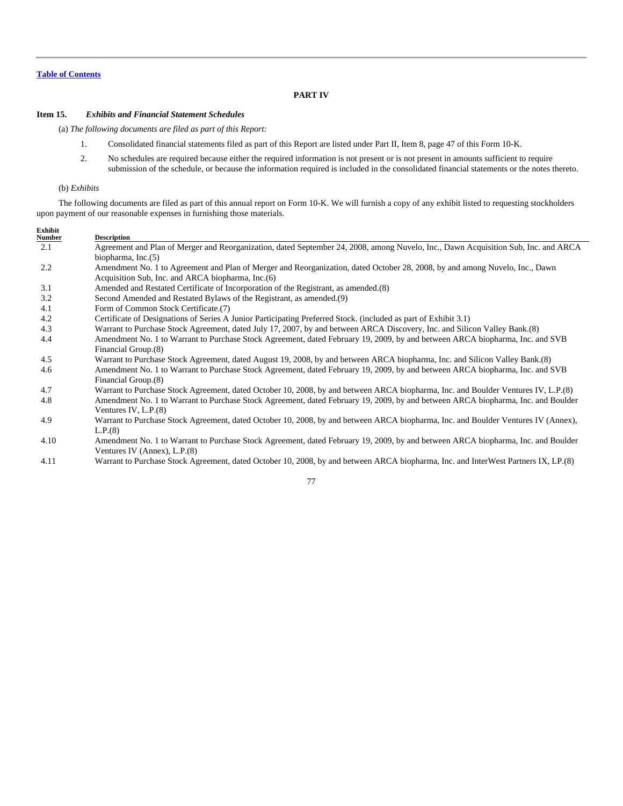# **PART IV**

# **Item 15.** *Exhibits and Financial Statement Schedules*

(a) *The following documents are filed as part of this Report:*

- 1. Consolidated financial statements filed as part of this Report are listed under Part II, Item 8, page 47 of this Form 10-K.
- 2. No schedules are required because either the required information is not present or is not present in amounts sufficient to require submission of the schedule, or because the information required is included in the consolidated financial statements or the notes thereto.

#### (b) *Exhibits*

The following documents are filed as part of this annual report on Form 10-K. We will furnish a copy of any exhibit listed to requesting stockholders upon payment of our reasonable expenses in furnishing those materials.

| Exhibit |                                                                                                                                    |
|---------|------------------------------------------------------------------------------------------------------------------------------------|
| Number  | <b>Description</b>                                                                                                                 |
| 2.1     | Agreement and Plan of Merger and Reorganization, dated September 24, 2008, among Nuvelo, Inc., Dawn Acquisition Sub, Inc. and ARCA |
|         | biopharma, $Inc.(5)$                                                                                                               |
| 2.2     | Amendment No. 1 to Agreement and Plan of Merger and Reorganization, dated October 28, 2008, by and among Nuvelo, Inc., Dawn        |
|         | Acquisition Sub, Inc. and ARCA biopharma, Inc. (6)                                                                                 |
| 3.1     | Amended and Restated Certificate of Incorporation of the Registrant, as amended. (8)                                               |
| 3.2     | Second Amended and Restated Bylaws of the Registrant, as amended. (9)                                                              |
| 4.1     | Form of Common Stock Certificate.(7)                                                                                               |
| 4.2     | Certificate of Designations of Series A Junior Participating Preferred Stock. (included as part of Exhibit 3.1)                    |
| 4.3     | Warrant to Purchase Stock Agreement, dated July 17, 2007, by and between ARCA Discovery, Inc. and Silicon Valley Bank. (8)         |
| 4.4     | Amendment No. 1 to Warrant to Purchase Stock Agreement, dated February 19, 2009, by and between ARCA biopharma, Inc. and SVB       |
|         | Financial Group.(8)                                                                                                                |
| 4.5     | Warrant to Purchase Stock Agreement, dated August 19, 2008, by and between ARCA biopharma, Inc. and Silicon Valley Bank. (8)       |
| 4.6     | Amendment No. 1 to Warrant to Purchase Stock Agreement, dated February 19, 2009, by and between ARCA biopharma, Inc. and SVB       |
|         | Financial Group.(8)                                                                                                                |
| 4.7     | Warrant to Purchase Stock Agreement, dated October 10, 2008, by and between ARCA biopharma, Inc. and Boulder Ventures IV, L.P.(8)  |
| 4.8     | Amendment No. 1 to Warrant to Purchase Stock Agreement, dated February 19, 2009, by and between ARCA biopharma, Inc. and Boulder   |
|         | Ventures IV, $L.P.(8)$                                                                                                             |
| 4.9     | Warrant to Purchase Stock Agreement, dated October 10, 2008, by and between ARCA biopharma, Inc. and Boulder Ventures IV (Annex),  |
|         | L.P.(8)                                                                                                                            |
| 4.10    | Amendment No. 1 to Warrant to Purchase Stock Agreement, dated February 19, 2009, by and between ARCA biopharma, Inc. and Boulder   |
|         | Ventures IV (Annex), L.P.(8)                                                                                                       |
|         |                                                                                                                                    |

4.11 Warrant to Purchase Stock Agreement, dated October 10, 2008, by and between ARCA biopharma, Inc. and InterWest Partners IX, LP.(8)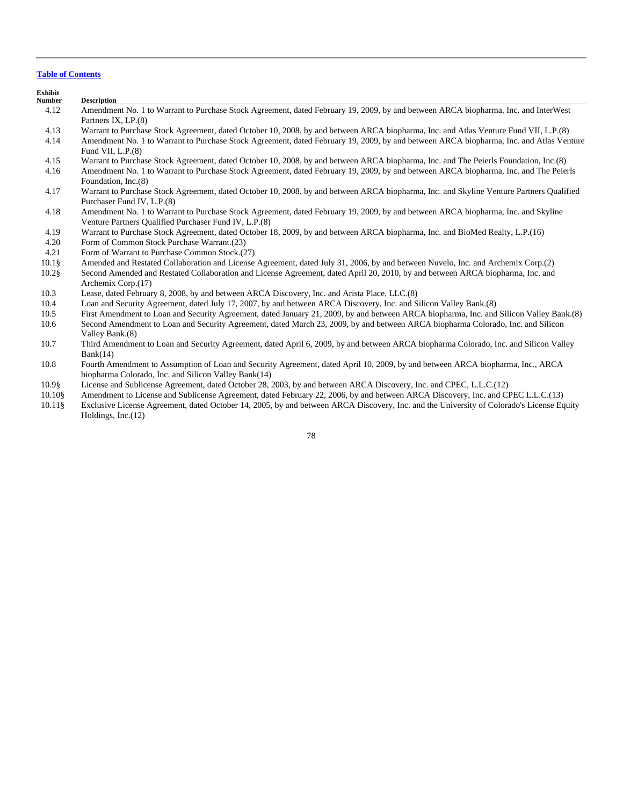| Exhibit<br><b>Number</b> | <b>Description</b>                                                                                                                      |
|--------------------------|-----------------------------------------------------------------------------------------------------------------------------------------|
| 4.12                     | Amendment No. 1 to Warrant to Purchase Stock Agreement, dated February 19, 2009, by and between ARCA biopharma, Inc. and InterWest      |
|                          | Partners IX, LP.(8)                                                                                                                     |
| 4.13                     | Warrant to Purchase Stock Agreement, dated October 10, 2008, by and between ARCA biopharma, Inc. and Atlas Venture Fund VII, L.P.(8)    |
| 4.14                     | Amendment No. 1 to Warrant to Purchase Stock Agreement, dated February 19, 2009, by and between ARCA biopharma, Inc. and Atlas Venture  |
|                          | Fund VII, $L.P.(8)$                                                                                                                     |
| 4.15                     | Warrant to Purchase Stock Agreement, dated October 10, 2008, by and between ARCA biopharma, Inc. and The Peierls Foundation, Inc.(8)    |
| 4.16                     | Amendment No. 1 to Warrant to Purchase Stock Agreement, dated February 19, 2009, by and between ARCA biopharma, Inc. and The Peierls    |
|                          | Foundation, Inc.(8)                                                                                                                     |
| 4.17                     | Warrant to Purchase Stock Agreement, dated October 10, 2008, by and between ARCA biopharma, Inc. and Skyline Venture Partners Qualified |
|                          | Purchaser Fund IV, L.P.(8)                                                                                                              |
| 4.18                     | Amendment No. 1 to Warrant to Purchase Stock Agreement, dated February 19, 2009, by and between ARCA biopharma, Inc. and Skyline        |
|                          | Venture Partners Qualified Purchaser Fund IV, L.P.(8)                                                                                   |
| 4.19                     | Warrant to Purchase Stock Agreement, dated October 18, 2009, by and between ARCA biopharma, Inc. and BioMed Realty, L.P.(16)            |
| 4.20                     | Form of Common Stock Purchase Warrant. (23)                                                                                             |
| 4.21                     | Form of Warrant to Purchase Common Stock.(27)                                                                                           |
| $10.1\$                  | Amended and Restated Collaboration and License Agreement, dated July 31, 2006, by and between Nuvelo, Inc. and Archemix Corp.(2)        |
| $10.2$ §                 | Second Amended and Restated Collaboration and License Agreement, dated April 20, 2010, by and between ARCA biopharma, Inc. and          |
|                          | Archemix Corp.(17)                                                                                                                      |
| 10.3                     | Lease, dated February 8, 2008, by and between ARCA Discovery, Inc. and Arista Place, LLC.(8)                                            |
| 10.4                     | Loan and Security Agreement, dated July 17, 2007, by and between ARCA Discovery, Inc. and Silicon Valley Bank. (8)                      |
| 10.5                     | First Amendment to Loan and Security Agreement, dated January 21, 2009, by and between ARCA biopharma, Inc. and Silicon Valley Bank.(8) |
| 10.6                     | Second Amendment to Loan and Security Agreement, dated March 23, 2009, by and between ARCA biopharma Colorado, Inc. and Silicon         |
|                          | Valley Bank.(8)                                                                                                                         |
| 10.7                     | Third Amendment to Loan and Security Agreement, dated April 6, 2009, by and between ARCA biopharma Colorado, Inc. and Silicon Valley    |
|                          | Bank(14)                                                                                                                                |
| 10.8                     | Fourth Amendment to Assumption of Loan and Security Agreement, dated April 10, 2009, by and between ARCA biopharma, Inc., ARCA          |
|                          | biopharma Colorado, Inc. and Silicon Valley Bank(14)                                                                                    |
| 10.98                    | License and Sublicense Agreement, dated October 28, 2003, by and between ARCA Discovery, Inc. and CPEC, L.L.C.(12)                      |

- 10.10§ Amendment to License and Sublicense Agreement, dated February 22, 2006, by and between ARCA Discovery, Inc. and CPEC L.L.C.(13)
- 10.11§ Exclusive License Agreement, dated October 14, 2005, by and between ARCA Discovery, Inc. and the University of Colorado's License Equity Holdings, Inc.(12)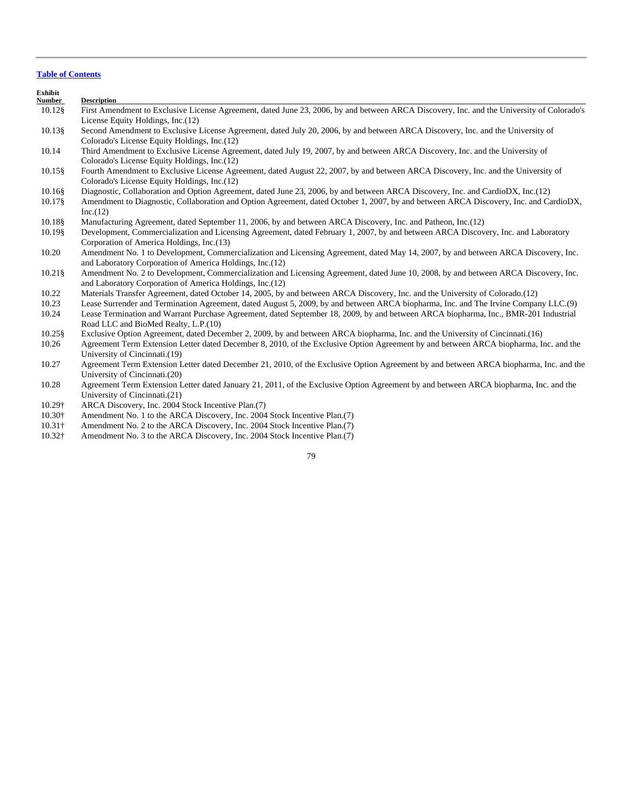| ∠xhibit |             |  |
|---------|-------------|--|
| Number  | Description |  |

- 10.12§ First Amendment to Exclusive License Agreement, dated June 23, 2006, by and between ARCA Discovery, Inc. and the University of Colorado's License Equity Holdings, Inc.(12)
- 10.13§ Second Amendment to Exclusive License Agreement, dated July 20, 2006, by and between ARCA Discovery, Inc. and the University of Colorado's License Equity Holdings, Inc.(12)
- 10.14 Third Amendment to Exclusive License Agreement, dated July 19, 2007, by and between ARCA Discovery, Inc. and the University of Colorado's License Equity Holdings, Inc.(12)
- 10.15§ Fourth Amendment to Exclusive License Agreement, dated August 22, 2007, by and between ARCA Discovery, Inc. and the University of Colorado's License Equity Holdings, Inc.(12)
- 10.16§ Diagnostic, Collaboration and Option Agreement, dated June 23, 2006, by and between ARCA Discovery, Inc. and CardioDX, Inc.(12)
- 10.17§ Amendment to Diagnostic, Collaboration and Option Agreement, dated October 1, 2007, by and between ARCA Discovery, Inc. and CardioDX, Inc.(12)
- 10.18§ Manufacturing Agreement, dated September 11, 2006, by and between ARCA Discovery, Inc. and Patheon, Inc.(12)
- 10.19§ Development, Commercialization and Licensing Agreement, dated February 1, 2007, by and between ARCA Discovery, Inc. and Laboratory Corporation of America Holdings, Inc.(13)
- 10.20 Amendment No. 1 to Development, Commercialization and Licensing Agreement, dated May 14, 2007, by and between ARCA Discovery, Inc. and Laboratory Corporation of America Holdings, Inc.(12)
- 10.21§ Amendment No. 2 to Development, Commercialization and Licensing Agreement, dated June 10, 2008, by and between ARCA Discovery, Inc. and Laboratory Corporation of America Holdings, Inc.(12)
- 10.22 Materials Transfer Agreement, dated October 14, 2005, by and between ARCA Discovery, Inc. and the University of Colorado.(12)
- 10.23 Lease Surrender and Termination Agreement, dated August 5, 2009, by and between ARCA biopharma, Inc. and The Irvine Company LLC.(9)
- 10.24 Lease Termination and Warrant Purchase Agreement, dated September 18, 2009, by and between ARCA biopharma, Inc., BMR-201 Industrial Road LLC and BioMed Realty, L.P.(10)
- 10.25§ Exclusive Option Agreement, dated December 2, 2009, by and between ARCA biopharma, Inc. and the University of Cincinnati.(16)
- 10.26 Agreement Term Extension Letter dated December 8, 2010, of the Exclusive Option Agreement by and between ARCA biopharma, Inc. and the University of Cincinnati.(19)
- 10.27 Agreement Term Extension Letter dated December 21, 2010, of the Exclusive Option Agreement by and between ARCA biopharma, Inc. and the University of Cincinnati.(20)
- 10.28 Agreement Term Extension Letter dated January 21, 2011, of the Exclusive Option Agreement by and between ARCA biopharma, Inc. and the University of Cincinnati.(21)
- 10.29† ARCA Discovery, Inc. 2004 Stock Incentive Plan.(7)
- 10.30† Amendment No. 1 to the ARCA Discovery, Inc. 2004 Stock Incentive Plan.(7)<br>10.31† Amendment No. 2 to the ARCA Discovery, Inc. 2004 Stock Incentive Plan.(7)
- Amendment No. 2 to the ARCA Discovery, Inc. 2004 Stock Incentive Plan.(7)
- 10.32† Amendment No. 3 to the ARCA Discovery, Inc. 2004 Stock Incentive Plan.(7)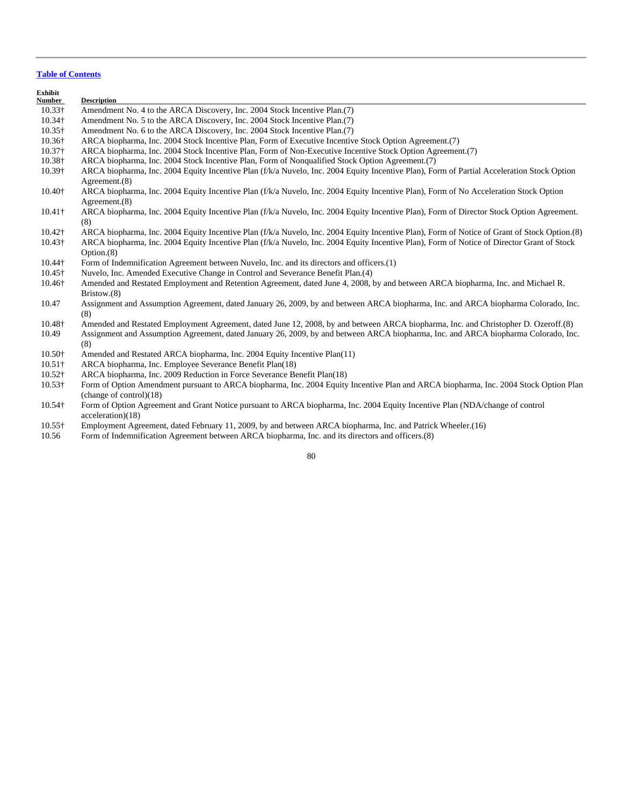| Exhibit<br><b>Number</b> | <b>Description</b>                                                                                                                                              |
|--------------------------|-----------------------------------------------------------------------------------------------------------------------------------------------------------------|
| $10.33\dagger$           | Amendment No. 4 to the ARCA Discovery, Inc. 2004 Stock Incentive Plan.(7)                                                                                       |
| 10.34†                   | Amendment No. 5 to the ARCA Discovery, Inc. 2004 Stock Incentive Plan. (7)                                                                                      |
| $10.35\dagger$           | Amendment No. 6 to the ARCA Discovery, Inc. 2004 Stock Incentive Plan.(7)                                                                                       |
| 10.36†                   | ARCA biopharma, Inc. 2004 Stock Incentive Plan, Form of Executive Incentive Stock Option Agreement.(7)                                                          |
| 10.37 <sup>†</sup>       | ARCA biopharma, Inc. 2004 Stock Incentive Plan, Form of Non-Executive Incentive Stock Option Agreement.(7)                                                      |
| 10.38†                   | ARCA biopharma, Inc. 2004 Stock Incentive Plan, Form of Nonqualified Stock Option Agreement.(7)                                                                 |
| 10.39†                   | ARCA biopharma, Inc. 2004 Equity Incentive Plan (f/k/a Nuvelo, Inc. 2004 Equity Incentive Plan), Form of Partial Acceleration Stock Option<br>Agreement. $(8)$  |
| 10.40+                   | ARCA biopharma, Inc. 2004 Equity Incentive Plan (f/k/a Nuvelo, Inc. 2004 Equity Incentive Plan), Form of No Acceleration Stock Option<br>Agreement.(8)          |
| $10.41\dagger$           | ARCA biopharma, Inc. 2004 Equity Incentive Plan (f/k/a Nuvelo, Inc. 2004 Equity Incentive Plan), Form of Director Stock Option Agreement.<br>(8)                |
| 10.42†                   | ARCA biopharma, Inc. 2004 Equity Incentive Plan (f/k/a Nuvelo, Inc. 2004 Equity Incentive Plan), Form of Notice of Grant of Stock Option.(8)                    |
| 10.43†                   | ARCA biopharma, Inc. 2004 Equity Incentive Plan (f/k/a Nuvelo, Inc. 2004 Equity Incentive Plan), Form of Notice of Director Grant of Stock<br>Option.(8)        |
| 10.44†                   | Form of Indemnification Agreement between Nuvelo, Inc. and its directors and officers.(1)                                                                       |
| 10.45†                   | Nuvelo, Inc. Amended Executive Change in Control and Severance Benefit Plan.(4)                                                                                 |
| 10.46†                   | Amended and Restated Employment and Retention Agreement, dated June 4, 2008, by and between ARCA biopharma, Inc. and Michael R.<br>Bristow. $(8)$               |
| 10.47                    | Assignment and Assumption Agreement, dated January 26, 2009, by and between ARCA biopharma, Inc. and ARCA biopharma Colorado, Inc.<br>(8)                       |
| 10.48+                   | Amended and Restated Employment Agreement, dated June 12, 2008, by and between ARCA biopharma, Inc. and Christopher D. Ozeroff.(8)                              |
| 10.49                    | Assignment and Assumption Agreement, dated January 26, 2009, by and between ARCA biopharma, Inc. and ARCA biopharma Colorado, Inc.<br>(8)                       |
| 10.50+                   | Amended and Restated ARCA biopharma, Inc. 2004 Equity Incentive Plan(11)                                                                                        |
| $10.51\dagger$           | ARCA biopharma, Inc. Employee Severance Benefit Plan(18)                                                                                                        |
| $10.52\dagger$           | ARCA biopharma, Inc. 2009 Reduction in Force Severance Benefit Plan(18)                                                                                         |
| $10.53\dagger$           | Form of Option Amendment pursuant to ARCA biopharma, Inc. 2004 Equity Incentive Plan and ARCA biopharma, Inc. 2004 Stock Option Plan<br>(charge of control)(18) |
| $10.54\dagger$           | Form of Option Agreement and Grant Notice pursuant to ARCA biopharma, Inc. 2004 Equity Incentive Plan (NDA/change of control<br>acceleration)(18)               |
| $10.55\dagger$           | Employment Agreement, dated February 11, 2009, by and between ARCA biopharma, Inc. and Patrick Wheeler. (16)                                                    |
| 10.56                    | Form of Indemnification Agreement between ARCA biopharma, Inc. and its directors and officers.(8)                                                               |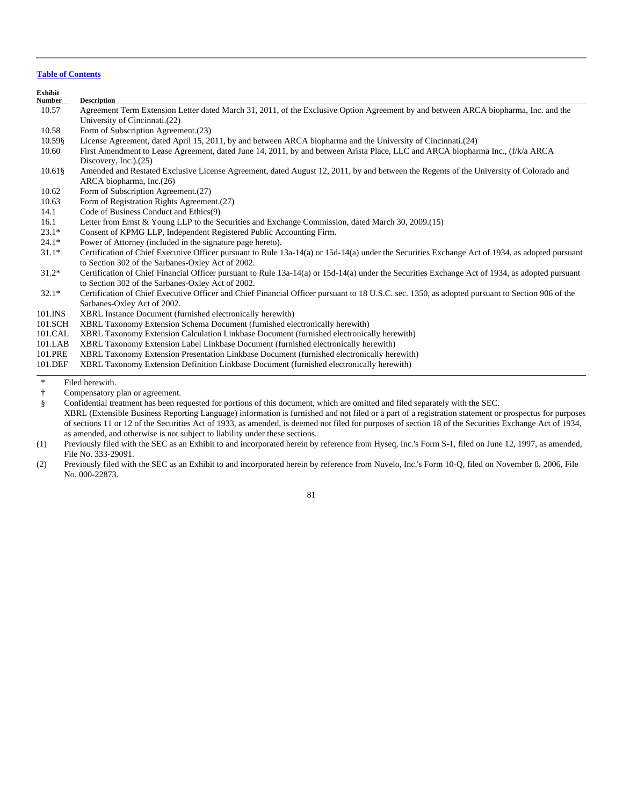| <b>Exhibit</b><br><b>Number</b> | <b>Description</b>                                                                                                                              |
|---------------------------------|-------------------------------------------------------------------------------------------------------------------------------------------------|
| 10.57                           | Agreement Term Extension Letter dated March 31, 2011, of the Exclusive Option Agreement by and between ARCA biopharma, Inc. and the             |
|                                 | University of Cincinnati.(22)                                                                                                                   |
| 10.58                           | Form of Subscription Agreement. (23)                                                                                                            |
| 10.59§                          | License Agreement, dated April 15, 2011, by and between ARCA biopharma and the University of Cincinnati. (24)                                   |
| 10.60                           | First Amendment to Lease Agreement, dated June 14, 2011, by and between Arista Place, LLC and ARCA biopharma Inc., (f/k/a ARCA)                 |
|                                 | Discovery, Inc. $(25)$                                                                                                                          |
| $10.61\$                        | Amended and Restated Exclusive License Agreement, dated August 12, 2011, by and between the Regents of the University of Colorado and           |
|                                 | ARCA biopharma, Inc.(26)                                                                                                                        |
| 10.62                           | Form of Subscription Agreement. (27)                                                                                                            |
| 10.63                           | Form of Registration Rights Agreement.(27)                                                                                                      |
| 14.1                            | Code of Business Conduct and Ethics(9)                                                                                                          |
| 16.1                            | Letter from Ernst & Young LLP to the Securities and Exchange Commission, dated March $30, 2009. (15)$                                           |
| $23.1*$                         | Consent of KPMG LLP, Independent Registered Public Accounting Firm.                                                                             |
| $24.1*$                         | Power of Attorney (included in the signature page hereto).                                                                                      |
| $31.1*$                         | Certification of Chief Executive Officer pursuant to Rule 13a-14(a) or 15d-14(a) under the Securities Exchange Act of 1934, as adopted pursuant |
|                                 | to Section 302 of the Sarbanes-Oxley Act of 2002.                                                                                               |
| $31.2*$                         | Certification of Chief Financial Officer pursuant to Rule 13a-14(a) or 15d-14(a) under the Securities Exchange Act of 1934, as adopted pursuant |
|                                 | to Section 302 of the Sarbanes-Oxley Act of 2002.                                                                                               |
| $32.1*$                         | Certification of Chief Executive Officer and Chief Financial Officer pursuant to 18 U.S.C. sec. 1350, as adopted pursuant to Section 906 of the |
|                                 | Sarbanes-Oxley Act of 2002.                                                                                                                     |
| 101.INS                         | XBRL Instance Document (furnished electronically herewith)                                                                                      |
| 101.SCH                         | XBRL Taxonomy Extension Schema Document (furnished electronically herewith)                                                                     |
| 101.CAL                         | XBRL Taxonomy Extension Calculation Linkbase Document (furnished electronically herewith)                                                       |
| 101.LAB                         | XBRL Taxonomy Extension Label Linkbase Document (furnished electronically herewith)                                                             |
| 101.PRE                         | XBRL Taxonomy Extension Presentation Linkbase Document (furnished electronically herewith)                                                      |
| 101.DEF                         | XBRL Taxonomy Extension Definition Linkbase Document (furnished electronically herewith)                                                        |
| $\ast$                          | Filed herewith.                                                                                                                                 |

† Compensatory plan or agreement.

 § Confidential treatment has been requested for portions of this document, which are omitted and filed separately with the SEC. XBRL (Extensible Business Reporting Language) information is furnished and not filed or a part of a registration statement or prospectus for purposes of sections 11 or 12 of the Securities Act of 1933, as amended, is deemed not filed for purposes of section 18 of the Securities Exchange Act of 1934, as amended, and otherwise is not subject to liability under these sections.

(1) Previously filed with the SEC as an Exhibit to and incorporated herein by reference from Hyseq, Inc.'s Form S-1, filed on June 12, 1997, as amended, File No. 333-29091.

(2) Previously filed with the SEC as an Exhibit to and incorporated herein by reference from Nuvelo, Inc.'s Form 10-Q, filed on November 8, 2006, File No. 000-22873.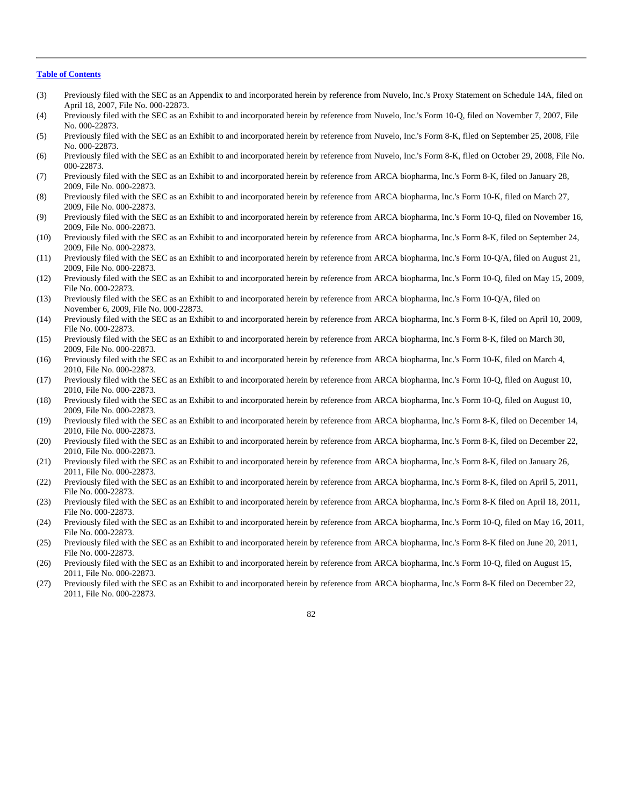- (3) Previously filed with the SEC as an Appendix to and incorporated herein by reference from Nuvelo, Inc.'s Proxy Statement on Schedule 14A, filed on April 18, 2007, File No. 000-22873.
- (4) Previously filed with the SEC as an Exhibit to and incorporated herein by reference from Nuvelo, Inc.'s Form 10-Q, filed on November 7, 2007, File No. 000-22873.
- (5) Previously filed with the SEC as an Exhibit to and incorporated herein by reference from Nuvelo, Inc.'s Form 8-K, filed on September 25, 2008, File No. 000-22873.
- (6) Previously filed with the SEC as an Exhibit to and incorporated herein by reference from Nuvelo, Inc.'s Form 8-K, filed on October 29, 2008, File No. 000-22873.
- (7) Previously filed with the SEC as an Exhibit to and incorporated herein by reference from ARCA biopharma, Inc.'s Form 8-K, filed on January 28, 2009, File No. 000-22873.
- (8) Previously filed with the SEC as an Exhibit to and incorporated herein by reference from ARCA biopharma, Inc.'s Form 10-K, filed on March 27, 2009, File No. 000-22873.
- (9) Previously filed with the SEC as an Exhibit to and incorporated herein by reference from ARCA biopharma, Inc.'s Form 10-Q, filed on November 16, 2009, File No. 000-22873.
- (10) Previously filed with the SEC as an Exhibit to and incorporated herein by reference from ARCA biopharma, Inc.'s Form 8-K, filed on September 24, 2009, File No. 000-22873.
- (11) Previously filed with the SEC as an Exhibit to and incorporated herein by reference from ARCA biopharma, Inc.'s Form 10-Q/A, filed on August 21, 2009, File No. 000-22873.
- (12) Previously filed with the SEC as an Exhibit to and incorporated herein by reference from ARCA biopharma, Inc.'s Form 10-Q, filed on May 15, 2009, File No. 000-22873.
- (13) Previously filed with the SEC as an Exhibit to and incorporated herein by reference from ARCA biopharma, Inc.'s Form 10-Q/A, filed on November 6, 2009, File No. 000-22873.
- (14) Previously filed with the SEC as an Exhibit to and incorporated herein by reference from ARCA biopharma, Inc.'s Form 8-K, filed on April 10, 2009, File No. 000-22873.
- (15) Previously filed with the SEC as an Exhibit to and incorporated herein by reference from ARCA biopharma, Inc.'s Form 8-K, filed on March 30, 2009, File No. 000-22873.
- (16) Previously filed with the SEC as an Exhibit to and incorporated herein by reference from ARCA biopharma, Inc.'s Form 10-K, filed on March 4, 2010, File No. 000-22873.
- (17) Previously filed with the SEC as an Exhibit to and incorporated herein by reference from ARCA biopharma, Inc.'s Form 10-Q, filed on August 10, 2010, File No. 000-22873.
- (18) Previously filed with the SEC as an Exhibit to and incorporated herein by reference from ARCA biopharma, Inc.'s Form 10-Q, filed on August 10, 2009, File No. 000-22873.
- (19) Previously filed with the SEC as an Exhibit to and incorporated herein by reference from ARCA biopharma, Inc.'s Form 8-K, filed on December 14, 2010, File No. 000-22873.
- (20) Previously filed with the SEC as an Exhibit to and incorporated herein by reference from ARCA biopharma, Inc.'s Form 8-K, filed on December 22, 2010, File No. 000-22873.
- (21) Previously filed with the SEC as an Exhibit to and incorporated herein by reference from ARCA biopharma, Inc.'s Form 8-K, filed on January 26, 2011, File No. 000-22873.
- (22) Previously filed with the SEC as an Exhibit to and incorporated herein by reference from ARCA biopharma, Inc.'s Form 8-K, filed on April 5, 2011, File No. 000-22873.
- (23) Previously filed with the SEC as an Exhibit to and incorporated herein by reference from ARCA biopharma, Inc.'s Form 8-K filed on April 18, 2011, File No. 000-22873.
- (24) Previously filed with the SEC as an Exhibit to and incorporated herein by reference from ARCA biopharma, Inc.'s Form 10-Q, filed on May 16, 2011, File No. 000-22873.
- (25) Previously filed with the SEC as an Exhibit to and incorporated herein by reference from ARCA biopharma, Inc.'s Form 8-K filed on June 20, 2011, File No. 000-22873.
- (26) Previously filed with the SEC as an Exhibit to and incorporated herein by reference from ARCA biopharma, Inc.'s Form 10-Q, filed on August 15, 2011, File No. 000-22873.
- (27) Previously filed with the SEC as an Exhibit to and incorporated herein by reference from ARCA biopharma, Inc.'s Form 8-K filed on December 22, 2011, File No. 000-22873.

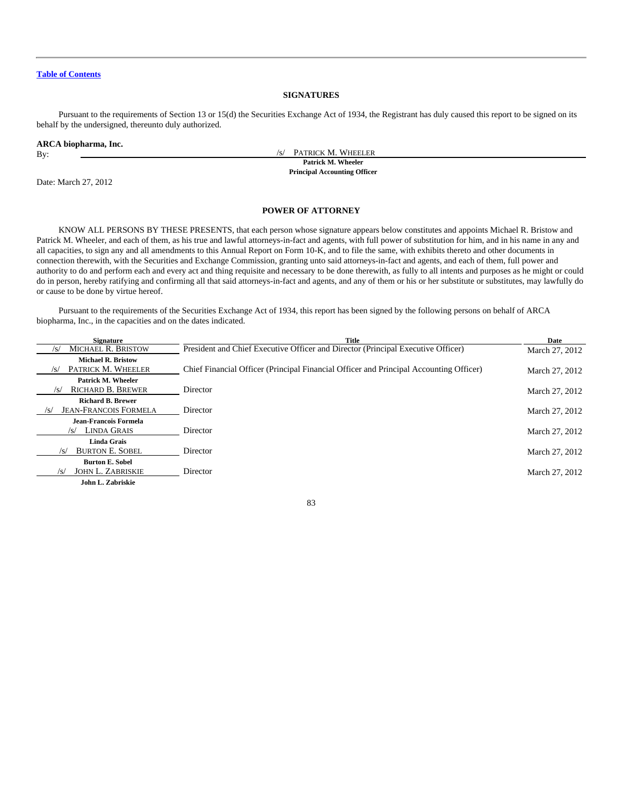# **SIGNATURES**

Pursuant to the requirements of Section 13 or 15(d) the Securities Exchange Act of 1934, the Registrant has duly caused this report to be signed on its behalf by the undersigned, thereunto duly authorized.

#### **ARCA biopharma, Inc.**

By:  $\overline{\phantom{a}}$  PATRICK M. WHEELER

**Patrick M. Wheeler Principal Accounting Officer**

Date: March 27, 2012

# **POWER OF ATTORNEY**

KNOW ALL PERSONS BY THESE PRESENTS, that each person whose signature appears below constitutes and appoints Michael R. Bristow and Patrick M. Wheeler, and each of them, as his true and lawful attorneys-in-fact and agents, with full power of substitution for him, and in his name in any and all capacities, to sign any and all amendments to this Annual Report on Form 10-K, and to file the same, with exhibits thereto and other documents in connection therewith, with the Securities and Exchange Commission, granting unto said attorneys-in-fact and agents, and each of them, full power and authority to do and perform each and every act and thing requisite and necessary to be done therewith, as fully to all intents and purposes as he might or could do in person, hereby ratifying and confirming all that said attorneys-in-fact and agents, and any of them or his or her substitute or substitutes, may lawfully do or cause to be done by virtue hereof.

Pursuant to the requirements of the Securities Exchange Act of 1934, this report has been signed by the following persons on behalf of ARCA biopharma, Inc., in the capacities and on the dates indicated.

| <b>Signature</b>                                                | Title                                                                                  | Date           |
|-----------------------------------------------------------------|----------------------------------------------------------------------------------------|----------------|
| <b>MICHAEL R. BRISTOW</b>                                       | President and Chief Executive Officer and Director (Principal Executive Officer)       | March 27, 2012 |
| <b>Michael R. Bristow</b><br>PATRICK M. WHEELER<br>$\sqrt{s}$   | Chief Financial Officer (Principal Financial Officer and Principal Accounting Officer) | March 27, 2012 |
| Patrick M. Wheeler<br><b>RICHARD B. BREWER</b><br>/s/           | Director                                                                               | March 27, 2012 |
| <b>Richard B. Brewer</b><br><b>JEAN-FRANCOIS FORMELA</b><br>/s/ | Director                                                                               | March 27, 2012 |
| Jean-Francois Formela<br>LINDA GRAIS<br>/s/                     | Director                                                                               | March 27, 2012 |
| <b>Linda Grais</b><br><b>BURTON E. SOBEL</b><br>/s/             | Director                                                                               | March 27, 2012 |
| <b>Burton E. Sobel</b><br><b>JOHN L. ZABRISKIE</b><br>/S/       | Director                                                                               | March 27, 2012 |
| John L. Zabriskie                                               |                                                                                        |                |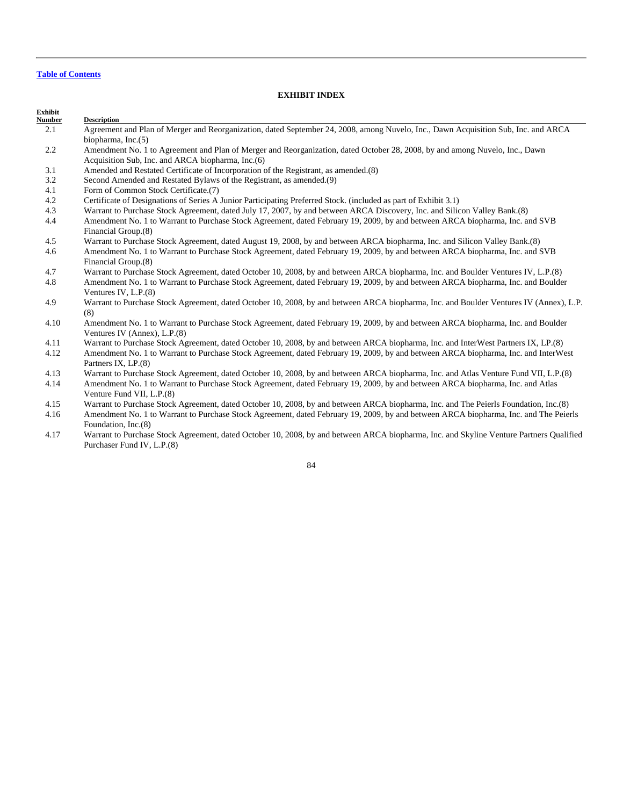**Description** 

# **EXHIBIT INDEX**

# **Exhibit**

- 2.1 Agreement and Plan of Merger and Reorganization, dated September 24, 2008, among Nuvelo, Inc., Dawn Acquisition Sub, Inc. and ARCA biopharma, Inc.(5)
- 2.2 Amendment No. 1 to Agreement and Plan of Merger and Reorganization, dated October 28, 2008, by and among Nuvelo, Inc., Dawn Acquisition Sub, Inc. and ARCA biopharma, Inc.(6)
- 3.1 Amended and Restated Certificate of Incorporation of the Registrant, as amended.(8)
- 3.2 Second Amended and Restated Bylaws of the Registrant, as amended.(9)
- 4.1 Form of Common Stock Certificate.(7)
- 4.2 Certificate of Designations of Series A Junior Participating Preferred Stock. (included as part of Exhibit 3.1)
- 4.3 Warrant to Purchase Stock Agreement, dated July 17, 2007, by and between ARCA Discovery, Inc. and Silicon Valley Bank.(8)
- 4.4 Amendment No. 1 to Warrant to Purchase Stock Agreement, dated February 19, 2009, by and between ARCA biopharma, Inc. and SVB Financial Group.(8)
- 4.5 Warrant to Purchase Stock Agreement, dated August 19, 2008, by and between ARCA biopharma, Inc. and Silicon Valley Bank.(8)
- 4.6 Amendment No. 1 to Warrant to Purchase Stock Agreement, dated February 19, 2009, by and between ARCA biopharma, Inc. and SVB Financial Group.(8)
- 4.7 Warrant to Purchase Stock Agreement, dated October 10, 2008, by and between ARCA biopharma, Inc. and Boulder Ventures IV, L.P.(8)
- 4.8 Amendment No. 1 to Warrant to Purchase Stock Agreement, dated February 19, 2009, by and between ARCA biopharma, Inc. and Boulder Ventures IV, L.P.(8)
- 4.9 Warrant to Purchase Stock Agreement, dated October 10, 2008, by and between ARCA biopharma, Inc. and Boulder Ventures IV (Annex), L.P. (8)
- 4.10 Amendment No. 1 to Warrant to Purchase Stock Agreement, dated February 19, 2009, by and between ARCA biopharma, Inc. and Boulder Ventures IV (Annex), L.P.(8)
- 4.11 Warrant to Purchase Stock Agreement, dated October 10, 2008, by and between ARCA biopharma, Inc. and InterWest Partners IX, LP.(8)
- 4.12 Amendment No. 1 to Warrant to Purchase Stock Agreement, dated February 19, 2009, by and between ARCA biopharma, Inc. and InterWest Partners IX, LP.(8)
- 4.13 Warrant to Purchase Stock Agreement, dated October 10, 2008, by and between ARCA biopharma, Inc. and Atlas Venture Fund VII, L.P.(8)
- 4.14 Amendment No. 1 to Warrant to Purchase Stock Agreement, dated February 19, 2009, by and between ARCA biopharma, Inc. and Atlas Venture Fund VII, L.P.(8)
- 4.15 Warrant to Purchase Stock Agreement, dated October 10, 2008, by and between ARCA biopharma, Inc. and The Peierls Foundation, Inc.(8)
- 4.16 Amendment No. 1 to Warrant to Purchase Stock Agreement, dated February 19, 2009, by and between ARCA biopharma, Inc. and The Peierls Foundation, Inc.(8)
- 4.17 Warrant to Purchase Stock Agreement, dated October 10, 2008, by and between ARCA biopharma, Inc. and Skyline Venture Partners Qualified Purchaser Fund IV, L.P.(8)

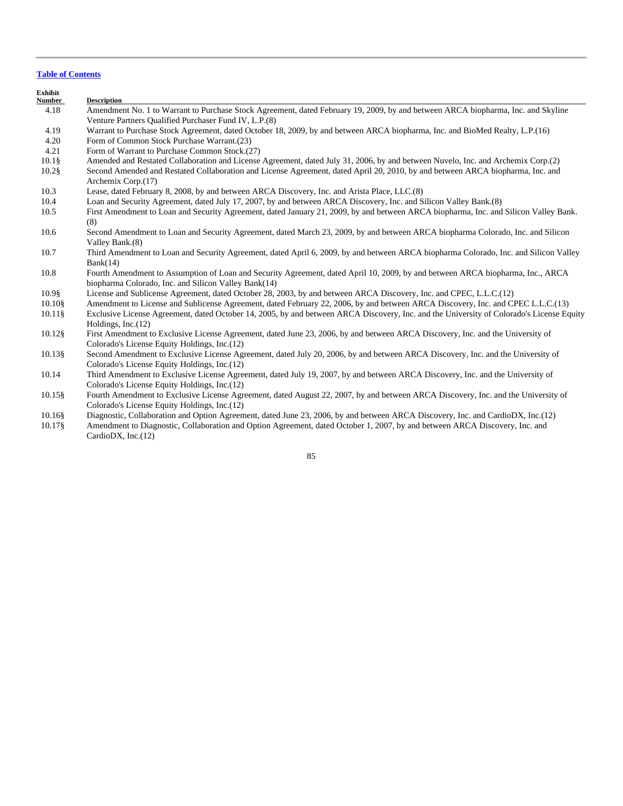| Exhibit<br><b>Number</b> | <b>Description</b>                                                                                                                                                                        |  |  |
|--------------------------|-------------------------------------------------------------------------------------------------------------------------------------------------------------------------------------------|--|--|
| 4.18                     | Amendment No. 1 to Warrant to Purchase Stock Agreement, dated February 19, 2009, by and between ARCA biopharma, Inc. and Skyline<br>Venture Partners Qualified Purchaser Fund IV, L.P.(8) |  |  |
| 4.19                     | Warrant to Purchase Stock Agreement, dated October 18, 2009, by and between ARCA biopharma, Inc. and BioMed Realty, L.P.(16)                                                              |  |  |
| 4.20                     | Form of Common Stock Purchase Warrant.(23)                                                                                                                                                |  |  |
| 4.21                     | Form of Warrant to Purchase Common Stock.(27)                                                                                                                                             |  |  |
| $10.1\$                  | Amended and Restated Collaboration and License Agreement, dated July 31, 2006, by and between Nuvelo, Inc. and Archemix Corp.(2)                                                          |  |  |
| $10.2$ §                 | Second Amended and Restated Collaboration and License Agreement, dated April 20, 2010, by and between ARCA biopharma, Inc. and<br>Archemix Corp.(17)                                      |  |  |
| 10.3                     | Lease, dated February 8, 2008, by and between ARCA Discovery, Inc. and Arista Place, LLC.(8)                                                                                              |  |  |
| 10.4                     | Loan and Security Agreement, dated July 17, 2007, by and between ARCA Discovery, Inc. and Silicon Valley Bank.(8)                                                                         |  |  |
| 10.5                     | First Amendment to Loan and Security Agreement, dated January 21, 2009, by and between ARCA biopharma, Inc. and Silicon Valley Bank.<br>(8)                                               |  |  |
| 10.6                     | Second Amendment to Loan and Security Agreement, dated March 23, 2009, by and between ARCA biopharma Colorado, Inc. and Silicon<br>Valley Bank.(8)                                        |  |  |
| 10.7                     | Third Amendment to Loan and Security Agreement, dated April 6, 2009, by and between ARCA biopharma Colorado, Inc. and Silicon Valley<br>Bank(14)                                          |  |  |
| 10.8                     | Fourth Amendment to Assumption of Loan and Security Agreement, dated April 10, 2009, by and between ARCA biopharma, Inc., ARCA<br>biopharma Colorado, Inc. and Silicon Valley Bank(14)    |  |  |
| 10.98                    | License and Sublicense Agreement, dated October 28, 2003, by and between ARCA Discovery, Inc. and CPEC, L.L.C.(12)                                                                        |  |  |
| $10.10$ §                | Amendment to License and Sublicense Agreement, dated February 22, 2006, by and between ARCA Discovery, Inc. and CPEC L.L.C.(13)                                                           |  |  |
| $10.11\$                 | Exclusive License Agreement, dated October 14, 2005, by and between ARCA Discovery, Inc. and the University of Colorado's License Equity<br>Holdings, $Inc.(12)$                          |  |  |
| 10.12§                   | First Amendment to Exclusive License Agreement, dated June 23, 2006, by and between ARCA Discovery, Inc. and the University of<br>Colorado's License Equity Holdings, Inc. (12)           |  |  |
| 10.13\$                  | Second Amendment to Exclusive License Agreement, dated July 20, 2006, by and between ARCA Discovery, Inc. and the University of<br>Colorado's License Equity Holdings, Inc.(12)           |  |  |
| 10.14                    | Third Amendment to Exclusive License Agreement, dated July 19, 2007, by and between ARCA Discovery, Inc. and the University of<br>Colorado's License Equity Holdings, Inc. (12)           |  |  |
| $10.15\$                 | Fourth Amendment to Exclusive License Agreement, dated August 22, 2007, by and between ARCA Discovery, Inc. and the University of<br>Colorado's License Equity Holdings, Inc. (12)        |  |  |
| 10.16§                   | Diagnostic, Collaboration and Option Agreement, dated June 23, 2006, by and between ARCA Discovery, Inc. and CardioDX, Inc.(12)                                                           |  |  |
| 10.17§                   | Amendment to Diagnostic, Collaboration and Option Agreement, dated October 1, 2007, by and between ARCA Discovery, Inc. and<br>CardioDX, Inc. $(12)$                                      |  |  |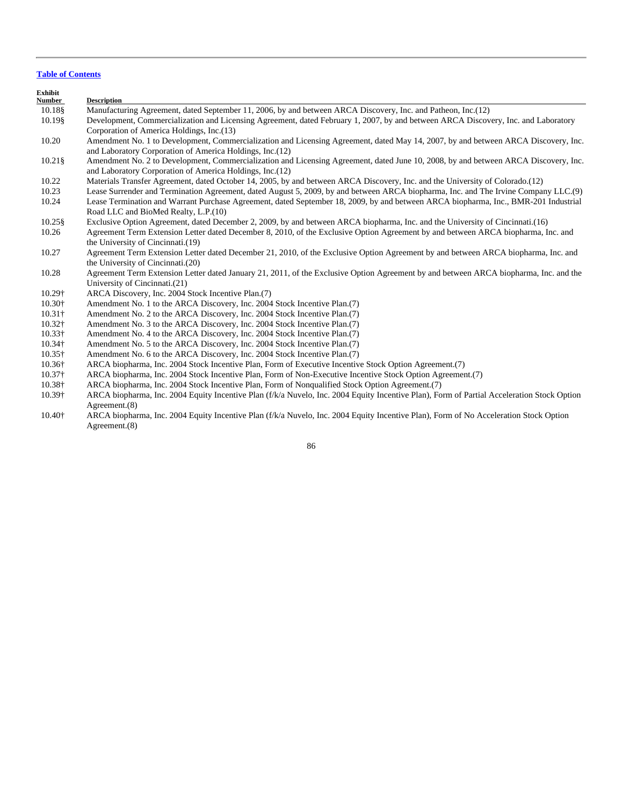| Exhibit<br><b>Number</b> | <b>Description</b>                                                                                                                                                                               |
|--------------------------|--------------------------------------------------------------------------------------------------------------------------------------------------------------------------------------------------|
| 10.18§                   | Manufacturing Agreement, dated September 11, 2006, by and between ARCA Discovery, Inc. and Patheon, Inc.(12)                                                                                     |
| 10.198                   | Development, Commercialization and Licensing Agreement, dated February 1, 2007, by and between ARCA Discovery, Inc. and Laboratory<br>Corporation of America Holdings, Inc.(13)                  |
| 10.20                    | Amendment No. 1 to Development, Commercialization and Licensing Agreement, dated May 14, 2007, by and between ARCA Discovery, Inc.<br>and Laboratory Corporation of America Holdings, Inc. (12)  |
| $10.21\$                 | Amendment No. 2 to Development, Commercialization and Licensing Agreement, dated June 10, 2008, by and between ARCA Discovery, Inc.<br>and Laboratory Corporation of America Holdings, Inc. (12) |
| 10.22                    | Materials Transfer Agreement, dated October 14, 2005, by and between ARCA Discovery, Inc. and the University of Colorado.(12)                                                                    |
| 10.23                    | Lease Surrender and Termination Agreement, dated August 5, 2009, by and between ARCA biopharma, Inc. and The Irvine Company LLC.(9)                                                              |
| 10.24                    | Lease Termination and Warrant Purchase Agreement, dated September 18, 2009, by and between ARCA biopharma, Inc., BMR-201 Industrial<br>Road LLC and BioMed Realty, L.P.(10)                      |
| 10.25\$                  | Exclusive Option Agreement, dated December 2, 2009, by and between ARCA biopharma, Inc. and the University of Cincinnati.(16)                                                                    |
| 10.26                    | Agreement Term Extension Letter dated December 8, 2010, of the Exclusive Option Agreement by and between ARCA biopharma, Inc. and                                                                |
|                          | the University of Cincinnati.(19)                                                                                                                                                                |
| 10.27                    | Agreement Term Extension Letter dated December 21, 2010, of the Exclusive Option Agreement by and between ARCA biopharma, Inc. and                                                               |
|                          | the University of Cincinnati.(20)                                                                                                                                                                |
| 10.28                    | Agreement Term Extension Letter dated January 21, 2011, of the Exclusive Option Agreement by and between ARCA biopharma, Inc. and the                                                            |
|                          | University of Cincinnati.(21)                                                                                                                                                                    |
| 10.29†                   | ARCA Discovery, Inc. 2004 Stock Incentive Plan. (7)                                                                                                                                              |
| 10.30+                   | Amendment No. 1 to the ARCA Discovery, Inc. 2004 Stock Incentive Plan. (7)                                                                                                                       |
| $10.31\dagger$           | Amendment No. 2 to the ARCA Discovery, Inc. 2004 Stock Incentive Plan. (7)                                                                                                                       |
| 10.32†                   | Amendment No. 3 to the ARCA Discovery, Inc. 2004 Stock Incentive Plan. (7)                                                                                                                       |
| $10.33\dagger$           | Amendment No. 4 to the ARCA Discovery, Inc. 2004 Stock Incentive Plan. (7)                                                                                                                       |
| 10.34†                   | Amendment No. 5 to the ARCA Discovery, Inc. 2004 Stock Incentive Plan. (7)                                                                                                                       |
| $10.35\dagger$           | Amendment No. 6 to the ARCA Discovery, Inc. 2004 Stock Incentive Plan. (7)                                                                                                                       |
| 10.36†                   | ARCA biopharma, Inc. 2004 Stock Incentive Plan, Form of Executive Incentive Stock Option Agreement.(7)                                                                                           |
| $10.37\dagger$           | ARCA biopharma, Inc. 2004 Stock Incentive Plan, Form of Non-Executive Incentive Stock Option Agreement.(7)                                                                                       |
| 10.38+                   | ARCA biopharma, Inc. 2004 Stock Incentive Plan, Form of Nonqualified Stock Option Agreement.(7)                                                                                                  |
| 10.39†                   | ARCA biopharma, Inc. 2004 Equity Incentive Plan (f/k/a Nuvelo, Inc. 2004 Equity Incentive Plan), Form of Partial Acceleration Stock Option                                                       |
|                          | Agreement. $(8)$                                                                                                                                                                                 |

 10.40† ARCA biopharma, Inc. 2004 Equity Incentive Plan (f/k/a Nuvelo, Inc. 2004 Equity Incentive Plan), Form of No Acceleration Stock Option Agreement.(8)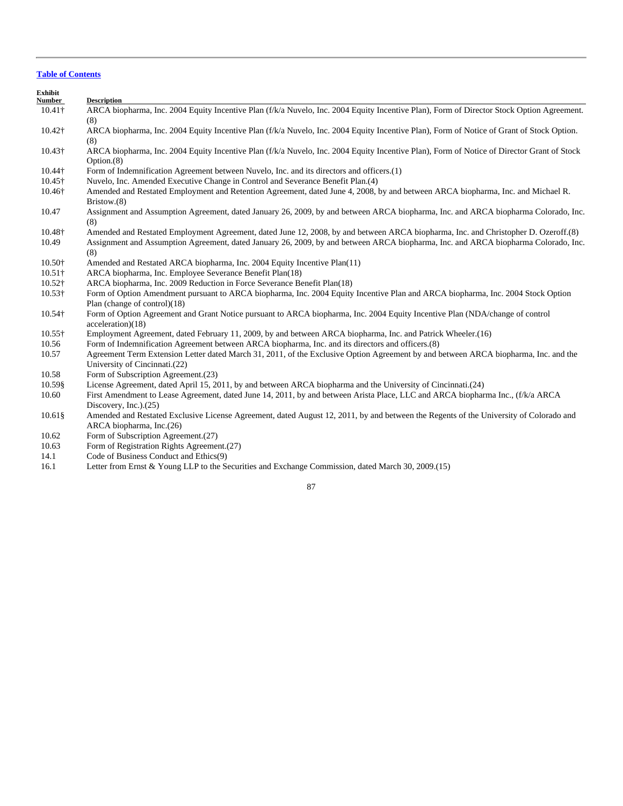| Exhibit<br>Number | <b>Description</b>                                                                                                                                       |
|-------------------|----------------------------------------------------------------------------------------------------------------------------------------------------------|
| $10.41\dagger$    | ARCA biopharma, Inc. 2004 Equity Incentive Plan (f/k/a Nuvelo, Inc. 2004 Equity Incentive Plan), Form of Director Stock Option Agreement.                |
|                   | (8)                                                                                                                                                      |
| 10.42†            | ARCA biopharma, Inc. 2004 Equity Incentive Plan (f/k/a Nuvelo, Inc. 2004 Equity Incentive Plan), Form of Notice of Grant of Stock Option.<br>(8)         |
| 10.43†            | ARCA biopharma, Inc. 2004 Equity Incentive Plan (f/k/a Nuvelo, Inc. 2004 Equity Incentive Plan), Form of Notice of Director Grant of Stock<br>Option.(8) |
| 10.44†            | Form of Indemnification Agreement between Nuvelo, Inc. and its directors and officers.(1)                                                                |
| $10.45\dagger$    | Nuvelo, Inc. Amended Executive Change in Control and Severance Benefit Plan.(4)                                                                          |
| 10.46†            | Amended and Restated Employment and Retention Agreement, dated June 4, 2008, by and between ARCA biopharma, Inc. and Michael R.<br>Bristow.(8)           |
| 10.47             | Assignment and Assumption Agreement, dated January 26, 2009, by and between ARCA biopharma, Inc. and ARCA biopharma Colorado, Inc.<br>(8)                |
| 10.48+            | Amended and Restated Employment Agreement, dated June 12, 2008, by and between ARCA biopharma, Inc. and Christopher D. Ozeroff.(8)                       |
| 10.49             | Assignment and Assumption Agreement, dated January 26, 2009, by and between ARCA biopharma, Inc. and ARCA biopharma Colorado, Inc.<br>(8)                |
| 10.50+            | Amended and Restated ARCA biopharma, Inc. 2004 Equity Incentive Plan(11)                                                                                 |
| $10.51\dagger$    | ARCA biopharma, Inc. Employee Severance Benefit Plan(18)                                                                                                 |
| $10.52\dagger$    | ARCA biopharma, Inc. 2009 Reduction in Force Severance Benefit Plan(18)                                                                                  |
| $10.53\dagger$    | Form of Option Amendment pursuant to ARCA biopharma, Inc. 2004 Equity Incentive Plan and ARCA biopharma, Inc. 2004 Stock Option                          |
|                   | Plan (change of control)(18)                                                                                                                             |
| 10.54†            | Form of Option Agreement and Grant Notice pursuant to ARCA biopharma, Inc. 2004 Equity Incentive Plan (NDA/change of control<br>acceleration)(18)        |
| $10.55\dagger$    | Employment Agreement, dated February 11, 2009, by and between ARCA biopharma, Inc. and Patrick Wheeler. (16)                                             |
| 10.56             | Form of Indemnification Agreement between ARCA biopharma, Inc. and its directors and officers.(8)                                                        |
| 10.57             | Agreement Term Extension Letter dated March 31, 2011, of the Exclusive Option Agreement by and between ARCA biopharma, Inc. and the                      |
|                   | University of Cincinnati.(22)                                                                                                                            |
| 10.58             | Form of Subscription Agreement.(23)                                                                                                                      |
| 10.59\$           | License Agreement, dated April 15, 2011, by and between ARCA biopharma and the University of Cincinnati.(24)                                             |
| 10.60             | First Amendment to Lease Agreement, dated June 14, 2011, by and between Arista Place, LLC and ARCA biopharma Inc., (f/k/a ARCA                           |
|                   | Discovery, Inc.).(25)                                                                                                                                    |
| $10.61\$          | Amended and Restated Exclusive License Agreement, dated August 12, 2011, by and between the Regents of the University of Colorado and                    |
|                   | ARCA biopharma, Inc.(26)                                                                                                                                 |
| 10.62             | Form of Subscription Agreement.(27)                                                                                                                      |
| 10.63             | Form of Registration Rights Agreement.(27)                                                                                                               |
| 14.1              | Code of Business Conduct and Ethics(9)                                                                                                                   |

16.1 Letter from Ernst & Young LLP to the Securities and Exchange Commission, dated March 30, 2009.(15)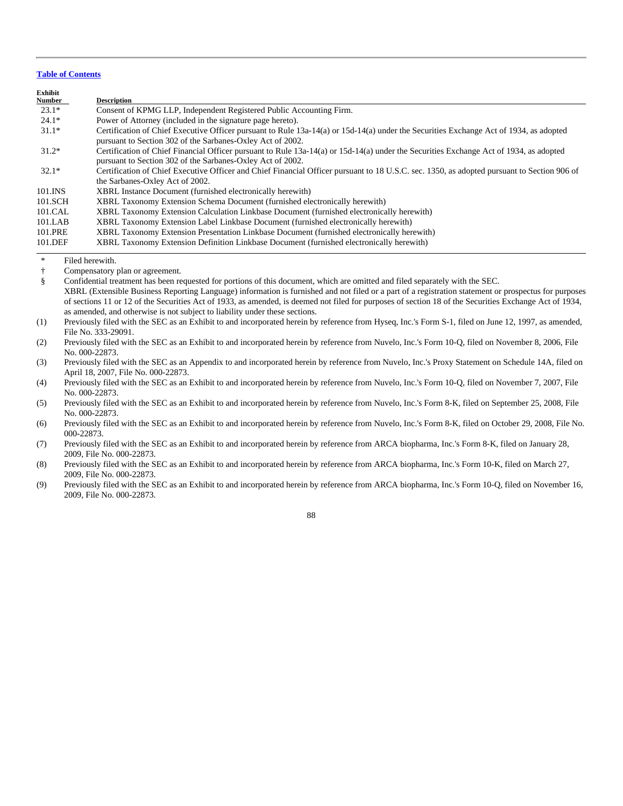| Exhibit       |                                                                                                                                                                                                      |
|---------------|------------------------------------------------------------------------------------------------------------------------------------------------------------------------------------------------------|
| <b>Number</b> | <b>Description</b>                                                                                                                                                                                   |
| $23.1*$       | Consent of KPMG LLP, Independent Registered Public Accounting Firm.                                                                                                                                  |
| $24.1*$       | Power of Attorney (included in the signature page hereto).                                                                                                                                           |
| $31.1*$       | Certification of Chief Executive Officer pursuant to Rule 13a-14(a) or 15d-14(a) under the Securities Exchange Act of 1934, as adopted<br>pursuant to Section 302 of the Sarbanes-Oxley Act of 2002. |
| $31.2*$       | Certification of Chief Financial Officer pursuant to Rule 13a-14(a) or 15d-14(a) under the Securities Exchange Act of 1934, as adopted<br>pursuant to Section 302 of the Sarbanes-Oxley Act of 2002. |
| $32.1*$       | Certification of Chief Executive Officer and Chief Financial Officer pursuant to 18 U.S.C. sec. 1350, as adopted pursuant to Section 906 of<br>the Sarbanes-Oxley Act of 2002.                       |
| 101.INS       | XBRL Instance Document (furnished electronically herewith)                                                                                                                                           |
| 101.SCH       | XBRL Taxonomy Extension Schema Document (furnished electronically herewith)                                                                                                                          |
| 101.CAL       | XBRL Taxonomy Extension Calculation Linkbase Document (furnished electronically herewith)                                                                                                            |
| 101.LAB       | XBRL Taxonomy Extension Label Linkbase Document (furnished electronically herewith)                                                                                                                  |
| 101.PRE       | XBRL Taxonomy Extension Presentation Linkbase Document (furnished electronically herewith)                                                                                                           |
| 101.DEF       | XBRL Taxonomy Extension Definition Linkbase Document (furnished electronically herewith)                                                                                                             |

\* Filed herewith.

† Compensatory plan or agreement.

 § Confidential treatment has been requested for portions of this document, which are omitted and filed separately with the SEC. XBRL (Extensible Business Reporting Language) information is furnished and not filed or a part of a registration statement or prospectus for purposes of sections 11 or 12 of the Securities Act of 1933, as amended, is deemed not filed for purposes of section 18 of the Securities Exchange Act of 1934, as amended, and otherwise is not subject to liability under these sections.

(1) Previously filed with the SEC as an Exhibit to and incorporated herein by reference from Hyseq, Inc.'s Form S-1, filed on June 12, 1997, as amended, File No. 333-29091.

(2) Previously filed with the SEC as an Exhibit to and incorporated herein by reference from Nuvelo, Inc.'s Form 10-Q, filed on November 8, 2006, File No. 000-22873.

(3) Previously filed with the SEC as an Appendix to and incorporated herein by reference from Nuvelo, Inc.'s Proxy Statement on Schedule 14A, filed on April 18, 2007, File No. 000-22873.

(4) Previously filed with the SEC as an Exhibit to and incorporated herein by reference from Nuvelo, Inc.'s Form 10-Q, filed on November 7, 2007, File No. 000-22873.

(5) Previously filed with the SEC as an Exhibit to and incorporated herein by reference from Nuvelo, Inc.'s Form 8-K, filed on September 25, 2008, File No. 000-22873.

(6) Previously filed with the SEC as an Exhibit to and incorporated herein by reference from Nuvelo, Inc.'s Form 8-K, filed on October 29, 2008, File No. 000-22873.

(7) Previously filed with the SEC as an Exhibit to and incorporated herein by reference from ARCA biopharma, Inc.'s Form 8-K, filed on January 28, 2009, File No. 000-22873.

(8) Previously filed with the SEC as an Exhibit to and incorporated herein by reference from ARCA biopharma, Inc.'s Form 10-K, filed on March 27, 2009, File No. 000-22873.

(9) Previously filed with the SEC as an Exhibit to and incorporated herein by reference from ARCA biopharma, Inc.'s Form 10-Q, filed on November 16, 2009, File No. 000-22873.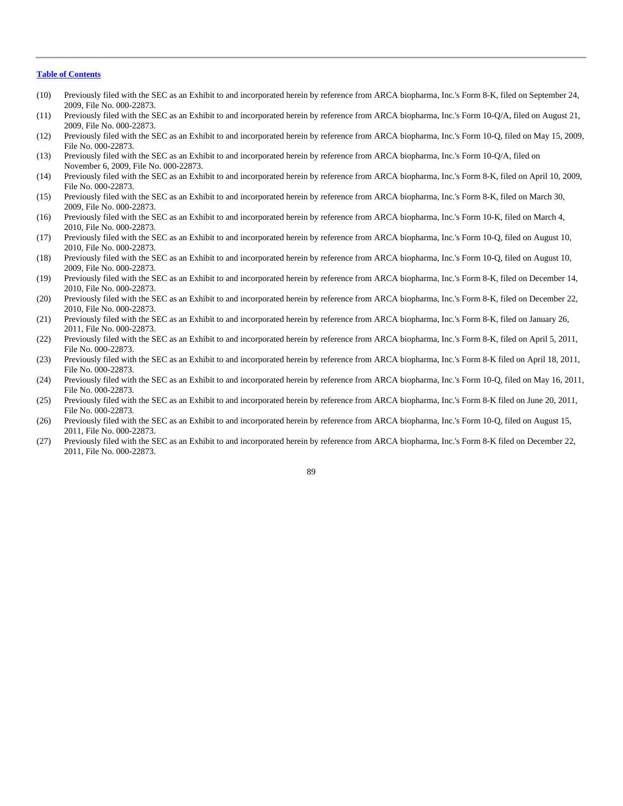- (10) Previously filed with the SEC as an Exhibit to and incorporated herein by reference from ARCA biopharma, Inc.'s Form 8-K, filed on September 24, 2009, File No. 000-22873.
- (11) Previously filed with the SEC as an Exhibit to and incorporated herein by reference from ARCA biopharma, Inc.'s Form 10-Q/A, filed on August 21, 2009, File No. 000-22873.
- (12) Previously filed with the SEC as an Exhibit to and incorporated herein by reference from ARCA biopharma, Inc.'s Form 10-Q, filed on May 15, 2009, File No. 000-22873.
- (13) Previously filed with the SEC as an Exhibit to and incorporated herein by reference from ARCA biopharma, Inc.'s Form 10-Q/A, filed on November 6, 2009, File No. 000-22873.
- (14) Previously filed with the SEC as an Exhibit to and incorporated herein by reference from ARCA biopharma, Inc.'s Form 8-K, filed on April 10, 2009, File No. 000-22873.
- (15) Previously filed with the SEC as an Exhibit to and incorporated herein by reference from ARCA biopharma, Inc.'s Form 8-K, filed on March 30, 2009, File No. 000-22873.
- (16) Previously filed with the SEC as an Exhibit to and incorporated herein by reference from ARCA biopharma, Inc.'s Form 10-K, filed on March 4, 2010, File No. 000-22873.
- (17) Previously filed with the SEC as an Exhibit to and incorporated herein by reference from ARCA biopharma, Inc.'s Form 10-Q, filed on August 10, 2010, File No. 000-22873.
- (18) Previously filed with the SEC as an Exhibit to and incorporated herein by reference from ARCA biopharma, Inc.'s Form 10-Q, filed on August 10, 2009, File No. 000-22873.
- (19) Previously filed with the SEC as an Exhibit to and incorporated herein by reference from ARCA biopharma, Inc.'s Form 8-K, filed on December 14, 2010, File No. 000-22873.
- (20) Previously filed with the SEC as an Exhibit to and incorporated herein by reference from ARCA biopharma, Inc.'s Form 8-K, filed on December 22, 2010, File No. 000-22873.
- (21) Previously filed with the SEC as an Exhibit to and incorporated herein by reference from ARCA biopharma, Inc.'s Form 8-K, filed on January 26, 2011, File No. 000-22873.
- (22) Previously filed with the SEC as an Exhibit to and incorporated herein by reference from ARCA biopharma, Inc.'s Form 8-K, filed on April 5, 2011, File No. 000-22873.
- (23) Previously filed with the SEC as an Exhibit to and incorporated herein by reference from ARCA biopharma, Inc.'s Form 8-K filed on April 18, 2011, File No. 000-22873.
- (24) Previously filed with the SEC as an Exhibit to and incorporated herein by reference from ARCA biopharma, Inc.'s Form 10-Q, filed on May 16, 2011, File No. 000-22873.
- (25) Previously filed with the SEC as an Exhibit to and incorporated herein by reference from ARCA biopharma, Inc.'s Form 8-K filed on June 20, 2011, File No. 000-22873.
- (26) Previously filed with the SEC as an Exhibit to and incorporated herein by reference from ARCA biopharma, Inc.'s Form 10-Q, filed on August 15, 2011, File No. 000-22873.
- (27) Previously filed with the SEC as an Exhibit to and incorporated herein by reference from ARCA biopharma, Inc.'s Form 8-K filed on December 22, 2011, File No. 000-22873.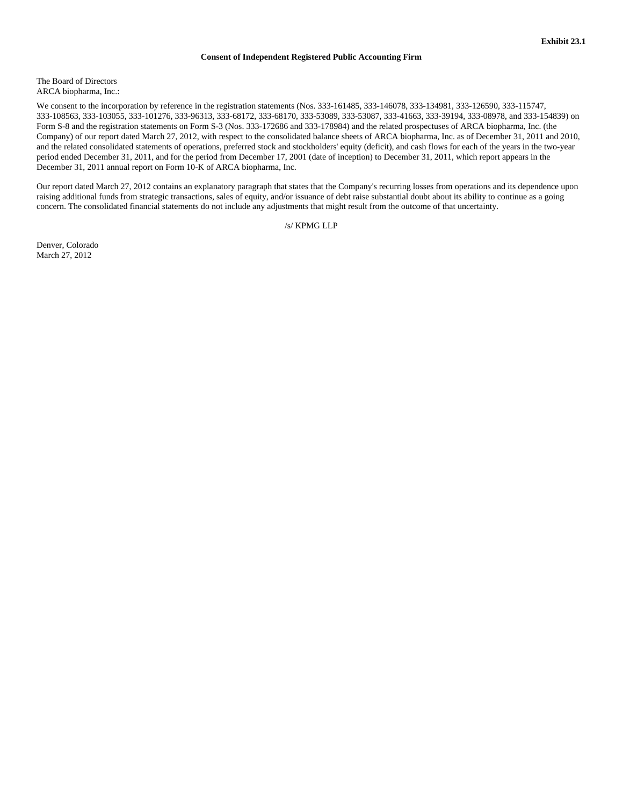# **Consent of Independent Registered Public Accounting Firm**

The Board of Directors ARCA biopharma, Inc.:

We consent to the incorporation by reference in the registration statements (Nos. 333-161485, 333-146078, 333-134981, 333-126590, 333-115747, 333-108563, 333-103055, 333-101276, 333-96313, 333-68172, 333-68170, 333-53089, 333-53087, 333-41663, 333-39194, 333-08978, and 333-154839) on Form S-8 and the registration statements on Form S-3 (Nos. 333-172686 and 333-178984) and the related prospectuses of ARCA biopharma, Inc. (the Company) of our report dated March 27, 2012, with respect to the consolidated balance sheets of ARCA biopharma, Inc. as of December 31, 2011 and 2010, and the related consolidated statements of operations, preferred stock and stockholders' equity (deficit), and cash flows for each of the years in the two-year period ended December 31, 2011, and for the period from December 17, 2001 (date of inception) to December 31, 2011, which report appears in the December 31, 2011 annual report on Form 10-K of ARCA biopharma, Inc.

Our report dated March 27, 2012 contains an explanatory paragraph that states that the Company's recurring losses from operations and its dependence upon raising additional funds from strategic transactions, sales of equity, and/or issuance of debt raise substantial doubt about its ability to continue as a going concern. The consolidated financial statements do not include any adjustments that might result from the outcome of that uncertainty.

/s/ KPMG LLP

Denver, Colorado March 27, 2012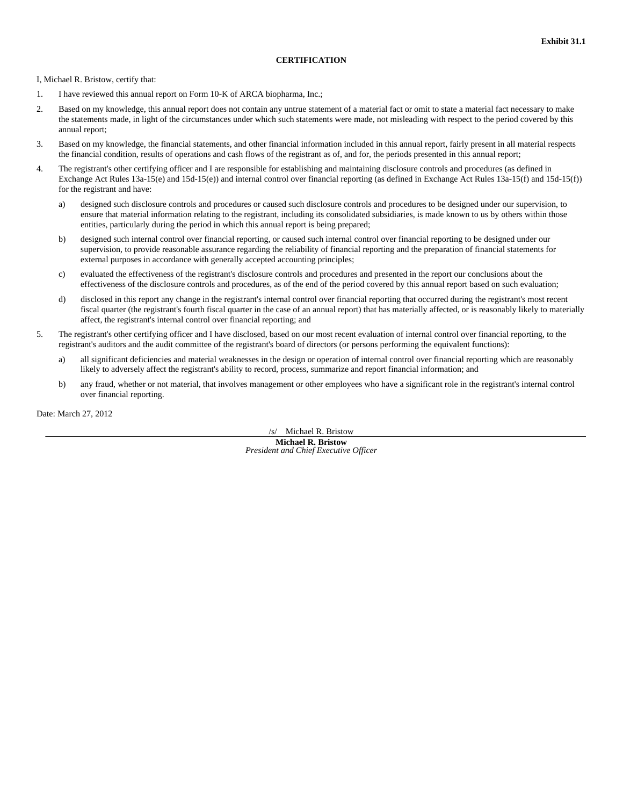# **CERTIFICATION**

I, Michael R. Bristow, certify that:

- 1. I have reviewed this annual report on Form 10-K of ARCA biopharma, Inc.;
- 2. Based on my knowledge, this annual report does not contain any untrue statement of a material fact or omit to state a material fact necessary to make the statements made, in light of the circumstances under which such statements were made, not misleading with respect to the period covered by this annual report;
- 3. Based on my knowledge, the financial statements, and other financial information included in this annual report, fairly present in all material respects the financial condition, results of operations and cash flows of the registrant as of, and for, the periods presented in this annual report;
- 4. The registrant's other certifying officer and I are responsible for establishing and maintaining disclosure controls and procedures (as defined in Exchange Act Rules 13a-15(e) and 15d-15(e)) and internal control over financial reporting (as defined in Exchange Act Rules 13a-15(f) and 15d-15(f)) for the registrant and have:
	- a) designed such disclosure controls and procedures or caused such disclosure controls and procedures to be designed under our supervision, to ensure that material information relating to the registrant, including its consolidated subsidiaries, is made known to us by others within those entities, particularly during the period in which this annual report is being prepared;
	- b) designed such internal control over financial reporting, or caused such internal control over financial reporting to be designed under our supervision, to provide reasonable assurance regarding the reliability of financial reporting and the preparation of financial statements for external purposes in accordance with generally accepted accounting principles;
	- c) evaluated the effectiveness of the registrant's disclosure controls and procedures and presented in the report our conclusions about the effectiveness of the disclosure controls and procedures, as of the end of the period covered by this annual report based on such evaluation;
	- d) disclosed in this report any change in the registrant's internal control over financial reporting that occurred during the registrant's most recent fiscal quarter (the registrant's fourth fiscal quarter in the case of an annual report) that has materially affected, or is reasonably likely to materially affect, the registrant's internal control over financial reporting; and
- 5. The registrant's other certifying officer and I have disclosed, based on our most recent evaluation of internal control over financial reporting, to the registrant's auditors and the audit committee of the registrant's board of directors (or persons performing the equivalent functions):
	- a) all significant deficiencies and material weaknesses in the design or operation of internal control over financial reporting which are reasonably likely to adversely affect the registrant's ability to record, process, summarize and report financial information; and
	- b) any fraud, whether or not material, that involves management or other employees who have a significant role in the registrant's internal control over financial reporting.

Date: March 27, 2012

/s/ Michael R. Bristow **Michael R. Bristow** *President and Chief Executive Officer*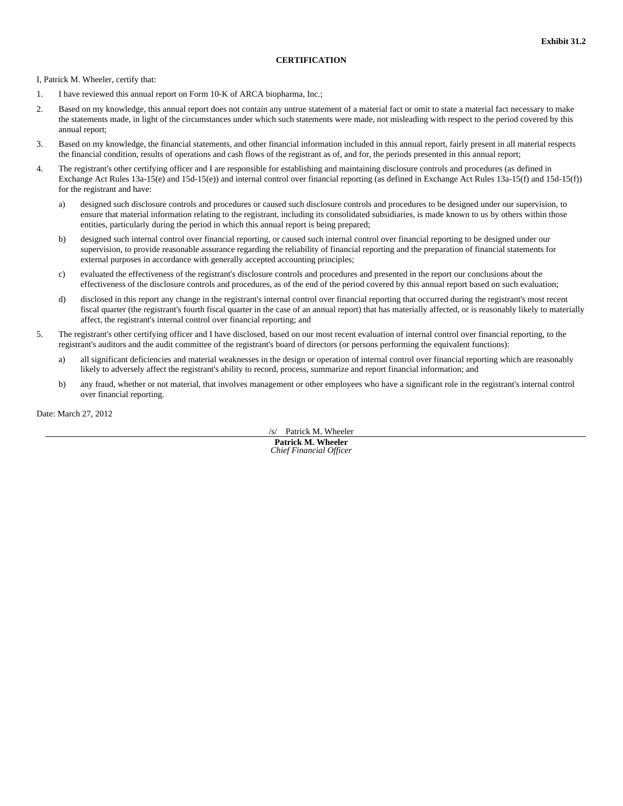# **CERTIFICATION**

I, Patrick M. Wheeler, certify that:

- 1. I have reviewed this annual report on Form 10-K of ARCA biopharma, Inc.;
- 2. Based on my knowledge, this annual report does not contain any untrue statement of a material fact or omit to state a material fact necessary to make the statements made, in light of the circumstances under which such statements were made, not misleading with respect to the period covered by this annual report;
- 3. Based on my knowledge, the financial statements, and other financial information included in this annual report, fairly present in all material respects the financial condition, results of operations and cash flows of the registrant as of, and for, the periods presented in this annual report;
- 4. The registrant's other certifying officer and I are responsible for establishing and maintaining disclosure controls and procedures (as defined in Exchange Act Rules 13a-15(e) and 15d-15(e)) and internal control over financial reporting (as defined in Exchange Act Rules 13a-15(f) and 15d-15(f)) for the registrant and have:
	- a) designed such disclosure controls and procedures or caused such disclosure controls and procedures to be designed under our supervision, to ensure that material information relating to the registrant, including its consolidated subsidiaries, is made known to us by others within those entities, particularly during the period in which this annual report is being prepared;
	- b) designed such internal control over financial reporting, or caused such internal control over financial reporting to be designed under our supervision, to provide reasonable assurance regarding the reliability of financial reporting and the preparation of financial statements for external purposes in accordance with generally accepted accounting principles;
	- c) evaluated the effectiveness of the registrant's disclosure controls and procedures and presented in the report our conclusions about the effectiveness of the disclosure controls and procedures, as of the end of the period covered by this annual report based on such evaluation;
	- d) disclosed in this report any change in the registrant's internal control over financial reporting that occurred during the registrant's most recent fiscal quarter (the registrant's fourth fiscal quarter in the case of an annual report) that has materially affected, or is reasonably likely to materially affect, the registrant's internal control over financial reporting; and
- 5. The registrant's other certifying officer and I have disclosed, based on our most recent evaluation of internal control over financial reporting, to the registrant's auditors and the audit committee of the registrant's board of directors (or persons performing the equivalent functions):
	- a) all significant deficiencies and material weaknesses in the design or operation of internal control over financial reporting which are reasonably likely to adversely affect the registrant's ability to record, process, summarize and report financial information; and
	- b) any fraud, whether or not material, that involves management or other employees who have a significant role in the registrant's internal control over financial reporting.

Date: March 27, 2012

/s/ Patrick M. Wheeler **Patrick M. Wheeler** *Chief Financial Officer*